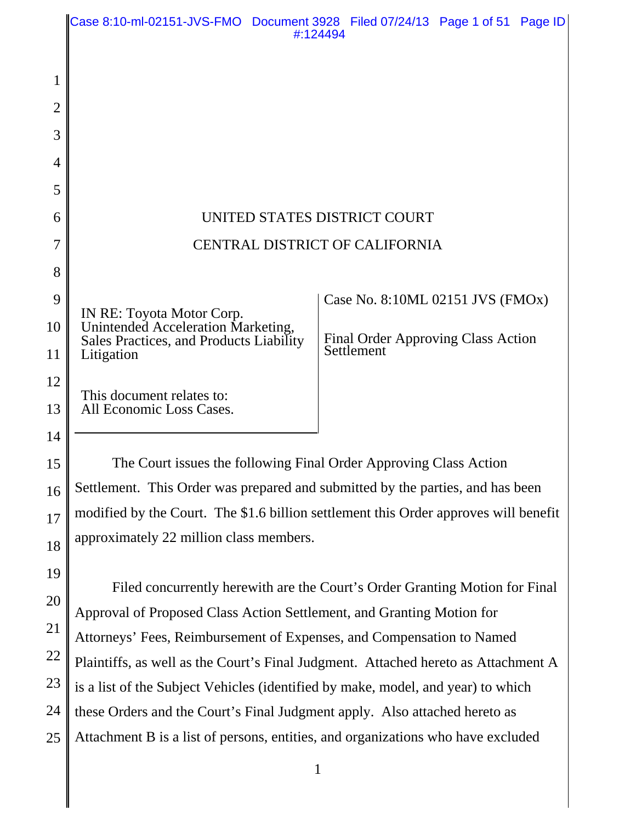|                | Case 8:10-ml-02151-JVS-FMO Document 3928 Filed 07/24/13 Page 1 of 51 Page ID                                                                   | #:124494                                  |  |
|----------------|------------------------------------------------------------------------------------------------------------------------------------------------|-------------------------------------------|--|
| 1              |                                                                                                                                                |                                           |  |
| $\overline{2}$ |                                                                                                                                                |                                           |  |
| 3              |                                                                                                                                                |                                           |  |
| 4              |                                                                                                                                                |                                           |  |
| 5              |                                                                                                                                                |                                           |  |
| 6              |                                                                                                                                                | UNITED STATES DISTRICT COURT              |  |
| 7              | <b>CENTRAL DISTRICT OF CALIFORNIA</b>                                                                                                          |                                           |  |
| 8              |                                                                                                                                                |                                           |  |
| 9              | IN RE: Toyota Motor Corp.                                                                                                                      | Case No. 8:10ML 02151 JVS (FMOx)          |  |
| 10             | Unintended Acceleration Marketing,<br>Sales Practices, and Products Liability                                                                  | <b>Final Order Approving Class Action</b> |  |
| 11             | Litigation                                                                                                                                     | Settlement                                |  |
| 12             | This document relates to:                                                                                                                      |                                           |  |
| 13             | All Economic Loss Cases.                                                                                                                       |                                           |  |
| 14             |                                                                                                                                                |                                           |  |
| 15             | The Court issues the following Final Order Approving Class Action                                                                              |                                           |  |
| 16             | Settlement. This Order was prepared and submitted by the parties, and has been                                                                 |                                           |  |
| 17             | modified by the Court. The \$1.6 billion settlement this Order approves will benefit                                                           |                                           |  |
| 18             | approximately 22 million class members.                                                                                                        |                                           |  |
| 19             |                                                                                                                                                |                                           |  |
| 20             | Filed concurrently herewith are the Court's Order Granting Motion for Final                                                                    |                                           |  |
| 21             | Approval of Proposed Class Action Settlement, and Granting Motion for<br>Attorneys' Fees, Reimbursement of Expenses, and Compensation to Named |                                           |  |
| 22             | Plaintiffs, as well as the Court's Final Judgment. Attached hereto as Attachment A                                                             |                                           |  |
|                |                                                                                                                                                |                                           |  |

23 is a list of the Subject Vehicles (identified by make, model, and year) to which

24 these Orders and the Court's Final Judgment apply. Also attached hereto as

25 Attachment B is a list of persons, entities, and organizations who have excluded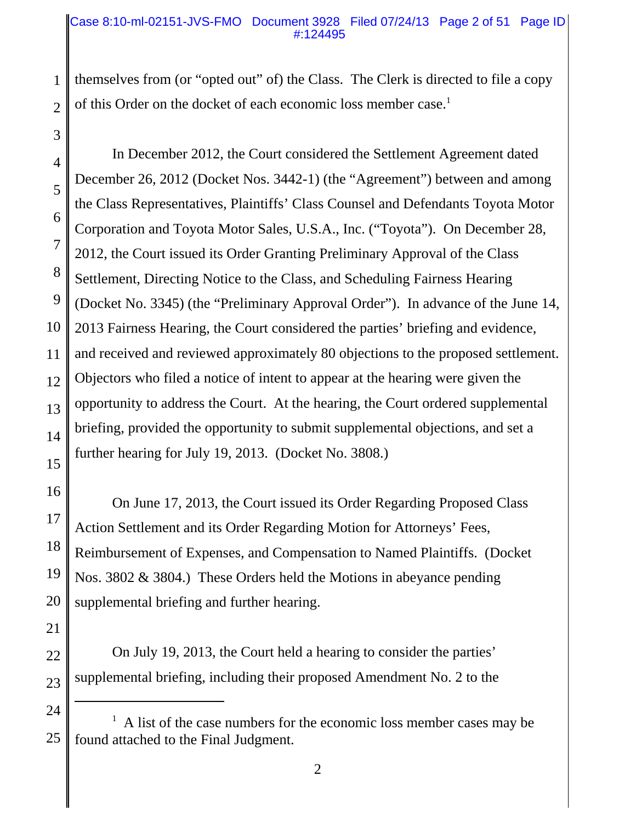### Case 8:10-ml-02151-JVS-FMO Document 3928 Filed 07/24/13 Page 2 of 51 Page ID #:124495

2 themselves from (or "opted out" of) the Class. The Clerk is directed to file a copy of this Order on the docket of each economic loss member case.<sup>1</sup>

4 5 6 7 8 9 10 11 12 13 14 15 In December 2012, the Court considered the Settlement Agreement dated December 26, 2012 (Docket Nos. 3442-1) (the "Agreement") between and among the Class Representatives, Plaintiffs' Class Counsel and Defendants Toyota Motor Corporation and Toyota Motor Sales, U.S.A., Inc. ("Toyota"). On December 28, 2012, the Court issued its Order Granting Preliminary Approval of the Class Settlement, Directing Notice to the Class, and Scheduling Fairness Hearing (Docket No. 3345) (the "Preliminary Approval Order"). In advance of the June 14, 2013 Fairness Hearing, the Court considered the parties' briefing and evidence, and received and reviewed approximately 80 objections to the proposed settlement. Objectors who filed a notice of intent to appear at the hearing were given the opportunity to address the Court. At the hearing, the Court ordered supplemental briefing, provided the opportunity to submit supplemental objections, and set a further hearing for July 19, 2013. (Docket No. 3808.)

16 17 18 19 20 On June 17, 2013, the Court issued its Order Regarding Proposed Class Action Settlement and its Order Regarding Motion for Attorneys' Fees, Reimbursement of Expenses, and Compensation to Named Plaintiffs. (Docket Nos. 3802 & 3804.) These Orders held the Motions in abeyance pending supplemental briefing and further hearing.

21

1

3

22

23

On July 19, 2013, the Court held a hearing to consider the parties' supplemental briefing, including their proposed Amendment No. 2 to the

<sup>24</sup> 25 1 A list of the case numbers for the economic loss member cases may be found attached to the Final Judgment.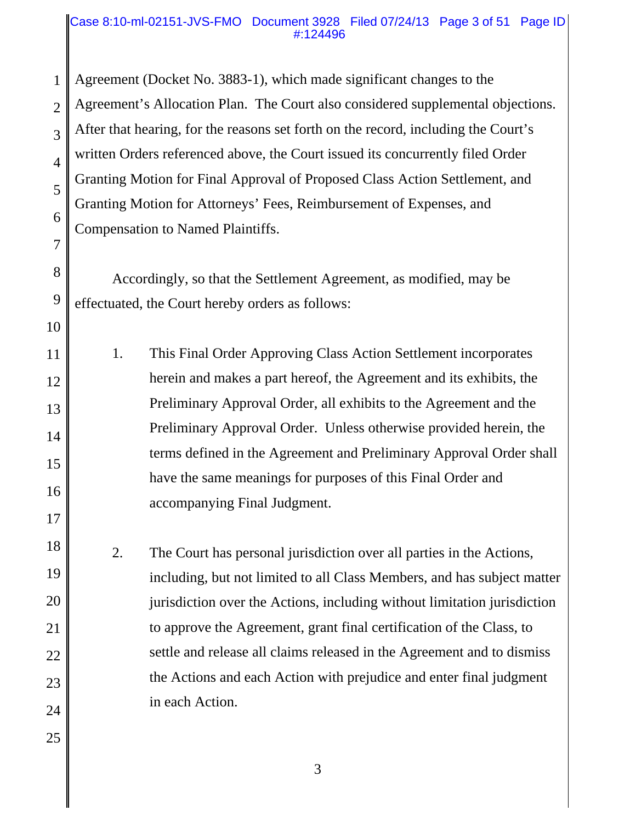### Case 8:10-ml-02151-JVS-FMO Document 3928 Filed 07/24/13 Page 3 of 51 Page ID #:124496

1 2 3 4 5 6 7 Agreement (Docket No. 3883-1), which made significant changes to the Agreement's Allocation Plan. The Court also considered supplemental objections. After that hearing, for the reasons set forth on the record, including the Court's written Orders referenced above, the Court issued its concurrently filed Order Granting Motion for Final Approval of Proposed Class Action Settlement, and Granting Motion for Attorneys' Fees, Reimbursement of Expenses, and Compensation to Named Plaintiffs.

Accordingly, so that the Settlement Agreement, as modified, may be effectuated, the Court hereby orders as follows:

8

9

10

17

25

11 12 13 14 15 16 1. This Final Order Approving Class Action Settlement incorporates herein and makes a part hereof, the Agreement and its exhibits, the Preliminary Approval Order, all exhibits to the Agreement and the Preliminary Approval Order. Unless otherwise provided herein, the terms defined in the Agreement and Preliminary Approval Order shall have the same meanings for purposes of this Final Order and accompanying Final Judgment.

18 19 20 21 22 23 24 2. The Court has personal jurisdiction over all parties in the Actions, including, but not limited to all Class Members, and has subject matter jurisdiction over the Actions, including without limitation jurisdiction to approve the Agreement, grant final certification of the Class, to settle and release all claims released in the Agreement and to dismiss the Actions and each Action with prejudice and enter final judgment in each Action.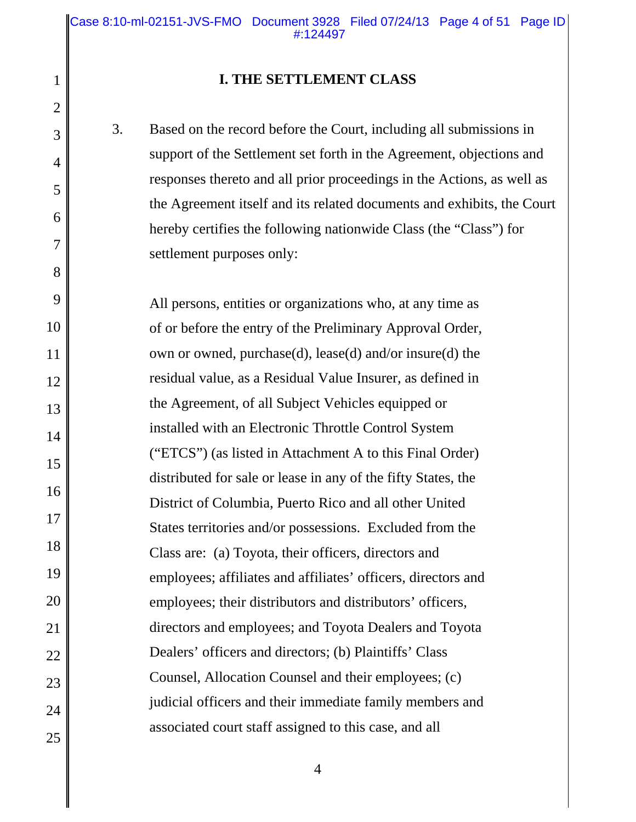### **I. THE SETTLEMENT CLASS**

1

2

3

4

5

6

7

8

9

10

11

12

13

14

15

16

17

18

19

20

21

22

23

24

25

3. Based on the record before the Court, including all submissions in support of the Settlement set forth in the Agreement, objections and responses thereto and all prior proceedings in the Actions, as well as the Agreement itself and its related documents and exhibits, the Court hereby certifies the following nationwide Class (the "Class") for settlement purposes only:

All persons, entities or organizations who, at any time as of or before the entry of the Preliminary Approval Order, own or owned, purchase(d), lease(d) and/or insure(d) the residual value, as a Residual Value Insurer, as defined in the Agreement, of all Subject Vehicles equipped or installed with an Electronic Throttle Control System ("ETCS") (as listed in Attachment A to this Final Order) distributed for sale or lease in any of the fifty States, the District of Columbia, Puerto Rico and all other United States territories and/or possessions. Excluded from the Class are: (a) Toyota, their officers, directors and employees; affiliates and affiliates' officers, directors and employees; their distributors and distributors' officers, directors and employees; and Toyota Dealers and Toyota Dealers' officers and directors; (b) Plaintiffs' Class Counsel, Allocation Counsel and their employees; (c) judicial officers and their immediate family members and associated court staff assigned to this case, and all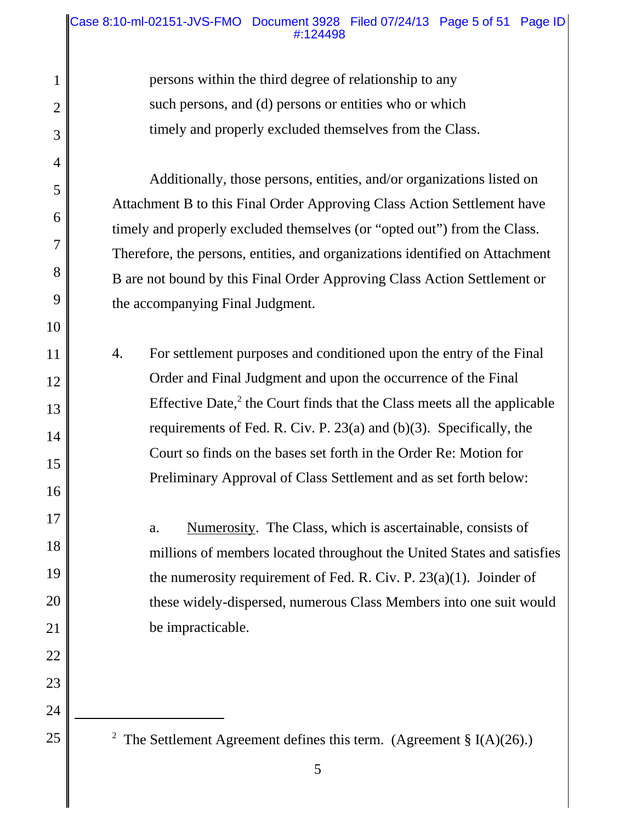### Case 8:10-ml-02151-JVS-FMO Document 3928 Filed 07/24/13 Page 5 of 51 Page ID #:124498

persons within the third degree of relationship to any such persons, and (d) persons or entities who or which timely and properly excluded themselves from the Class.

1

2

3

4

5

6

7

8

9

10

11

12

13

14

15

16

17

18

19

20

21

22

23

24

25

Additionally, those persons, entities, and/or organizations listed on Attachment B to this Final Order Approving Class Action Settlement have timely and properly excluded themselves (or "opted out") from the Class. Therefore, the persons, entities, and organizations identified on Attachment B are not bound by this Final Order Approving Class Action Settlement or the accompanying Final Judgment.

4. For settlement purposes and conditioned upon the entry of the Final Order and Final Judgment and upon the occurrence of the Final Effective Date, $2$  the Court finds that the Class meets all the applicable requirements of Fed. R. Civ. P. 23(a) and (b)(3). Specifically, the Court so finds on the bases set forth in the Order Re: Motion for Preliminary Approval of Class Settlement and as set forth below:

> a. Numerosity. The Class, which is ascertainable, consists of millions of members located throughout the United States and satisfies the numerosity requirement of Fed. R. Civ. P. 23(a)(1). Joinder of these widely-dispersed, numerous Class Members into one suit would be impracticable.

<sup>2</sup> The Settlement Agreement defines this term. (Agreement § I(A)(26).)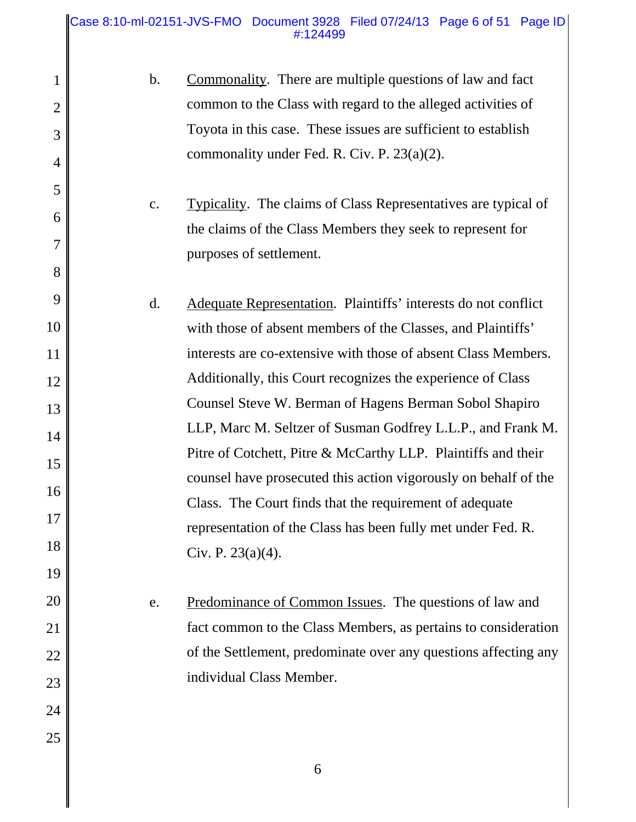#### Case 8:10-ml-02151-JVS-FMO Document 3928 Filed 07/24/13 Page 6 of 51 Page ID #:124499

1

2

3

4

5

6

7

8

9

10

11

12

13

14

15

16

17

18

19

20

21

22

23

24

25

| $b_{1}$ | Commonality. There are multiple questions of law and fact     |
|---------|---------------------------------------------------------------|
|         | common to the Class with regard to the alleged activities of  |
|         | Toyota in this case. These issues are sufficient to establish |
|         | commonality under Fed. R. Civ. P. $23(a)(2)$ .                |

c. Typicality. The claims of Class Representatives are typical of the claims of the Class Members they seek to represent for purposes of settlement.

d. Adequate Representation. Plaintiffs' interests do not conflict with those of absent members of the Classes, and Plaintiffs' interests are co-extensive with those of absent Class Members. Additionally, this Court recognizes the experience of Class Counsel Steve W. Berman of Hagens Berman Sobol Shapiro LLP, Marc M. Seltzer of Susman Godfrey L.L.P., and Frank M. Pitre of Cotchett, Pitre & McCarthy LLP. Plaintiffs and their counsel have prosecuted this action vigorously on behalf of the Class. The Court finds that the requirement of adequate representation of the Class has been fully met under Fed. R. Civ. P. 23(a)(4).

> e. Predominance of Common Issues. The questions of law and fact common to the Class Members, as pertains to consideration of the Settlement, predominate over any questions affecting any individual Class Member.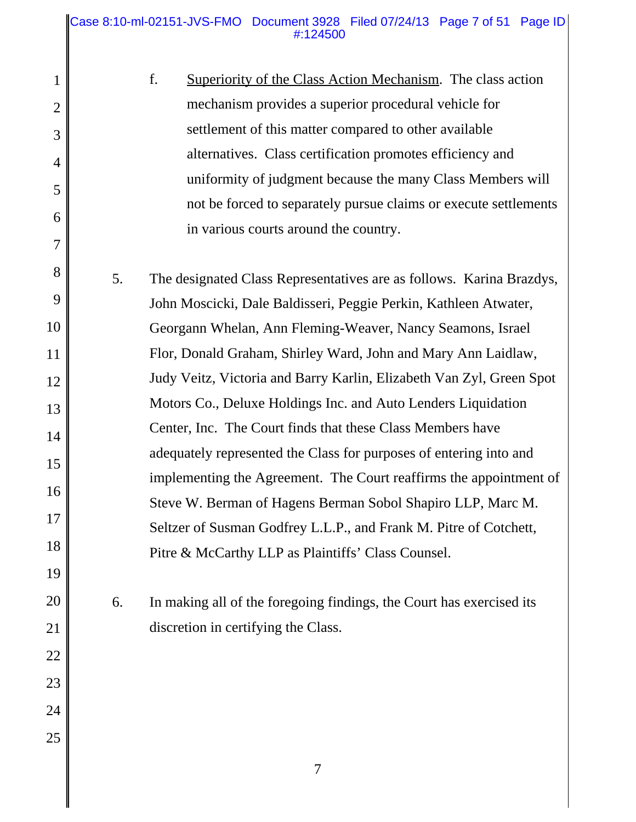### Case 8:10-ml-02151-JVS-FMO Document 3928 Filed 07/24/13 Page 7 of 51 Page ID #:124500

| 1              |    | f.<br><b>Superiority of the Class Action Mechanism.</b> The class action |
|----------------|----|--------------------------------------------------------------------------|
| $\overline{2}$ |    | mechanism provides a superior procedural vehicle for                     |
| 3              |    | settlement of this matter compared to other available                    |
| 4              |    | alternatives. Class certification promotes efficiency and                |
| 5              |    | uniformity of judgment because the many Class Members will               |
|                |    | not be forced to separately pursue claims or execute settlements         |
| 6              |    | in various courts around the country.                                    |
| 7              |    |                                                                          |
| 8              | 5. | The designated Class Representatives are as follows. Karina Brazdys,     |
| 9              |    | John Moscicki, Dale Baldisseri, Peggie Perkin, Kathleen Atwater,         |
| 10             |    | Georgann Whelan, Ann Fleming-Weaver, Nancy Seamons, Israel               |
| 11             |    | Flor, Donald Graham, Shirley Ward, John and Mary Ann Laidlaw,            |
| 12             |    | Judy Veitz, Victoria and Barry Karlin, Elizabeth Van Zyl, Green Spot     |
| 13             |    | Motors Co., Deluxe Holdings Inc. and Auto Lenders Liquidation            |
| 14             |    | Center, Inc. The Court finds that these Class Members have               |
| 15             |    | adequately represented the Class for purposes of entering into and       |
| 16             |    | implementing the Agreement. The Court reaffirms the appointment of       |
|                |    | Steve W. Berman of Hagens Berman Sobol Shapiro LLP, Marc M.              |
| 17             |    | Seltzer of Susman Godfrey L.L.P., and Frank M. Pitre of Cotchett,        |
| 18             |    | Pitre & McCarthy LLP as Plaintiffs' Class Counsel.                       |
| 19             |    |                                                                          |
| 20             | 6. | In making all of the foregoing findings, the Court has exercised its     |
| 21             |    | discretion in certifying the Class.                                      |
| 22             |    |                                                                          |
| 23             |    |                                                                          |

24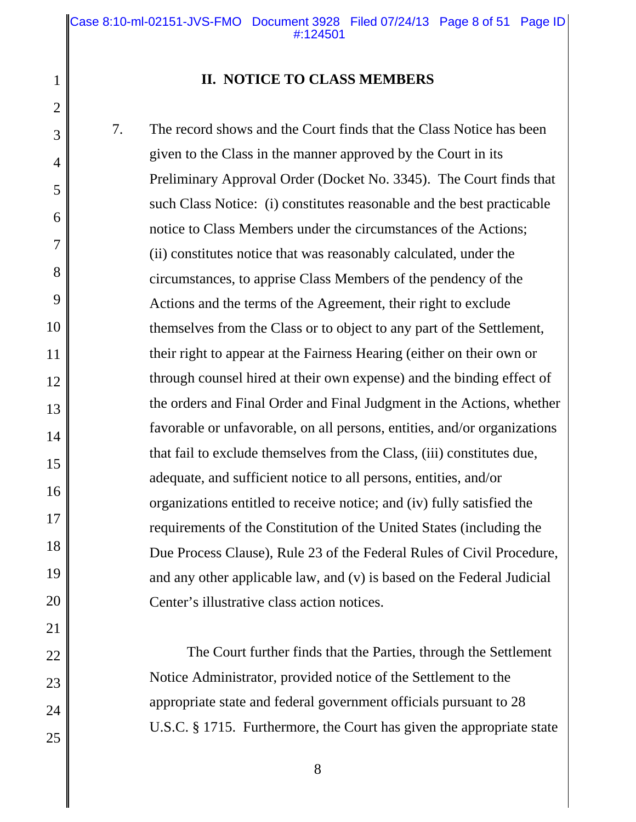Case 8:10-ml-02151-JVS-FMO Document 3928 Filed 07/24/13 Page 8 of 51 Page ID #:124501

7

8

9

10

11

12

13

14

15

16

17

18

19

20

21

22

23

24

25

### **II. NOTICE TO CLASS MEMBERS**

7. The record shows and the Court finds that the Class Notice has been given to the Class in the manner approved by the Court in its Preliminary Approval Order (Docket No. 3345). The Court finds that such Class Notice: (i) constitutes reasonable and the best practicable notice to Class Members under the circumstances of the Actions; (ii) constitutes notice that was reasonably calculated, under the circumstances, to apprise Class Members of the pendency of the Actions and the terms of the Agreement, their right to exclude themselves from the Class or to object to any part of the Settlement, their right to appear at the Fairness Hearing (either on their own or through counsel hired at their own expense) and the binding effect of the orders and Final Order and Final Judgment in the Actions, whether favorable or unfavorable, on all persons, entities, and/or organizations that fail to exclude themselves from the Class, (iii) constitutes due, adequate, and sufficient notice to all persons, entities, and/or organizations entitled to receive notice; and (iv) fully satisfied the requirements of the Constitution of the United States (including the Due Process Clause), Rule 23 of the Federal Rules of Civil Procedure, and any other applicable law, and (v) is based on the Federal Judicial Center's illustrative class action notices.

> The Court further finds that the Parties, through the Settlement Notice Administrator, provided notice of the Settlement to the appropriate state and federal government officials pursuant to 28 U.S.C. § 1715. Furthermore, the Court has given the appropriate state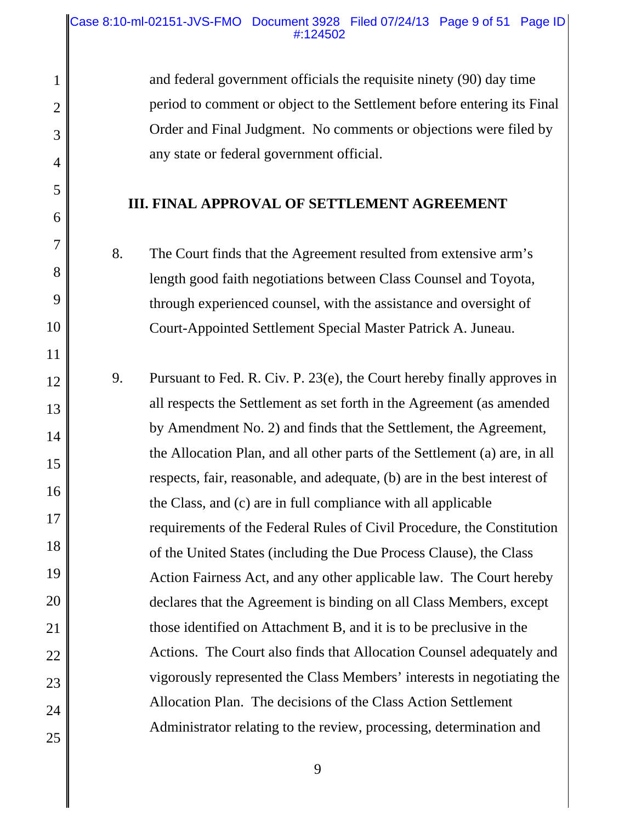1

2

3

4

5

6

7

8

9

10

11

12

13

14

15

16

17

18

19

20

21

22

23

24

25

and federal government officials the requisite ninety (90) day time period to comment or object to the Settlement before entering its Final Order and Final Judgment. No comments or objections were filed by any state or federal government official.

## **III. FINAL APPROVAL OF SETTLEMENT AGREEMENT**

8. The Court finds that the Agreement resulted from extensive arm's length good faith negotiations between Class Counsel and Toyota, through experienced counsel, with the assistance and oversight of Court-Appointed Settlement Special Master Patrick A. Juneau.

9. Pursuant to Fed. R. Civ. P. 23(e), the Court hereby finally approves in all respects the Settlement as set forth in the Agreement (as amended by Amendment No. 2) and finds that the Settlement, the Agreement, the Allocation Plan, and all other parts of the Settlement (a) are, in all respects, fair, reasonable, and adequate, (b) are in the best interest of the Class, and (c) are in full compliance with all applicable requirements of the Federal Rules of Civil Procedure, the Constitution of the United States (including the Due Process Clause), the Class Action Fairness Act, and any other applicable law. The Court hereby declares that the Agreement is binding on all Class Members, except those identified on Attachment B, and it is to be preclusive in the Actions. The Court also finds that Allocation Counsel adequately and vigorously represented the Class Members' interests in negotiating the Allocation Plan. The decisions of the Class Action Settlement Administrator relating to the review, processing, determination and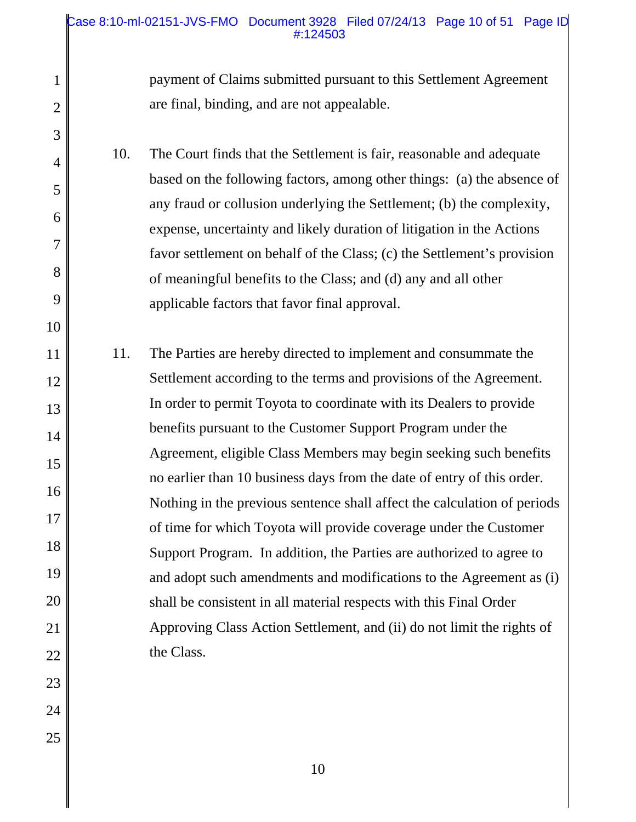### Case 8:10-ml-02151-JVS-FMO Document 3928 Filed 07/24/13 Page 10 of 51 Page ID #:124503

payment of Claims submitted pursuant to this Settlement Agreement are final, binding, and are not appealable.

10. The Court finds that the Settlement is fair, reasonable and adequate based on the following factors, among other things: (a) the absence of any fraud or collusion underlying the Settlement; (b) the complexity, expense, uncertainty and likely duration of litigation in the Actions favor settlement on behalf of the Class; (c) the Settlement's provision of meaningful benefits to the Class; and (d) any and all other applicable factors that favor final approval.

11 12 13 14 15 16 17 18 19 20 21 22 11. The Parties are hereby directed to implement and consummate the Settlement according to the terms and provisions of the Agreement. In order to permit Toyota to coordinate with its Dealers to provide benefits pursuant to the Customer Support Program under the Agreement, eligible Class Members may begin seeking such benefits no earlier than 10 business days from the date of entry of this order. Nothing in the previous sentence shall affect the calculation of periods of time for which Toyota will provide coverage under the Customer Support Program. In addition, the Parties are authorized to agree to and adopt such amendments and modifications to the Agreement as (i) shall be consistent in all material respects with this Final Order Approving Class Action Settlement, and (ii) do not limit the rights of the Class.

23 24

1

2

3

4

5

6

7

8

9

10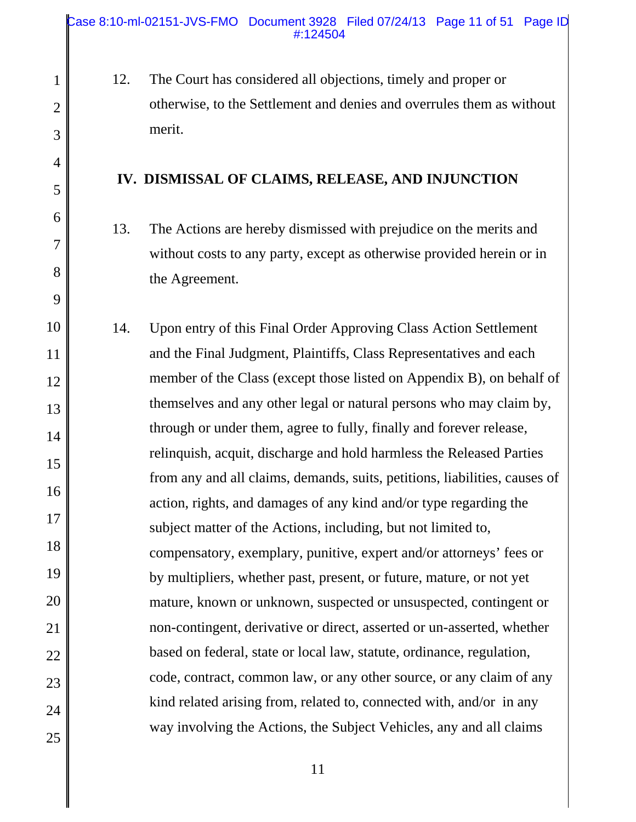1

2

3

4

5

6

7

8

9

12. The Court has considered all objections, timely and proper or otherwise, to the Settlement and denies and overrules them as without merit.

### **IV. DISMISSAL OF CLAIMS, RELEASE, AND INJUNCTION**

- 13. The Actions are hereby dismissed with prejudice on the merits and without costs to any party, except as otherwise provided herein or in the Agreement.
- 10 11 12 13 14 15 16 17 18 19 20 21 22 23 24 25 14. Upon entry of this Final Order Approving Class Action Settlement and the Final Judgment, Plaintiffs, Class Representatives and each member of the Class (except those listed on Appendix B), on behalf of themselves and any other legal or natural persons who may claim by, through or under them, agree to fully, finally and forever release, relinquish, acquit, discharge and hold harmless the Released Parties from any and all claims, demands, suits, petitions, liabilities, causes of action, rights, and damages of any kind and/or type regarding the subject matter of the Actions, including, but not limited to, compensatory, exemplary, punitive, expert and/or attorneys' fees or by multipliers, whether past, present, or future, mature, or not yet mature, known or unknown, suspected or unsuspected, contingent or non-contingent, derivative or direct, asserted or un-asserted, whether based on federal, state or local law, statute, ordinance, regulation, code, contract, common law, or any other source, or any claim of any kind related arising from, related to, connected with, and/or in any way involving the Actions, the Subject Vehicles, any and all claims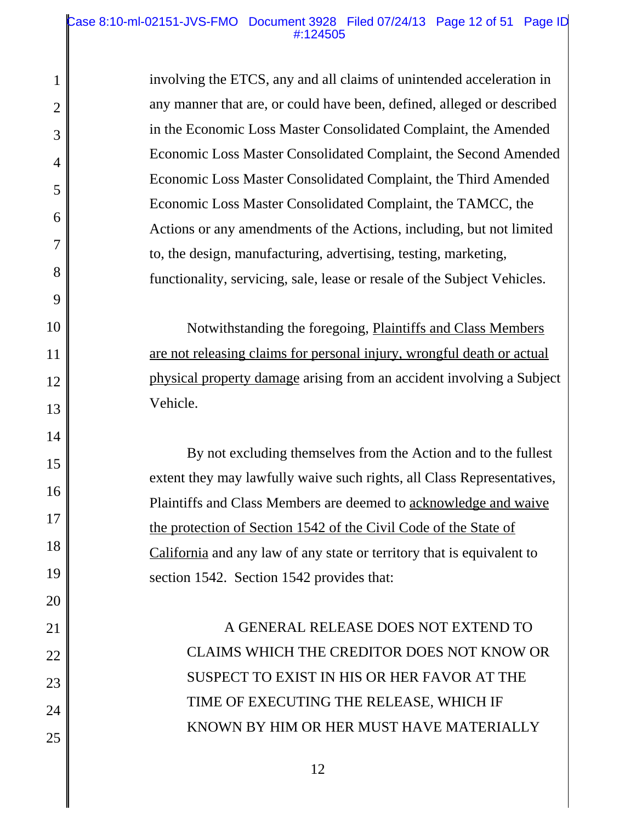#### Case 8:10-ml-02151-JVS-FMO Document 3928 Filed 07/24/13 Page 12 of 51 Page ID #:124505

1

2

3

4

5

6

7

8

9

10

11

12

13

14

15

16

17

18

19

20

21

22

23

24

25

involving the ETCS, any and all claims of unintended acceleration in any manner that are, or could have been, defined, alleged or described in the Economic Loss Master Consolidated Complaint, the Amended Economic Loss Master Consolidated Complaint, the Second Amended Economic Loss Master Consolidated Complaint, the Third Amended Economic Loss Master Consolidated Complaint, the TAMCC, the Actions or any amendments of the Actions, including, but not limited to, the design, manufacturing, advertising, testing, marketing, functionality, servicing, sale, lease or resale of the Subject Vehicles.

Notwithstanding the foregoing, Plaintiffs and Class Members are not releasing claims for personal injury, wrongful death or actual physical property damage arising from an accident involving a Subject Vehicle.

By not excluding themselves from the Action and to the fullest extent they may lawfully waive such rights, all Class Representatives, Plaintiffs and Class Members are deemed to acknowledge and waive the protection of Section 1542 of the Civil Code of the State of California and any law of any state or territory that is equivalent to section 1542. Section 1542 provides that:

A GENERAL RELEASE DOES NOT EXTEND TO CLAIMS WHICH THE CREDITOR DOES NOT KNOW OR SUSPECT TO EXIST IN HIS OR HER FAVOR AT THE TIME OF EXECUTING THE RELEASE, WHICH IF KNOWN BY HIM OR HER MUST HAVE MATERIALLY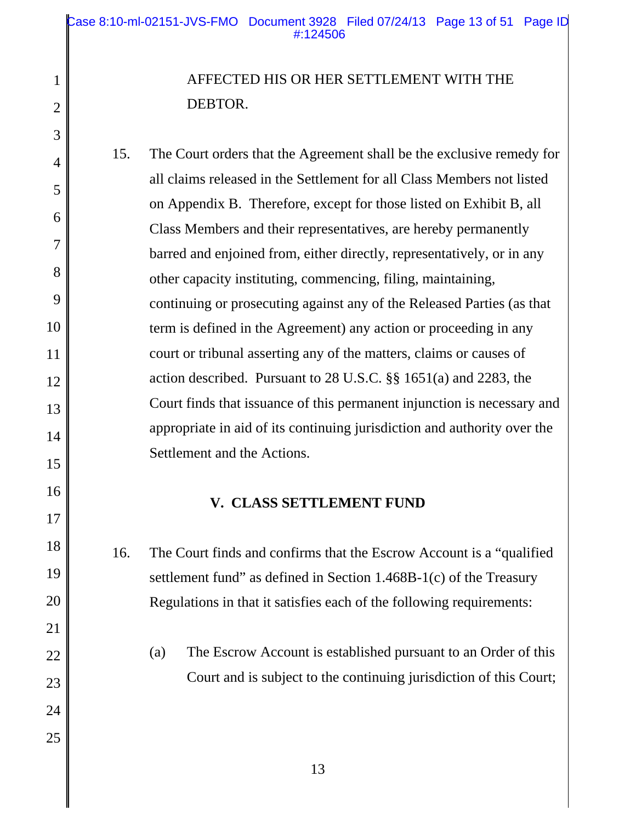1

2

3

4

5

6

7

8

9

10

11

12

13

14

15

16

17

18

19

20

21

22

23

24

25

# AFFECTED HIS OR HER SETTLEMENT WITH THE DEBTOR.

15. The Court orders that the Agreement shall be the exclusive remedy for all claims released in the Settlement for all Class Members not listed on Appendix B. Therefore, except for those listed on Exhibit B, all Class Members and their representatives, are hereby permanently barred and enjoined from, either directly, representatively, or in any other capacity instituting, commencing, filing, maintaining, continuing or prosecuting against any of the Released Parties (as that term is defined in the Agreement) any action or proceeding in any court or tribunal asserting any of the matters, claims or causes of action described. Pursuant to 28 U.S.C. §§ 1651(a) and 2283, the Court finds that issuance of this permanent injunction is necessary and appropriate in aid of its continuing jurisdiction and authority over the Settlement and the Actions.

## **V. CLASS SETTLEMENT FUND**

16. The Court finds and confirms that the Escrow Account is a "qualified settlement fund" as defined in Section 1.468B-1(c) of the Treasury Regulations in that it satisfies each of the following requirements:

(a) The Escrow Account is established pursuant to an Order of this Court and is subject to the continuing jurisdiction of this Court;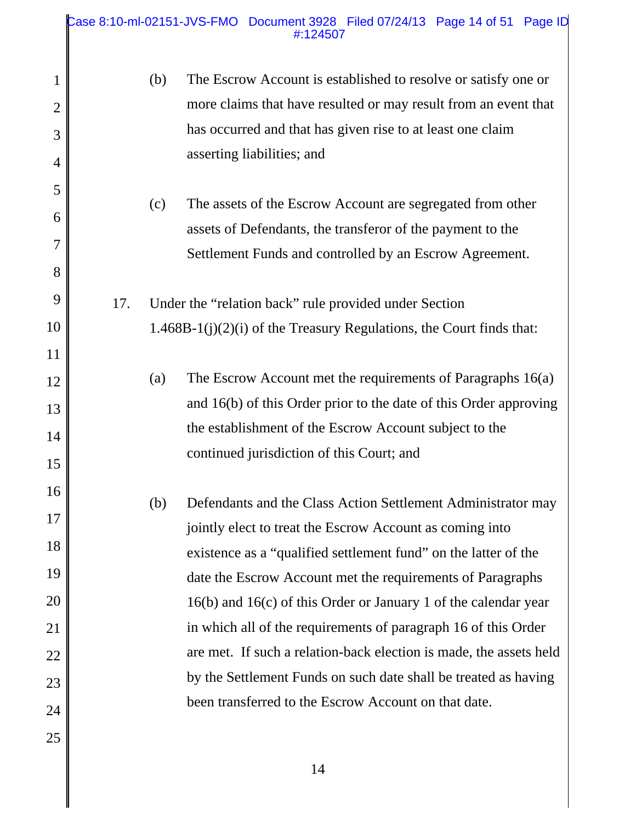### Case 8:10-ml-02151-JVS-FMO Document 3928 Filed 07/24/13 Page 14 of 51 Page ID #:124507

| $\mathbf{1}$   | (b) | The Escrow Account is established to resolve or satisfy one or         |
|----------------|-----|------------------------------------------------------------------------|
| $\overline{2}$ |     | more claims that have resulted or may result from an event that        |
| 3              |     | has occurred and that has given rise to at least one claim             |
| 4              |     | asserting liabilities; and                                             |
| 5              |     |                                                                        |
| 6              | (c) | The assets of the Escrow Account are segregated from other             |
| $\overline{7}$ |     | assets of Defendants, the transferor of the payment to the             |
| 8              |     | Settlement Funds and controlled by an Escrow Agreement.                |
|                |     |                                                                        |
| 9              | 17. | Under the "relation back" rule provided under Section                  |
| 10             |     | $1.468B-1(j)(2)(i)$ of the Treasury Regulations, the Court finds that: |
| 11             |     |                                                                        |
| 12             | (a) | The Escrow Account met the requirements of Paragraphs 16(a)            |
| 13             |     | and $16(b)$ of this Order prior to the date of this Order approving    |
| 14             |     | the establishment of the Escrow Account subject to the                 |
| 15             |     | continued jurisdiction of this Court; and                              |
| 16             |     |                                                                        |
| 17             | (b) | Defendants and the Class Action Settlement Administrator may           |
| 18             |     | jointly elect to treat the Escrow Account as coming into               |
|                |     | existence as a "qualified settlement fund" on the latter of the        |
| 19             |     | date the Escrow Account met the requirements of Paragraphs             |
| 20             |     | 16(b) and 16(c) of this Order or January 1 of the calendar year        |
| 21             |     | in which all of the requirements of paragraph 16 of this Order         |
| 22             |     | are met. If such a relation-back election is made, the assets held     |
| 23             |     | by the Settlement Funds on such date shall be treated as having        |
| 24             |     | been transferred to the Escrow Account on that date.                   |
| 25             |     |                                                                        |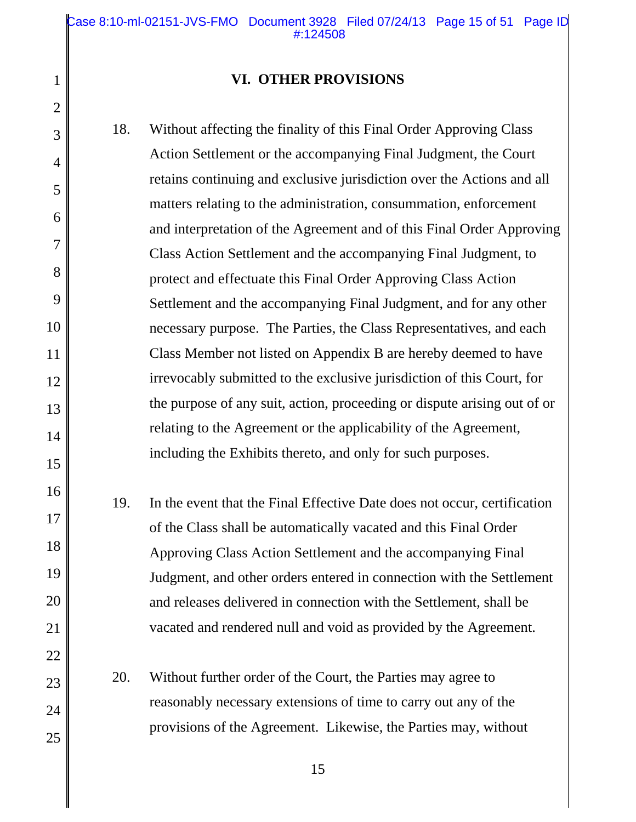Case 8:10-ml-02151-JVS-FMO Document 3928 Filed 07/24/13 Page 15 of 51 Page ID #:124508

### **VI. OTHER PROVISIONS**

1

2

3

4

5

6

7

8

9

10

11

12

13

14

15

16

17

18

19

20

21

22

23

24

25

18. Without affecting the finality of this Final Order Approving Class Action Settlement or the accompanying Final Judgment, the Court retains continuing and exclusive jurisdiction over the Actions and all matters relating to the administration, consummation, enforcement and interpretation of the Agreement and of this Final Order Approving Class Action Settlement and the accompanying Final Judgment, to protect and effectuate this Final Order Approving Class Action Settlement and the accompanying Final Judgment, and for any other necessary purpose. The Parties, the Class Representatives, and each Class Member not listed on Appendix B are hereby deemed to have irrevocably submitted to the exclusive jurisdiction of this Court, for the purpose of any suit, action, proceeding or dispute arising out of or relating to the Agreement or the applicability of the Agreement, including the Exhibits thereto, and only for such purposes. 19. In the event that the Final Effective Date does not occur, certification of the Class shall be automatically vacated and this Final Order

Approving Class Action Settlement and the accompanying Final Judgment, and other orders entered in connection with the Settlement and releases delivered in connection with the Settlement, shall be vacated and rendered null and void as provided by the Agreement.

20. Without further order of the Court, the Parties may agree to reasonably necessary extensions of time to carry out any of the provisions of the Agreement. Likewise, the Parties may, without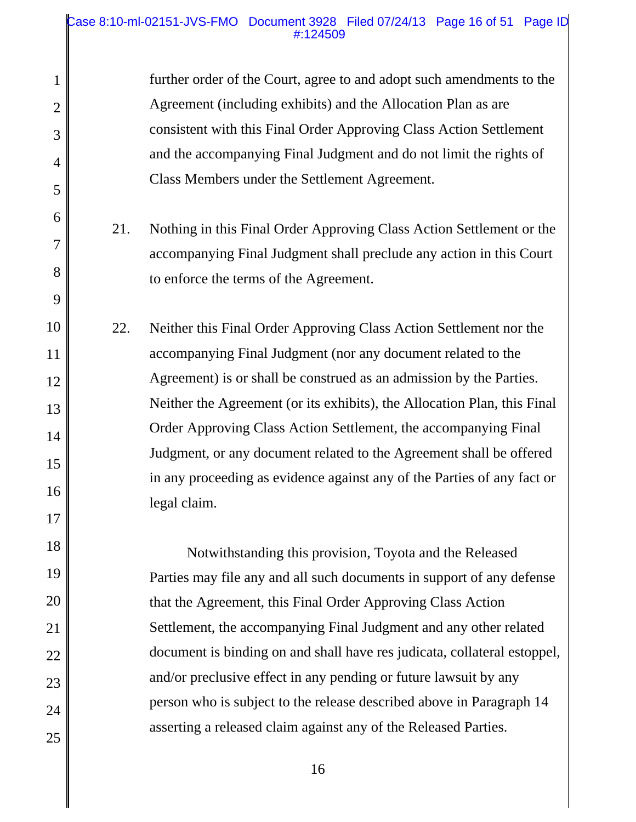### Case 8:10-ml-02151-JVS-FMO Document 3928 Filed 07/24/13 Page 16 of 51 Page ID #:124509

1

2

3

4

5

6

7

8

9

10

11

12

13

14

15

16

17

18

19

20

21

22

23

24

25

further order of the Court, agree to and adopt such amendments to the Agreement (including exhibits) and the Allocation Plan as are consistent with this Final Order Approving Class Action Settlement and the accompanying Final Judgment and do not limit the rights of Class Members under the Settlement Agreement.

- 21. Nothing in this Final Order Approving Class Action Settlement or the accompanying Final Judgment shall preclude any action in this Court to enforce the terms of the Agreement.
- 22. Neither this Final Order Approving Class Action Settlement nor the accompanying Final Judgment (nor any document related to the Agreement) is or shall be construed as an admission by the Parties. Neither the Agreement (or its exhibits), the Allocation Plan, this Final Order Approving Class Action Settlement, the accompanying Final Judgment, or any document related to the Agreement shall be offered in any proceeding as evidence against any of the Parties of any fact or legal claim.

Notwithstanding this provision, Toyota and the Released Parties may file any and all such documents in support of any defense that the Agreement, this Final Order Approving Class Action Settlement, the accompanying Final Judgment and any other related document is binding on and shall have res judicata, collateral estoppel, and/or preclusive effect in any pending or future lawsuit by any person who is subject to the release described above in Paragraph 14 asserting a released claim against any of the Released Parties.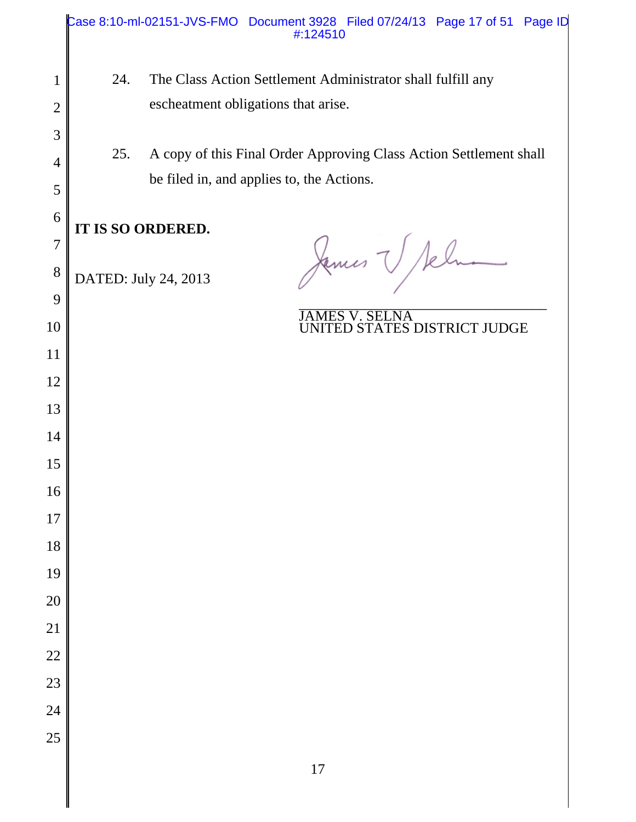|     | Case 8:10-ml-02151-JVS-FMO Document 3928 Filed 07/24/13 Page 17 of 51 Page ID<br>#:124510 |
|-----|-------------------------------------------------------------------------------------------|
| 24. | The Class Action Settlement Administrator shall fulfill any                               |
|     | escheatment obligations that arise.                                                       |
|     |                                                                                           |
| 25. | A copy of this Final Order Approving Class Action Settlement shall                        |
|     | be filed in, and applies to, the Actions.                                                 |
|     |                                                                                           |
|     |                                                                                           |
|     | James V Sel                                                                               |
|     | <b>JAMES V. SELNA</b>                                                                     |
|     | UNITED STATES DISTRICT JUDGE                                                              |
|     |                                                                                           |
|     |                                                                                           |
|     |                                                                                           |
|     |                                                                                           |
|     |                                                                                           |
|     |                                                                                           |
|     |                                                                                           |
|     |                                                                                           |
|     |                                                                                           |
|     |                                                                                           |
|     |                                                                                           |
|     |                                                                                           |
|     |                                                                                           |
|     |                                                                                           |
|     | $17$                                                                                      |
|     | IT IS SO ORDERED.<br>DATED: July 24, 2013                                                 |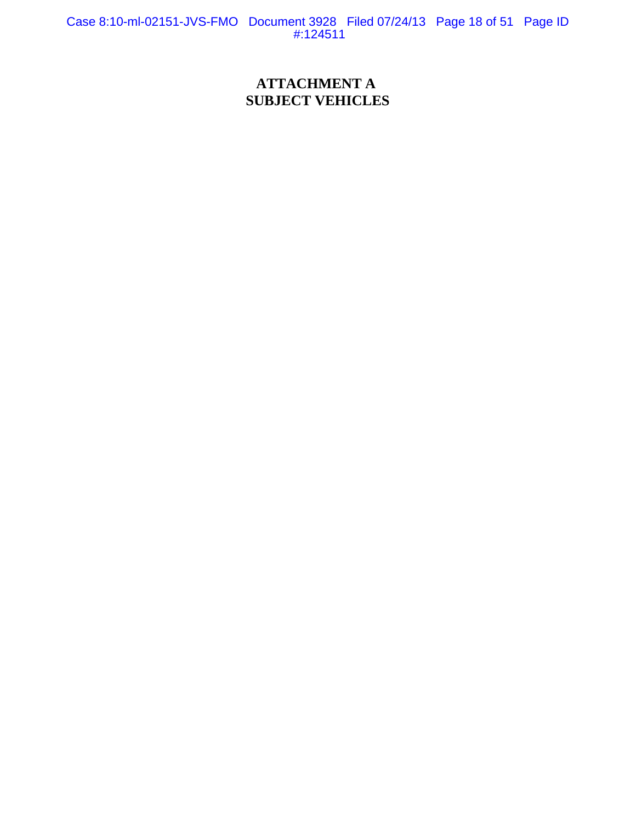Case 8:10-ml-02151-JVS-FMO Document 3928 Filed 07/24/13 Page 18 of 51 Page ID #:124511

## **ATTACHMENT A SUBJECT VEHICLES**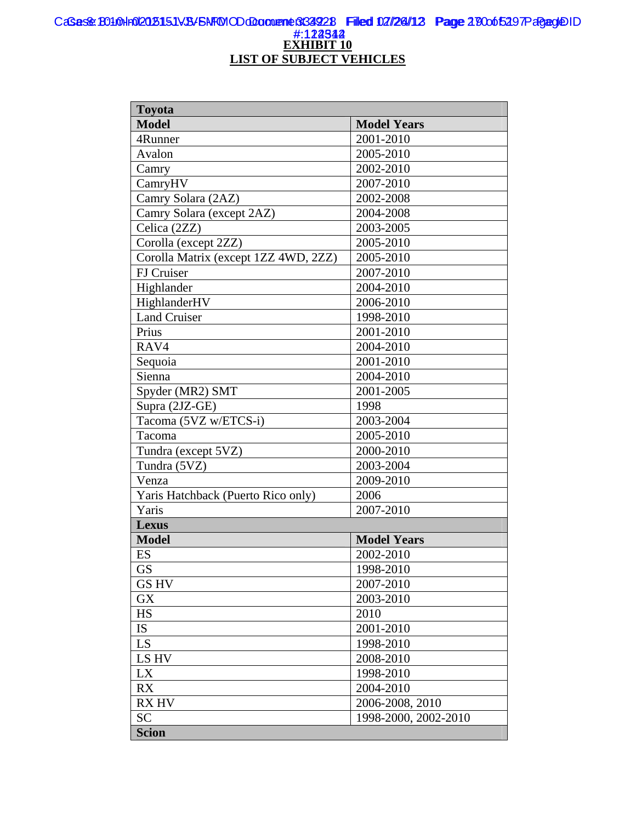#### **EXHIBIT 10 LIST OF SUBJECT VEHICLES** CaSas& B010Hr012015151VB/FNFMOD doconeme 3349228 Filled 02/24/12 Page 280005297Pagag@ID #:122342 Case 8:10-ml-02151-JVS-FMO Document 3928 Filed 07/24/13 Page 19 of 51 Page ID <u>#:122542</u>

| <b>Toyota</b>                        |                      |
|--------------------------------------|----------------------|
| <b>Model</b>                         | <b>Model Years</b>   |
| 4Runner                              | 2001-2010            |
| Avalon                               | 2005-2010            |
| Camry                                | 2002-2010            |
| CamryHV                              | 2007-2010            |
| Camry Solara (2AZ)                   | 2002-2008            |
| Camry Solara (except 2AZ)            | 2004-2008            |
| Celica (2ZZ)                         | 2003-2005            |
| Corolla (except 2ZZ)                 | 2005-2010            |
| Corolla Matrix (except 1ZZ 4WD, 2ZZ) | 2005-2010            |
| FJ Cruiser                           | 2007-2010            |
| Highlander                           | 2004-2010            |
| HighlanderHV                         | 2006-2010            |
| <b>Land Cruiser</b>                  | 1998-2010            |
| Prius                                | 2001-2010            |
| RAV4                                 | 2004-2010            |
| Sequoia                              | 2001-2010            |
| Sienna                               | 2004-2010            |
| Spyder (MR2) SMT                     | 2001-2005            |
| Supra (2JZ-GE)                       | 1998                 |
| Tacoma (5VZ w/ETCS-i)                | 2003-2004            |
| Tacoma                               | 2005-2010            |
| Tundra (except 5VZ)                  | 2000-2010            |
| Tundra (5VZ)                         | 2003-2004            |
| Venza                                | 2009-2010            |
| Yaris Hatchback (Puerto Rico only)   | 2006                 |
| Yaris                                | 2007-2010            |
| <b>Lexus</b>                         |                      |
| <b>Model</b>                         | <b>Model Years</b>   |
| ES                                   | 2002-2010            |
| <b>GS</b>                            | 1998-2010            |
| <b>GSHV</b>                          | 2007-2010            |
| <b>GX</b>                            | 2003-2010            |
| HS                                   | 2010                 |
| IS                                   | 2001-2010            |
| LS                                   | 1998-2010            |
| LS HV                                | 2008-2010            |
| LX                                   | 1998-2010            |
| <b>RX</b>                            | 2004-2010            |
| <b>RX HV</b>                         | 2006-2008, 2010      |
| <b>SC</b>                            | 1998-2000, 2002-2010 |
| <b>Scion</b>                         |                      |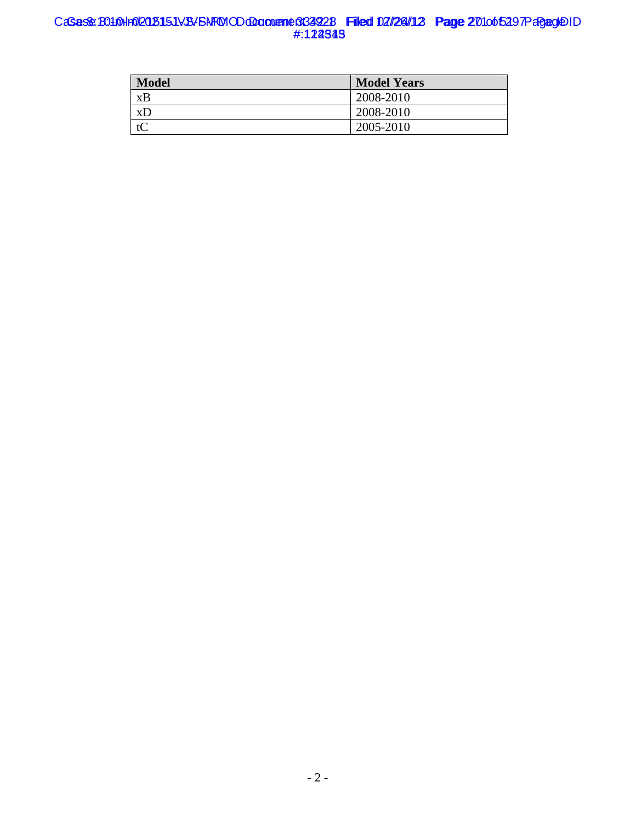#### CaSas& B010Hr012015151VB/FNFMOD docoment 334928 Filed 02/24/12 Page 201065297Pagag@ID #:122345 Case 8:10-ml-02151-JVS-FMO Document 3928 Filed 07/24/13 Page 20 of 51 Page ID #:1**22545**

| <b>Model</b> | <b>Model Years</b> |
|--------------|--------------------|
| xB           | 2008-2010          |
| xD           | 2008-2010          |
| tC           | 2005-2010          |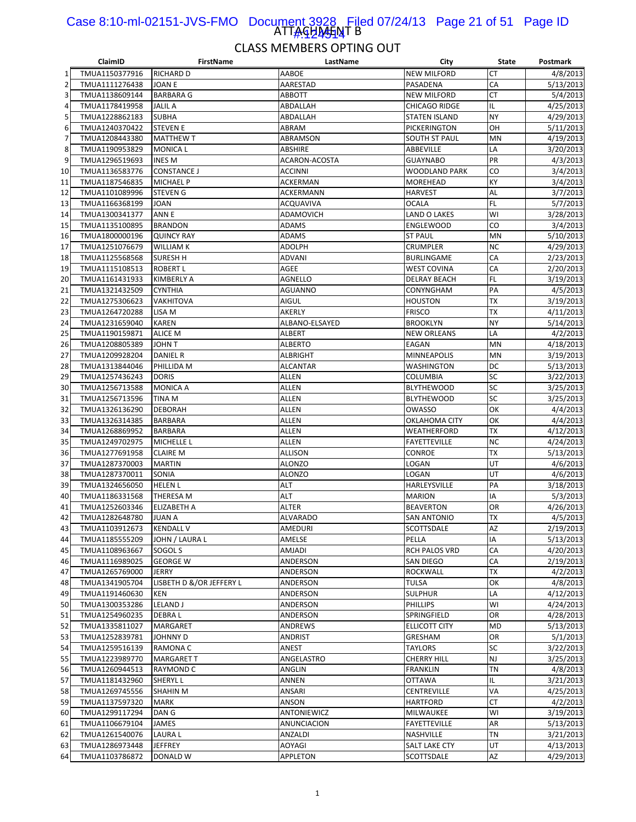#### ATTAGHAHNT B Case 8:10-ml-02151-JVS-FMO Document 3928 Filed 07/24/13 Page 21 of 51 Page ID 1<u>#:424514</u>

|    | ClaimID        | <b>FirstName</b>         | LastName        | City                 | State     | Postmark  |
|----|----------------|--------------------------|-----------------|----------------------|-----------|-----------|
| 1  | TMUA1150377916 | <b>RICHARD D</b>         | AABOE           | <b>NEW MILFORD</b>   | <b>CT</b> | 4/8/2013  |
| 2  | TMUA1111276438 | <b>JOAN E</b>            | AARESTAD        | PASADENA             | CA        | 5/13/2013 |
| 3  | TMUA1138609144 | <b>BARBARA G</b>         | ABBOTT          | <b>NEW MILFORD</b>   | <b>CT</b> | 5/4/2013  |
| 4  | TMUA1178419958 | JALIL A                  | ABDALLAH        | <b>CHICAGO RIDGE</b> | IL        | 4/25/2013 |
| 5  | TMUA1228862183 | <b>SUBHA</b>             | ABDALLAH        | <b>STATEN ISLAND</b> | <b>NY</b> | 4/29/2013 |
| 6  | TMUA1240370422 | <b>STEVEN E</b>          | ABRAM           | PICKERINGTON         | OH        | 5/11/2013 |
| 7  | TMUA1208443380 | <b>MATTHEW T</b>         | ABRAMSON        | SOUTH ST PAUL        | MN        | 4/19/2013 |
| 8  | TMUA1190953829 | <b>MONICA L</b>          | ABSHIRE         | ABBEVILLE            | LA        | 3/20/2013 |
| 9  | TMUA1296519693 | <b>INES M</b>            | ACARON-ACOSTA   | <b>GUAYNABO</b>      | PR        | 4/3/2013  |
| 10 | TMUA1136583776 | <b>CONSTANCE J</b>       | ACCINNI         | WOODLAND PARK        | CO        | 3/4/2013  |
|    |                |                          | <b>ACKERMAN</b> |                      | KY        |           |
| 11 | TMUA1187546835 | <b>MICHAEL P</b>         |                 | MOREHEAD             |           | 3/4/2013  |
| 12 | TMUA1101089996 | <b>STEVEN G</b>          | ACKERMANN       | <b>HARVEST</b>       | AL        | 3/7/2013  |
| 13 | TMUA1166368199 | JOAN                     | ACQUAVIVA       | OCALA                | <b>FL</b> | 5/7/2013  |
| 14 | TMUA1300341377 | ANN E                    | ADAMOVICH       | LAND O LAKES         | WI        | 3/28/2013 |
| 15 | TMUA1135100895 | <b>BRANDON</b>           | ADAMS           | ENGLEWOOD            | CO        | 3/4/2013  |
| 16 | TMUA1800000196 | <b>QUINCY RAY</b>        | ADAMS           | <b>ST PAUL</b>       | MN        | 5/10/2013 |
| 17 | TMUA1251076679 | WILLIAM K                | ADOLPH          | CRUMPLER             | <b>NC</b> | 4/29/2013 |
| 18 | TMUA1125568568 | SURESH H                 | ADVANI          | BURLINGAME           | CA        | 2/23/2013 |
| 19 | TMUA1115108513 | <b>ROBERT L</b>          | AGEE            | <b>WEST COVINA</b>   | CA        | 2/20/2013 |
| 20 | TMUA1161431933 | <b>KIMBERLY A</b>        | <b>AGNELLO</b>  | <b>DELRAY BEACH</b>  | FL.       | 3/19/2013 |
| 21 | TMUA1321432509 | <b>CYNTHIA</b>           | <b>AGUANNO</b>  | CONYNGHAM            | PA        | 4/5/2013  |
| 22 | TMUA1275306623 | VAKHITOVA                | AIGUL           | HOUSTON              | <b>TX</b> | 3/19/2013 |
| 23 | TMUA1264720288 | LISA M                   | AKERLY          | <b>FRISCO</b>        | <b>TX</b> | 4/11/2013 |
| 24 | TMUA1231659040 | KAREN                    | ALBANO-ELSAYED  | <b>BROOKLYN</b>      | <b>NY</b> | 5/14/2013 |
| 25 | TMUA1190159871 | <b>ALICE M</b>           | ALBERT          | <b>NEW ORLEANS</b>   | LA        | 4/2/2013  |
| 26 | TMUA1208805389 | T <i>N</i> HOL           | ALBERTO         | EAGAN                | <b>MN</b> | 4/18/2013 |
| 27 | TMUA1209928204 | <b>DANIEL R</b>          | <b>ALBRIGHT</b> | MINNEAPOLIS          | MN        | 3/19/2013 |
| 28 | TMUA1313844046 | PHILLIDA M               | <b>ALCANTAR</b> | WASHINGTON           | DC        | 5/13/2013 |
| 29 | TMUA1257436243 | <b>DORIS</b>             | ALLEN           | COLUMBIA             | SC        | 3/22/2013 |
| 30 | TMUA1256713588 | <b>MONICA A</b>          | <b>ALLEN</b>    | <b>BLYTHEWOOD</b>    | SC        | 3/25/2013 |
| 31 | TMUA1256713596 | TINA M                   | ALLEN           | <b>BLYTHEWOOD</b>    | SC        | 3/25/2013 |
|    |                |                          | <b>ALLEN</b>    | OWASSO               | OK        |           |
| 32 | TMUA1326136290 | <b>DEBORAH</b>           |                 |                      |           | 4/4/2013  |
| 33 | TMUA1326314385 | BARBARA                  | ALLEN           | OKLAHOMA CITY        | OK        | 4/4/2013  |
| 34 | TMUA1268869952 | BARBARA                  | ALLEN           | WEATHERFORD          | <b>TX</b> | 4/12/2013 |
| 35 | TMUA1249702975 | <b>MICHELLE L</b>        | ALLEN           | <b>FAYETTEVILLE</b>  | <b>NC</b> | 4/24/2013 |
| 36 | TMUA1277691958 | <b>CLAIRE M</b>          | <b>ALLISON</b>  | CONROE               | <b>TX</b> | 5/13/2013 |
| 37 | TMUA1287370003 | <b>MARTIN</b>            | <b>ALONZO</b>   | LOGAN                | UT        | 4/6/2013  |
| 38 | TMUA1287370011 | SONIA                    | <b>ALONZO</b>   | LOGAN                | UT        | 4/6/2013  |
| 39 | TMUA1324656050 | <b>HELEN L</b>           | ALT             | HARLEYSVILLE         | PA        | 3/18/2013 |
| 40 | TMUA1186331568 | THERESA M                | <b>ALT</b>      | <b>MARION</b>        | IA        | 5/3/2013  |
| 41 | TMUA1252603346 | ELIZABETH A              | ALTER           | <b>BEAVERTON</b>     | OR        | 4/26/2013 |
| 42 | TMUA1282648780 | <b>JUAN A</b>            | ALVARADO        | <b>SAN ANTONIO</b>   | <b>TX</b> | 4/5/2013  |
| 43 | TMUA1103912673 | <b>KENDALL V</b>         | AMEDURI         | <b>SCOTTSDALE</b>    | AZ        | 2/19/2013 |
| 44 | TMUA1185555209 | JOHN / LAURA L           | AMELSE          | PELLA                | IA        | 5/13/2013 |
| 45 | TMUA1108963667 | SOGOL S                  | AMJADI          | RCH PALOS VRD        | CA        | 4/20/2013 |
| 46 | TMUA1116989025 | <b>GEORGE W</b>          | ANDERSON        | SAN DIEGO            | CA        | 2/19/2013 |
| 47 | TMUA1265769000 | JERRY                    | ANDERSON        | <b>ROCKWALL</b>      | <b>TX</b> | 4/2/2013  |
| 48 | TMUA1341905704 | LISBETH D &/OR JEFFERY L | ANDERSON        | <b>TULSA</b>         | OK        | 4/8/2013  |
| 49 | TMUA1191460630 | KEN                      | ANDERSON        | <b>SULPHUR</b>       | LA        | 4/12/2013 |
| 50 | TMUA1300353286 | <b>LELAND J</b>          | ANDERSON        | <b>PHILLIPS</b>      | WI        | 4/24/2013 |
| 51 | TMUA1254960235 | DEBRA L                  | ANDERSON        | SPRINGFIELD          | OR        | 4/28/2013 |
| 52 | TMUA1335811027 | <b>MARGARET</b>          | ANDREWS         | ELLICOTT CITY        | <b>MD</b> | 5/13/2013 |
| 53 | TMUA1252839781 | JOHNNY D                 | ANDRIST         | GRESHAM              | OR        | 5/1/2013  |
| 54 | TMUA1259516139 | RAMONA C                 | ANEST           | <b>TAYLORS</b>       | SC        | 3/22/2013 |
| 55 | TMUA1223989770 | <b>MARGARET T</b>        | ANGELASTRO      | <b>CHERRY HILL</b>   | <b>NJ</b> | 3/25/2013 |
|    |                |                          |                 |                      | <b>TN</b> |           |
| 56 | TMUA1260944513 | <b>RAYMOND C</b>         | ANGLIN          | FRANKLIN             |           | 4/8/2013  |
| 57 | TMUA1181432960 | <b>SHERYL L</b>          | ANNEN           | <b>OTTAWA</b>        | IL        | 3/21/2013 |
| 58 | TMUA1269745556 | <b>SHAHIN M</b>          | ANSARI          | <b>CENTREVILLE</b>   | VA        | 4/25/2013 |
| 59 | TMUA1137597320 | <b>MARK</b>              | ANSON           | <b>HARTFORD</b>      | <b>CT</b> | 4/2/2013  |
| 60 | TMUA1299117294 | DAN G                    | ANTONIEWICZ     | MILWAUKEE            | WI        | 3/19/2013 |
| 61 | TMUA1106679104 | JAMES                    | ANUNCIACION     | FAYETTEVILLE         | AR        | 5/13/2013 |
| 62 | TMUA1261540076 | <b>LAURAL</b>            | ANZALDI         | NASHVILLE            | <b>TN</b> | 3/21/2013 |
| 63 | TMUA1286973448 | <b>JEFFREY</b>           | AOYAGI          | SALT LAKE CTY        | UT        | 4/13/2013 |
| 64 | TMUA1103786872 | DONALD W                 | APPLETON        | SCOTTSDALE           | AZ        | 4/29/2013 |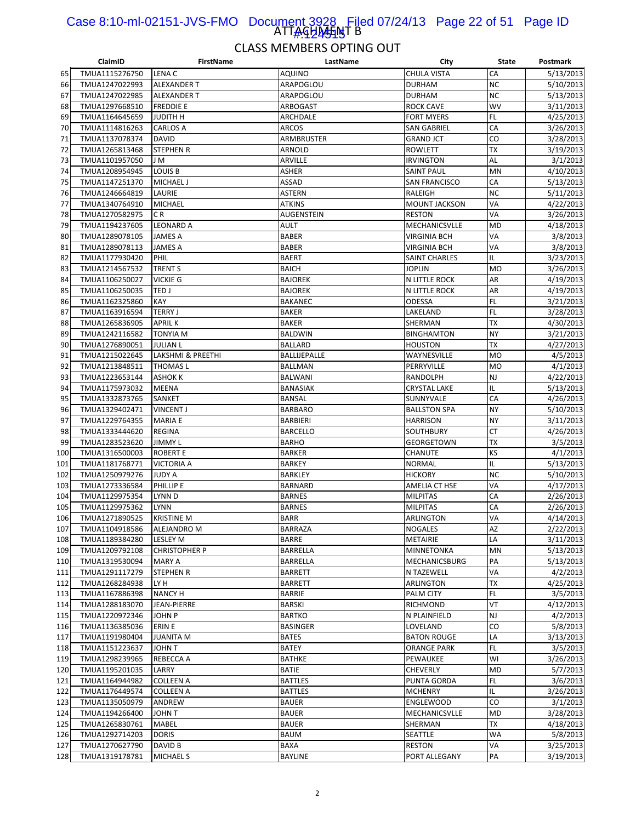#### ATTAGHAHNT B Case 8:10-ml-02151-JVS-FMO Document 3928 Filed 07/24/13 Page 22 of 51 Page ID 1<u>#:4245115</u>

|     | ClaimID                          | <b>FirstName</b>     | LastName          | City                 | <b>State</b> | Postmark  |
|-----|----------------------------------|----------------------|-------------------|----------------------|--------------|-----------|
| 65  | TMUA1115276750                   | LENA C               | <b>AQUINO</b>     | <b>CHULA VISTA</b>   | CA           | 5/13/2013 |
| 66  | TMUA1247022993                   | <b>ALEXANDER T</b>   | ARAPOGLOU         | <b>DURHAM</b>        | <b>NC</b>    | 5/10/2013 |
| 67  | TMUA1247022985                   | <b>ALEXANDER T</b>   | ARAPOGLOU         | <b>DURHAM</b>        | <b>NC</b>    | 5/13/2013 |
| 68  | TMUA1297668510                   | <b>FREDDIE E</b>     | ARBOGAST          | <b>ROCK CAVE</b>     | <b>WV</b>    | 3/11/2013 |
| 69  | TMUA1164645659                   | JUDITH H             | ARCHDALE          | <b>FORT MYERS</b>    | FL           | 4/25/2013 |
| 70  | TMUA1114816263                   | CARLOS A             | ARCOS             | <b>SAN GABRIEL</b>   | CA           | 3/26/2013 |
| 71  | TMUA1137078374                   | <b>DAVID</b>         | ARMBRUSTER        | <b>GRAND JCT</b>     | CO           | 3/28/2013 |
| 72  | TMUA1265813468                   | <b>STEPHEN R</b>     | ARNOLD            | ROWLETT              | <b>TX</b>    | 3/19/2013 |
| 73  | TMUA1101957050                   | J M                  | ARVILLE           | <b>IRVINGTON</b>     | AL           | 3/1/2013  |
| 74  | TMUA1208954945                   | <b>LOUIS B</b>       | <b>ASHER</b>      | <b>SAINT PAUL</b>    | MN           | 4/10/2013 |
| 75  | TMUA1147251370                   | MICHAEL J            | ASSAD             | SAN FRANCISCO        | CA           | 5/13/2013 |
| 76  | TMUA1246664819                   | LAURIE               | <b>ASTERN</b>     | RALEIGH              | <b>NC</b>    | 5/11/2013 |
| 77  | TMUA1340764910                   | <b>MICHAEL</b>       | <b>ATKINS</b>     | <b>MOUNT JACKSON</b> | VA           | 4/22/2013 |
| 78  | TMUA1270582975                   | C R                  | <b>AUGENSTEIN</b> | <b>RESTON</b>        | VA           | 3/26/2013 |
| 79  | TMUA1194237605                   | <b>LEONARD A</b>     | AULT              | MECHANICSVLLE        | <b>MD</b>    | 4/18/2013 |
| 80  | TMUA1289078105                   | JAMES A              | <b>BABER</b>      | <b>VIRGINIA BCH</b>  | VA           | 3/8/2013  |
| 81  | TMUA1289078113                   | JAMES A              | <b>BABER</b>      | <b>VIRGINIA BCH</b>  | VA           | 3/8/2013  |
| 82  | TMUA1177930420                   | PHIL                 | <b>BAERT</b>      | SAINT CHARLES        | IL           | 3/23/2013 |
| 83  | TMUA1214567532                   | <b>TRENT S</b>       | <b>BAICH</b>      | <b>JOPLIN</b>        | <b>MO</b>    | 3/26/2013 |
| 84  | TMUA1106250027                   | <b>VICKIE G</b>      | <b>BAJOREK</b>    | N LITTLE ROCK        | AR           | 4/19/2013 |
| 85  | TMUA1106250035                   | TED J                | <b>BAJOREK</b>    | <b>N LITTLE ROCK</b> | AR           | 4/19/2013 |
| 86  | TMUA1162325860                   | KAY                  | <b>BAKANEC</b>    | ODESSA               | <b>FL</b>    | 3/21/2013 |
| 87  | TMUA1163916594                   | <b>TERRY J</b>       | <b>BAKER</b>      | LAKELAND             | <b>FL</b>    | 3/28/2013 |
|     |                                  | <b>APRILK</b>        | <b>BAKER</b>      | SHERMAN              | <b>TX</b>    | 4/30/2013 |
| 88  | TMUA1265836905<br>TMUA1242116582 |                      |                   |                      | <b>NY</b>    |           |
| 89  |                                  | TONYIA M             | <b>BALDWIN</b>    | <b>BINGHAMTON</b>    | <b>TX</b>    | 3/21/2013 |
| 90  | TMUA1276890051                   | <b>JULIAN L</b>      | <b>BALLARD</b>    | <b>HOUSTON</b>       |              | 4/27/2013 |
| 91  | TMUA1215022645                   | LAKSHMI & PREETHI    | BALLIJEPALLE      | WAYNESVILLE          | <b>MO</b>    | 4/5/2013  |
| 92  | TMUA1213848511                   | <b>THOMAS L</b>      | <b>BALLMAN</b>    | PERRYVILLE           | <b>MO</b>    | 4/1/2013  |
| 93  | TMUA1223653144                   | <b>ASHOK K</b>       | <b>BALWANI</b>    | RANDOLPH             | NJ           | 4/22/2013 |
| 94  | TMUA1175973032                   | MEENA                | BANASIAK          | <b>CRYSTAL LAKE</b>  | IL           | 5/13/2013 |
| 95  | TMUA1332873765                   | SANKET               | <b>BANSAL</b>     | SUNNYVALE            | CA           | 4/26/2013 |
| 96  | TMUA1329402471                   | <b>VINCENT J</b>     | <b>BARBARO</b>    | <b>BALLSTON SPA</b>  | <b>NY</b>    | 5/10/2013 |
| 97  | TMUA1229764355                   | <b>MARIA E</b>       | <b>BARBIERI</b>   | <b>HARRISON</b>      | <b>NY</b>    | 3/11/2013 |
| 98  | TMUA1333444620                   | REGINA               | <b>BARCELLO</b>   | SOUTHBURY            | СT           | 4/26/2013 |
| 99  | TMUA1283523620                   | <b>JIMMY L</b>       | <b>BARHO</b>      | <b>GEORGETOWN</b>    | <b>TX</b>    | 3/5/2013  |
| 100 | TMUA1316500003                   | <b>ROBERT E</b>      | <b>BARKER</b>     | CHANUTE              | KS           | 4/1/2013  |
| 101 | TMUA1181768771                   | <b>VICTORIA A</b>    | <b>BARKEY</b>     | <b>NORMAL</b>        | IL           | 5/13/2013 |
| 102 | TMUA1250979276                   | JUDY A               | <b>BARKLEY</b>    | <b>HICKORY</b>       | <b>NC</b>    | 5/10/2013 |
| 103 | TMUA1273336584                   | PHILLIP E            | <b>BARNARD</b>    | AMELIA CT HSE        | VA           | 4/17/2013 |
| 104 | TMUA1129975354                   | LYNN D               | <b>BARNES</b>     | <b>MILPITAS</b>      | CA           | 2/26/2013 |
| 105 | TMUA1129975362                   | <b>LYNN</b>          | <b>BARNES</b>     | <b>MILPITAS</b>      | CA           | 2/26/2013 |
| 106 | TMUA1271890525                   | <b>KRISTINE M</b>    | <b>BARR</b>       | ARLINGTON            | VA           | 4/14/2013 |
| 107 | TMUA1104918586                   | ALEJANDRO M          | <b>BARRAZA</b>    | <b>NOGALES</b>       | AZ           | 2/22/2013 |
| 108 | TMUA1189384280                   | LESLEY M             | <b>BARRE</b>      | METAIRIE             | LA           | 3/11/2013 |
| 109 | TMUA1209792108                   | <b>CHRISTOPHER P</b> | BARRELLA          | MINNETONKA           | MN           | 5/13/2013 |
| 110 | TMUA1319530094                   | MARY A               | BARRELLA          | MECHANICSBURG        | PA           | 5/13/2013 |
| 111 | TMUA1291117279                   | <b>STEPHEN R</b>     | <b>BARRETT</b>    | N TAZEWELL           | VA           | 4/2/2013  |
| 112 | TMUA1268284938                   | LY H                 | <b>BARRETT</b>    | ARLINGTON            | TX           | 4/25/2013 |
| 113 | TMUA1167886398                   | <b>NANCY H</b>       | <b>BARRIE</b>     | <b>PALM CITY</b>     | FL           | 3/5/2013  |
| 114 | TMUA1288183070                   | <b>JEAN-PIERRE</b>   | <b>BARSKI</b>     | RICHMOND             | VT           | 4/12/2013 |
| 115 | TMUA1220972346                   | JOHN P               | <b>BARTKO</b>     | N PLAINFIELD         | <b>NJ</b>    | 4/2/2013  |
| 116 | TMUA1136385036                   | ERIN E               | <b>BASINGER</b>   | LOVELAND             | CO           | 5/8/2013  |
| 117 | TMUA1191980404                   | <b>JUANITA M</b>     | <b>BATES</b>      | <b>BATON ROUGE</b>   | LA           | 3/13/2013 |
| 118 | TMUA1151223637                   | <b>JOHN T</b>        | BATEY             | <b>ORANGE PARK</b>   | FL           | 3/5/2013  |
| 119 | TMUA1298239965                   | REBECCA A            | BATHKE            | PEWAUKEE             | WI           | 3/26/2013 |
| 120 | TMUA1195201035                   | LARRY                | <b>BATIE</b>      | <b>CHEVERLY</b>      | <b>MD</b>    | 5/7/2013  |
| 121 | TMUA1164944982                   | COLLEEN A            | <b>BATTLES</b>    | PUNTA GORDA          | FL           | 3/6/2013  |
| 122 | TMUA1176449574                   | <b>COLLEEN A</b>     | <b>BATTLES</b>    | <b>MCHENRY</b>       | IL           | 3/26/2013 |
| 123 | TMUA1135050979                   | ANDREW               | <b>BAUER</b>      | <b>ENGLEWOOD</b>     | CO           | 3/1/2013  |
| 124 | TMUA1194266400                   | JOHN T               | <b>BAUER</b>      | MECHANICSVLLE        | MD           | 3/28/2013 |
| 125 | TMUA1265830761                   | MABEL                | <b>BAUER</b>      | SHERMAN              | ТX           | 4/18/2013 |
| 126 | TMUA1292714203                   | <b>DORIS</b>         | <b>BAUM</b>       | SEATTLE              | <b>WA</b>    | 5/8/2013  |
| 127 | TMUA1270627790                   | DAVID B              | BAXA              | <b>RESTON</b>        | VA           | 3/25/2013 |
| 128 | TMUA1319178781                   | <b>MICHAEL S</b>     | BAYLINE           | PORT ALLEGANY        | PA           | 3/19/2013 |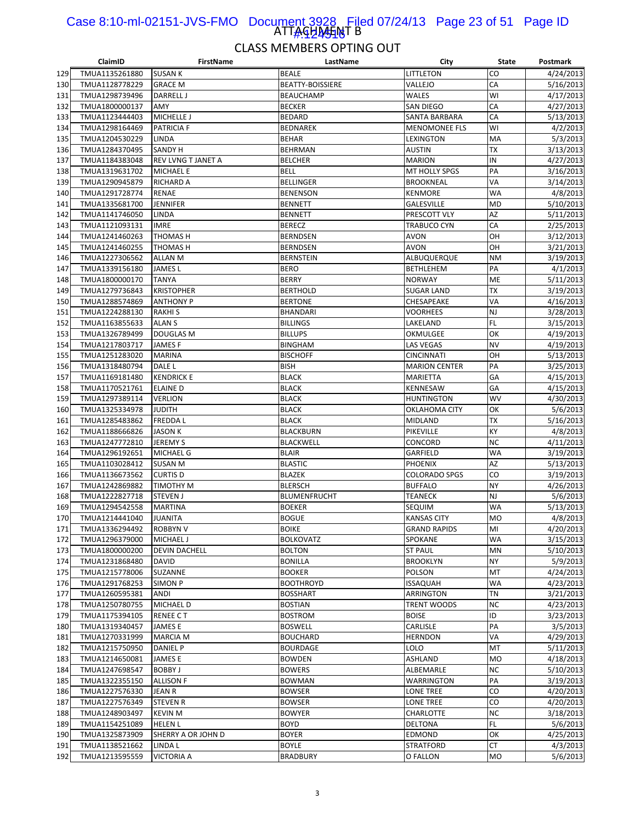#### ATTAGHAHNT B Case 8:10-ml-02151-JVS-FMO Document 3928 Filed 07/24/13 Page 23 of 51 Page ID 1#:424516

|            | ClaimID        | <b>FirstName</b>     | LastName                | City                 | <b>State</b>    | Postmark               |
|------------|----------------|----------------------|-------------------------|----------------------|-----------------|------------------------|
| 129        | TMUA1135261880 | <b>SUSAN K</b>       | <b>BEALE</b>            | LITTLETON            | CO              | 4/24/2013              |
| 130        | TMUA1128778229 | <b>GRACE M</b>       | <b>BEATTY-BOISSIERE</b> | VALLEJO              | CA              | 5/16/2013              |
| 131        | TMUA1298739496 | <b>DARRELL J</b>     | <b>BEAUCHAMP</b>        | WALES                | WI              | 4/17/2013              |
| 132        | TMUA1800000137 | AMY                  | <b>BECKER</b>           | SAN DIEGO            | CA              | 4/27/2013              |
| 133        | TMUA1123444403 | MICHELLE J           | <b>BEDARD</b>           | SANTA BARBARA        | CA              | 5/13/2013              |
| 134        | TMUA1298164469 | <b>PATRICIA F</b>    | <b>BEDNAREK</b>         | <b>MENOMONEE FLS</b> | WI              | 4/2/2013               |
| 135        | TMUA1204530229 | LINDA                | <b>BEHAR</b>            | LEXINGTON            | MA              | 5/3/2013               |
| 136        | TMUA1284370495 | SANDY H              | BEHRMAN                 | <b>AUSTIN</b>        | <b>TX</b>       | 3/13/2013              |
| 137        | TMUA1184383048 | REV LVNG T JANET A   | <b>BELCHER</b>          | <b>MARION</b>        | IN              | 4/27/2013              |
| 138        | TMUA1319631702 | <b>MICHAEL E</b>     | <b>BELL</b>             | MT HOLLY SPGS        | PA              | 3/16/2013              |
| 139        | TMUA1290945879 | <b>RICHARD A</b>     | <b>BELLINGER</b>        | <b>BROOKNEAL</b>     | VA              | 3/14/2013              |
| 140        | TMUA1291728774 | RENAE                | <b>BENENSON</b>         | <b>KENMORE</b>       | <b>WA</b>       | 4/8/2013               |
| 141        | TMUA1335681700 | <b>JENNIFER</b>      | <b>BENNETT</b>          | <b>GALESVILLE</b>    | <b>MD</b>       | 5/10/2013              |
| 142        | TMUA1141746050 | LINDA                | <b>BENNETT</b>          | PRESCOTT VLY         | AZ              | 5/11/2013              |
| 143        | TMUA1121093131 | <b>IMRE</b>          | <b>BERECZ</b>           | TRABUCO CYN          | CA              | 2/25/2013              |
| 144        | TMUA1241460263 | THOMAS H             | <b>BERNDSEN</b>         | <b>AVON</b>          | OH              | 3/12/2013              |
| 145        | TMUA1241460255 | THOMAS H             | <b>BERNDSEN</b>         | <b>AVON</b>          | OH              | 3/21/2013              |
| 146        | TMUA1227306562 | <b>ALLAN M</b>       | <b>BERNSTEIN</b>        | ALBUQUERQUE          | <b>NM</b>       | 3/19/2013              |
| 147        | TMUA1339156180 | JAMES L              | <b>BERO</b>             | <b>BETHLEHEM</b>     | PA              | 4/1/2013               |
| 148        | TMUA1800000170 | <b>TANYA</b>         | <b>BERRY</b>            | <b>NORWAY</b>        | ME              | 5/11/2013              |
| 149        | TMUA1279736843 | <b>KRISTOPHER</b>    | <b>BERTHOLD</b>         | <b>SUGAR LAND</b>    | ТX              | 3/19/2013              |
| 150        | TMUA1288574869 | <b>ANTHONY P</b>     | <b>BERTONE</b>          | CHESAPEAKE           | VA              | 4/16/2013              |
| 151        | TMUA1224288130 | <b>RAKHIS</b>        | <b>BHANDARI</b>         | VOORHEES             | <b>NJ</b>       | 3/28/2013              |
| 152        | TMUA1163855633 | <b>ALAN S</b>        | <b>BILLINGS</b>         | LAKELAND             | FL              | 3/15/2013              |
| 153        | TMUA1326789499 | <b>DOUGLAS M</b>     | <b>BILLUPS</b>          | OKMULGEE             | OK              | 4/19/2013              |
| 154        | TMUA1217803717 | <b>JAMESF</b>        | <b>BINGHAM</b>          | LAS VEGAS            | <b>NV</b>       |                        |
|            | TMUA1251283020 | <b>MARINA</b>        | <b>BISCHOFF</b>         | <b>CINCINNATI</b>    | OH              | 4/19/2013<br>5/13/2013 |
| 155<br>156 | TMUA1318480794 | DALE L               | <b>BISH</b>             | <b>MARION CENTER</b> | PA              | 3/25/2013              |
|            | TMUA1169181480 | <b>KENDRICK E</b>    | <b>BLACK</b>            |                      | GA              | 4/15/2013              |
| 157        |                |                      |                         | MARIETTA             |                 |                        |
| 158        | TMUA1170521761 | <b>ELAINE D</b>      | <b>BLACK</b>            | KENNESAW             | GA<br><b>WV</b> | 4/15/2013              |
| 159        | TMUA1297389114 | <b>VERLION</b>       | <b>BLACK</b>            | <b>HUNTINGTON</b>    |                 | 4/30/2013              |
| 160        | TMUA1325334978 | <b>JUDITH</b>        | <b>BLACK</b>            | OKLAHOMA CITY        | OK              | 5/6/2013               |
| 161        | TMUA1285483862 | <b>FREDDAL</b>       | <b>BLACK</b>            | MIDLAND              | ТX              | 5/16/2013              |
| 162        | TMUA1188666826 | <b>JASON K</b>       | <b>BLACKBURN</b>        | PIKEVILLE            | KY              | 4/8/2013               |
| 163        | TMUA1247772810 | <b>JEREMY S</b>      | <b>BLACKWELL</b>        | CONCORD              | <b>NC</b>       | 4/11/2013              |
| 164        | TMUA1296192651 | MICHAEL G            | <b>BLAIR</b>            | <b>GARFIELD</b>      | WA              | 3/19/2013              |
| 165        | TMUA1103028412 | SUSAN M              | <b>BLASTIC</b>          | <b>PHOENIX</b>       | AZ              | 5/13/2013              |
| 166        | TMUA1136673562 | <b>CURTIS D</b>      | <b>BLAZEK</b>           | <b>COLORADO SPGS</b> | CO              | 3/19/2013              |
| 167        | TMUA1242869882 | TIMOTHY M            | <b>BLERSCH</b>          | <b>BUFFALO</b>       | NY              | 4/26/2013              |
| 168        | TMUA1222827718 | <b>STEVEN J</b>      | <b>BLUMENFRUCHT</b>     | <b>TEANECK</b>       | NJ              | 5/6/2013               |
| 169        | TMUA1294542558 | <b>MARTINA</b>       | <b>BOEKER</b>           | SEQUIM               | WA              | 5/13/2013              |
| 170        | TMUA1214441040 | <b>JUANITA</b>       | <b>BOGUE</b>            | <b>KANSAS CITY</b>   | <b>MO</b>       | 4/8/2013               |
| 171        | TMUA1336294492 | <b>ROBBYN V</b>      | <b>BOIKE</b>            | <b>GRAND RAPIDS</b>  | MI              | 4/20/2013              |
| 172        | TMUA1296379000 | MICHAEL J            | <b>BOLKOVATZ</b>        | SPOKANE              | WA              | 3/15/2013              |
| 173        | TMUA1800000200 | <b>DEVIN DACHELL</b> | <b>BOLTON</b>           | <b>ST PAUL</b>       | MN              | 5/10/2013              |
| 174        | TMUA1231868480 | DAVID                | <b>BONILLA</b>          | <b>BROOKLYN</b>      | NY              | 5/9/2013               |
| 175        | TMUA1215778006 | SUZANNE              | <b>BOOKER</b>           | POLSON               | MT              | 4/24/2013              |
| 176        | TMUA1291768253 | <b>SIMON P</b>       | <b>BOOTHROYD</b>        | <b>ISSAQUAH</b>      | WA              | 4/23/2013              |
| 177        | TMUA1260595381 | ANDI                 | <b>BOSSHART</b>         | ARRINGTON            | ΤN              | 3/21/2013              |
| 178        | TMUA1250780755 | MICHAEL D            | <b>BOSTIAN</b>          | TRENT WOODS          | <b>NC</b>       | 4/23/2013              |
| 179        | TMUA1175394105 | <b>RENEE CT</b>      | <b>BOSTROM</b>          | <b>BOISE</b>         | ID              | 3/23/2013              |
| 180        | TMUA1319340457 | <b>JAMES E</b>       | <b>BOSWELL</b>          | CARLISLE             | PA              | 3/5/2013               |
| 181        | TMUA1270331999 | <b>MARCIA M</b>      | <b>BOUCHARD</b>         | <b>HERNDON</b>       | VA              | 4/29/2013              |
| 182        | TMUA1215750950 | DANIEL P             | <b>BOURDAGE</b>         | LOLO                 | MT              | 5/11/2013              |
| 183        | TMUA1214650081 | JAMES E              | <b>BOWDEN</b>           | ASHLAND              | MO              | 4/18/2013              |
| 184        | TMUA1247698547 | <b>BOBBY J</b>       | <b>BOWERS</b>           | ALBEMARLE            | ΝC              | 5/10/2013              |
| 185        | TMUA1322355150 | <b>ALLISON F</b>     | <b>BOWMAN</b>           | WARRINGTON           | PA              | 3/19/2013              |
| 186        | TMUA1227576330 | JEAN R               | <b>BOWSER</b>           | LONE TREE            | CO              | 4/20/2013              |
| 187        | TMUA1227576349 | <b>STEVEN R</b>      | <b>BOWSER</b>           | LONE TREE            | CO              | 4/20/2013              |
| 188        | TMUA1248903497 | <b>KEVIN M</b>       | <b>BOWYER</b>           | CHARLOTTE            | <b>NC</b>       | 3/18/2013              |
| 189        | TMUA1154251089 | <b>HELEN L</b>       | <b>BOYD</b>             | DELTONA              | FL.             | 5/6/2013               |
| 190        | TMUA1325873909 | SHERRY A OR JOHN D   | <b>BOYER</b>            | EDMOND               | OK              | 4/25/2013              |
| 191        | TMUA1138521662 | LINDA L              | <b>BOYLE</b>            | <b>STRATFORD</b>     | СT              | 4/3/2013               |
| 192        | TMUA1213595559 | <b>VICTORIA A</b>    | <b>BRADBURY</b>         | O FALLON             | MO              | 5/6/2013               |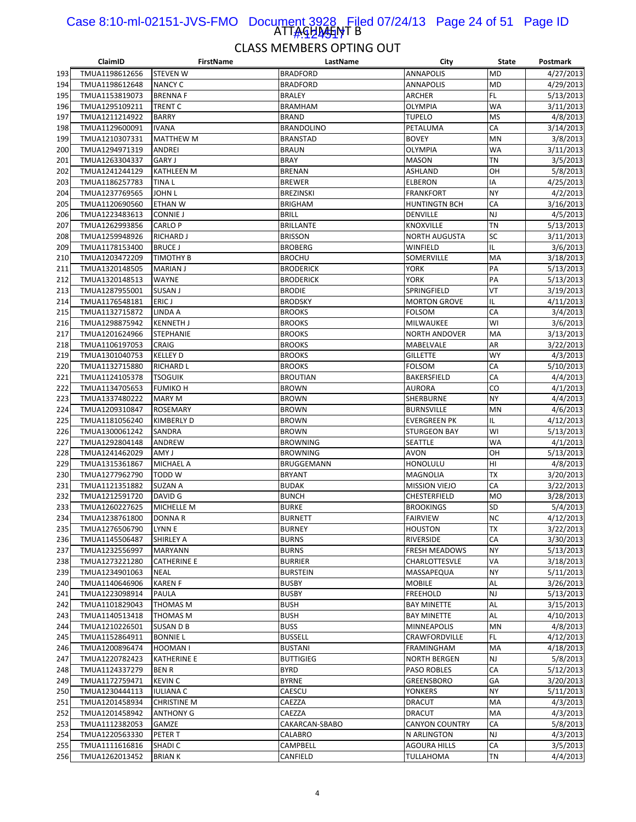#### ATTAGHAHNT B Case 8:10-ml-02151-JVS-FMO Document 3928 Filed 07/24/13 Page 24 of 51 Page ID <u>|#42451</u>7

|     | ClaimID        | <b>FirstName</b>   | LastName          | City                  | <b>State</b>    | Postmark  |
|-----|----------------|--------------------|-------------------|-----------------------|-----------------|-----------|
| 193 | TMUA1198612656 | <b>STEVEN W</b>    | <b>BRADFORD</b>   | <b>ANNAPOLIS</b>      | <b>MD</b>       | 4/27/2013 |
| 194 | TMUA1198612648 | <b>NANCY C</b>     | <b>BRADFORD</b>   | <b>ANNAPOLIS</b>      | <b>MD</b>       | 4/29/2013 |
| 195 | TMUA1153819073 | <b>BRENNAF</b>     | <b>BRALEY</b>     | ARCHER                | FL              | 5/13/2013 |
| 196 | TMUA1295109211 | <b>TRENT C</b>     | <b>BRAMHAM</b>    | OLYMPIA               | <b>WA</b>       | 3/11/2013 |
| 197 | TMUA1211214922 | <b>BARRY</b>       | <b>BRAND</b>      | <b>TUPELO</b>         | <b>MS</b>       | 4/8/2013  |
| 198 | TMUA1129600091 | <b>IVANA</b>       | <b>BRANDOLINO</b> | PETALUMA              | CA              | 3/14/2013 |
| 199 | TMUA1210307331 | <b>MATTHEW M</b>   | <b>BRANSTAD</b>   | <b>BOVEY</b>          | MN              | 3/8/2013  |
| 200 | TMUA1294971319 | <b>ANDREI</b>      | <b>BRAUN</b>      | OLYMPIA               | WA              | 3/11/2013 |
| 201 | TMUA1263304337 | <b>GARY J</b>      | <b>BRAY</b>       | <b>MASON</b>          | <b>TN</b>       | 3/5/2013  |
| 202 | TMUA1241244129 | <b>KATHLEEN M</b>  | <b>BRENAN</b>     | ASHLAND               | OH              | 5/8/2013  |
| 203 | TMUA1186257783 | <b>TINAL</b>       | <b>BREWER</b>     | ELBERON               | IA              | 4/25/2013 |
| 204 | TMUA1237769565 | <b>JOHN L</b>      | <b>BREZINSKI</b>  | <b>FRANKFORT</b>      | <b>NY</b>       | 4/2/2013  |
| 205 | TMUA1120690560 | <b>ETHAN W</b>     | <b>BRIGHAM</b>    | <b>HUNTINGTN BCH</b>  | CA              | 3/16/2013 |
| 206 | TMUA1223483613 | <b>CONNIE J</b>    | <b>BRILL</b>      | DENVILLE              | <b>NJ</b>       | 4/5/2013  |
| 207 | TMUA1262993856 | <b>CARLO P</b>     | <b>BRILLANTE</b>  | KNOXVILLE             | <b>TN</b>       | 5/13/2013 |
| 208 | TMUA1259948926 | <b>RICHARD J</b>   | <b>BRISSON</b>    | <b>NORTH AUGUSTA</b>  | SC              | 3/11/2013 |
| 209 | TMUA1178153400 | <b>BRUCE J</b>     | <b>BROBERG</b>    | WINFIELD              | IL              | 3/6/2013  |
| 210 | TMUA1203472209 | <b>TIMOTHY B</b>   | <b>BROCHU</b>     | SOMERVILLE            | MA              | 3/18/2013 |
| 211 | TMUA1320148505 | <b>MARIAN J</b>    | <b>BRODERICK</b>  | YORK                  | PA              | 5/13/2013 |
| 212 | TMUA1320148513 | <b>WAYNE</b>       | <b>BRODERICK</b>  | YORK                  | PA              | 5/13/2013 |
| 213 | TMUA1287955001 | <b>SUSAN J</b>     | <b>BRODIE</b>     | SPRINGFIELD           | VT              | 3/19/2013 |
| 214 | TMUA1176548181 | ERIC J             | <b>BRODSKY</b>    | <b>MORTON GROVE</b>   | IL              | 4/11/2013 |
| 215 | TMUA1132715872 | LINDA A            | <b>BROOKS</b>     | <b>FOLSOM</b>         | CA              | 3/4/2013  |
| 216 | TMUA1298875942 | <b>KENNETH J</b>   | <b>BROOKS</b>     | MILWAUKEE             | WI              | 3/6/2013  |
|     | TMUA1201624966 | <b>STEPHANIE</b>   |                   | <b>NORTH ANDOVER</b>  | MA              |           |
| 217 |                |                    | <b>BROOKS</b>     |                       |                 | 3/13/2013 |
| 218 | TMUA1106197053 | <b>CRAIG</b>       | <b>BROOKS</b>     | MABELVALE             | AR              | 3/22/2013 |
| 219 | TMUA1301040753 | <b>KELLEY D</b>    | <b>BROOKS</b>     | <b>GILLETTE</b>       | <b>WY</b><br>CA | 4/3/2013  |
| 220 | TMUA1132715880 | <b>RICHARD L</b>   | <b>BROOKS</b>     | <b>FOLSOM</b>         |                 | 5/10/2013 |
| 221 | TMUA1124105378 | <b>TSOGUIK</b>     | <b>BROUTIAN</b>   | BAKERSFIELD           | CA              | 4/4/2013  |
| 222 | TMUA1134705653 | <b>FUMIKO H</b>    | <b>BROWN</b>      | AURORA                | CO              | 4/1/2013  |
| 223 | TMUA1337480222 | <b>MARY M</b>      | <b>BROWN</b>      | SHERBURNE             | <b>NY</b>       | 4/4/2013  |
| 224 | TMUA1209310847 | <b>ROSEMARY</b>    | <b>BROWN</b>      | <b>BURNSVILLE</b>     | MN              | 4/6/2013  |
| 225 | TMUA1181056240 | <b>KIMBERLY D</b>  | <b>BROWN</b>      | <b>EVERGREEN PK</b>   | IL              | 4/12/2013 |
| 226 | TMUA1300061242 | SANDRA             | <b>BROWN</b>      | STURGEON BAY          | WI              | 5/13/2013 |
| 227 | TMUA1292804148 | ANDREW             | <b>BROWNING</b>   | SEATTLE               | <b>WA</b>       | 4/1/2013  |
| 228 | TMUA1241462029 | AMY J              | <b>BROWNING</b>   | <b>AVON</b>           | OH              | 5/13/2013 |
| 229 | TMUA1315361867 | <b>MICHAEL A</b>   | BRUGGEMANN        | HONOLULU              | HI              | 4/8/2013  |
| 230 | TMUA1277962790 | <b>TODD W</b>      | <b>BRYANT</b>     | MAGNOLIA              | <b>TX</b>       | 3/20/2013 |
| 231 | TMUA1121351882 | <b>SUZAN A</b>     | <b>BUDAK</b>      | <b>MISSION VIEJO</b>  | CA              | 3/22/2013 |
| 232 | TMUA1212591720 | DAVID G            | <b>BUNCH</b>      | CHESTERFIELD          | <b>MO</b>       | 3/28/2013 |
| 233 | TMUA1260227625 | <b>MICHELLE M</b>  | <b>BURKE</b>      | <b>BROOKINGS</b>      | SD              | 5/4/2013  |
| 234 | TMUA1238761800 | <b>DONNAR</b>      | <b>BURNETT</b>    | <b>FAIRVIEW</b>       | <b>NC</b>       | 4/12/2013 |
| 235 | TMUA1276506790 | LYNN E             | <b>BURNEY</b>     | <b>HOUSTON</b>        | TX              | 3/22/2013 |
| 236 | TMUA1145506487 | <b>SHIRLEY A</b>   | <b>BURNS</b>      | RIVERSIDE             | CA              | 3/30/2013 |
| 237 | TMUA1232556997 | <b>MARYANN</b>     | <b>BURNS</b>      | <b>FRESH MEADOWS</b>  | <b>NY</b>       | 5/13/2013 |
| 238 | TMUA1273221280 | <b>CATHERINE E</b> | <b>BURRIER</b>    | CHARLOTTESVLE         | VA              | 3/18/2013 |
| 239 | TMUA1234901063 | <b>NEAL</b>        | <b>BURSTEIN</b>   | MASSAPEQUA            | <b>NY</b>       | 5/11/2013 |
| 240 | TMUA1140646906 | <b>KAREN F</b>     | <b>BUSBY</b>      | <b>MOBILE</b>         | <b>AL</b>       | 3/26/2013 |
| 241 | TMUA1223098914 | PAULA              | <b>BUSBY</b>      | FREEHOLD              | <b>NJ</b>       | 5/13/2013 |
| 242 | TMUA1101829043 | <b>THOMAS M</b>    | <b>BUSH</b>       | <b>BAY MINETTE</b>    | <b>AL</b>       | 3/15/2013 |
| 243 | TMUA1140513418 | <b>THOMAS M</b>    | <b>BUSH</b>       | <b>BAY MINETTE</b>    | <b>AL</b>       | 4/10/2013 |
| 244 | TMUA1210226501 | <b>SUSAN D B</b>   | <b>BUSS</b>       | <b>MINNEAPOLIS</b>    | MN              | 4/8/2013  |
| 245 | TMUA1152864911 | <b>BONNIE L</b>    | <b>BUSSELL</b>    | CRAWFORDVILLE         | <b>FL</b>       | 4/12/2013 |
| 246 | TMUA1200896474 | HOOMAN I           | <b>BUSTANI</b>    | FRAMINGHAM            | MA              | 4/18/2013 |
| 247 | TMUA1220782423 | <b>KATHERINE E</b> | <b>BUTTIGIEG</b>  | <b>NORTH BERGEN</b>   | NJ              | 5/8/2013  |
| 248 | TMUA1124337279 | <b>BENR</b>        | <b>BYRD</b>       | PASO ROBLES           | CA              | 5/12/2013 |
| 249 | TMUA1172759471 | <b>KEVIN C</b>     | <b>BYRNE</b>      | GREENSBORO            | GА              | 3/20/2013 |
| 250 | TMUA1230444113 | <b>IULIANA C</b>   | CAESCU            | YONKERS               | <b>NY</b>       | 5/11/2013 |
| 251 | TMUA1201458934 | <b>CHRISTINE M</b> | CAEZZA            | DRACUT                | MA              | 4/3/2013  |
| 252 | TMUA1201458942 | <b>ANTHONY G</b>   | CAEZZA            | DRACUT                | MA              | 4/3/2013  |
| 253 | TMUA1112382053 | GAMZE              | CAKARCAN-SBABO    | <b>CANYON COUNTRY</b> | CA              | 5/8/2013  |
| 254 | TMUA1220563330 | PETER T            | CALABRO           | N ARLINGTON           | <b>NJ</b>       | 4/3/2013  |
| 255 | TMUA1111616816 | SHADI C            | CAMPBELL          | <b>AGOURA HILLS</b>   | CA              | 3/5/2013  |
| 256 | TMUA1262013452 | <b>BRIANK</b>      | CANFIELD          | TULLAHOMA             | TN              | 4/4/2013  |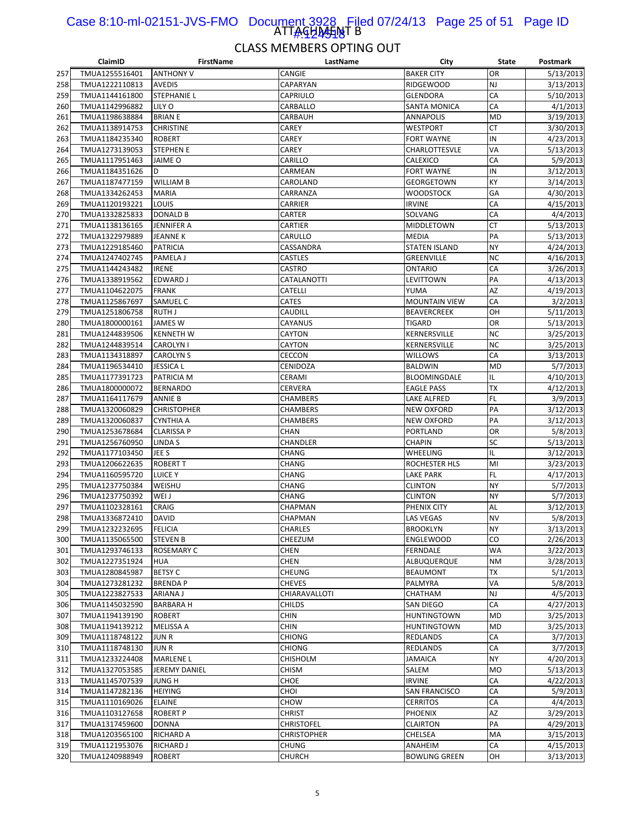#### ATTAGHAHNT B Case 8:10-ml-02151-JVS-FMO Document 3928 Filed 07/24/13 Page 25 of 51 Page ID 1#:424518

|     | ClaimID        | <b>FirstName</b>   | LastName           | City                 | State     | Postmark  |
|-----|----------------|--------------------|--------------------|----------------------|-----------|-----------|
| 257 | TMUA1255516401 | <b>ANTHONY V</b>   | CANGIE             | <b>BAKER CITY</b>    | OR        | 5/13/2013 |
| 258 | TMUA1222110813 | <b>AVEDIS</b>      | CAPARYAN           | <b>RIDGEWOOD</b>     | NJ        | 3/13/2013 |
| 259 | TMUA1144161800 | <b>STEPHANIE L</b> | CAPRIULO           | GLENDORA             | CA        | 5/10/2013 |
| 260 | TMUA1142996882 | LILY O             | CARBALLO           | <b>SANTA MONICA</b>  | CA        | 4/1/2013  |
| 261 | TMUA1198638884 | <b>BRIAN E</b>     | CARBAUH            | <b>ANNAPOLIS</b>     | <b>MD</b> | 3/19/2013 |
| 262 | TMUA1138914753 | <b>CHRISTINE</b>   | CAREY              | WESTPORT             | СT        | 3/30/2013 |
| 263 | TMUA1184235340 | <b>ROBERT</b>      | CAREY              | FORT WAYNE           | IN        | 4/23/2013 |
| 264 | TMUA1273139053 | <b>STEPHEN E</b>   | CAREY              | CHARLOTTESVLE        | VA        | 5/13/2013 |
| 265 | TMUA1117951463 | <b>JAIME O</b>     | CARILLO            | CALEXICO             | CA        | 5/9/2013  |
| 266 | TMUA1184351626 | D                  | CARMEAN            | <b>FORT WAYNE</b>    | IN        | 3/12/2013 |
| 267 | TMUA1187477159 | <b>WILLIAM B</b>   | CAROLAND           | <b>GEORGETOWN</b>    | KY        | 3/14/2013 |
| 268 | TMUA1334262453 | <b>MARIA</b>       | CARRANZA           | <b>WOODSTOCK</b>     | GA        | 4/30/2013 |
| 269 | TMUA1120193221 | LOUIS              | CARRIER            | <b>IRVINE</b>        | CA        | 4/15/2013 |
| 270 | TMUA1332825833 | DONALD B           | CARTER             | SOLVANG              | CA        | 4/4/2013  |
| 271 | TMUA1138136165 | JENNIFER A         | CARTIER            | MIDDLETOWN           | <b>CT</b> | 5/13/2013 |
| 272 | TMUA1322979889 | <b>JEANNE K</b>    | CARULLO            | <b>MEDIA</b>         | PA        | 5/13/2013 |
| 273 | TMUA1229185460 | <b>PATRICIA</b>    | CASSANDRA          | <b>STATEN ISLAND</b> | NY        | 4/24/2013 |
| 274 | TMUA1247402745 | PAMELA J           | CASTLES            | GREENVILLE           | NC        | 4/16/2013 |
| 275 | TMUA1144243482 | <b>IRENE</b>       | CASTRO             | <b>ONTARIO</b>       | CA        | 3/26/2013 |
| 276 | TMUA1338919562 | <b>EDWARD J</b>    | CATALANOTTI        | LEVITTOWN            | PA        | 4/13/2013 |
| 277 | TMUA1104622075 | <b>FRANK</b>       | CATELLI            | YUMA                 | AZ        | 4/19/2013 |
|     |                |                    |                    | <b>MOUNTAIN VIEW</b> | CA        |           |
| 278 | TMUA1125867697 | SAMUEL C           | CATES              |                      |           | 3/2/2013  |
| 279 | TMUA1251806758 | RUTH J             | CAUDILL            | <b>BEAVERCREEK</b>   | OH        | 5/11/2013 |
| 280 | TMUA1800000161 | <b>JAMES W</b>     | CAYANUS            | <b>TIGARD</b>        | OR        | 5/13/2013 |
| 281 | TMUA1244839506 | <b>KENNETH W</b>   | CAYTON             | KERNERSVILLE         | <b>NC</b> | 3/25/2013 |
| 282 | TMUA1244839514 | <b>CAROLYN I</b>   | CAYTON             | KERNERSVILLE         | <b>NC</b> | 3/25/2013 |
| 283 | TMUA1134318897 | <b>CAROLYN S</b>   | CECCON             | <b>WILLOWS</b>       | CA        | 3/13/2013 |
| 284 | TMUA1196534410 | <b>JESSICA L</b>   | CENIDOZA           | <b>BALDWIN</b>       | MD        | 5/7/2013  |
| 285 | TMUA1177391723 | PATRICIA M         | CERAMI             | BLOOMINGDALE         | IL        | 4/10/2013 |
| 286 | TMUA1800000072 | <b>BERNARDO</b>    | CERVERA            | <b>EAGLE PASS</b>    | <b>TX</b> | 4/12/2013 |
| 287 | TMUA1164117679 | <b>ANNIE B</b>     | CHAMBERS           | LAKE ALFRED          | FL        | 3/9/2013  |
| 288 | TMUA1320060829 | <b>CHRISTOPHER</b> | CHAMBERS           | <b>NEW OXFORD</b>    | PA        | 3/12/2013 |
| 289 | TMUA1320060837 | <b>CYNTHIA A</b>   | CHAMBERS           | NEW OXFORD           | PA        | 3/12/2013 |
| 290 | TMUA1253678684 | <b>CLARISSA P</b>  | CHAN               | PORTLAND             | OR        | 5/8/2013  |
| 291 | TMUA1256760950 | LINDA S            | CHANDLER           | <b>CHAPIN</b>        | SC        | 5/13/2013 |
| 292 | TMUA1177103450 | JEE S              | CHANG              | WHEELING             | IL        | 3/12/2013 |
| 293 | TMUA1206622635 | <b>ROBERT T</b>    | CHANG              | ROCHESTER HLS        | MI        | 3/23/2013 |
| 294 | TMUA1160595720 | <b>LUICE Y</b>     | CHANG              | LAKE PARK            | FL        | 4/17/2013 |
| 295 | TMUA1237750384 | WEISHU             | CHANG              | <b>CLINTON</b>       | NY        | 5/7/2013  |
| 296 | TMUA1237750392 | WEI J              | CHANG              | <b>CLINTON</b>       | NY        | 5/7/2013  |
| 297 | TMUA1102328161 | CRAIG              | CHAPMAN            | PHENIX CITY          | AL        | 3/12/2013 |
| 298 | TMUA1336872410 | <b>DAVID</b>       | CHAPMAN            | <b>LAS VEGAS</b>     | <b>NV</b> | 5/8/2013  |
| 299 | TMUA1232232695 | <b>FELICIA</b>     | <b>CHARLES</b>     | <b>BROOKLYN</b>      | NΥ        | 3/13/2013 |
| 300 | TMUA1135065500 | <b>STEVEN B</b>    | CHEEZUM            | ENGLEWOOD            | CO        | 2/26/2013 |
| 301 | TMUA1293746133 | ROSEMARY C         | CHEN               | FERNDALE             | WA        | 3/22/2013 |
| 302 | TMUA1227351924 | <b>HUA</b>         | CHEN               | ALBUQUERQUE          | <b>NM</b> | 3/28/2013 |
| 303 | TMUA1280845987 | <b>BETSY C</b>     | CHEUNG             | <b>BEAUMONT</b>      | ТX        | 5/1/2013  |
| 304 | TMUA1273281232 | <b>BRENDAP</b>     | <b>CHEVES</b>      | PALMYRA              | VA        | 5/8/2013  |
| 305 | TMUA1223827533 | ARIANA J           | CHIARAVALLOTI      | CHATHAM              | NJ        | 4/5/2013  |
| 306 | TMUA1145032590 | <b>BARBARA H</b>   | CHILDS             | SAN DIEGO            | CA        | 4/27/2013 |
| 307 | TMUA1194139190 | <b>ROBERT</b>      | CHIN               | <b>HUNTINGTOWN</b>   | MD        | 3/25/2013 |
| 308 | TMUA1194139212 | <b>MELISSA A</b>   | CHIN               | <b>HUNTINGTOWN</b>   | <b>MD</b> | 3/25/2013 |
| 309 | TMUA1118748122 | JUN R              | CHIONG             | REDLANDS             | CA        | 3/7/2013  |
| 310 | TMUA1118748130 | <b>JUNR</b>        | CHIONG             | REDLANDS             | CA        | 3/7/2013  |
| 311 | TMUA1233224408 | <b>MARLENE L</b>   | CHISHOLM           | JAMAICA              | NY        | 4/20/2013 |
| 312 | TMUA1327053585 | JEREMY DANIEL      | CHISM              | SALEM                | <b>MO</b> | 5/13/2013 |
| 313 | TMUA1145707539 | JUNG H             | CHOE               | <b>IRVINE</b>        | CA        | 4/22/2013 |
| 314 | TMUA1147282136 | <b>HEIYING</b>     | CHOI               | <b>SAN FRANCISCO</b> | CA        | 5/9/2013  |
| 315 | TMUA1110169026 | <b>ELAINE</b>      | CHOW               | <b>CERRITOS</b>      | CA        | 4/4/2013  |
| 316 | TMUA1103127658 | <b>ROBERT P</b>    | <b>CHRIST</b>      | <b>PHOENIX</b>       | AZ        | 3/29/2013 |
| 317 | TMUA1317459600 | <b>DONNA</b>       | <b>CHRISTOFEL</b>  | <b>CLAIRTON</b>      | PA        | 4/29/2013 |
| 318 | TMUA1203565100 | RICHARD A          | <b>CHRISTOPHER</b> | CHELSEA              | MA        | 3/15/2013 |
|     | TMUA1121953076 |                    |                    |                      | CA        | 4/15/2013 |
| 319 |                | RICHARD J          | CHUNG              | ANAHEIM              |           |           |
| 320 | TMUA1240988949 | <b>ROBERT</b>      | CHURCH             | <b>BOWLING GREEN</b> | OH        | 3/13/2013 |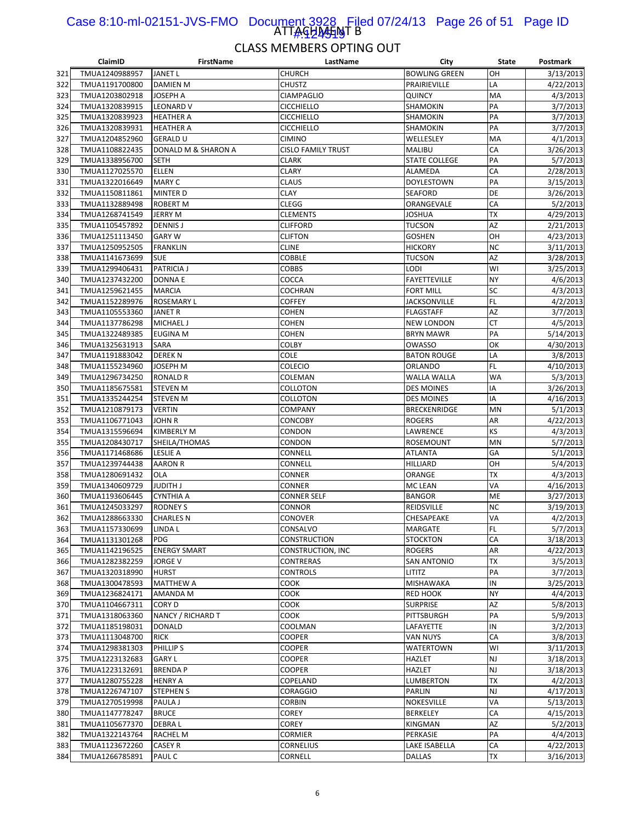#### ATTAGHAHNT B Case 8:10-ml-02151-JVS-FMO Document 3928 Filed 07/24/13 Page 26 of 51 Page ID 1#:424519

|     | ClaimID        | <b>FirstName</b>    | LastName            | City                 | State           | Postmark  |
|-----|----------------|---------------------|---------------------|----------------------|-----------------|-----------|
| 321 | TMUA1240988957 | JANET L             | <b>CHURCH</b>       | <b>BOWLING GREEN</b> | OH              | 3/13/2013 |
| 322 | TMUA1191700800 | <b>DAMIEN M</b>     | <b>CHUSTZ</b>       | PRAIRIEVILLE         | LA              | 4/22/2013 |
| 323 | TMUA1203802918 | JOSEPH A            | <b>CIAMPAGLIO</b>   | <b>QUINCY</b>        | MA              | 4/3/2013  |
| 324 | TMUA1320839915 | <b>LEONARD V</b>    | CICCHIELLO          | SHAMOKIN             | PA              | 3/7/2013  |
| 325 | TMUA1320839923 | <b>HEATHER A</b>    | <b>CICCHIELLO</b>   | SHAMOKIN             | PA              | 3/7/2013  |
| 326 | TMUA1320839931 | <b>HEATHER A</b>    | <b>CICCHIELLO</b>   | SHAMOKIN             | PA              | 3/7/2013  |
| 327 | TMUA1204852960 | <b>GERALD U</b>     | CIMINO              | WELLESLEY            | MA              | 4/1/2013  |
| 328 | TMUA1108822435 | DONALD M & SHARON A | CISLO FAMILY TRUST  | <b>MALIBU</b>        | CA              | 3/26/2013 |
| 329 | TMUA1338956700 | <b>SETH</b>         | <b>CLARK</b>        | <b>STATE COLLEGE</b> | PA              | 5/7/2013  |
| 330 | TMUA1127025570 | <b>ELLEN</b>        | <b>CLARY</b>        | ALAMEDA              | CA              | 2/28/2013 |
| 331 | TMUA1322016649 | <b>MARY C</b>       | CLAUS               | <b>DOYLESTOWN</b>    | PA              | 3/15/2013 |
| 332 | TMUA1150811861 | <b>MINTER D</b>     | CLAY                | <b>SEAFORD</b>       | DE              | 3/26/2013 |
| 333 | TMUA1132889498 | <b>ROBERT M</b>     | <b>CLEGG</b>        | ORANGEVALE           | CA              | 5/2/2013  |
| 334 | TMUA1268741549 | <b>JERRY M</b>      | <b>CLEMENTS</b>     | JOSHUA               | ТX              | 4/29/2013 |
| 335 | TMUA1105457892 | <b>DENNIS J</b>     | <b>CLIFFORD</b>     | TUCSON               | AZ              | 2/21/2013 |
| 336 | TMUA1251113450 | <b>GARY W</b>       | <b>CLIFTON</b>      | <b>GOSHEN</b>        | OH              | 4/23/2013 |
| 337 | TMUA1250952505 | <b>FRANKLIN</b>     | <b>CLINE</b>        | <b>HICKORY</b>       | <b>NC</b>       | 3/11/2013 |
| 338 | TMUA1141673699 | <b>SUE</b>          | COBBLE              | TUCSON               | AZ              | 3/28/2013 |
| 339 | TMUA1299406431 | <b>PATRICIA J</b>   | COBBS               | LODI                 | WI              | 3/25/2013 |
| 340 | TMUA1237432200 | <b>DONNAE</b>       | COCCA               | <b>FAYETTEVILLE</b>  | NY              | 4/6/2013  |
| 341 | TMUA1259621455 | <b>MARCIA</b>       | COCHRAN             | <b>FORT MILL</b>     | SC              | 4/3/2013  |
| 342 | TMUA1152289976 | ROSEMARY L          | COFFEY              | <b>JACKSONVILLE</b>  | FL              | 4/2/2013  |
| 343 | TMUA1105553360 | JANET R             | COHEN               | <b>FLAGSTAFF</b>     | AZ              | 3/7/2013  |
| 344 | TMUA1137786298 | MICHAEL J           | <b>COHEN</b>        | <b>NEW LONDON</b>    | <b>CT</b>       | 4/5/2013  |
| 345 | TMUA1322489385 | <b>EUGINA M</b>     | COHEN               | <b>BRYN MAWR</b>     | PA              | 5/14/2013 |
| 346 | TMUA1325631913 | SARA                | COLBY               | OWASSO               | OK              | 4/30/2013 |
| 347 | TMUA1191883042 | <b>DEREK N</b>      | COLE                | <b>BATON ROUGE</b>   | LA              | 3/8/2013  |
| 348 | TMUA1155234960 | <b>JOSEPH M</b>     | <b>COLECIO</b>      | <b>ORLANDO</b>       | FL              | 4/10/2013 |
| 349 | TMUA1296734250 | <b>RONALD R</b>     | COLEMAN             | <b>WALLA WALLA</b>   | WA              | 5/3/2013  |
|     |                |                     |                     |                      | IA              |           |
| 350 | TMUA1185675581 | <b>STEVEN M</b>     | COLLOTON            | <b>DES MOINES</b>    | IA              | 3/26/2013 |
| 351 | TMUA1335244254 | <b>STEVEN M</b>     | COLLOTON            | <b>DES MOINES</b>    |                 | 4/16/2013 |
| 352 | TMUA1210879173 | <b>VERTIN</b>       | COMPANY             | <b>BRECKENRIDGE</b>  | MN              | 5/1/2013  |
| 353 | TMUA1106771043 | <b>JOHN R</b>       | CONCOBY             | <b>ROGERS</b>        | AR<br>KS        | 4/22/2013 |
| 354 | TMUA1315596694 | <b>KIMBERLY M</b>   | CONDON              | LAWRENCE             |                 | 4/3/2013  |
| 355 | TMUA1208430717 | SHEILA/THOMAS       | CONDON              | <b>ROSEMOUNT</b>     | MN              | 5/7/2013  |
| 356 | TMUA1171468686 | <b>LESLIE A</b>     | CONNELL             | ATLANTA              | GA              | 5/1/2013  |
| 357 | TMUA1239744438 | <b>AARON R</b>      | CONNELL             | HILLIARD             | OH<br><b>TX</b> | 5/4/2013  |
| 358 | TMUA1280691432 | OLA                 | CONNER              | ORANGE               |                 | 4/3/2013  |
| 359 | TMUA1340609729 | <b>JUDITH J</b>     | CONNER              | MC LEAN              | VA              | 4/16/2013 |
| 360 | TMUA1193606445 | <b>CYNTHIA A</b>    | <b>CONNER SELF</b>  | <b>BANGOR</b>        | ME              | 3/27/2013 |
| 361 | TMUA1245033297 | <b>RODNEY S</b>     | CONNOR              | REIDSVILLE           | <b>NC</b>       | 3/19/2013 |
| 362 | TMUA1288663330 | <b>CHARLES N</b>    | <b>CONOVER</b>      | CHESAPEAKE           | VA              | 4/2/2013  |
| 363 | TMUA1157330699 | LINDA L             | CONSALVO            | MARGATE              | FL              | 5/7/2013  |
| 364 | TMUA1131301268 | <b>PDG</b>          | <b>CONSTRUCTION</b> | <b>STOCKTON</b>      | CA              | 3/18/2013 |
| 365 | TMUA1142196525 | <b>ENERGY SMART</b> | CONSTRUCTION, INC   | <b>ROGERS</b>        | AR              | 4/22/2013 |
| 366 | TMUA1282382259 | <b>JORGE V</b>      | CONTRERAS           | <b>SAN ANTONIO</b>   | <b>TX</b>       | 3/5/2013  |
| 367 | TMUA1320318990 | <b>HURST</b>        | <b>CONTROLS</b>     | LITITZ               | PA              | 3/7/2013  |
| 368 | TMUA1300478593 | <b>MATTHEW A</b>    | соок                | MISHAWAKA            | IN              | 3/25/2013 |
| 369 | TMUA1236824171 | AMANDA M            | соок                | RED HOOK             | NY              | 4/4/2013  |
| 370 | TMUA1104667311 | CORY D              | соок                | <b>SURPRISE</b>      | AZ              | 5/8/2013  |
| 371 | TMUA1318063360 | NANCY / RICHARD T   | COOK                | PITTSBURGH           | PA              | 5/9/2013  |
| 372 | TMUA1185198031 | <b>DONALD</b>       | COOLMAN             | LAFAYETTE            | IN              | 3/2/2013  |
| 373 | TMUA1113048700 | <b>RICK</b>         | COOPER              | VAN NUYS             | CA              | 3/8/2013  |
| 374 | TMUA1298381303 | PHILLIP S           | COOPER              | WATERTOWN            | WI              | 3/11/2013 |
| 375 | TMUA1223132683 | <b>GARY L</b>       | COOPER              | <b>HAZLET</b>        | NJ              | 3/18/2013 |
| 376 | TMUA1223132691 | <b>BRENDA P</b>     | COOPER              | HAZLET               | NJ              | 3/18/2013 |
| 377 | TMUA1280755228 | <b>HENRY A</b>      | COPELAND            | LUMBERTON            | <b>TX</b>       | 4/2/2013  |
| 378 | TMUA1226747107 | <b>STEPHEN S</b>    | CORAGGIO            | PARLIN               | NJ              | 4/17/2013 |
| 379 | TMUA1270519998 | PAULA J             | CORBIN              | NOKESVILLE           | VA              | 5/13/2013 |
| 380 | TMUA1147778247 | <b>BRUCE</b>        | COREY               | <b>BERKELEY</b>      | CA              | 4/15/2013 |
| 381 | TMUA1105677370 | DEBRA L             | COREY               | KINGMAN              | AZ              | 5/2/2013  |
| 382 | TMUA1322143764 | RACHEL M            | CORMIER             | PERKASIE             | PA              | 4/4/2013  |
| 383 | TMUA1123672260 | CASEY R             | <b>CORNELIUS</b>    | LAKE ISABELLA        | CA              | 4/22/2013 |
| 384 | TMUA1266785891 | PAUL C              | CORNELL             | DALLAS               | TX              | 3/16/2013 |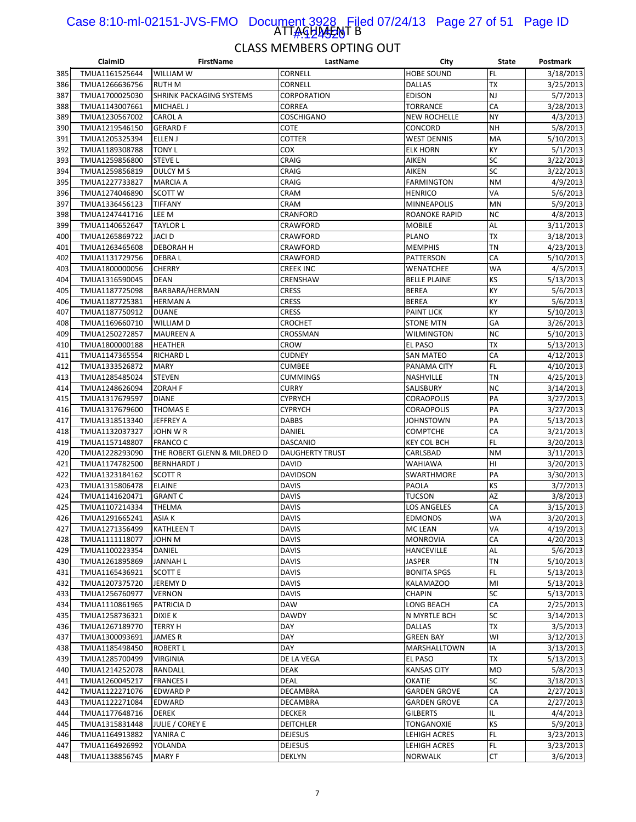#### ATTAGHA<del>J</del>AT B Case 8:10-ml-02151-JVS-FMO Document 3928 Filed 07/24/13 Page 27 of 51 Page ID 1#:424520

|     | ClaimID        | <b>FirstName</b>                | LastName               | City                | State     | Postmark  |
|-----|----------------|---------------------------------|------------------------|---------------------|-----------|-----------|
| 385 | TMUA1161525644 | <b>WILLIAM W</b>                | CORNELL                | <b>HOBE SOUND</b>   | <b>FL</b> | 3/18/2013 |
| 386 | TMUA1266636756 | <b>RUTH M</b>                   | CORNELL                | <b>DALLAS</b>       | <b>TX</b> | 3/25/2013 |
| 387 | TMUA1700025030 | <b>SHRINK PACKAGING SYSTEMS</b> | CORPORATION            | <b>EDISON</b>       | <b>NJ</b> | 5/7/2013  |
| 388 | TMUA1143007661 | <b>MICHAEL J</b>                | CORREA                 | TORRANCE            | CA        | 3/28/2013 |
| 389 | TMUA1230567002 | <b>CAROL A</b>                  | <b>COSCHIGANO</b>      | <b>NEW ROCHELLE</b> | <b>NY</b> | 4/3/2013  |
| 390 | TMUA1219546150 | <b>GERARD F</b>                 | COTE                   | CONCORD             | <b>NH</b> | 5/8/2013  |
| 391 | TMUA1205325394 | <b>ELLEN J</b>                  | COTTER                 | <b>WEST DENNIS</b>  | MA        | 5/10/2013 |
| 392 | TMUA1189308788 | <b>TONY L</b>                   | COX                    | ELK HORN            | KY        | 5/1/2013  |
| 393 | TMUA1259856800 | <b>STEVE L</b>                  | CRAIG                  | <b>AIKEN</b>        | SC        | 3/22/2013 |
| 394 | TMUA1259856819 | <b>DULCY MS</b>                 | CRAIG                  | AIKEN               | SC        | 3/22/2013 |
|     |                |                                 |                        | <b>FARMINGTON</b>   | <b>NM</b> |           |
| 395 | TMUA1227733827 | <b>MARCIA A</b>                 | CRAIG                  |                     |           | 4/9/2013  |
| 396 | TMUA1274046890 | <b>SCOTT W</b>                  | CRAM                   | <b>HENRICO</b>      | VA        | 5/6/2013  |
| 397 | TMUA1336456123 | <b>TIFFANY</b>                  | <b>CRAM</b>            | <b>MINNEAPOLIS</b>  | <b>MN</b> | 5/9/2013  |
| 398 | TMUA1247441716 | LEE M                           | CRANFORD               | ROANOKE RAPID       | <b>NC</b> | 4/8/2013  |
| 399 | TMUA1140652647 | <b>TAYLOR L</b>                 | CRAWFORD               | <b>MOBILE</b>       | AL        | 3/11/2013 |
| 400 | TMUA1265869722 | <b>JACI D</b>                   | CRAWFORD               | PLANO               | <b>TX</b> | 3/18/2013 |
| 401 | TMUA1263465608 | <b>DEBORAH H</b>                | CRAWFORD               | <b>MEMPHIS</b>      | <b>TN</b> | 4/23/2013 |
| 402 | TMUA1131729756 | <b>DEBRAL</b>                   | CRAWFORD               | PATTERSON           | CA        | 5/10/2013 |
| 403 | TMUA1800000056 | <b>CHERRY</b>                   | CREEK INC              | WENATCHEE           | <b>WA</b> | 4/5/2013  |
| 404 | TMUA1316590045 | <b>DEAN</b>                     | CRENSHAW               | <b>BELLE PLAINE</b> | KS        | 5/13/2013 |
| 405 | TMUA1187725098 | BARBARA/HERMAN                  | <b>CRESS</b>           | BEREA               | KY        | 5/6/2013  |
| 406 | TMUA1187725381 | <b>HERMAN A</b>                 | <b>CRESS</b>           | <b>BEREA</b>        | KY        | 5/6/2013  |
| 407 | TMUA1187750912 | <b>DUANE</b>                    | <b>CRESS</b>           | <b>PAINT LICK</b>   | KY        | 5/10/2013 |
| 408 | TMUA1169660710 | <b>WILLIAM D</b>                | <b>CROCHET</b>         | <b>STONE MTN</b>    | GA        | 3/26/2013 |
| 409 | TMUA1250272857 | <b>MAUREEN A</b>                | CROSSMAN               | WILMINGTON          | <b>NC</b> | 5/10/2013 |
| 410 | TMUA1800000188 | <b>HEATHER</b>                  | CROW                   | EL PASO             | <b>TX</b> | 5/13/2013 |
| 411 | TMUA1147365554 | <b>RICHARD L</b>                | <b>CUDNEY</b>          | <b>SAN MATEO</b>    | CA        | 4/12/2013 |
| 412 | TMUA1333526872 | <b>MARY</b>                     | <b>CUMBEE</b>          | PANAMA CITY         | <b>FL</b> | 4/10/2013 |
| 413 | TMUA1285485024 | <b>STEVEN</b>                   | CUMMINGS               | NASHVILLE           | <b>TN</b> | 4/25/2013 |
| 414 | TMUA1248626094 | <b>ZORAH F</b>                  | CURRY                  | SALISBURY           | <b>NC</b> | 3/14/2013 |
|     |                |                                 |                        |                     | PA        |           |
| 415 | TMUA1317679597 | <b>DIANE</b>                    | CYPRYCH                | CORAOPOLIS          |           | 3/27/2013 |
| 416 | TMUA1317679600 | <b>THOMAS E</b>                 | <b>CYPRYCH</b>         | <b>CORAOPOLIS</b>   | PA        | 3/27/2013 |
| 417 | TMUA1318513340 | <b>JEFFREY A</b>                | DABBS                  | JOHNSTOWN           | PA        | 5/13/2013 |
| 418 | TMUA1132037327 | JOHN W R                        | DANIEL                 | COMPTCHE            | CA        | 3/21/2013 |
| 419 | TMUA1157148807 | <b>FRANCO C</b>                 | <b>DASCANIO</b>        | KEY COL BCH         | <b>FL</b> | 3/20/2013 |
| 420 | TMUA1228293090 | THE ROBERT GLENN & MILDRED D    | <b>DAUGHERTY TRUST</b> | CARLSBAD            | <b>NM</b> | 3/11/2013 |
| 421 | TMUA1174782500 | <b>BERNHARDT J</b>              | DAVID                  | WAHIAWA             | HI        | 3/20/2013 |
| 422 | TMUA1323184162 | <b>SCOTT R</b>                  | DAVIDSON               | SWARTHMORE          | PA        | 3/30/2013 |
| 423 | TMUA1315806478 | <b>ELAINE</b>                   | <b>DAVIS</b>           | PAOLA               | KS        | 3/7/2013  |
| 424 | TMUA1141620471 | <b>GRANT C</b>                  | DAVIS                  | TUCSON              | AZ        | 3/8/2013  |
| 425 | TMUA1107214334 | <b>THELMA</b>                   | DAVIS                  | LOS ANGELES         | CA        | 3/15/2013 |
| 426 | TMUA1291665241 | <b>ASIAK</b>                    | <b>DAVIS</b>           | EDMONDS             | WA        | 3/20/2013 |
| 427 | TMUA1271356499 | <b>KATHLEEN T</b>               | <b>DAVIS</b>           | <b>MC LEAN</b>      | VA        | 4/19/2013 |
| 428 | TMUA1111118077 | JOHN M                          | DAVIS                  | <b>MONROVIA</b>     | CA        | 4/20/2013 |
| 429 | TMUA1100223354 | DANIEL                          | DAVIS                  | HANCEVILLE          | AL        | 5/6/2013  |
| 430 | TMUA1261895869 | <b>JANNAH L</b>                 | DAVIS                  | JASPER              | <b>TN</b> | 5/10/2013 |
| 431 | TMUA1165436921 | <b>SCOTT E</b>                  | <b>DAVIS</b>           | <b>BONITA SPGS</b>  | <b>FL</b> | 5/13/2013 |
| 432 | TMUA1207375720 | JEREMY D                        | <b>DAVIS</b>           | KALAMAZOO           | MI        | 5/13/2013 |
| 433 | TMUA1256760977 | <b>VERNON</b>                   | DAVIS                  | CHAPIN              | SC        | 5/13/2013 |
| 434 | TMUA1110861965 | <b>PATRICIA D</b>               | DAW                    | LONG BEACH          | CA        | 2/25/2013 |
| 435 | TMUA1258736321 | <b>DIXIE K</b>                  | <b>DAWDY</b>           | N MYRTLE BCH        | SC        | 3/14/2013 |
| 436 | TMUA1267189770 | <b>TERRY H</b>                  | DAY                    | DALLAS              | <b>TX</b> | 3/5/2013  |
| 437 | TMUA1300093691 | <b>JAMES R</b>                  | DAY                    | GREEN BAY           | WI        | 3/12/2013 |
| 438 | TMUA1185498450 | <b>ROBERT L</b>                 | DAY                    | MARSHALLTOWN        | IA        | 3/13/2013 |
|     | TMUA1285700499 |                                 | DE LA VEGA             |                     | <b>TX</b> | 5/13/2013 |
| 439 |                | <b>VIRGINIA</b>                 |                        | EL PASO             |           |           |
| 440 | TMUA1214252078 | RANDALL                         | DEAK                   | KANSAS CITY         | <b>MO</b> | 5/8/2013  |
| 441 | TMUA1260045217 | <b>FRANCES I</b>                | DEAL                   | OKATIE              | SC        | 3/18/2013 |
| 442 | TMUA1122271076 | <b>EDWARD P</b>                 | DECAMBRA               | <b>GARDEN GROVE</b> | CA        | 2/27/2013 |
| 443 | TMUA1122271084 | <b>EDWARD</b>                   | DECAMBRA               | GARDEN GROVE        | CA        | 2/27/2013 |
| 444 | TMUA1177648716 | <b>DEREK</b>                    | <b>DECKER</b>          | GILBERTS            | IL        | 4/4/2013  |
| 445 | TMUA1315831448 | <b>JULIE / COREY E</b>          | <b>DEITCHLER</b>       | TONGANOXIE          | KS        | 5/9/2013  |
| 446 | TMUA1164913882 | YANIRA C                        | <b>DEJESUS</b>         | LEHIGH ACRES        | <b>FL</b> | 3/23/2013 |
| 447 | TMUA1164926992 | YOLANDA                         | <b>DEJESUS</b>         | LEHIGH ACRES        | FL.       | 3/23/2013 |
| 448 | TMUA1138856745 | <b>MARY F</b>                   | DEKLYN                 | NORWALK             | <b>CT</b> | 3/6/2013  |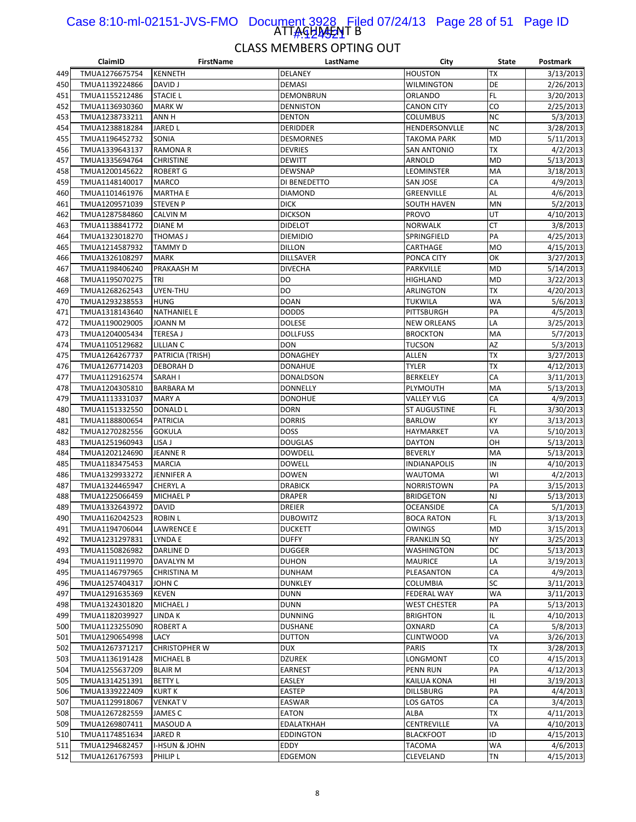#### ATTAGHA<del>J</del>AT B Case 8:10-ml-02151-JVS-FMO Document 3928 Filed 07/24/13 Page 28 of 51 Page ID <u>|#424521</u>

|     | ClaimID                          | <b>FirstName</b>         | LastName         | City                | State     | Postmark               |
|-----|----------------------------------|--------------------------|------------------|---------------------|-----------|------------------------|
| 449 | TMUA1276675754                   | <b>KENNETH</b>           | DELANEY          | <b>HOUSTON</b>      | ТX        | 3/13/2013              |
| 450 | TMUA1139224866                   | <b>DAVID J</b>           | <b>DEMASI</b>    | WILMINGTON          | DE        | 2/26/2013              |
| 451 | TMUA1155212486                   | <b>STACIE L</b>          | DEMONBRUN        | ORLANDO             | FL        | 3/20/2013              |
| 452 | TMUA1136930360                   | <b>MARKW</b>             | <b>DENNISTON</b> | <b>CANON CITY</b>   | CO        | 2/25/2013              |
| 453 | TMUA1238733211                   | ANN H                    | <b>DENTON</b>    | <b>COLUMBUS</b>     | <b>NC</b> | 5/3/2013               |
| 454 | TMUA1238818284                   | <b>JARED L</b>           | <b>DERIDDER</b>  | HENDERSONVLLE       | <b>NC</b> | 3/28/2013              |
| 455 | TMUA1196452732                   | SONIA                    | <b>DESMORNES</b> | <b>TAKOMA PARK</b>  | <b>MD</b> | 5/11/2013              |
| 456 | TMUA1339643137                   | <b>RAMONA R</b>          | <b>DEVRIES</b>   | <b>SAN ANTONIO</b>  | <b>TX</b> | 4/2/2013               |
| 457 | TMUA1335694764                   | <b>CHRISTINE</b>         | <b>DEWITT</b>    | ARNOLD              | MD        | 5/13/2013              |
| 458 | TMUA1200145622                   | <b>ROBERT G</b>          | <b>DEWSNAP</b>   | LEOMINSTER          | MA        | 3/18/2013              |
| 459 | TMUA1148140017                   | MARCO                    | DI BENEDETTO     | <b>SAN JOSE</b>     | CA        | 4/9/2013               |
| 460 | TMUA1101461976                   | <b>MARTHA E</b>          | <b>DIAMOND</b>   | <b>GREENVILLE</b>   | AL        | 4/6/2013               |
| 461 | TMUA1209571039                   | <b>STEVEN P</b>          | <b>DICK</b>      | <b>SOUTH HAVEN</b>  | MN        | 5/2/2013               |
| 462 | TMUA1287584860                   | CALVIN M                 | <b>DICKSON</b>   | <b>PROVO</b>        | UT        | 4/10/2013              |
| 463 | TMUA1138841772                   | <b>DIANE M</b>           | <b>DIDELOT</b>   | <b>NORWALK</b>      | <b>CT</b> | 3/8/2013               |
| 464 | TMUA1323018270                   | THOMAS J                 | <b>DIEMIDIO</b>  | SPRINGFIELD         | PA        | 4/25/2013              |
| 465 |                                  | TAMMY D                  | <b>DILLON</b>    |                     | <b>MO</b> | 4/15/2013              |
|     | TMUA1214587932                   |                          |                  | CARTHAGE            | OK        |                        |
| 466 | TMUA1326108297                   | <b>MARK</b>              | <b>DILLSAVER</b> | PONCA CITY          |           | 3/27/2013              |
| 467 | TMUA1198406240                   | PRAKAASH M               | <b>DIVECHA</b>   | PARKVILLE           | MD        | 5/14/2013              |
| 468 | TMUA1195070275                   | TRI                      | DO               | <b>HIGHLAND</b>     | MD        | 3/22/2013              |
| 469 | TMUA1268262543                   | UYEN-THU                 | DO               | ARLINGTON           | ТX        | 4/20/2013              |
| 470 | TMUA1293238553                   | <b>HUNG</b>              | <b>DOAN</b>      | <b>TUKWILA</b>      | <b>WA</b> | 5/6/2013               |
| 471 | TMUA1318143640                   | <b>NATHANIEL E</b>       | Dodds            | PITTSBURGH          | PA        | 4/5/2013               |
| 472 | TMUA1190029005                   | <b>JOANN M</b>           | <b>DOLESE</b>    | <b>NEW ORLEANS</b>  | LA        | 3/25/2013              |
| 473 | TMUA1204005434                   | <b>TERESA J</b>          | <b>DOLLFUSS</b>  | <b>BROCKTON</b>     | MA        | 5/7/2013               |
| 474 | TMUA1105129682                   | <b>LILLIAN C</b>         | DON              | TUCSON              | AZ        | 5/3/2013               |
| 475 | TMUA1264267737                   | PATRICIA (TRISH)         | <b>DONAGHEY</b>  | ALLEN               | <b>TX</b> | 3/27/2013              |
| 476 | TMUA1267714203                   | <b>DEBORAH D</b>         | <b>DONAHUE</b>   | <b>TYLER</b>        | TХ        | 4/12/2013              |
| 477 | TMUA1129162574                   | SARAH I                  | <b>DONALDSON</b> | <b>BERKELEY</b>     | CA        | 3/11/2013              |
| 478 | TMUA1204305810                   | <b>BARBARA M</b>         | <b>DONNELLY</b>  | PLYMOUTH            | MA        | 5/13/2013              |
| 479 | TMUA1113331037                   | <b>MARY A</b>            | <b>DONOHUE</b>   | <b>VALLEY VLG</b>   | CA        | 4/9/2013               |
| 480 | TMUA1151332550                   | DONALD L                 | <b>DORN</b>      | <b>ST AUGUSTINE</b> | FL        | 3/30/2013              |
| 481 | TMUA1188800654                   | <b>PATRICIA</b>          | <b>DORRIS</b>    | <b>BARLOW</b>       | KY        | 3/13/2013              |
| 482 | TMUA1270282556                   | <b>GOKULA</b>            | <b>DOSS</b>      | HAYMARKET           | VA        | 5/10/2013              |
| 483 | TMUA1251960943                   | LISA J                   | <b>DOUGLAS</b>   | <b>DAYTON</b>       | OH        | 5/13/2013              |
| 484 | TMUA1202124690                   | JEANNE R                 | <b>DOWDELL</b>   | <b>BEVERLY</b>      | MA        | 5/13/2013              |
| 485 | TMUA1183475453                   | <b>MARCIA</b>            | <b>DOWELL</b>    | INDIANAPOLIS        | IN        | 4/10/2013              |
| 486 | TMUA1329933272                   | JENNIFER A               | <b>DOWEN</b>     | WAUTOMA             | WI        | 4/2/2013               |
| 487 | TMUA1324465947                   | <b>CHERYL A</b>          | <b>DRABICK</b>   | <b>NORRISTOWN</b>   | PA        | 3/15/2013              |
| 488 | TMUA1225066459                   | <b>MICHAEL P</b>         | <b>DRAPER</b>    | <b>BRIDGETON</b>    | NJ        | 5/13/2013              |
| 489 | TMUA1332643972                   | <b>DAVID</b>             | <b>DREIER</b>    | <b>OCEANSIDE</b>    | CA        | 5/1/2013               |
| 490 | TMUA1162042523                   | <b>ROBIN L</b>           | <b>DUBOWITZ</b>  | <b>BOCA RATON</b>   | FL        | 3/13/2013              |
| 491 | TMUA1194706044                   | <b>LAWRENCE E</b>        | <b>DUCKETT</b>   | <b>OWINGS</b>       | MD        | 3/15/2013              |
| 492 | TMUA1231297831                   | LYNDA E                  | <b>DUFFY</b>     | <b>FRANKLIN SQ</b>  | NY        | 3/25/2013              |
| 493 | TMUA1150826982                   | <b>DARLINE D</b>         | <b>DUGGER</b>    | WASHINGTON          | DC        | 5/13/2013              |
| 494 | TMUA1191119970                   | DAVALYN M                | <b>DUHON</b>     | <b>MAURICE</b>      | LA        | 3/19/2013              |
| 495 | TMUA1146797965                   | <b>CHRISTINA M</b>       | <b>DUNHAM</b>    | PLEASANTON          | CA        | 4/9/2013               |
| 496 | TMUA1257404317                   | JOHN C                   | <b>DUNKLEY</b>   | COLUMBIA            | SC        | 3/11/2013              |
| 497 | TMUA1291635369                   | <b>KEVEN</b>             | DUNN             | <b>FEDERAL WAY</b>  | WA        |                        |
|     | TMUA1324301820                   | MICHAEL J                | DUNN             | <b>WEST CHESTER</b> | PA        | 3/11/2013<br>5/13/2013 |
| 498 |                                  |                          |                  |                     | IL        |                        |
| 499 | TMUA1182039927<br>TMUA1123255090 | LINDA K                  | <b>DUNNING</b>   | <b>BRIGHTON</b>     |           | 4/10/2013              |
| 500 |                                  | ROBERT A                 | <b>DUSHANE</b>   | OXNARD              | CA        | 5/8/2013               |
| 501 | TMUA1290654998                   | LACY                     | <b>DUTTON</b>    | <b>CLINTWOOD</b>    | VA        | 3/26/2013              |
| 502 | TMUA1267371217                   | <b>CHRISTOPHER W</b>     | <b>DUX</b>       | <b>PARIS</b>        | TХ        | 3/28/2013              |
| 503 | TMUA1136191428                   | <b>MICHAEL B</b>         | <b>DZUREK</b>    | LONGMONT            | CO        | 4/15/2013              |
| 504 | TMUA1255637209                   | <b>BLAIR M</b>           | EARNEST          | <b>PENN RUN</b>     | PA        | 4/12/2013              |
| 505 | TMUA1314251391                   | <b>BETTY L</b>           | EASLEY           | KAILUA KONA         | HI        | 3/19/2013              |
| 506 | TMUA1339222409                   | <b>KURTK</b>             | <b>EASTEP</b>    | <b>DILLSBURG</b>    | PA        | 4/4/2013               |
| 507 | TMUA1129918067                   | <b>VENKAT V</b>          | <b>EASWAR</b>    | LOS GATOS           | CA        | 3/4/2013               |
| 508 | TMUA1267282559                   | JAMES C                  | EATON            | ALBA                | TХ        | 4/11/2013              |
| 509 | TMUA1269807411                   | MASOUD A                 | EDALATKHAH       | CENTREVILLE         | VA        | 4/10/2013              |
| 510 | TMUA1174851634                   | JARED R                  | <b>EDDINGTON</b> | <b>BLACKFOOT</b>    | ID        | 4/15/2013              |
| 511 | TMUA1294682457                   | <b>I-HSUN &amp; JOHN</b> | EDDY             | TACOMA              | WA        | 4/6/2013               |
| 512 | TMUA1261767593                   | PHILIP L                 | EDGEMON          | CLEVELAND           | ΤN        | 4/15/2013              |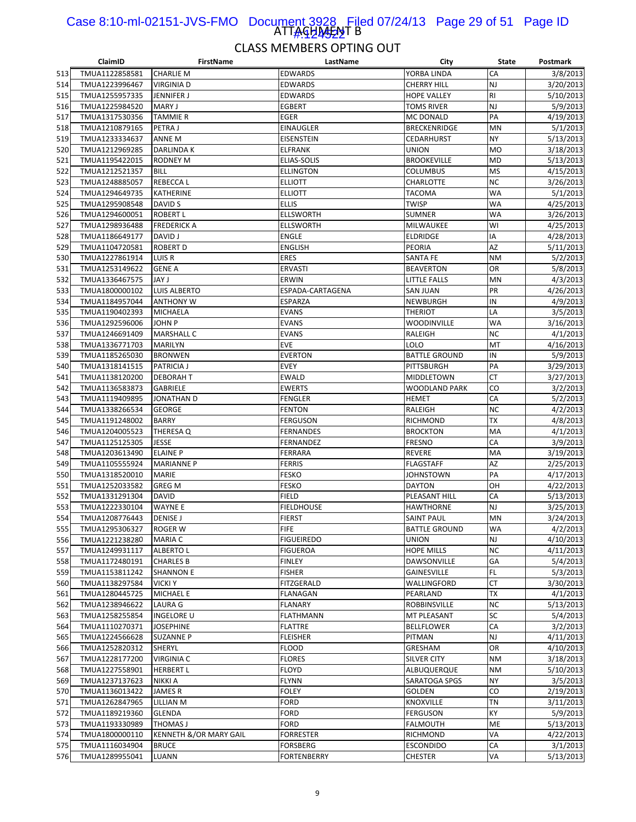#### ATTAGHA<del>J</del>AT B Case 8:10-ml-02151-JVS-FMO Document 3928 Filed 07/24/13 Page 29 of 51 Page ID <u> 1#9224522</u>

|     | ClaimID        | <b>FirstName</b>       | LastName          | City                 | State     | Postmark  |
|-----|----------------|------------------------|-------------------|----------------------|-----------|-----------|
| 513 | TMUA1122858581 | <b>CHARLIE M</b>       | <b>EDWARDS</b>    | YORBA LINDA          | CA        | 3/8/2013  |
| 514 | TMUA1223996467 | <b>VIRGINIA D</b>      | EDWARDS           | <b>CHERRY HILL</b>   | NJ        | 3/20/2013 |
| 515 | TMUA1255957335 | JENNIFER J             | <b>EDWARDS</b>    | <b>HOPE VALLEY</b>   | RI        | 5/10/2013 |
| 516 | TMUA1225984520 | <b>MARY J</b>          | <b>EGBERT</b>     | TOMS RIVER           | NJ        | 5/9/2013  |
| 517 | TMUA1317530356 | <b>TAMMIE R</b>        | EGER              | MC DONALD            | PA        | 4/19/2013 |
| 518 | TMUA1210879165 | PETRA J                | <b>EINAUGLER</b>  | <b>BRECKENRIDGE</b>  | MN        | 5/1/2013  |
| 519 | TMUA1233334637 | ANNE M                 | EISENSTEIN        | <b>CEDARHURST</b>    | <b>NY</b> | 5/13/2013 |
| 520 | TMUA1212969285 | DARLINDA K             | <b>ELFRANK</b>    | <b>UNION</b>         | <b>MO</b> | 3/18/2013 |
| 521 | TMUA1195422015 | <b>RODNEY M</b>        | ELIAS-SOLIS       | <b>BROOKEVILLE</b>   | <b>MD</b> | 5/13/2013 |
| 522 | TMUA1212521357 | <b>BILL</b>            | <b>ELLINGTON</b>  | COLUMBUS             | <b>MS</b> | 4/15/2013 |
|     |                |                        |                   | CHARLOTTE            | <b>NC</b> |           |
| 523 | TMUA1248885057 | REBECCA L              | <b>ELLIOTT</b>    |                      |           | 3/26/2013 |
| 524 | TMUA1294649735 | <b>KATHERINE</b>       | <b>ELLIOTT</b>    | TACOMA               | <b>WA</b> | 5/1/2013  |
| 525 | TMUA1295908548 | DAVID S                | <b>ELLIS</b>      | TWISP                | WA        | 4/25/2013 |
| 526 | TMUA1294600051 | <b>ROBERT L</b>        | <b>ELLSWORTH</b>  | SUMNER               | WA        | 3/26/2013 |
| 527 | TMUA1298936488 | <b>FREDERICK A</b>     | ELLSWORTH         | MILWAUKEE            | WI        | 4/25/2013 |
| 528 | TMUA1186649177 | <b>DAVID J</b>         | <b>ENGLE</b>      | <b>ELDRIDGE</b>      | IA        | 4/28/2013 |
| 529 | TMUA1104720581 | <b>ROBERT D</b>        | <b>ENGLISH</b>    | PEORIA               | AZ        | 5/11/2013 |
| 530 | TMUA1227861914 | LUIS R                 | <b>ERES</b>       | SANTA FE             | <b>NM</b> | 5/2/2013  |
| 531 | TMUA1253149622 | <b>GENE A</b>          | ERVASTI           | <b>BEAVERTON</b>     | OR        | 5/8/2013  |
| 532 | TMUA1336467575 | <b>JAY J</b>           | <b>ERWIN</b>      | LITTLE FALLS         | MN        | 4/3/2013  |
| 533 | TMUA1800000102 | LUIS ALBERTO           | ESPADA-CARTAGENA  | SAN JUAN             | PR        | 4/26/2013 |
| 534 | TMUA1184957044 | <b>ANTHONY W</b>       | <b>ESPARZA</b>    | NEWBURGH             | IN        | 4/9/2013  |
| 535 | TMUA1190402393 | <b>MICHAELA</b>        | <b>EVANS</b>      | <b>THERIOT</b>       | LA        | 3/5/2013  |
| 536 | TMUA1292596006 | <b>JOHN P</b>          | <b>EVANS</b>      | <b>WOODINVILLE</b>   | WA        | 3/16/2013 |
| 537 | TMUA1246691409 | <b>MARSHALL C</b>      | <b>EVANS</b>      | RALEIGH              | <b>NC</b> | 4/1/2013  |
| 538 | TMUA1336771703 | MARILYN                | <b>EVE</b>        | LOLO                 | MT        | 4/16/2013 |
| 539 | TMUA1185265030 | <b>BRONWEN</b>         | <b>EVERTON</b>    | <b>BATTLE GROUND</b> | IN        | 5/9/2013  |
| 540 | TMUA1318141515 | <b>PATRICIA J</b>      | <b>EVEY</b>       | PITTSBURGH           | PA        | 3/29/2013 |
| 541 | TMUA1138120200 | <b>DEBORAH T</b>       | <b>EWALD</b>      | MIDDLETOWN           | СT        | 3/27/2013 |
| 542 | TMUA1136583873 | <b>GABRIELE</b>        | <b>EWERTS</b>     | <b>WOODLAND PARK</b> | CO        | 3/2/2013  |
| 543 |                |                        |                   | <b>HEMET</b>         | CA        | 5/2/2013  |
|     | TMUA1119409895 | JONATHAN D             | <b>FENGLER</b>    |                      |           |           |
| 544 | TMUA1338266534 | <b>GEORGE</b>          | <b>FENTON</b>     | RALEIGH              | <b>NC</b> | 4/2/2013  |
| 545 | TMUA1191248002 | <b>BARRY</b>           | <b>FERGUSON</b>   | RICHMOND             | ТX        | 4/8/2013  |
| 546 | TMUA1204005523 | THERESA Q              | <b>FERNANDES</b>  | <b>BROCKTON</b>      | MA        | 4/1/2013  |
| 547 | TMUA1125125305 | JESSE                  | FERNANDEZ         | <b>FRESNO</b>        | CA        | 3/9/2013  |
| 548 | TMUA1203613490 | <b>ELAINE P</b>        | FERRARA           | <b>REVERE</b>        | MA        | 3/19/2013 |
| 549 | TMUA1105555924 | <b>MARIANNE P</b>      | <b>FERRIS</b>     | <b>FLAGSTAFF</b>     | AZ        | 2/25/2013 |
| 550 | TMUA1318520010 | <b>MARIE</b>           | <b>FESKO</b>      | JOHNSTOWN            | PA        | 4/17/2013 |
| 551 | TMUA1252033582 | <b>GREG M</b>          | <b>FESKO</b>      | <b>DAYTON</b>        | OH        | 4/22/2013 |
| 552 | TMUA1331291304 | <b>DAVID</b>           | <b>FIELD</b>      | PLEASANT HILL        | CA        | 5/13/2013 |
| 553 | TMUA1222330104 | WAYNE E                | <b>FIELDHOUSE</b> | HAWTHORNE            | NJ        | 3/25/2013 |
| 554 | TMUA1208776443 | <b>DENISE J</b>        | <b>FIERST</b>     | <b>SAINT PAUL</b>    | MN        | 3/24/2013 |
| 555 | TMUA1295306327 | <b>ROGER W</b>         | <b>FIFE</b>       | <b>BATTLE GROUND</b> | WA        | 4/2/2013  |
| 556 | TMUA1221238280 | <b>MARIA C</b>         | <b>FIGUEIREDO</b> | UNION                | NJ        | 4/10/2013 |
| 557 | TMUA1249931117 | ALBERTO L              | FIGUEROA          | <b>HOPE MILLS</b>    | ΝC        | 4/11/2013 |
| 558 | TMUA1172480191 | <b>CHARLES B</b>       | <b>FINLEY</b>     | DAWSONVILLE          | GA        | 5/4/2013  |
| 559 | TMUA1153811242 | <b>SHANNON E</b>       | <b>FISHER</b>     | GAINESVILLE          | FL        | 5/3/2013  |
| 560 | TMUA1138297584 | <b>VICKI Y</b>         | FITZGERALD        | WALLINGFORD          | СT        | 3/30/2013 |
| 561 | TMUA1280445725 | <b>MICHAEL E</b>       | FLANAGAN          | PEARLAND             | TХ        | 4/1/2013  |
| 562 | TMUA1238946622 | LAURA G                | <b>FLANARY</b>    | ROBBINSVILLE         | <b>NC</b> | 5/13/2013 |
| 563 | TMUA1258255854 | INGELORE U             | <b>FLATHMANN</b>  | MT PLEASANT          | SC        | 5/4/2013  |
| 564 | TMUA1110270371 | <b>JOSEPHINE</b>       | FLATTRE           | <b>BELLFLOWER</b>    | CA        | 3/2/2013  |
| 565 | TMUA1224566628 | <b>SUZANNE P</b>       | <b>FLEISHER</b>   | PITMAN               | NJ        | 4/11/2013 |
| 566 | TMUA1252820312 | SHERYL                 | <b>FLOOD</b>      | GRESHAM              | OR        | 4/10/2013 |
| 567 | TMUA1228177200 | <b>VIRGINIA C</b>      | <b>FLORES</b>     | SILVER CITY          | ΝM        |           |
|     |                |                        |                   |                      |           | 3/18/2013 |
| 568 | TMUA1227558901 | <b>HERBERT L</b>       | <b>FLOYD</b>      | ALBUQUERQUE          | ΝM        | 5/10/2013 |
| 569 | TMUA1237137623 | NIKKI A                | FLYNN             | SARATOGA SPGS        | NY        | 3/5/2013  |
| 570 | TMUA1136013422 | JAMES R                | <b>FOLEY</b>      | <b>GOLDEN</b>        | CO        | 2/19/2013 |
| 571 | TMUA1262847965 | LILLIAN M              | FORD              | KNOXVILLE            | ΤN        | 3/11/2013 |
| 572 | TMUA1189219360 | GLENDA                 | FORD              | FERGUSON             | ΚY        | 5/9/2013  |
| 573 | TMUA1193330989 | THOMAS J               | FORD              | <b>FALMOUTH</b>      | ME        | 5/13/2013 |
| 574 | TMUA1800000110 | KENNETH &/OR MARY GAIL | <b>FORRESTER</b>  | RICHMOND             | VA        | 4/22/2013 |
| 575 | TMUA1116034904 | <b>BRUCE</b>           | FORSBERG          | <b>ESCONDIDO</b>     | CA        | 3/1/2013  |
| 576 | TMUA1289955041 | LUANN                  | FORTENBERRY       | <b>CHESTER</b>       | VA        | 5/13/2013 |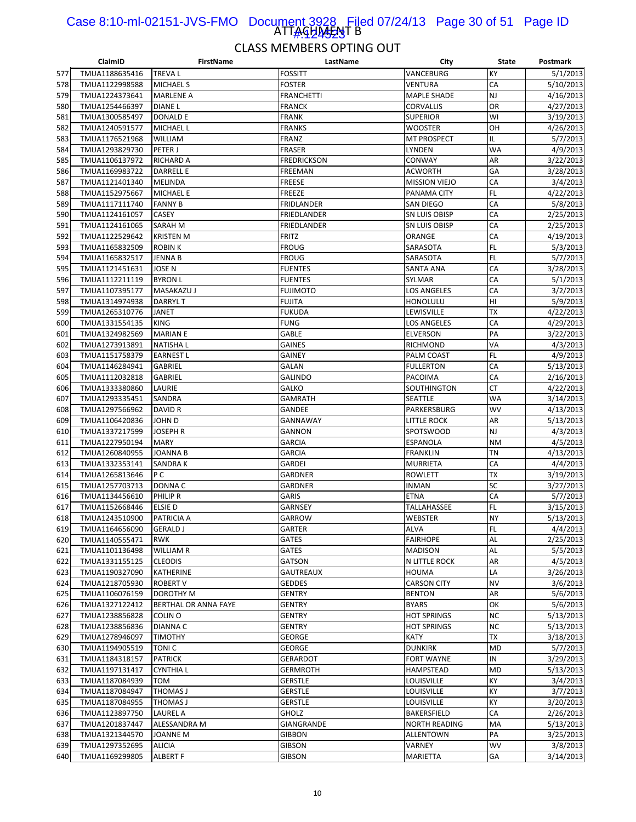#### ATTAGHA<del>J</del>AT B Case 8:10-ml-02151-JVS-FMO Document 3928 Filed 07/24/13 Page 30 of 51 Page ID <u> A.424523</u>

|     | ClaimID        | <b>FirstName</b>     | LastName           | City                 | State     | Postmark               |
|-----|----------------|----------------------|--------------------|----------------------|-----------|------------------------|
| 577 | TMUA1188635416 | <b>TREVAL</b>        | FOSSITT            | VANCEBURG            | KY        | 5/1/2013               |
| 578 | TMUA1122998588 | <b>MICHAEL S</b>     | FOSTER             | VENTURA              | СA        | 5/10/2013              |
| 579 | TMUA1224373641 | <b>MARLENE A</b>     | <b>FRANCHETTI</b>  | <b>MAPLE SHADE</b>   | NJ        | 4/16/2013              |
| 580 | TMUA1254466397 | <b>DIANEL</b>        | <b>FRANCK</b>      | <b>CORVALLIS</b>     | OR        | 4/27/2013              |
| 581 | TMUA1300585497 | <b>DONALD E</b>      | <b>FRANK</b>       | <b>SUPERIOR</b>      | WI        | 3/19/2013              |
| 582 | TMUA1240591577 | MICHAEL L            | <b>FRANKS</b>      | <b>WOOSTER</b>       | OН        | 4/26/2013              |
| 583 | TMUA1176521968 | <b>WILLIAM</b>       | <b>FRANZ</b>       | <b>MT PROSPECT</b>   | IL        | 5/7/2013               |
| 584 | TMUA1293829730 | PETER J              | <b>FRASER</b>      | <b>LYNDEN</b>        | <b>WA</b> | 4/9/2013               |
| 585 | TMUA1106137972 | RICHARD A            | <b>FREDRICKSON</b> | CONWAY               | AR        | 3/22/2013              |
| 586 | TMUA1169983722 | <b>DARRELL E</b>     | <b>FREEMAN</b>     | <b>ACWORTH</b>       | GA        | 3/28/2013              |
| 587 | TMUA1121401340 | <b>MELINDA</b>       | <b>FREESE</b>      | <b>MISSION VIEJO</b> | СA        | 3/4/2013               |
| 588 | TMUA1152975667 | <b>MICHAEL E</b>     | <b>FREEZE</b>      | PANAMA CITY          | FL        | 4/22/2013              |
| 589 | TMUA1117111740 | <b>FANNY B</b>       | <b>FRIDLANDER</b>  | SAN DIEGO            | CA        | 5/8/2013               |
| 590 | TMUA1124161057 | CASEY                | FRIEDLANDER        | SN LUIS OBISP        | СA        | 2/25/2013              |
| 591 | TMUA1124161065 | SARAH M              | FRIEDLANDER        | SN LUIS OBISP        | CA        | 2/25/2013              |
| 592 | TMUA1122529642 | <b>KRISTEN M</b>     | <b>FRITZ</b>       | ORANGE               | CA        | 4/19/2013              |
| 593 | TMUA1165832509 | <b>ROBINK</b>        | <b>FROUG</b>       | SARASOTA             | FL        | 5/3/2013               |
| 594 | TMUA1165832517 | <b>JENNA B</b>       | <b>FROUG</b>       | SARASOTA             | FL        | 5/7/2013               |
| 595 | TMUA1121451631 | JOSE N               | <b>FUENTES</b>     | SANTA ANA            | CA        | 3/28/2013              |
| 596 | TMUA1112211119 | <b>BYRON L</b>       | <b>FUENTES</b>     | SYLMAR               | CA        | 5/1/2013               |
| 597 | TMUA1107395177 | MASAKAZU J           | <b>FUJIMOTO</b>    | <b>LOS ANGELES</b>   | CA        | 3/2/2013               |
| 598 | TMUA1314974938 | <b>DARRYLT</b>       | <b>FUJITA</b>      | HONOLULU             | HI        | 5/9/2013               |
| 599 |                | <b>JANET</b>         | <b>FUKUDA</b>      | LEWISVILLE           | <b>TX</b> | 4/22/2013              |
|     | TMUA1265310776 | <b>KING</b>          | FUNG               |                      | CA        |                        |
| 600 | TMUA1331554135 |                      |                    | LOS ANGELES          |           | 4/29/2013<br>3/22/2013 |
| 601 | TMUA1324982569 | <b>MARIAN E</b>      | GABLE              | <b>ELVERSON</b>      | PA        |                        |
| 602 | TMUA1273913891 | <b>NATISHAL</b>      | <b>GAINES</b>      | RICHMOND             | VA        | 4/3/2013               |
| 603 | TMUA1151758379 | <b>EARNEST L</b>     | GAINEY             | PALM COAST           | FL        | 4/9/2013               |
| 604 | TMUA1146284941 | <b>GABRIEL</b>       | <b>GALAN</b>       | <b>FULLERTON</b>     | CA        | 5/13/2013              |
| 605 | TMUA1112032818 | <b>GABRIEL</b>       | <b>GALINDO</b>     | PACOIMA              | СA        | 2/16/2013              |
| 606 | TMUA1333380860 | LAURIE               | GALKO              | SOUTHINGTON          | СT        | 4/22/2013              |
| 607 | TMUA1293335451 | SANDRA               | <b>GAMRATH</b>     | <b>SEATTLE</b>       | WA        | 3/14/2013              |
| 608 | TMUA1297566962 | DAVID R              | GANDEE             | PARKERSBURG          | WV        | 4/13/2013              |
| 609 | TMUA1106420836 | <b>JOHN D</b>        | GANNAWAY           | LITTLE ROCK          | AR        | 5/13/2013              |
| 610 | TMUA1337217599 | JOSEPH R             | GANNON             | <b>SPOTSWOOD</b>     | NJ        | 4/3/2013               |
| 611 | TMUA1227950194 | <b>MARY</b>          | <b>GARCIA</b>      | <b>ESPANOLA</b>      | <b>NM</b> | 4/5/2013               |
| 612 | TMUA1260840955 | <b>JOANNA B</b>      | <b>GARCIA</b>      | <b>FRANKLIN</b>      | ΤN        | 4/13/2013              |
| 613 | TMUA1332353141 | SANDRA K             | <b>GARDEI</b>      | <b>MURRIETA</b>      | СA        | 4/4/2013               |
| 614 | TMUA1265813646 | P C                  | GARDNER            | <b>ROWLETT</b>       | ТX        | 3/19/2013              |
| 615 | TMUA1257703713 | DONNA C              | <b>GARDNER</b>     | <b>INMAN</b>         | SC        | 3/27/2013              |
| 616 | TMUA1134456610 | PHILIP R             | <b>GARIS</b>       | <b>ETNA</b>          | CA        | 5/7/2013               |
| 617 | TMUA1152668446 | ELSIE D              | GARNSEY            | TALLAHASSEE          | FL        | 3/15/2013              |
| 618 | TMUA1243510900 | PATRICIA A           | <b>GARROW</b>      | <b>WEBSTER</b>       | <b>NY</b> | 5/13/2013              |
| 619 | TMUA1164656090 | <b>GERALD J</b>      | <b>GARTER</b>      | <b>ALVA</b>          | FL        | 4/4/2013               |
| 620 | TMUA1140555471 | <b>RWK</b>           | GATES              | <b>FAIRHOPE</b>      | AL        | 2/25/2013              |
| 621 | TMUA1101136498 | WILLIAM R            | <b>GATES</b>       | <b>MADISON</b>       | AL        | 5/5/2013               |
| 622 | TMUA1331155125 | <b>CLEODIS</b>       | GATSON             | N LITTLE ROCK        | AR        | 4/5/2013               |
| 623 | TMUA1190327090 | KATHERINE            | <b>GAUTREAUX</b>   | <b>HOUMA</b>         | LA        | 3/26/2013              |
| 624 | TMUA1218705930 | <b>ROBERT V</b>      | <b>GEDDES</b>      | <b>CARSON CITY</b>   | <b>NV</b> | 3/6/2013               |
| 625 | TMUA1106076159 | DOROTHY M            | <b>GENTRY</b>      | <b>BENTON</b>        | AR        | 5/6/2013               |
| 626 | TMUA1327122412 | BERTHAL OR ANNA FAYE | GENTRY             | <b>BYARS</b>         | ОΚ        | 5/6/2013               |
| 627 | TMUA1238856828 | COLIN O              | <b>GENTRY</b>      | <b>HOT SPRINGS</b>   | <b>NC</b> | 5/13/2013              |
| 628 | TMUA1238856836 | DIANNA C             | <b>GENTRY</b>      | <b>HOT SPRINGS</b>   | NC        | 5/13/2013              |
| 629 | TMUA1278946097 | <b>TIMOTHY</b>       | <b>GEORGE</b>      | <b>KATY</b>          | ТX        | 3/18/2013              |
| 630 | TMUA1194905519 | TONI <sub>C</sub>    | GEORGE             | <b>DUNKIRK</b>       | <b>MD</b> | 5/7/2013               |
| 631 | TMUA1184318157 | <b>PATRICK</b>       | <b>GERARDOT</b>    | <b>FORT WAYNE</b>    | IN        | 3/29/2013              |
| 632 | TMUA1197131417 | <b>CYNTHIA L</b>     | <b>GERMROTH</b>    | <b>HAMPSTEAD</b>     | <b>MD</b> | 5/13/2013              |
| 633 | TMUA1187084939 | TOM                  | <b>GERSTLE</b>     | LOUISVILLE           | KY        | 3/4/2013               |
| 634 | TMUA1187084947 | THOMAS J             | <b>GERSTLE</b>     | LOUISVILLE           | KY        | 3/7/2013               |
| 635 | TMUA1187084955 | THOMAS J             | <b>GERSTLE</b>     | LOUISVILLE           | KY        | 3/20/2013              |
| 636 | TMUA1123897750 | LAUREL A             | GHOLZ              | BAKERSFIELD          | СA        | 2/26/2013              |
| 637 | TMUA1201837447 | ALESSANDRA M         | GIANGRANDE         | <b>NORTH READING</b> | МA        | 5/13/2013              |
| 638 | TMUA1321344570 | <b>JOANNE M</b>      | <b>GIBBON</b>      | ALLENTOWN            | PA        | 3/25/2013              |
| 639 | TMUA1297352695 | <b>ALICIA</b>        | <b>GIBSON</b>      | VARNEY               | WV        | 3/8/2013               |
| 640 | TMUA1169299805 | <b>ALBERT F</b>      | <b>GIBSON</b>      | MARIETTA             | GА        | 3/14/2013              |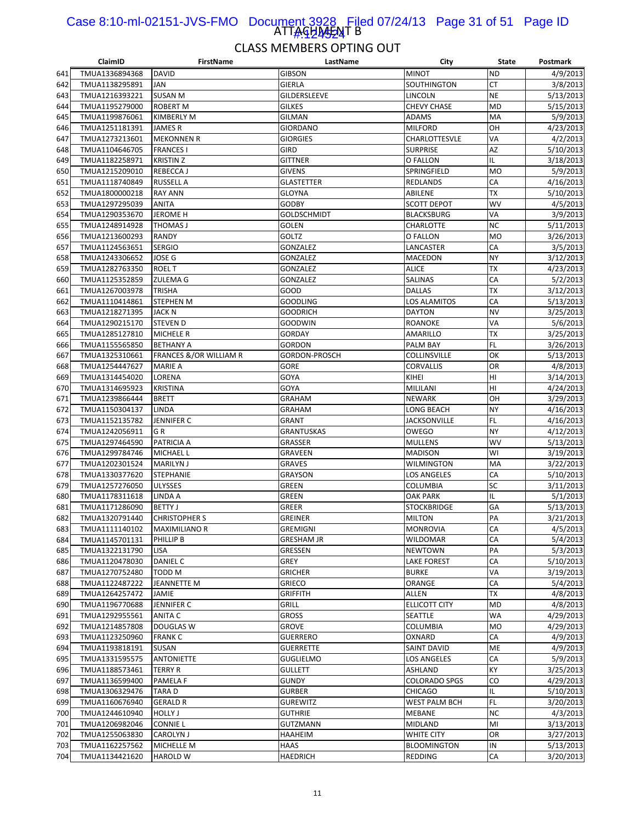#### ATTAGHA<del>J</del>AT B Case 8:10-ml-02151-JVS-FMO Document 3928 Filed 07/24/13 Page 31 of 51 Page ID 1<u>#:424524</u>

|     | ClaimID        | <b>FirstName</b>                  | LastName           | City                 | State     | Postmark  |
|-----|----------------|-----------------------------------|--------------------|----------------------|-----------|-----------|
| 641 | TMUA1336894368 | DAVID                             | <b>GIBSON</b>      | <b>MINOT</b>         | <b>ND</b> | 4/9/2013  |
| 642 | TMUA1138295891 | <b>JAN</b>                        | <b>GIERLA</b>      | SOUTHINGTON          | СT        | 3/8/2013  |
| 643 | TMUA1216393221 | <b>SUSAN M</b>                    | GILDERSLEEVE       | LINCOLN              | <b>NE</b> | 5/13/2013 |
| 644 | TMUA1195279000 | <b>ROBERT M</b>                   | <b>GILKES</b>      | <b>CHEVY CHASE</b>   | <b>MD</b> | 5/15/2013 |
| 645 | TMUA1199876061 | <b>KIMBERLY M</b>                 | <b>GILMAN</b>      | <b>ADAMS</b>         | MA        | 5/9/2013  |
| 646 | TMUA1251181391 | <b>JAMES R</b>                    | <b>GIORDANO</b>    | <b>MILFORD</b>       | OН        | 4/23/2013 |
| 647 | TMUA1273213601 | <b>MEKONNEN R</b>                 | <b>GIORGIES</b>    | CHARLOTTESVLE        | VA        | 4/2/2013  |
| 648 | TMUA1104646705 | <b>FRANCES I</b>                  | <b>GIRD</b>        | <b>SURPRISE</b>      | <b>AZ</b> | 5/10/2013 |
| 649 | TMUA1182258971 | <b>KRISTIN Z</b>                  | <b>GITTNER</b>     | O FALLON             | IL        | 3/18/2013 |
| 650 | TMUA1215209010 | REBECCA J                         | <b>GIVENS</b>      | SPRINGFIELD          | <b>MO</b> | 5/9/2013  |
|     |                |                                   |                    |                      |           |           |
| 651 | TMUA1118740849 | RUSSELL A                         | <b>GLASTETTER</b>  | REDLANDS             | СA        | 4/16/2013 |
| 652 | TMUA1800000218 | <b>RAY ANN</b>                    | <b>GLOYNA</b>      | ABILENE              | TX        | 5/10/2013 |
| 653 | TMUA1297295039 | <b>ANITA</b>                      | <b>GODBY</b>       | <b>SCOTT DEPOT</b>   | WV        | 4/5/2013  |
| 654 | TMUA1290353670 | JEROME H                          | <b>GOLDSCHMIDT</b> | <b>BLACKSBURG</b>    | VA        | 3/9/2013  |
| 655 | TMUA1248914928 | THOMAS J                          | golen              | CHARLOTTE            | <b>NC</b> | 5/11/2013 |
| 656 | TMUA1213600293 | RANDY                             | GOLTZ              | O FALLON             | <b>MO</b> | 3/26/2013 |
| 657 | TMUA1124563651 | <b>SERGIO</b>                     | GONZALEZ           | LANCASTER            | CA        | 3/5/2013  |
| 658 | TMUA1243306652 | JOSE G                            | GONZALEZ           | MACEDON              | NY        | 3/12/2013 |
| 659 | TMUA1282763350 | <b>ROEL T</b>                     | GONZALEZ           | <b>ALICE</b>         | ТX        | 4/23/2013 |
| 660 | TMUA1125352859 | <b>ZULEMA G</b>                   | GONZALEZ           | SALINAS              | CA        | 5/2/2013  |
| 661 | TMUA1267003978 | <b>TRISHA</b>                     | GOOD               | <b>DALLAS</b>        | ТX        | 3/12/2013 |
| 662 | TMUA1110414861 | <b>STEPHEN M</b>                  | <b>GOODLING</b>    | LOS ALAMITOS         | СA        | 5/13/2013 |
| 663 | TMUA1218271395 | <b>JACK N</b>                     | <b>GOODRICH</b>    | <b>DAYTON</b>        | <b>NV</b> | 3/25/2013 |
| 664 | TMUA1290215170 | <b>STEVEN D</b>                   | GOODWIN            | ROANOKE              | VA        | 5/6/2013  |
| 665 | TMUA1285127810 | <b>MICHELE R</b>                  | <b>GORDAY</b>      | AMARILLO             | <b>TX</b> | 3/25/2013 |
| 666 | TMUA1155565850 | <b>BETHANY A</b>                  | <b>GORDON</b>      | PALM BAY             | FL        | 3/26/2013 |
| 667 | TMUA1325310661 | <b>FRANCES &amp;/OR WILLIAM R</b> | GORDON-PROSCH      | <b>COLLINSVILLE</b>  | OK        | 5/13/2013 |
| 668 | TMUA1254447627 | <b>MARIE A</b>                    | <b>GORE</b>        | <b>CORVALLIS</b>     | OR        | 4/8/2013  |
| 669 | TMUA1314454020 | LORENA                            | GOYA               | KIHEI                | HI        | 3/14/2013 |
| 670 | TMUA1314695923 | <b>KRISTINA</b>                   | GOYA               | MILILANI             | HI        | 4/24/2013 |
|     | TMUA1239866444 | <b>BRETT</b>                      | <b>GRAHAM</b>      | <b>NEWARK</b>        | OH        |           |
| 671 |                |                                   |                    |                      |           | 3/29/2013 |
| 672 | TMUA1150304137 | <b>LINDA</b>                      | <b>GRAHAM</b>      | LONG BEACH           | <b>NY</b> | 4/16/2013 |
| 673 | TMUA1152135782 | JENNIFER C                        | <b>GRANT</b>       | <b>JACKSONVILLE</b>  | FL        | 4/16/2013 |
| 674 | TMUA1242056911 | GR                                | <b>GRANTUSKAS</b>  | <b>OWEGO</b>         | <b>NY</b> | 4/12/2013 |
| 675 | TMUA1297464590 | PATRICIA A                        | GRASSER            | <b>MULLENS</b>       | WV        | 5/13/2013 |
| 676 | TMUA1299784746 | <b>MICHAEL L</b>                  | GRAVEEN            | <b>MADISON</b>       | WI        | 3/19/2013 |
| 677 | TMUA1202301524 | <b>MARILYN J</b>                  | <b>GRAVES</b>      | WILMINGTON           | MA        | 3/22/2013 |
| 678 | TMUA1330377620 | STEPHANIE                         | <b>GRAYSON</b>     | LOS ANGELES          | CA        | 5/10/2013 |
| 679 | TMUA1257276050 | <b>ULYSSES</b>                    | GREEN              | COLUMBIA             | SC        | 3/11/2013 |
| 680 | TMUA1178311618 | LINDA A                           | <b>GREEN</b>       | <b>OAK PARK</b>      | IL        | 5/1/2013  |
| 681 | TMUA1171286090 | <b>BETTY J</b>                    | <b>GREER</b>       | <b>STOCKBRIDGE</b>   | GА        | 5/13/2013 |
| 682 | TMUA1320791440 | <b>CHRISTOPHER S</b>              | GREINER            | <b>MILTON</b>        | PA        | 3/21/2013 |
| 683 | TMUA1111140102 | <b>MAXIMILIANO R</b>              | <b>GREMIGNI</b>    | <b>MONROVIA</b>      | CA        | 4/5/2013  |
| 684 | TMUA1145701131 | PHILLIP B                         | <b>GRESHAM JR</b>  | WILDOMAR             | СA        | 5/4/2013  |
| 685 | TMUA1322131790 | LISA                              | GRESSEN            | <b>NEWTOWN</b>       | PA        | 5/3/2013  |
| 686 | TMUA1120478030 | DANIEL C                          | GREY               | LAKE FOREST          | CA        | 5/10/2013 |
| 687 | TMUA1270752480 | TODD M                            | <b>GRICHER</b>     | <b>BURKE</b>         | VA        | 3/19/2013 |
| 688 | TMUA1122487222 | JEANNETTE M                       | <b>GRIECO</b>      | ORANGE               | СA        | 5/4/2013  |
| 689 | TMUA1264257472 | JAMIE                             | <b>GRIFFITH</b>    | <b>ALLEN</b>         | TХ        | 4/8/2013  |
| 690 | TMUA1196770688 | <b>JENNIFER C</b>                 | Grill              | <b>ELLICOTT CITY</b> | MD        | 4/8/2013  |
| 691 | TMUA1292955561 | ANITA C                           | <b>GROSS</b>       | SEATTLE              | WA        | 4/29/2013 |
| 692 | TMUA1214857808 | <b>DOUGLAS W</b>                  | <b>GROVE</b>       | COLUMBIA             | MO        | 4/29/2013 |
| 693 | TMUA1123250960 | <b>FRANK C</b>                    | <b>GUERRERO</b>    | OXNARD               | СA        | 4/9/2013  |
| 694 | TMUA1193818191 | SUSAN                             | <b>GUERRETTE</b>   | <b>SAINT DAVID</b>   | ME        | 4/9/2013  |
|     | TMUA1331595575 |                                   | <b>GUGLIELMO</b>   | LOS ANGELES          | СA        | 5/9/2013  |
| 695 |                | <b>ANTONIETTE</b>                 |                    |                      |           |           |
| 696 | TMUA1188573461 | <b>TERRY R</b>                    | <b>GULLETT</b>     | ASHLAND              | ΚY        | 3/25/2013 |
| 697 | TMUA1136599400 | PAMELA F                          | <b>GUNDY</b>       | <b>COLORADO SPGS</b> | CO        | 4/29/2013 |
| 698 | TMUA1306329476 | <b>TARAD</b>                      | <b>GURBER</b>      | <b>CHICAGO</b>       | IL        | 5/10/2013 |
| 699 | TMUA1160676940 | <b>GERALD R</b>                   | <b>GUREWITZ</b>    | <b>WEST PALM BCH</b> | FL        | 3/20/2013 |
| 700 | TMUA1244610940 | <b>HOLLY J</b>                    | <b>GUTHRIE</b>     | MEBANE               | <b>NC</b> | 4/3/2013  |
| 701 | TMUA1206982046 | <b>CONNIE L</b>                   | <b>GUTZMANN</b>    | MIDLAND              | MI        | 3/13/2013 |
| 702 | TMUA1255063830 | <b>CAROLYN J</b>                  | HAAHEIM            | WHITE CITY           | OR        | 3/27/2013 |
| 703 | TMUA1162257562 | MICHELLE M                        | HAAS               | <b>BLOOMINGTON</b>   | IN        | 5/13/2013 |
| 704 | TMUA1134421620 | <b>HAROLD W</b>                   | HAEDRICH           | REDDING              | CA        | 3/20/2013 |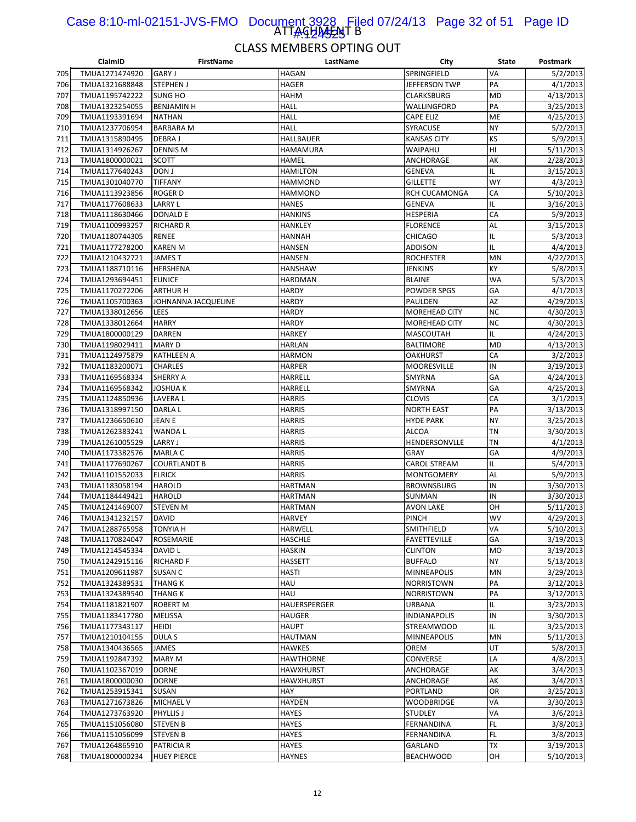#### ATTAGHASANT B Case 8:10-ml-02151-JVS-FMO Document 3928 Filed 07/24/13 Page 32 of 51 Page ID 1#:924525

|            | ClaimID                          | FirstName                  | LastName                 | City                    | State     | Postmark  |
|------------|----------------------------------|----------------------------|--------------------------|-------------------------|-----------|-----------|
| 705        | TMUA1271474920                   | <b>GARY J</b>              | HAGAN                    | SPRINGFIELD             | VA        | 5/2/2013  |
| 706        | TMUA1321688848                   | <b>STEPHEN J</b>           | HAGER                    | JEFFERSON TWP           | PA        | 4/1/2013  |
| 707        | TMUA1195742222                   | <b>SUNG HO</b>             | HAHM                     | CLARKSBURG              | MD        | 4/13/2013 |
| 708        | TMUA1323254055                   | <b>BENJAMIN H</b>          | HALL                     | WALLINGFORD             | PA        | 3/25/2013 |
| 709        | TMUA1193391694                   | <b>NATHAN</b>              | <b>HALL</b>              | <b>CAPE ELIZ</b>        | ME        | 4/25/2013 |
| 710        | TMUA1237706954                   | <b>BARBARA M</b>           | HALL                     | SYRACUSE                | NY        | 5/2/2013  |
| 711        | TMUA1315890495                   | <b>DEBRAJ</b>              | HALLBAUER                | KANSAS CITY             | KS        | 5/9/2013  |
| 712        | TMUA1314926267                   | <b>DENNIS M</b>            | HAMAMURA                 | WAIPAHU                 | HI        | 5/11/2013 |
| 713        | TMUA1800000021                   | <b>SCOTT</b>               | HAMEL                    | ANCHORAGE               | AK        | 2/28/2013 |
| 714        | TMUA1177640243                   | DON J                      | <b>HAMILTON</b>          | <b>GENEVA</b>           | IL        | 3/15/2013 |
| 715        | TMUA1301040770                   | <b>TIFFANY</b>             | <b>HAMMOND</b>           | <b>GILLETTE</b>         | <b>WY</b> | 4/3/2013  |
| 716        | TMUA1113923856                   | <b>ROGERD</b>              | HAMMOND                  | RCH CUCAMONGA           | CA        | 5/10/2013 |
| 717        | TMUA1177608633                   | <b>LARRY L</b>             | <b>HANES</b>             | GENEVA                  | IL        | 3/16/2013 |
| 718        | TMUA1118630466                   | DONALD E                   | HANKINS                  | HESPERIA                | CA        | 5/9/2013  |
| 719        | TMUA1100993257                   | <b>RICHARD R</b>           | HANKLEY                  | <b>FLORENCE</b>         | AL        | 3/15/2013 |
| 720        | TMUA1180744305                   | RENEE                      | HANNAH                   | <b>CHICAGO</b>          | IL        | 5/3/2013  |
| 721        | TMUA1177278200                   | <b>KAREN M</b>             | <b>HANSEN</b>            | <b>ADDISON</b>          | IL        | 4/4/2013  |
| 722        | TMUA1210432721                   | <b>JAMEST</b>              | HANSEN                   | <b>ROCHESTER</b>        | MN        | 4/22/2013 |
| 723        | TMUA1188710116                   | <b>HERSHENA</b>            | HANSHAW                  | JENKINS                 | KY        | 5/8/2013  |
| 724        | TMUA1293694451                   | <b>EUNICE</b>              | HARDMAN                  | <b>BLAINE</b>           | <b>WA</b> | 5/3/2013  |
| 725        | TMUA1170272206                   | <b>ARTHUR H</b>            | <b>HARDY</b>             | <b>POWDER SPGS</b>      | GA        | 4/1/2013  |
| 726        | TMUA1105700363                   | JOHNANNA JACQUELINE        | HARDY                    | PAULDEN                 | AZ        | 4/29/2013 |
| 727        | TMUA1338012656                   | LEES                       | HARDY                    | MOREHEAD CITY           | <b>NC</b> | 4/30/2013 |
| 728        | TMUA1338012664                   | <b>HARRY</b>               | HARDY                    | <b>MOREHEAD CITY</b>    | <b>NC</b> | 4/30/2013 |
| 729        | TMUA1800000129                   | <b>DARREN</b>              | HARKEY                   | <b>MASCOUTAH</b>        | IL        | 4/24/2013 |
| 730        | TMUA1198029411                   | <b>MARY D</b>              | HARLAN                   | BALTIMORE               | MD        | 4/13/2013 |
| 731        | TMUA1124975879                   | <b>KATHLEEN A</b>          | HARMON                   | <b>OAKHURST</b>         | CA        | 3/2/2013  |
| 732        | TMUA1183200071                   | <b>CHARLES</b>             | <b>HARPER</b>            | <b>MOORESVILLE</b>      | IN        | 3/19/2013 |
| 733        | TMUA1169568334                   | <b>SHERRY A</b>            | HARRELL                  | SMYRNA                  | GA        | 4/24/2013 |
|            |                                  |                            |                          |                         | GA        |           |
| 734<br>735 | TMUA1169568342<br>TMUA1124850936 | JOSHUA K<br><b>LAVERAL</b> | HARRELL<br><b>HARRIS</b> | SMYRNA<br><b>CLOVIS</b> | CA        | 4/25/2013 |
|            |                                  |                            |                          |                         | PA        | 3/1/2013  |
| 736        | TMUA1318997150                   | DARLA L                    | <b>HARRIS</b>            | <b>NORTH EAST</b>       | <b>NY</b> | 3/13/2013 |
| 737        | TMUA1236650610                   | JEAN E                     | <b>HARRIS</b>            | <b>HYDE PARK</b>        |           | 3/25/2013 |
| 738        | TMUA1262383241                   | WANDA L                    | <b>HARRIS</b>            | ALCOA                   | TN        | 3/30/2013 |
| 739        | TMUA1261005529                   | <b>LARRY J</b>             | <b>HARRIS</b>            | HENDERSONVLLE           | TN        | 4/1/2013  |
| 740        | TMUA1173382576                   | <b>MARLA C</b>             | <b>HARRIS</b>            | GRAY                    | GA        | 4/9/2013  |
| 741        | TMUA1177690267                   | <b>COURTLANDT B</b>        | <b>HARRIS</b>            | <b>CAROL STREAM</b>     | IL        | 5/4/2013  |
| 742        | TMUA1101552033                   | <b>ELRICK</b>              | HARRIS                   | <b>MONTGOMERY</b>       | AL        | 5/9/2013  |
| 743        | TMUA1183058194                   | <b>HAROLD</b>              | HARTMAN                  | <b>BROWNSBURG</b>       | IN        | 3/30/2013 |
| 744        | TMUA1184449421                   | <b>HAROLD</b>              | <b>HARTMAN</b>           | SUNMAN                  | IN        | 3/30/2013 |
| 745        | TMUA1241469007                   | <b>STEVEN M</b>            | HARTMAN                  | <b>AVON LAKE</b>        | OH        | 5/11/2013 |
| 746        | TMUA1341232157                   | <b>DAVID</b>               | <b>HARVEY</b>            | <b>PINCH</b>            | <b>WV</b> | 4/29/2013 |
| 747        | TMUA1288765958                   | <b>TONYIA H</b>            | <b>HARWELL</b>           | <b>SMITHFIELD</b>       | VA        | 5/10/2013 |
| 748        | TMUA1170824047                   | ROSEMARIE                  | HASCHLE                  | <b>FAYETTEVILLE</b>     | GA        | 3/19/2013 |
| 749        | TMUA1214545334                   | DAVID L                    | HASKIN                   | <b>CLINTON</b>          | MO        | 3/19/2013 |
| 750        | TMUA1242915116                   | <b>RICHARD F</b>           | HASSETT                  | <b>BUFFALO</b>          | NY        | 5/13/2013 |
| 751        | TMUA1209611987                   | SUSAN C                    | <b>HASTI</b>             | <b>MINNEAPOLIS</b>      | MN        | 3/29/2013 |
| 752        | TMUA1324389531                   | THANG K                    | HAU                      | <b>NORRISTOWN</b>       | PA        | 3/12/2013 |
| 753        | TMUA1324389540                   | <b>THANG K</b>             | HAU                      | NORRISTOWN              | PA        | 3/12/2013 |
| 754        | TMUA1181821907                   | <b>ROBERT M</b>            | HAUERSPERGER             | URBANA                  | IL        | 3/23/2013 |
| 755        | TMUA1183417780                   | MELISSA                    | <b>HAUGER</b>            | <b>INDIANAPOLIS</b>     | IN        | 3/30/2013 |
| 756        | TMUA1177343117                   | HEIDI                      | HAUPT                    | <b>STREAMWOOD</b>       | IL        | 3/25/2013 |
| 757        | TMUA1210104155                   | DULA S                     | HAUTMAN                  | MINNEAPOLIS             | MN        | 5/11/2013 |
| 758        | TMUA1340436565                   | JAMES                      | HAWKES                   | OREM                    | UT        | 5/8/2013  |
| 759        | TMUA1192847392                   | <b>MARY M</b>              | <b>HAWTHORNE</b>         | CONVERSE                | LA        | 4/8/2013  |
| 760        | TMUA1102367019                   | <b>DORNE</b>               | HAWXHURST                | ANCHORAGE               | АK        | 3/4/2013  |
| 761        | TMUA1800000030                   | <b>DORNE</b>               | HAWXHURST                | ANCHORAGE               | АK        | 3/4/2013  |
| 762        | TMUA1253915341                   | SUSAN                      | HAY                      | PORTLAND                | OR        | 3/25/2013 |
| 763        | TMUA1271673826                   | MICHAEL V                  | HAYDEN                   | <b>WOODBRIDGE</b>       | VA        | 3/30/2013 |
| 764        | TMUA1273763920                   | <b>PHYLLIS J</b>           | HAYES                    | <b>STUDLEY</b>          | VA        | 3/6/2013  |
| 765        | TMUA1151056080                   | <b>STEVEN B</b>            | HAYES                    | FERNANDINA              | FL        | 3/8/2013  |
| 766        | TMUA1151056099                   | <b>STEVEN B</b>            | HAYES                    | FERNANDINA              | FL        | 3/8/2013  |
| 767        | TMUA1264865910                   | PATRICIA R                 | <b>HAYES</b>             | GARLAND                 | TХ        | 3/19/2013 |
| 768        | TMUA1800000234                   | <b>HUEY PIERCE</b>         | HAYNES                   | <b>BEACHWOOD</b>        | OH        | 5/10/2013 |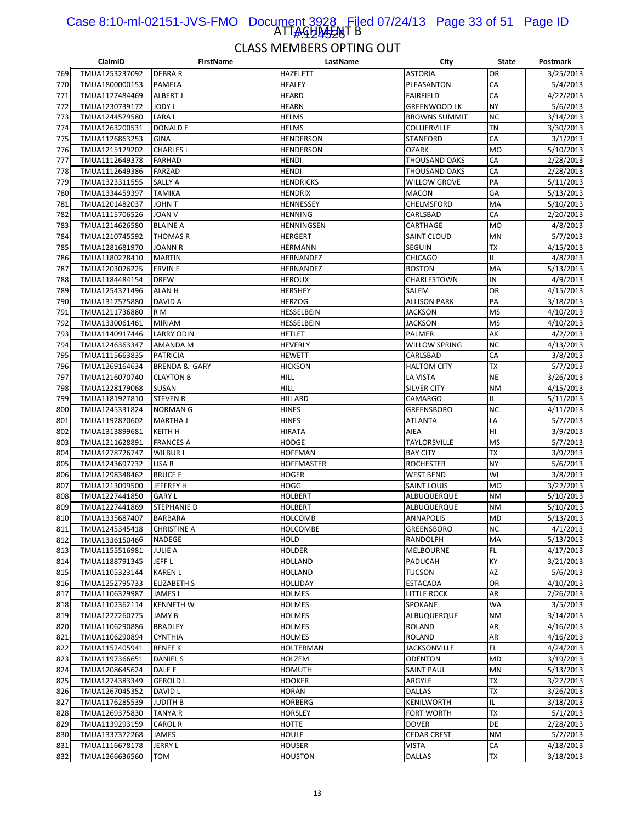#### ATTAGHA<del>JAJ</del>NT B Case 8:10-ml-02151-JVS-FMO Document 3928 Filed 07/24/13 Page 33 of 51 Page ID 1#:424526

|            | ClaimID                          | <b>FirstName</b>         | LastName          | City                     | State     | Postmark              |
|------------|----------------------------------|--------------------------|-------------------|--------------------------|-----------|-----------------------|
| 769        | TMUA1253237092                   | <b>DEBRAR</b>            | HAZELETT          | <b>ASTORIA</b>           | OR        | 3/25/2013             |
| 770        | TMUA1800000153                   | PAMELA                   | HEALEY            | PLEASANTON               | CA        | 5/4/2013              |
| 771        | TMUA1127484469                   | ALBERT J                 | <b>HEARD</b>      | <b>FAIRFIELD</b>         | CA        | 4/22/2013             |
| 772        | TMUA1230739172                   | JODY L                   | HEARN             | <b>GREENWOOD LK</b>      | <b>NY</b> | 5/6/2013              |
| 773        | TMUA1244579580                   | <b>LARAL</b>             | <b>HELMS</b>      | <b>BROWNS SUMMIT</b>     | <b>NC</b> | 3/14/2013             |
| 774        | TMUA1263200531                   | <b>DONALD E</b>          | HELMS             | COLLIERVILLE             | TN        | 3/30/2013             |
| 775        | TMUA1126863253                   | <b>GINA</b>              | <b>HENDERSON</b>  | <b>STANFORD</b>          | CA        | 3/1/2013              |
| 776        | TMUA1215129202                   | <b>CHARLES L</b>         | <b>HENDERSON</b>  | <b>OZARK</b>             | <b>MO</b> | 5/10/2013             |
| 777        | TMUA1112649378                   | <b>FARHAD</b>            | <b>HENDI</b>      | THOUSAND OAKS            | CA        | 2/28/2013             |
| 778        | TMUA1112649386                   | <b>FARZAD</b>            | HENDI             | THOUSAND OAKS            | CA        | 2/28/2013             |
| 779        | TMUA1323311555                   | SALLY A                  | <b>HENDRICKS</b>  | <b>WILLOW GROVE</b>      | PA        | 5/11/2013             |
| 780        | TMUA1334459397                   | <b>TAMIKA</b>            | <b>HENDRIX</b>    | <b>MACON</b>             | GA        | 5/13/2013             |
| 781        | TMUA1201482037                   | JOHN T                   | HENNESSEY         | <b>CHELMSFORD</b>        | MA        | 5/10/2013             |
| 782        | TMUA1115706526                   | JOAN V                   | HENNING           | CARLSBAD                 | CA        | 2/20/2013             |
| 783        | TMUA1214626580                   | <b>BLAINE A</b>          | HENNINGSEN        | CARTHAGE                 | <b>MO</b> | 4/8/2013              |
| 784        | TMUA1210745592                   | <b>THOMAS R</b>          | <b>HERGERT</b>    | SAINT CLOUD              | MN        | 5/7/2013              |
| 785        | TMUA1281681970                   | <b>JOANN R</b>           | <b>HERMANN</b>    | SEGUIN                   | TX        | 4/15/2013             |
| 786        | TMUA1180278410                   | <b>MARTIN</b>            | HERNANDEZ         | CHICAGO                  | IL        | 4/8/2013              |
| 787        | TMUA1203026225                   | <b>ERVIN E</b>           | HERNANDEZ         | <b>BOSTON</b>            | MA        | 5/13/2013             |
| 788        | TMUA1184484154                   | <b>DREW</b>              | <b>HEROUX</b>     | CHARLESTOWN              | IN        | 4/9/2013              |
| 789        | TMUA1254321496                   | ALAN H                   | HERSHEY           | SALEM                    | OR        | 4/15/2013             |
| 790        | TMUA1317575880                   | <b>DAVID A</b>           | <b>HERZOG</b>     | <b>ALLISON PARK</b>      | PA        | 3/18/2013             |
| 791        | TMUA1211736880                   | R M                      | HESSELBEIN        | <b>JACKSON</b>           | <b>MS</b> | 4/10/2013             |
| 792        | TMUA1330061461                   | <b>MIRIAM</b>            | HESSELBEIN        | JACKSON                  | <b>MS</b> | 4/10/2013             |
| 793        | TMUA1140917446                   | <b>LARRY ODIN</b>        | HETLET            | PALMER                   | АK        | 4/2/2013              |
| 794        | TMUA1246363347                   | AMANDA M                 | HEVERLY           | WILLOW SPRING            | NC        | 4/13/2013             |
| 795        | TMUA1115663835                   | <b>PATRICIA</b>          | HEWETT            | CARLSBAD                 | CA        | 3/8/2013              |
| 796        | TMUA1269164634                   | <b>BRENDA &amp; GARY</b> | <b>HICKSON</b>    | <b>HALTOM CITY</b>       | ТX        | 5/7/2013              |
| 797        | TMUA1216070740                   | <b>CLAYTON B</b>         | HILL              | LA VISTA                 | <b>NE</b> | 3/26/2013             |
| 798        | TMUA1228179068                   | <b>SUSAN</b>             | HILL              | SILVER CITY              | <b>NM</b> | 4/15/2013             |
| 799        | TMUA1181927810                   | <b>STEVEN R</b>          | HILLARD           | <b>CAMARGO</b>           | IL        | 5/11/2013             |
| 800        | TMUA1245331824                   | <b>NORMAN G</b>          | <b>HINES</b>      | <b>GREENSBORO</b>        | <b>NC</b> | 4/11/2013             |
| 801        | TMUA1192870602                   | <b>MARTHA J</b>          | <b>HINES</b>      | ATLANTA                  | LA        | 5/7/2013              |
| 802        | TMUA1313899681                   | <b>KEITH H</b>           | <b>HIRATA</b>     | AIEA                     | HI        | 3/9/2013              |
| 803        | TMUA1211628891                   | <b>FRANCES A</b>         | HODGE             | TAYLORSVILLE             | <b>MS</b> | 5/7/2013              |
| 804        | TMUA1278726747                   | <b>WILBUR L</b>          | <b>HOFFMAN</b>    | <b>BAY CITY</b>          | ТX        | 3/9/2013              |
| 805        | TMUA1243697732                   | LISA R                   | <b>HOFFMASTER</b> | <b>ROCHESTER</b>         | NY        | 5/6/2013              |
| 806        | TMUA1298348462                   | <b>BRUCE E</b>           | HOGER             | <b>WEST BEND</b>         | WI        | 3/8/2013              |
| 807        | TMUA1213099500                   | JEFFREY H                | HOGG              | SAINT LOUIS              | <b>MO</b> | 3/22/2013             |
| 808        | TMUA1227441850                   | <b>GARY L</b>            | HOLBERT           | ALBUQUERQUE              | <b>NM</b> | 5/10/2013             |
| 809        | TMUA1227441869                   | STEPHANIE D              | HOLBERT           | ALBUQUERQUE              | ΝM        | 5/10/2013             |
| 810        | TMUA1335687407                   | <b>BARBARA</b>           | <b>HOLCOMB</b>    | <b>ANNAPOLIS</b>         | MD        | 5/13/2013             |
| 811        | TMUA1245345418                   | <b>CHRISTINE A</b>       | <b>HOLCOMBE</b>   | GREENSBORO               | NC        | 4/1/2013<br>5/13/2013 |
| 812        | TMUA1336150466                   | NADEGE                   | HOLD              | RANDOLPH                 | MA        |                       |
| 813        | TMUA1155516981                   | <b>JULIE A</b>           | HOLDER<br>HOLLAND | MELBOURNE                | FL<br>KY  | 4/17/2013             |
| 814<br>815 | TMUA1188791345<br>TMUA1105323144 | JEFF L<br><b>KAREN L</b> | HOLLAND           | PADUCAH<br><b>TUCSON</b> | AZ        | 3/21/2013<br>5/6/2013 |
| 816        | TMUA1252795733                   | <b>ELIZABETH S</b>       | HOLLIDAY          | ESTACADA                 | OR        | 4/10/2013             |
| 817        | TMUA1106329987                   | JAMES L                  | HOLMES            | LITTLE ROCK              | AR        | 2/26/2013             |
| 818        | TMUA1102362114                   | <b>KENNETH W</b>         | HOLMES            | SPOKANE                  | WA        | 3/5/2013              |
| 819        | TMUA1227260775                   | <b>JAMY B</b>            | HOLMES            | ALBUQUERQUE              | <b>NM</b> | 3/14/2013             |
| 820        | TMUA1106290886                   | <b>BRADLEY</b>           | HOLMES            | <b>ROLAND</b>            | AR        | 4/16/2013             |
| 821        | TMUA1106290894                   | <b>CYNTHIA</b>           | HOLMES            | ROLAND                   | AR        | 4/16/2013             |
| 822        | TMUA1152405941                   | <b>RENEE K</b>           | HOLTERMAN         | <b>JACKSONVILLE</b>      | FL        | 4/24/2013             |
| 823        | TMUA1197366651                   | <b>DANIEL S</b>          | HOLZEM            | <b>ODENTON</b>           | <b>MD</b> | 3/19/2013             |
| 824        | TMUA1208645624                   | DALE E                   | HOMUTH            | <b>SAINT PAUL</b>        | MN        | 5/13/2013             |
| 825        | TMUA1274383349                   | <b>GEROLD L</b>          | HOOKER            | ARGYLE                   | TХ        | 3/27/2013             |
| 826        | TMUA1267045352                   | DAVID L                  | HORAN             | <b>DALLAS</b>            | <b>TX</b> | 3/26/2013             |
| 827        | TMUA1176285539                   | <b>JUDITH B</b>          | <b>HORBERG</b>    | KENILWORTH               | IL        | 3/18/2013             |
| 828        | TMUA1269375830                   | <b>TANYA R</b>           | HORSLEY           | FORT WORTH               | TХ        | 5/1/2013              |
| 829        | TMUA1139293159                   | CAROL R                  | HOTTE             | DOVER                    | DE        | 2/28/2013             |
| 830        | TMUA1337372268                   | JAMES                    | HOULE             | <b>CEDAR CREST</b>       | <b>NM</b> | 5/2/2013              |
| 831        | TMUA1116678178                   | JERRY L                  | <b>HOUSER</b>     | VISTA                    | CA        | 4/18/2013             |
| 832        | TMUA1266636560                   | TOM                      | HOUSTON           | <b>DALLAS</b>            | TX        | 3/18/2013             |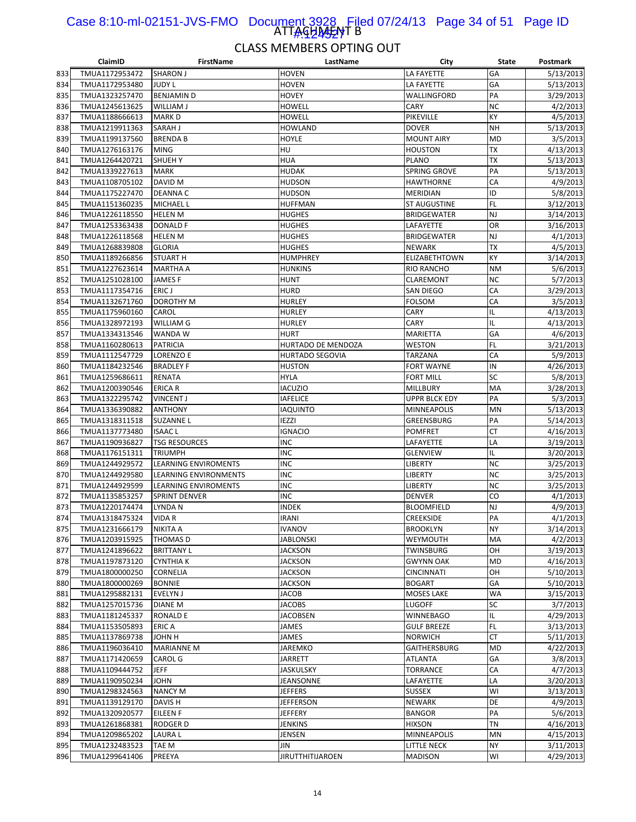#### ATTAGHA<del>J</del>AT B Case 8:10-ml-02151-JVS-FMO Document 3928 Filed 07/24/13 Page 34 of 51 Page ID <u>|#924527</u>

|     | ClaimID                          | <b>FirstName</b>            | LastName                  | City                 | <b>State</b> | Postmark  |
|-----|----------------------------------|-----------------------------|---------------------------|----------------------|--------------|-----------|
| 833 | TMUA1172953472                   | <b>SHARON J</b>             | HOVEN                     | LA FAYETTE           | GA           | 5/13/2013 |
| 834 | TMUA1172953480                   | <b>JUDY L</b>               | HOVEN                     | LA FAYETTE           | GA           | 5/13/2013 |
| 835 | TMUA1323257470                   | <b>BENJAMIND</b>            | HOVEY                     | WALLINGFORD          | PA           | 3/29/2013 |
| 836 | TMUA1245613625                   | WILLIAM J                   | <b>HOWELL</b>             | CARY                 | <b>NC</b>    | 4/2/2013  |
| 837 | TMUA1188666613                   | <b>MARKD</b>                | HOWELL                    | PIKEVILLE            | KY           | 4/5/2013  |
| 838 | TMUA1219911363                   | SARAH J                     | HOWLAND                   | <b>DOVER</b>         | <b>NH</b>    | 5/13/2013 |
| 839 | TMUA1199137560                   | <b>BRENDA B</b>             | HOYLE                     | <b>MOUNT AIRY</b>    | <b>MD</b>    | 3/5/2013  |
| 840 | TMUA1276163176                   | <b>MING</b>                 | HU                        | <b>HOUSTON</b>       | <b>TX</b>    | 4/13/2013 |
| 841 | TMUA1264420721                   | <b>SHUEHY</b>               | HUA                       | PLANO                | <b>TX</b>    | 5/13/2013 |
| 842 |                                  |                             | HUDAK                     | SPRING GROVE         | PA           | 5/13/2013 |
|     | TMUA1339227613                   | <b>MARK</b>                 |                           |                      |              |           |
| 843 | TMUA1108705102                   | DAVID M                     | <b>HUDSON</b>             | <b>HAWTHORNE</b>     | СA           | 4/9/2013  |
| 844 | TMUA1175227470                   | <b>DEANNAC</b>              | <b>HUDSON</b>             | MERIDIAN             | ID           | 5/8/2013  |
| 845 | TMUA1151360235                   | MICHAEL L                   | <b>HUFFMAN</b>            | <b>ST AUGUSTINE</b>  | FL           | 3/12/2013 |
| 846 | TMUA1226118550                   | <b>HELEN M</b>              | HUGHES                    | <b>BRIDGEWATER</b>   | NJ           | 3/14/2013 |
| 847 | TMUA1253363438                   | <b>DONALD F</b>             | HUGHES                    | LAFAYETTE            | OR           | 3/16/2013 |
| 848 | TMUA1226118568                   | <b>HELEN M</b>              | HUGHES                    | <b>BRIDGEWATER</b>   | NJ           | 4/1/2013  |
| 849 | TMUA1268839808                   | <b>GLORIA</b>               | <b>HUGHES</b>             | <b>NEWARK</b>        | ТX           | 4/5/2013  |
| 850 | TMUA1189266856                   | <b>STUART H</b>             | HUMPHREY                  | <b>ELIZABETHTOWN</b> | KY           | 3/14/2013 |
| 851 | TMUA1227623614                   | <b>MARTHA A</b>             | <b>HUNKINS</b>            | RIO RANCHO           | <b>NM</b>    | 5/6/2013  |
| 852 | TMUA1251028100                   | <b>JAMESF</b>               | <b>HUNT</b>               | <b>CLAREMONT</b>     | <b>NC</b>    | 5/7/2013  |
| 853 | TMUA1117354716                   | ERIC J                      | <b>HURD</b>               | SAN DIEGO            | СA           | 3/29/2013 |
| 854 | TMUA1132671760                   | DOROTHY M                   | <b>HURLEY</b>             | <b>FOLSOM</b>        | CA           | 3/5/2013  |
| 855 | TMUA1175960160                   | CAROL                       | HURLEY                    | CARY                 | IL           | 4/13/2013 |
| 856 | TMUA1328972193                   | <b>WILLIAM G</b>            | <b>HURLEY</b>             | CARY                 | IL           | 4/13/2013 |
| 857 | TMUA1334313546                   | WANDA W                     | <b>HURT</b>               | MARIETTA             | GA           | 4/6/2013  |
| 858 | TMUA1160280613                   | <b>PATRICIA</b>             | <b>HURTADO DE MENDOZA</b> | WESTON               | FL           | 3/21/2013 |
| 859 | TMUA1112547729                   | <b>LORENZO E</b>            | <b>HURTADO SEGOVIA</b>    | TARZANA              | CA           | 5/9/2013  |
| 860 | TMUA1184232546                   | <b>BRADLEY F</b>            | <b>HUSTON</b>             | <b>FORT WAYNE</b>    | IN           | 4/26/2013 |
|     |                                  |                             | <b>HYLA</b>               |                      | SC           |           |
| 861 | TMUA1259686611                   | RENATA                      |                           | FORT MILL            |              | 5/8/2013  |
| 862 | TMUA1200390546                   | ERICA R                     | IACUZIO                   | MILLBURY             | MA           | 3/28/2013 |
| 863 | TMUA1322295742                   | <b>VINCENT J</b>            | <b>IAFELICE</b>           | <b>UPPR BLCK EDY</b> | PA           | 5/3/2013  |
| 864 | TMUA1336390882                   | <b>ANTHONY</b>              | IAQUINTO                  | MINNEAPOLIS          | MN           | 5/13/2013 |
| 865 | TMUA1318311518                   | <b>SUZANNEL</b>             | <b>IEZZI</b>              | GREENSBURG           | PA           | 5/14/2013 |
| 866 | TMUA1137773480                   | <b>ISAAC L</b>              | IGNACIO                   | <b>POMFRET</b>       | СT           | 4/16/2013 |
| 867 | TMUA1190936827                   | <b>TSG RESOURCES</b>        | <b>INC</b>                | LAFAYETTE            | LA           | 3/19/2013 |
| 868 | TMUA1176151311                   | <b>TRIUMPH</b>              | <b>INC</b>                | <b>GLENVIEW</b>      | IL           | 3/20/2013 |
| 869 | TMUA1244929572                   | LEARNING ENVIROMENTS        | <b>INC</b>                | LIBERTY              | <b>NC</b>    | 3/25/2013 |
| 870 | TMUA1244929580                   | LEARNING ENVIRONMENTS       | <b>INC</b>                | LIBERTY              | <b>NC</b>    | 3/25/2013 |
| 871 | TMUA1244929599                   | <b>LEARNING ENVIROMENTS</b> | <b>INC</b>                | <b>LIBERTY</b>       | <b>NC</b>    | 3/25/2013 |
| 872 | TMUA1135853257                   | <b>SPRINT DENVER</b>        | <b>INC</b>                | <b>DENVER</b>        | CO           | 4/1/2013  |
| 873 | TMUA1220174474                   | LYNDA N                     | <b>INDEK</b>              | <b>BLOOMFIELD</b>    | NJ           | 4/9/2013  |
| 874 | TMUA1318475324                   | <b>VIDAR</b>                | <b>IRANI</b>              | <b>CREEKSIDE</b>     | PA           | 4/1/2013  |
| 875 | TMUA1231666179                   | NIKITA A                    | <b>IVANOV</b>             | <b>BROOKLYN</b>      | <b>NY</b>    | 3/14/2013 |
| 876 | TMUA1203915925                   | THOMAS D                    | <b>JABLONSKI</b>          | WEYMOUTH             | МA           | 4/2/2013  |
| 877 | TMUA1241896622                   | <b>BRITTANY L</b>           | <b>JACKSON</b>            | <b>TWINSBURG</b>     | OН           | 3/19/2013 |
| 878 | TMUA1197873120                   | <b>CYNTHIA K</b>            | <b>JACKSON</b>            | <b>GWYNN OAK</b>     | MD           | 4/16/2013 |
| 879 | TMUA1800000250                   | CORNELIA                    | <b>JACKSON</b>            | <b>CINCINNATI</b>    | OН           | 5/10/2013 |
| 880 | TMUA1800000269                   | <b>BONNIE</b>               | <b>JACKSON</b>            | <b>BOGART</b>        | GA           | 5/10/2013 |
|     |                                  | <b>EVELYN J</b>             |                           |                      |              |           |
| 881 | TMUA1295882131<br>TMUA1257015736 |                             | JACOB                     | MOSES LAKE           | WA<br>SC     | 3/15/2013 |
| 882 |                                  | <b>DIANE M</b>              | <b>JACOBS</b>             | LUGOFF               |              | 3/7/2013  |
| 883 | TMUA1181245337                   | RONALD E                    | <b>JACOBSEN</b>           | WINNEBAGO            | IL           | 4/29/2013 |
| 884 | TMUA1153505893                   | ERIC A                      | JAMES                     | <b>GULF BREEZE</b>   | FL           | 3/13/2013 |
| 885 | TMUA1137869738                   | H <i>H</i> OL               | JAMES                     | <b>NORWICH</b>       | СT           | 5/11/2013 |
| 886 | TMUA1196036410                   | <b>MARIANNE M</b>           | <b>JAREMKO</b>            | GAITHERSBURG         | MD           | 4/22/2013 |
| 887 | TMUA1171420659                   | <b>CAROL G</b>              | JARRETT                   | ATLANTA              | GA           | 3/8/2013  |
| 888 | TMUA1109444752                   | <b>JEFF</b>                 | <b>JASKULSKY</b>          | TORRANCE             | СA           | 4/7/2013  |
| 889 | TMUA1190950234                   | <b>JOHN</b>                 | JEANSONNE                 | LAFAYETTE            | LA           | 3/20/2013 |
| 890 | TMUA1298324563                   | <b>NANCY M</b>              | <b>JEFFERS</b>            | <b>SUSSEX</b>        | WI           | 3/13/2013 |
| 891 | TMUA1139129170                   | DAVIS H                     | <b>JEFFERSON</b>          | <b>NEWARK</b>        | DE           | 4/9/2013  |
| 892 | TMUA1320920577                   | EILEEN F                    | <b>JEFFERY</b>            | <b>BANGOR</b>        | PA           | 5/6/2013  |
| 893 | TMUA1261868381                   | RODGER D                    | <b>JENKINS</b>            | HIXSON               | ΤN           | 4/16/2013 |
| 894 | TMUA1209865202                   | <b>LAURAL</b>               | JENSEN                    | MINNEAPOLIS          | MN           | 4/15/2013 |
| 895 | TMUA1232483523                   | TAE M                       | JIN                       | <b>LITTLE NECK</b>   | <b>NY</b>    | 3/11/2013 |
| 896 | TMUA1299641406                   | PREEYA                      | <b>JIRUTTHITIJAROEN</b>   | <b>MADISON</b>       | WI           | 4/29/2013 |
|     |                                  |                             |                           |                      |              |           |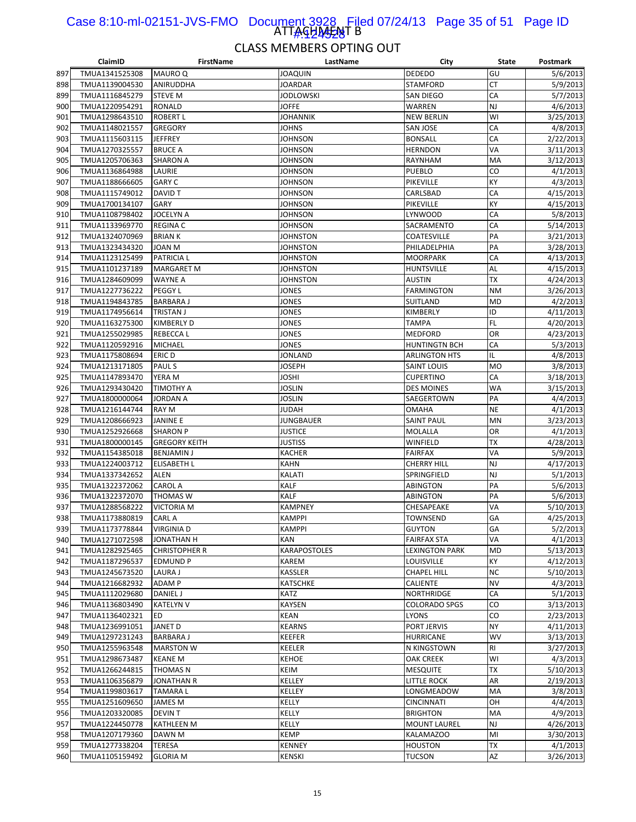#### ATTAGHA<del>J</del>AT B Case 8:10-ml-02151-JVS-FMO Document 3928 Filed 07/24/13 Page 35 of 51 Page ID 1#:424528

|     | ClaimID        | <b>FirstName</b>     | LastName            | City                  | State     | Postmark  |
|-----|----------------|----------------------|---------------------|-----------------------|-----------|-----------|
| 897 | TMUA1341525308 | <b>MAURO Q</b>       | <b>JOAQUIN</b>      | <b>DEDEDO</b>         | GU        | 5/6/2013  |
| 898 | TMUA1139004530 | ANIRUDDHA            | <b>JOARDAR</b>      | STAMFORD              | СT        | 5/9/2013  |
| 899 | TMUA1116845279 | <b>STEVE M</b>       | JODLOWSKI           | SAN DIEGO             | CA        | 5/7/2013  |
| 900 | TMUA1220954291 | <b>RONALD</b>        | <b>JOFFE</b>        | WARREN                | NJ        | 4/6/2013  |
| 901 | TMUA1298643510 | <b>ROBERT L</b>      | <b>JOHANNIK</b>     | <b>NEW BERLIN</b>     | WI        | 3/25/2013 |
| 902 | TMUA1148021557 | <b>GREGORY</b>       | <b>JOHNS</b>        | <b>SAN JOSE</b>       | СA        | 4/8/2013  |
| 903 | TMUA1115603115 | <b>JEFFREY</b>       | <b>JOHNSON</b>      | <b>BONSALL</b>        | CA        | 2/22/2013 |
| 904 | TMUA1270325557 | <b>BRUCE A</b>       | <b>JOHNSON</b>      | <b>HERNDON</b>        | VA        | 3/11/2013 |
| 905 | TMUA1205706363 | <b>SHARON A</b>      | <b>JOHNSON</b>      | RAYNHAM               | MA        | 3/12/2013 |
| 906 | TMUA1136864988 | LAURIE               | <b>JOHNSON</b>      | PUEBLO                | CO        | 4/1/2013  |
|     |                | <b>GARY C</b>        |                     |                       |           |           |
| 907 | TMUA1188666605 |                      | <b>JOHNSON</b>      | PIKEVILLE             | KY        | 4/3/2013  |
| 908 | TMUA1115749012 | DAVID T              | <b>JOHNSON</b>      | CARLSBAD              | СA        | 4/15/2013 |
| 909 | TMUA1700134107 | GARY                 | <b>JOHNSON</b>      | PIKEVILLE             | KY        | 4/15/2013 |
| 910 | TMUA1108798402 | JOCELYN A            | <b>JOHNSON</b>      | LYNWOOD               | СA        | 5/8/2013  |
| 911 | TMUA1133969770 | <b>REGINA C</b>      | <b>JOHNSON</b>      | SACRAMENTO            | CA        | 5/14/2013 |
| 912 | TMUA1324070969 | <b>BRIAN K</b>       | <b>JOHNSTON</b>     | COATESVILLE           | PA        | 3/21/2013 |
| 913 | TMUA1323434320 | <b>JOAN M</b>        | <b>JOHNSTON</b>     | PHILADELPHIA          | PA        | 3/28/2013 |
| 914 | TMUA1123125499 | <b>PATRICIAL</b>     | <b>JOHNSTON</b>     | <b>MOORPARK</b>       | CA        | 4/13/2013 |
| 915 | TMUA1101237189 | <b>MARGARET M</b>    | <b>JOHNSTON</b>     | <b>HUNTSVILLE</b>     | AL        | 4/15/2013 |
| 916 | TMUA1284609099 | <b>WAYNE A</b>       | <b>JOHNSTON</b>     | <b>AUSTIN</b>         | ТX        | 4/24/2013 |
| 917 | TMUA1227736222 | PEGGY L              | <b>JONES</b>        | <b>FARMINGTON</b>     | <b>NM</b> | 3/26/2013 |
| 918 | TMUA1194843785 | <b>BARBARA J</b>     | JONES               | SUITLAND              | MD        | 4/2/2013  |
| 919 | TMUA1174956614 | <b>TRISTAN J</b>     | JONES               | KIMBERLY              | ID        | 4/11/2013 |
| 920 | TMUA1163275300 | <b>KIMBERLY D</b>    | JONES               | <b>TAMPA</b>          | FL        | 4/20/2013 |
| 921 | TMUA1255029985 | <b>REBECCAL</b>      | JONES               | <b>MEDFORD</b>        | OR        | 4/23/2013 |
| 922 |                |                      |                     | <b>HUNTINGTN BCH</b>  |           |           |
|     | TMUA1120592916 | <b>MICHAEL</b>       | JONES               |                       | СA        | 5/3/2013  |
| 923 | TMUA1175808694 | ERIC D               | JONLAND             | <b>ARLINGTON HTS</b>  | IL        | 4/8/2013  |
| 924 | TMUA1213171805 | PAUL S               | <b>JOSEPH</b>       | SAINT LOUIS           | <b>MO</b> | 3/8/2013  |
| 925 | TMUA1147893470 | YERA M               | <b>JOSHI</b>        | <b>CUPERTINO</b>      | СA        | 3/18/2013 |
| 926 | TMUA1293430420 | TIMOTHY A            | Joslin              | <b>DES MOINES</b>     | WA        | 3/15/2013 |
| 927 | TMUA1800000064 | <b>JORDAN A</b>      | <b>JOSLIN</b>       | SAEGERTOWN            | PA        | 4/4/2013  |
| 928 | TMUA1216144744 | <b>RAY M</b>         | <b>JUDAH</b>        | <b>OMAHA</b>          | <b>NE</b> | 4/1/2013  |
| 929 | TMUA1208666923 | <b>JANINE E</b>      | <b>JUNGBAUER</b>    | <b>SAINT PAUL</b>     | MN        | 3/23/2013 |
| 930 | TMUA1252926668 | <b>SHARON P</b>      | <b>JUSTICE</b>      | MOLALLA               | OR        | 4/1/2013  |
| 931 | TMUA1800000145 | <b>GREGORY KEITH</b> | <b>JUSTISS</b>      | WINFIELD              | ТX        | 4/28/2013 |
| 932 | TMUA1154385018 | <b>BENJAMIN J</b>    | <b>KACHER</b>       | <b>FAIRFAX</b>        | VA        | 5/9/2013  |
| 933 | TMUA1224003712 | <b>ELISABETH L</b>   | <b>KAHN</b>         | <b>CHERRY HILL</b>    | NJ        | 4/17/2013 |
| 934 | TMUA1337342652 | <b>ALEN</b>          | KALATI              | SPRINGFIELD           | NJ        | 5/1/2013  |
| 935 | TMUA1322372062 | <b>CAROL A</b>       | <b>KALF</b>         | ABINGTON              | PA        | 5/6/2013  |
| 936 | TMUA1322372070 | <b>THOMAS W</b>      | <b>KALF</b>         | ABINGTON              | PA        | 5/6/2013  |
| 937 | TMUA1288568222 | VICTORIA M           | <b>KAMPNEY</b>      | CHESAPEAKE            | VA        | 5/10/2013 |
| 938 | TMUA1173880819 | <b>CARL A</b>        | <b>KAMPPI</b>       | <b>TOWNSEND</b>       | GA        | 4/25/2013 |
| 939 | TMUA1173778844 | <b>VIRGINIA D</b>    | <b>KAMPPI</b>       | <b>GUYTON</b>         | GA        | 5/2/2013  |
| 940 | TMUA1271072598 | JONATHAN H           | KAN                 | <b>FAIRFAX STA</b>    | VA        | 4/1/2013  |
| 941 | TMUA1282925465 | <b>CHRISTOPHER R</b> | <b>KARAPOSTOLES</b> | <b>LEXINGTON PARK</b> | MD        | 5/13/2013 |
|     |                |                      |                     |                       |           |           |
| 942 | TMUA1187296537 | <b>EDMUND P</b>      | KAREM               | LOUISVILLE            | KY        | 4/12/2013 |
| 943 | TMUA1245673520 | <b>LAURA J</b>       | KASSLER             | <b>CHAPEL HILL</b>    | <b>NC</b> | 5/10/2013 |
| 944 | TMUA1216682932 | ADAM P               | KATSCHKE            | CALIENTE              | <b>NV</b> | 4/3/2013  |
| 945 | TMUA1112029680 | DANIEL J             | KATZ                | NORTHRIDGE            | СA        | 5/1/2013  |
| 946 | TMUA1136803490 | <b>KATELYN V</b>     | KAYSEN              | <b>COLORADO SPGS</b>  | CO        | 3/13/2013 |
| 947 | TMUA1136402321 | ED.                  | <b>KEAN</b>         | <b>LYONS</b>          | CO        | 2/23/2013 |
| 948 | TMUA1236991051 | JANET D              | <b>KEARNS</b>       | PORT JERVIS           | NY        | 4/11/2013 |
| 949 | TMUA1297231243 | <b>BARBARA J</b>     | <b>KEEFER</b>       | <b>HURRICANE</b>      | WV        | 3/13/2013 |
| 950 | TMUA1255963548 | <b>MARSTON W</b>     | KEELER              | N KINGSTOWN           | RI        | 3/27/2013 |
| 951 | TMUA1298673487 | <b>KEANE M</b>       | <b>KEHOE</b>        | <b>OAK CREEK</b>      | WI        | 4/3/2013  |
| 952 | TMUA1266244815 | THOMAS N             | KEIM                | <b>MESQUITE</b>       | ТX        | 5/10/2013 |
| 953 | TMUA1106356879 | JONATHAN R           | KELLEY              | LITTLE ROCK           | AR        | 2/19/2013 |
| 954 | TMUA1199803617 | <b>TAMARAL</b>       | KELLEY              | LONGMEADOW            | MA        | 3/8/2013  |
| 955 | TMUA1251609650 | <b>JAMES M</b>       | KELLY               | <b>CINCINNATI</b>     | OH        | 4/4/2013  |
| 956 | TMUA1203320085 | DEVIN T              | KELLY               | <b>BRIGHTON</b>       | МA        | 4/9/2013  |
| 957 | TMUA1224450778 | <b>KATHLEEN M</b>    | KELLY               | <b>MOUNT LAUREL</b>   | NJ        | 4/26/2013 |
| 958 | TMUA1207179360 | DAWN M               | <b>KEMP</b>         | KALAMAZOO             | MI        | 3/30/2013 |
| 959 | TMUA1277338204 | TERESA               | <b>KENNEY</b>       | <b>HOUSTON</b>        | ТX        | 4/1/2013  |
| 960 | TMUA1105159492 | <b>GLORIA M</b>      | <b>KENSKI</b>       | TUCSON                | AZ        |           |
|     |                |                      |                     |                       |           | 3/26/2013 |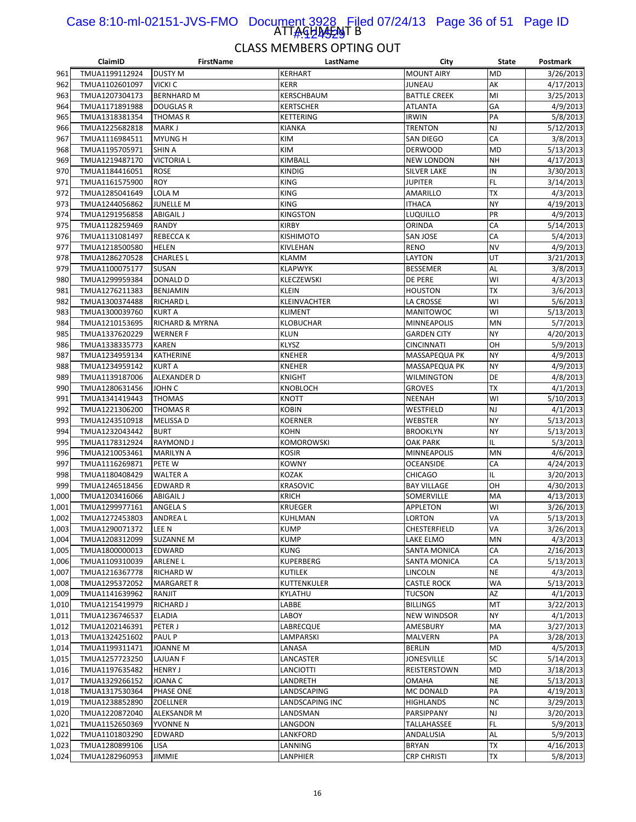#### ATTAGHA<del>J</del>AJT B Case 8:10-ml-02151-JVS-FMO Document 3928 Filed 07/24/13 Page 36 of 51 Page ID 1#:424529

|                | ClaimID        | <b>FirstName</b>   | LastName          | City                             | <b>State</b>    | <b>Postmark</b>       |
|----------------|----------------|--------------------|-------------------|----------------------------------|-----------------|-----------------------|
| 961            | TMUA1199112924 | <b>DUSTY M</b>     | <b>KERHART</b>    | <b>MOUNT AIRY</b>                | <b>MD</b>       | 3/26/2013             |
| 962            | TMUA1102601097 | VICKI C            | <b>KERR</b>       | <b>JUNEAU</b>                    | AK              | 4/17/2013             |
| 963            | TMUA1207304173 | <b>BERNHARD M</b>  | KERSCHBAUM        | <b>BATTLE CREEK</b>              | MI              | 3/25/2013             |
| 964            | TMUA1171891988 | <b>DOUGLAS R</b>   | <b>KERTSCHER</b>  | <b>ATLANTA</b>                   | GA              | 4/9/2013              |
| 965            | TMUA1318381354 | <b>THOMAS R</b>    | <b>KETTERING</b>  | <b>IRWIN</b>                     | PA              | 5/8/2013              |
| 966            | TMUA1225682818 | MARK J             | <b>KIANKA</b>     | <b>TRENTON</b>                   | NJ              | 5/12/2013             |
| 967            | TMUA1116984511 |                    | KIM               |                                  | CA              | 3/8/2013              |
|                |                | <b>MYUNG H</b>     |                   | SAN DIEGO                        |                 |                       |
| 968            | TMUA1195705971 | SHIN A             | KIM               | <b>DERWOOD</b>                   | <b>MD</b>       | 5/13/2013             |
| 969            | TMUA1219487170 | <b>VICTORIA L</b>  | KIMBALL           | <b>NEW LONDON</b>                | <b>NH</b>       | 4/17/2013             |
| 970            | TMUA1184416051 | <b>ROSE</b>        | <b>KINDIG</b>     | <b>SILVER LAKE</b>               | IN              | 3/30/2013             |
| 971            | TMUA1161575900 | <b>ROY</b>         | <b>KING</b>       | JUPITER                          | FL              | 3/14/2013             |
| 972            | TMUA1285041649 | LOLA M             | <b>KING</b>       | AMARILLO                         | <b>TX</b>       | 4/3/2013              |
| 973            | TMUA1244056862 | <b>JUNELLE M</b>   | <b>KING</b>       | <b>ITHACA</b>                    | <b>NY</b>       | 4/19/2013             |
| 974            | TMUA1291956858 | <b>ABIGAIL J</b>   | <b>KINGSTON</b>   | LUQUILLO                         | PR              | 4/9/2013              |
| 975            | TMUA1128259469 | RANDY              | <b>KIRBY</b>      | ORINDA                           | CA              | 5/14/2013             |
| 976            | TMUA1131081497 | <b>REBECCAK</b>    | <b>KISHIMOTO</b>  | <b>SAN JOSE</b>                  | CA              | 5/4/2013              |
| 977            | TMUA1218500580 | <b>HELEN</b>       | KIVLEHAN          | <b>RENO</b>                      | <b>NV</b>       | 4/9/2013              |
| 978            | TMUA1286270528 | <b>CHARLES L</b>   | <b>KLAMM</b>      | LAYTON                           | UT              | 3/21/2013             |
| 979            | TMUA1100075177 | SUSAN              | <b>KLAPWYK</b>    | <b>BESSEMER</b>                  | AL              | 3/8/2013              |
| 980            | TMUA1299959384 | <b>DONALD D</b>    | KLECZEWSKI        | <b>DE PERE</b>                   | WI              | 4/3/2013              |
| 981            | TMUA1276211383 | <b>BENJAMIN</b>    | <b>KLEIN</b>      | <b>HOUSTON</b>                   | TX              | 3/6/2013              |
| 982            | TMUA1300374488 | <b>RICHARD L</b>   | KLEINVACHTER      | LA CROSSE                        | WI              | 5/6/2013              |
| 983            | TMUA1300039760 | <b>KURT A</b>      | <b>KLIMENT</b>    | MANITOWOC                        | WI              | 5/13/2013             |
| 984            | TMUA1210153695 | RICHARD & MYRNA    | <b>KLOBUCHAR</b>  | <b>MINNEAPOLIS</b>               | MN              | 5/7/2013              |
| 985            | TMUA1337620229 | <b>WERNER F</b>    | <b>KLUN</b>       | <b>GARDEN CITY</b>               | <b>NY</b>       | 4/20/2013             |
| 986            | TMUA1338335773 | <b>KAREN</b>       | <b>KLYSZ</b>      | <b>CINCINNATI</b>                | OH              | 5/9/2013              |
| 987            | TMUA1234959134 | KATHERINE          | <b>KNEHER</b>     | MASSAPEQUA PK                    | <b>NY</b>       | 4/9/2013              |
| 988            | TMUA1234959142 | <b>KURT A</b>      | <b>KNEHER</b>     | MASSAPEQUA PK                    | <b>NY</b>       | 4/9/2013              |
| 989            | TMUA1139187006 | ALEXANDER D        | <b>KNIGHT</b>     | <b>WILMINGTON</b>                | DE              | 4/8/2013              |
| 990            | TMUA1280631456 | JOHN C             | KNOBLOCH          | <b>GROVES</b>                    | ТX              | 4/1/2013              |
| 991            | TMUA1341419443 | <b>THOMAS</b>      | <b>KNOTT</b>      | <b>NEENAH</b>                    | WI              | 5/10/2013             |
| 992            | TMUA1221306200 | <b>THOMAS R</b>    | <b>KOBIN</b>      | WESTFIELD                        | NJ              | 4/1/2013              |
| 993            | TMUA1243510918 | <b>MELISSAD</b>    | <b>KOERNER</b>    | WEBSTER                          | NY              | 5/13/2013             |
| 994            | TMUA1232043442 | <b>BURT</b>        | <b>KOHN</b>       | <b>BROOKLYN</b>                  | NY              | 5/13/2013             |
| 995            | TMUA1178312924 | <b>RAYMOND J</b>   | <b>KOMOROWSKI</b> | <b>OAK PARK</b>                  | IL              | 5/3/2013              |
| 996            | TMUA1210053461 | <b>MARILYN A</b>   | <b>KOSIR</b>      | <b>MINNEAPOLIS</b>               | MN              | 4/6/2013              |
| 997            | TMUA1116269871 | PETE W             | <b>KOWNY</b>      | <b>OCEANSIDE</b>                 | CA              | 4/24/2013             |
| 998            | TMUA1180408429 | WALTER A           | <b>KOZAK</b>      | <b>CHICAGO</b>                   | IL              | 3/20/2013             |
| 999            | TMUA1246518456 | <b>EDWARD R</b>    | <b>KRASOVIC</b>   | <b>BAY VILLAGE</b>               | OH              | 4/30/2013             |
| 1,000          | TMUA1203416066 | <b>ABIGAIL J</b>   | <b>KRICH</b>      | SOMERVILLE                       | MA              | 4/13/2013             |
| 1,001          | TMUA1299977161 | ANGELA S           | <b>KRUEGER</b>    | <b>APPLETON</b>                  | W١              | 3/26/2013             |
| 1,002          | TMUA1272453803 | ANDREA L           | <b>KUHLMAN</b>    | <b>LORTON</b>                    | VA              | 5/13/2013             |
|                | TMUA1290071372 |                    | <b>KUMP</b>       |                                  | VA              |                       |
| 1,003<br>1,004 | TMUA1208312099 | LEE N              | <b>KUMP</b>       | <b>CHESTERFIELD</b><br>LAKE ELMO | MN              | 3/26/2013<br>4/3/2013 |
|                |                | <b>SUZANNE M</b>   |                   |                                  |                 |                       |
| 1,005          | TMUA1800000013 | EDWARD             | <b>KUNG</b>       | SANTA MONICA                     | СA              | 2/16/2013             |
| 1,006          | TMUA1109310039 | ARLENE L           | <b>KUPERBERG</b>  | SANTA MONICA                     | СA<br><b>NE</b> | 5/13/2013             |
| 1,007          | TMUA1216367778 | RICHARD W          | <b>KUTILEK</b>    | LINCOLN                          |                 | 4/3/2013              |
| 1,008          | TMUA1295372052 | <b>MARGARET R</b>  | KUTTENKULER       | <b>CASTLE ROCK</b>               | WA              | 5/13/2013             |
| 1,009          | TMUA1141639962 | RANJIT             | KYLATHU           | <b>TUCSON</b>                    | AΖ              | 4/1/2013              |
| 1,010          | TMUA1215419979 | <b>RICHARD J</b>   | LABBE             | <b>BILLINGS</b>                  | MT              | 3/22/2013             |
| 1,011          | TMUA1236746537 | <b>ELADIA</b>      | LABOY             | <b>NEW WINDSOR</b>               | <b>NY</b>       | 4/1/2013              |
| 1,012          | TMUA1202146391 | PETER J            | LABRECQUE         | AMESBURY                         | MA              | 3/27/2013             |
| 1,013          | TMUA1324251602 | PAUL P             | LAMPARSKI         | MALVERN                          | PA              | 3/28/2013             |
| 1,014          | TMUA1199311471 | JOANNE M           | LANASA            | <b>BERLIN</b>                    | MD              | 4/5/2013              |
| 1,015          | TMUA1257723250 | LAJUAN F           | LANCASTER         | JONESVILLE                       | SC              | 5/14/2013             |
| 1,016          | TMUA1197635482 | <b>HENRY J</b>     | LANCIOTTI         | REISTERSTOWN                     | MD              | 3/18/2013             |
| 1,017          | TMUA1329266152 | JOANA C            | LANDRETH          | OMAHA                            | NE              | 5/13/2013             |
| 1,018          | TMUA1317530364 | PHASE ONE          | LANDSCAPING       | MC DONALD                        | PA              | 4/19/2013             |
| 1,019          | TMUA1238852890 | ZOELLNER           | LANDSCAPING INC   | <b>HIGHLANDS</b>                 | NC              | 3/29/2013             |
| 1,020          | TMUA1220872040 | <b>ALEKSANDR M</b> | LANDSMAN          | PARSIPPANY                       | NJ              | 3/20/2013             |
| 1,021          | TMUA1152650369 | YVONNE N           | LANGDON           | TALLAHASSEE                      | <b>FL</b>       | 5/9/2013              |
| 1,022          | TMUA1101803290 | EDWARD             | LANKFORD          | ANDALUSIA                        | AL              | 5/9/2013              |
| 1,023          | TMUA1280899106 | LISA               | LANNING           | <b>BRYAN</b>                     | ТX              | 4/16/2013             |
| 1,024          | TMUA1282960953 | JIMMIE             | LANPHIER          | <b>CRP CHRISTI</b>               | ТX              | 5/8/2013              |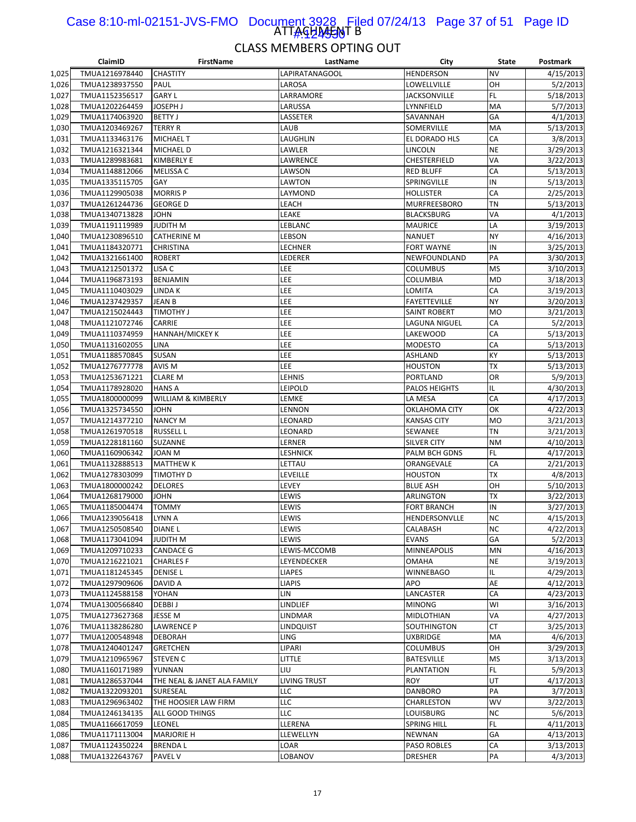#### ATTAGHA<del>JA</del>NT B Case 8:10-ml-02151-JVS-FMO Document 3928 Filed 07/24/13 Page 37 of 51 Page ID 1#:424530

|                | ClaimID                          | <b>FirstName</b>            | LastName              | City                            | State     | Postmark               |
|----------------|----------------------------------|-----------------------------|-----------------------|---------------------------------|-----------|------------------------|
| 1,025          | TMUA1216978440                   | <b>CHASTITY</b>             | <b>LAPIRATANAGOOL</b> | <b>HENDERSON</b>                | <b>NV</b> | 4/15/2013              |
| 1,026          | TMUA1238937550                   | PAUL                        | LAROSA                | LOWELLVILLE                     | OH        | 5/2/2013               |
| 1,027          | TMUA1152356517                   | <b>GARY L</b>               | LARRAMORE             | JACKSONVILLE                    | FL.       | 5/18/2013              |
| 1,028          | TMUA1202264459                   | <b>JOSEPH J</b>             | LARUSSA               | LYNNFIELD                       | MA        | 5/7/2013               |
| 1,029          | TMUA1174063920                   | <b>BETTY J</b>              | LASSETER              | SAVANNAH                        | GA        | 4/1/2013               |
| 1,030          | TMUA1203469267                   | <b>TERRY R</b>              | LAUB                  | SOMERVILLE                      | MA        | 5/13/2013              |
| 1,031          | TMUA1133463176                   | <b>MICHAEL T</b>            | LAUGHLIN              | EL DORADO HLS                   | CA        | 3/8/2013               |
| 1,032          | TMUA1216321344                   | <b>MICHAEL D</b>            | LAWLER                | LINCOLN                         | <b>NE</b> | 3/29/2013              |
| 1,033          | TMUA1289983681                   | <b>KIMBERLY E</b>           | LAWRENCE              | CHESTERFIELD                    | VA        | 3/22/2013              |
| 1,034          | TMUA1148812066                   | MELISSA C                   | LAWSON                | <b>RED BLUFF</b>                | CA        | 5/13/2013              |
| 1,035          | TMUA1335115705                   | GAY                         | LAWTON                | SPRINGVILLE                     | IN        | 5/13/2013              |
| 1,036          | TMUA1129905038                   | <b>MORRIS P</b>             | LAYMOND               | HOLLISTER                       | CA        | 2/25/2013              |
| 1,037          | TMUA1261244736                   | <b>GEORGE D</b>             | LEACH                 | <b>MURFREESBORO</b>             | <b>TN</b> | 5/13/2013              |
| 1,038          | TMUA1340713828                   | <b>JOHN</b>                 | LEAKE                 | <b>BLACKSBURG</b>               | VA        | 4/1/2013               |
| 1,039          | TMUA1191119989                   | <b>JUDITH M</b>             | LEBLANC               | <b>MAURICE</b>                  | LA        | 3/19/2013              |
| 1,040          | TMUA1230896510                   | <b>CATHERINE M</b>          | LEBSON                | NANUET                          | <b>NY</b> | 4/16/2013              |
| 1,041          | TMUA1184320771                   | <b>CHRISTINA</b>            | LECHNER               | <b>FORT WAYNE</b>               | IN        | 3/25/2013              |
| 1,042          | TMUA1321661400                   | <b>ROBERT</b>               | LEDERER               | NEWFOUNDLAND                    | PA        | 3/30/2013              |
| 1,043          | TMUA1212501372                   | LISA C                      | LEE                   | COLUMBUS                        | <b>MS</b> | 3/10/2013              |
| 1,044          | TMUA1196873193                   | <b>BENJAMIN</b>             | LEE                   | COLUMBIA                        | <b>MD</b> | 3/18/2013              |
| 1,045          | TMUA1110403029                   | LINDA K                     | LEE                   | LOMITA                          | CA        | 3/19/2013              |
| 1,046          | TMUA1237429357                   | <b>JEAN B</b>               | LEE                   | <b>FAYETTEVILLE</b>             | <b>NY</b> | 3/20/2013              |
| 1,047          | TMUA1215024443                   | <b>TIMOTHY J</b>            | LEE                   | <b>SAINT ROBERT</b>             | <b>MO</b> | 3/21/2013              |
| 1,048          | TMUA1121072746                   | CARRIE                      | LEE                   | LAGUNA NIGUEL                   | CA        | 5/2/2013               |
| 1,049          | TMUA1110374959                   | <b>HANNAH/MICKEY K</b>      | LEE                   | LAKEWOOD                        | CA        | 5/13/2013              |
| 1,050          | TMUA1131602055                   | <b>LINA</b>                 | LEE                   | <b>MODESTO</b>                  | CA        | 5/13/2013              |
| 1,051          | TMUA1188570845                   | <b>SUSAN</b>                | <b>LEE</b>            | ASHLAND                         | KY        | 5/13/2013              |
| 1,052          | TMUA1276777778                   | AVIS M                      | LEE                   | <b>HOUSTON</b>                  | <b>TX</b> | 5/13/2013              |
| 1,053          | TMUA1253671221                   | <b>CLARE M</b>              | LEHNIS                | PORTLAND                        | OR        | 5/9/2013               |
| 1,054          | TMUA1178928020                   | <b>HANS A</b>               | LEIPOLD               | PALOS HEIGHTS                   | IL        | 4/30/2013              |
| 1,055          | TMUA1800000099                   | WILLIAM & KIMBERLY          | LEMKE                 | LA MESA                         | CA        | 4/17/2013              |
| 1,056          | TMUA1325734550                   | <b>JOHN</b>                 | LENNON                | OKLAHOMA CITY                   | OK        | 4/22/2013              |
| 1,057          | TMUA1214377210                   | <b>NANCY M</b>              | LEONARD               | KANSAS CITY                     | <b>MO</b> | 3/21/2013              |
| 1,058          | TMUA1261970518                   | <b>RUSSELL L</b>            | LEONARD               | SEWANEE                         | TN        | 3/21/2013              |
| 1,059          | TMUA1228181160                   | <b>SUZANNE</b>              | LERNER                | SILVER CITY                     | <b>NM</b> | 4/10/2013              |
| 1,060          | TMUA1160906342                   | JOAN M                      | LESHNICK              | PALM BCH GDNS                   | FL<br>CA  | 4/17/2013              |
| 1,061          | TMUA1132888513                   | <b>MATTHEW K</b>            | LETTAU                | ORANGEVALE                      | <b>TX</b> | 2/21/2013              |
| 1,062          | TMUA1278303099                   | TIMOTHY D<br><b>DELORES</b> | LEVEILLE<br>LEVEY     | <b>HOUSTON</b>                  | OH        | 4/8/2013               |
| 1,063          | TMUA1800000242                   | <b>JOHN</b>                 | LEWIS                 | <b>BLUE ASH</b>                 | <b>TX</b> | 5/10/2013<br>3/22/2013 |
| 1,064<br>1,065 | TMUA1268179000<br>TMUA1185004474 | TOMMY                       | LEWIS                 | ARLINGTON<br><b>FORT BRANCH</b> | IN        | 3/27/2013              |
| 1,066          | TMUA1239056418                   | LYNN A                      | LEWIS                 | HENDERSONVLLE                   | <b>NC</b> | 4/15/2013              |
| 1,067          | TMUA1250508540                   | <b>DIANEL</b>               | LEWIS                 | CALABASH                        | NC        | 4/22/2013              |
| 1,068          | TMUA1173041094                   | <b>JUDITH M</b>             | LEWIS                 | EVANS                           | GA        | 5/2/2013               |
| 1,069          | TMUA1209710233                   | CANDACE G                   | LEWIS-MCCOMB          | MINNEAPOLIS                     | MN        | 4/16/2013              |
| 1,070          | TMUA1216221021                   | <b>CHARLES F</b>            | LEYENDECKER           | OMAHA                           | <b>NE</b> | 3/19/2013              |
| 1,071          | TMUA1181245345                   | <b>DENISE L</b>             | <b>LIAPES</b>         | WINNEBAGO                       | IL        | 4/29/2013              |
| 1,072          | TMUA1297909606                   | DAVID A                     | <b>LIAPIS</b>         | APO                             | AE        | 4/12/2013              |
| 1,073          | TMUA1124588158                   | YOHAN                       | lin                   | LANCASTER                       | CA        | 4/23/2013              |
| 1,074          | TMUA1300566840                   | <b>DEBBIJ</b>               | LINDLIEF              | <b>MINONG</b>                   | WI        | 3/16/2013              |
| 1,075          | TMUA1273627368                   | JESSE M                     | <b>LINDMAR</b>        | MIDLOTHIAN                      | VA        | 4/27/2013              |
| 1,076          | TMUA1138286280                   | <b>LAWRENCE P</b>           | <b>LINDQUIST</b>      | SOUTHINGTON                     | CT        | 3/25/2013              |
| 1,077          | TMUA1200548948                   | <b>DEBORAH</b>              | LING                  | UXBRIDGE                        | MA        | 4/6/2013               |
| 1,078          | TMUA1240401247                   | <b>GRETCHEN</b>             | LIPARI                | COLUMBUS                        | OH        | 3/29/2013              |
| 1,079          | TMUA1210965967                   | <b>STEVEN C</b>             | little                | <b>BATESVILLE</b>               | <b>MS</b> | 3/13/2013              |
| 1,080          | TMUA1160171989                   | YUNNAN                      | LIU                   | PLANTATION                      | FL        | 5/9/2013               |
| 1,081          | TMUA1286537044                   | THE NEAL & JANET ALA FAMILY | LIVING TRUST          | <b>ROY</b>                      | UT        | 4/17/2013              |
| 1,082          | TMUA1322093201                   | SURESEAL                    | LLC                   | <b>DANBORO</b>                  | PA        | 3/7/2013               |
| 1,083          | TMUA1296963402                   | THE HOOSIER LAW FIRM        | LLC                   | CHARLESTON                      | WV        | 3/22/2013              |
| 1,084          | TMUA1246134135                   | ALL GOOD THINGS             | LLC                   | LOUISBURG                       | <b>NC</b> | 5/6/2013               |
| 1,085          | TMUA1166617059                   | <b>LEONEL</b>               | LLERENA               | <b>SPRING HILL</b>              | <b>FL</b> | 4/11/2013              |
| 1,086          | TMUA1171113004                   | <b>MARJORIE H</b>           | LLEWELLYN             | NEWNAN                          | GA        | 4/13/2013              |
| 1,087          | TMUA1124350224                   | <b>BRENDAL</b>              | LOAR                  | PASO ROBLES                     | CA        | 3/13/2013              |
| 1,088          | TMUA1322643767                   | <b>PAVEL V</b>              | LOBANOV               | DRESHER                         | PA        | 4/3/2013               |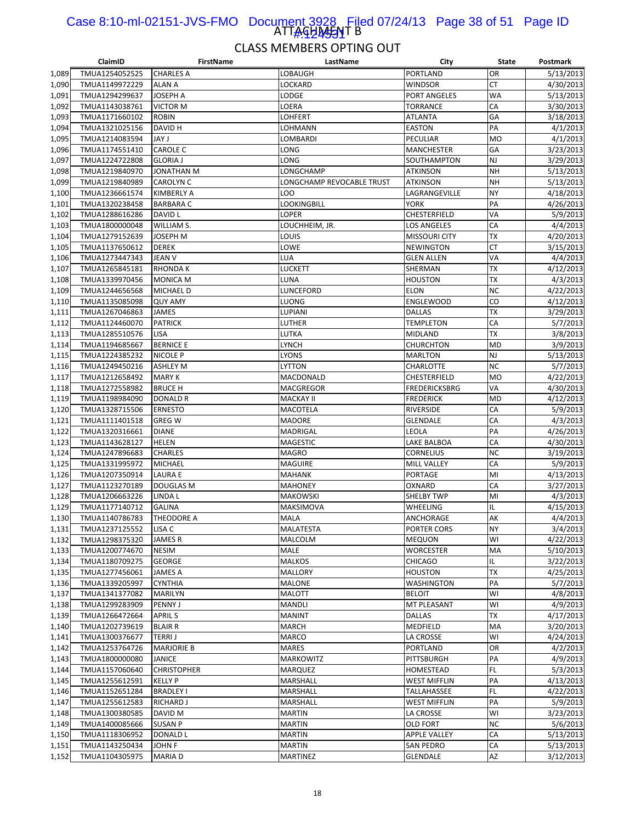#### ATTAGHA<del>JA</del>T B Case 8:10-ml-02151-JVS-FMO Document 3928 Filed 07/24/13 Page 38 of 51 Page ID #:124531

|       | ClaimID        | <b>FirstName</b>   | LastName                  | City                 | State     | Postmark  |
|-------|----------------|--------------------|---------------------------|----------------------|-----------|-----------|
| 1,089 | TMUA1254052525 | <b>CHARLES A</b>   | LOBAUGH                   | PORTLAND             | <b>OR</b> | 5/13/2013 |
| 1,090 | TMUA1149972229 | <b>ALAN A</b>      | LOCKARD                   | <b>WINDSOR</b>       | СT        | 4/30/2013 |
| 1,091 | TMUA1294299637 | JOSEPH A           | LODGE                     | <b>PORT ANGELES</b>  | WA        | 5/13/2013 |
| 1,092 | TMUA1143038761 | VICTOR M           | LOERA                     | <b>TORRANCE</b>      | СA        | 3/30/2013 |
| 1,093 | TMUA1171660102 | <b>ROBIN</b>       | <b>LOHFERT</b>            | <b>ATLANTA</b>       | GA        | 3/18/2013 |
| 1,094 | TMUA1321025156 | DAVID H            | LOHMANN                   | <b>EASTON</b>        | PA        | 4/1/2013  |
| 1,095 | TMUA1214083594 | l YAL              | LOMBARDI                  | PECULIAR             | <b>MO</b> | 4/1/2013  |
| 1,096 | TMUA1174551410 | <b>CAROLE C</b>    | LONG                      | <b>MANCHESTER</b>    | GA        | 3/23/2013 |
| 1,097 | TMUA1224722808 | <b>GLORIA J</b>    | LONG                      | SOUTHAMPTON          | <b>NJ</b> | 3/29/2013 |
| 1,098 | TMUA1219840970 | JONATHAN M         | LONGCHAMP                 | <b>ATKINSON</b>      | <b>NH</b> | 5/13/2013 |
|       |                |                    |                           |                      |           |           |
| 1,099 | TMUA1219840989 | CAROLYN C          | LONGCHAMP REVOCABLE TRUST | ATKINSON             | <b>NH</b> | 5/13/2013 |
| 1,100 | TMUA1236661574 | <b>KIMBERLY A</b>  | LOO                       | LAGRANGEVILLE        | <b>NY</b> | 4/18/2013 |
| 1,101 | TMUA1320238458 | <b>BARBARA C</b>   | <b>LOOKINGBILL</b>        | YORK                 | PA        | 4/26/2013 |
| 1,102 | TMUA1288616286 | DAVID L            | LOPER                     | CHESTERFIELD         | VA        | 5/9/2013  |
| 1,103 | TMUA1800000048 | WILLIAM S.         | LOUCHHEIM, JR.            | LOS ANGELES          | CA        | 4/4/2013  |
| 1,104 | TMUA1279152639 | JOSEPH M           | LOUIS                     | <b>MISSOURI CITY</b> | ТX        | 4/20/2013 |
| 1,105 | TMUA1137650612 | <b>DEREK</b>       | LOWE                      | NEWINGTON            | <b>CT</b> | 3/15/2013 |
| 1,106 | TMUA1273447343 | JEAN V             | LUA                       | <b>GLEN ALLEN</b>    | VA        | 4/4/2013  |
| 1,107 | TMUA1265845181 | <b>RHONDAK</b>     | LUCKETT                   | SHERMAN              | ТX        | 4/12/2013 |
| 1,108 | TMUA1339970456 | <b>MONICA M</b>    | LUNA                      | <b>HOUSTON</b>       | <b>TX</b> | 4/3/2013  |
| 1,109 | TMUA1244656568 | MICHAEL D          | LUNCEFORD                 | <b>ELON</b>          | <b>NC</b> | 4/22/2013 |
| 1,110 | TMUA1135085098 | <b>QUY AMY</b>     | LUONG                     | <b>ENGLEWOOD</b>     | CO        | 4/12/2013 |
| 1,111 | TMUA1267046863 | <b>JAMES</b>       | LUPIANI                   | <b>DALLAS</b>        | ТX        | 3/29/2013 |
| 1,112 | TMUA1124460070 | <b>PATRICK</b>     | LUTHER                    | <b>TEMPLETON</b>     | CA        | 5/7/2013  |
| 1,113 | TMUA1285510576 | LISA               | LUTKA                     | MIDLAND              | ТX        | 3/8/2013  |
| 1,114 | TMUA1194685667 | <b>BERNICE E</b>   | LYNCH                     | <b>CHURCHTON</b>     | <b>MD</b> | 3/9/2013  |
| 1,115 | TMUA1224385232 | <b>NICOLE P</b>    | LYONS                     | <b>MARLTON</b>       | NJ        | 5/13/2013 |
| 1,116 | TMUA1249450216 | <b>ASHLEY M</b>    | <b>LYTTON</b>             | CHARLOTTE            | <b>NC</b> | 5/7/2013  |
| 1,117 | TMUA1212658492 | <b>MARY K</b>      | MACDONALD                 | CHESTERFIELD         | <b>MO</b> | 4/22/2013 |
| 1,118 | TMUA1272558982 | <b>BRUCE H</b>     | MACGREGOR                 | <b>FREDERICKSBRG</b> | VA        | 4/30/2013 |
| 1,119 | TMUA1198984090 | <b>DONALD R</b>    | <b>MACKAY II</b>          | <b>FREDERICK</b>     | <b>MD</b> | 4/12/2013 |
|       |                |                    |                           |                      | CA        | 5/9/2013  |
| 1,120 | TMUA1328715506 | <b>ERNESTO</b>     | <b>MACOTELA</b>           | RIVERSIDE            |           |           |
| 1,121 | TMUA1111401518 | <b>GREG W</b>      | <b>MADORE</b>             | <b>GLENDALE</b>      | CA        | 4/3/2013  |
| 1,122 | TMUA1320316661 | <b>DIANE</b>       | MADRIGAL                  | LEOLA                | PA        | 4/26/2013 |
| 1,123 | TMUA1143628127 | <b>HELEN</b>       | <b>MAGESTIC</b>           | LAKE BALBOA          | CA        | 4/30/2013 |
| 1,124 | TMUA1247896683 | <b>CHARLES</b>     | <b>MAGRO</b>              | <b>CORNELIUS</b>     | <b>NC</b> | 3/19/2013 |
| 1,125 | TMUA1331995972 | <b>MICHAEL</b>     | MAGUIRE                   | MILL VALLEY          | CA        | 5/9/2013  |
| 1,126 | TMUA1207350914 | <b>LAURA E</b>     | <b>MAHANK</b>             | PORTAGE              | MI        | 4/13/2013 |
| 1,127 | TMUA1123270189 | <b>DOUGLAS M</b>   | <b>MAHONEY</b>            | OXNARD               | CA        | 3/27/2013 |
| 1,128 | TMUA1206663226 | LINDA L            | <b>MAKOWSKI</b>           | <b>SHELBY TWP</b>    | MI        | 4/3/2013  |
| 1,129 | TMUA1177140712 | <b>GALINA</b>      | <b>MAKSIMOVA</b>          | <b>WHEELING</b>      | IL        | 4/15/2013 |
| 1,130 | TMUA1140786783 | THEODORE A         | <b>MALA</b>               | ANCHORAGE            | АK        | 4/4/2013  |
| 1,131 | TMUA1237125552 | LISA C             | MALATESTA                 | PORTER CORS          | <b>NY</b> | 3/4/2013  |
| 1,132 | TMUA1298375320 | JAMES R            | MALCOLM                   | <b>MEQUON</b>        | WI        | 4/22/2013 |
| 1,133 | TMUA1200774670 | <b>NESIM</b>       | <b>MALE</b>               | <b>WORCESTER</b>     | MA        | 5/10/2013 |
| 1,134 | TMUA1180709275 | GEORGE             | <b>MALKOS</b>             | <b>CHICAGO</b>       | IL        | 3/22/2013 |
| 1,135 | TMUA1277456061 | JAMES A            | <b>MALLORY</b>            | <b>HOUSTON</b>       | <b>TX</b> | 4/25/2013 |
| 1,136 | TMUA1339205997 | CYNTHIA            | MALONE                    | <b>WASHINGTON</b>    | PA        | 5/7/2013  |
| 1,137 | TMUA1341377082 | <b>MARILYN</b>     | MALOTT                    | <b>BELOIT</b>        | WI        | 4/8/2013  |
| 1,138 | TMUA1299283909 | PENNY J            | MANDLI                    | MT PLEASANT          | WI        | 4/9/2013  |
| 1,139 | TMUA1266472664 | <b>APRILS</b>      | <b>MANINT</b>             | <b>DALLAS</b>        | <b>TX</b> | 4/17/2013 |
| 1,140 | TMUA1202739619 | <b>BLAIR R</b>     | <b>MARCH</b>              | MEDFIELD             | MA        | 3/20/2013 |
| 1,141 | TMUA1300376677 | <b>TERRIJ</b>      | MARCO                     | LA CROSSE            | W١        | 4/24/2013 |
| 1,142 | TMUA1253764726 | <b>MARJORIE B</b>  | <b>MARES</b>              | PORTLAND             | OR        | 4/2/2013  |
| 1,143 | TMUA1800000080 | <b>JANICE</b>      | <b>MARKOWITZ</b>          | PITTSBURGH           | PA        | 4/9/2013  |
|       |                |                    |                           |                      | FL.       |           |
| 1,144 | TMUA1157060640 | <b>CHRISTOPHER</b> | <b>MARQUEZ</b>            | HOMESTEAD            |           | 5/3/2013  |
| 1,145 | TMUA1255612591 | <b>KELLY P</b>     | MARSHALL                  | <b>WEST MIFFLIN</b>  | PA        | 4/13/2013 |
| 1,146 | TMUA1152651284 | <b>BRADLEY I</b>   | MARSHALL                  | TALLAHASSEE          | FL        | 4/22/2013 |
| 1,147 | TMUA1255612583 | RICHARD J          | MARSHALL                  | <b>WEST MIFFLIN</b>  | PA        | 5/9/2013  |
| 1,148 | TMUA1300380585 | DAVID M            | <b>MARTIN</b>             | LA CROSSE            | W١        | 3/23/2013 |
| 1,149 | TMUA1400085666 | SUSAN P            | <b>MARTIN</b>             | OLD FORT             | <b>NC</b> | 5/6/2013  |
| 1,150 | TMUA1118306952 | DONALD L           | <b>MARTIN</b>             | <b>APPLE VALLEY</b>  | СA        | 5/13/2013 |
| 1,151 | TMUA1143250434 | JOHN F             | <b>MARTIN</b>             | SAN PEDRO            | CA        | 5/13/2013 |
| 1,152 | TMUA1104305975 | <b>MARIAD</b>      | <b>MARTINEZ</b>           | <b>GLENDALE</b>      | AZ        | 3/12/2013 |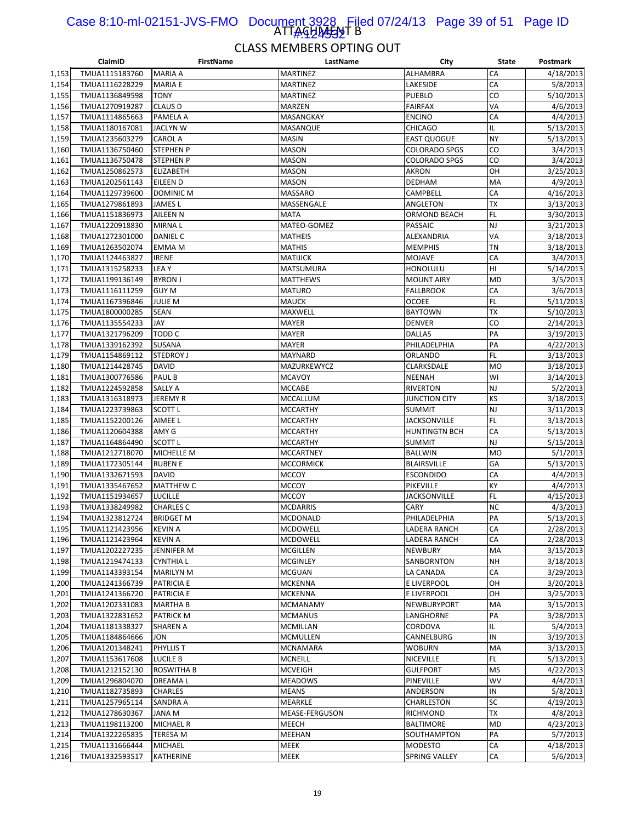#### ATTAGHA<del>J</del>SNT B Case 8:10-ml-02151-JVS-FMO Document 3928 Filed 07/24/13 Page 39 of 51 Page ID 1#:424532

|       | ClaimID        | <b>FirstName</b>  | LastName         | City                 | <b>State</b> | Postmark  |
|-------|----------------|-------------------|------------------|----------------------|--------------|-----------|
| 1,153 | TMUA1115183760 | <b>MARIA A</b>    | <b>MARTINEZ</b>  | ALHAMBRA             | CA           | 4/18/2013 |
| 1,154 | TMUA1116228229 | <b>MARIA E</b>    | <b>MARTINEZ</b>  | LAKESIDE             | CA           | 5/8/2013  |
| 1,155 | TMUA1136849598 | TONY              | <b>MARTINEZ</b>  | PUEBLO               | CO           | 5/10/2013 |
| 1,156 | TMUA1270919287 | <b>CLAUS D</b>    | MARZEN           | <b>FAIRFAX</b>       | VA           | 4/6/2013  |
| 1,157 | TMUA1114865663 | PAMELA A          | MASANGKAY        | <b>ENCINO</b>        | CA           | 4/4/2013  |
| 1,158 | TMUA1180167081 | <b>JACLYN W</b>   | MASANQUE         | <b>CHICAGO</b>       | IL           | 5/13/2013 |
| 1,159 | TMUA1235603279 | CAROL A           | <b>MASIN</b>     | <b>EAST QUOGUE</b>   | <b>NY</b>    | 5/13/2013 |
| 1,160 | TMUA1136750460 | <b>STEPHEN P</b>  | <b>MASON</b>     | <b>COLORADO SPGS</b> | CO           | 3/4/2013  |
| 1,161 | TMUA1136750478 | <b>STEPHEN P</b>  | <b>MASON</b>     | <b>COLORADO SPGS</b> | CO           | 3/4/2013  |
| 1,162 | TMUA1250862573 | <b>ELIZABETH</b>  | <b>MASON</b>     | <b>AKRON</b>         | OH           | 3/25/2013 |
| 1,163 | TMUA1202561143 | EILEEN D          | <b>MASON</b>     | DEDHAM               | MA           | 4/9/2013  |
| 1,164 | TMUA1129739600 | <b>DOMINIC M</b>  | MASSARO          | <b>CAMPBELL</b>      | CA           | 4/16/2013 |
| 1,165 | TMUA1279861893 | JAMES L           | MASSENGALE       | ANGLETON             | <b>TX</b>    | 3/13/2013 |
| 1,166 | TMUA1151836973 | <b>AILEEN N</b>   | <b>MATA</b>      | <b>ORMOND BEACH</b>  | FL           | 3/30/2013 |
| 1,167 | TMUA1220918830 | MIRNA L           | MATEO-GOMEZ      | PASSAIC              | NJ           | 3/21/2013 |
| 1,168 | TMUA1272301000 | <b>DANIEL C</b>   | <b>MATHEIS</b>   | ALEXANDRIA           | VA           | 3/18/2013 |
| 1,169 | TMUA1263502074 | EMMA M            | <b>MATHIS</b>    | <b>MEMPHIS</b>       | ΤN           | 3/18/2013 |
| 1,170 |                | <b>IRENE</b>      | <b>MATIJICK</b>  | <b>MOJAVE</b>        | CA           | 3/4/2013  |
|       | TMUA1124463827 |                   |                  |                      | HI           |           |
| 1,171 | TMUA1315258233 | LEA Y             | <b>MATSUMURA</b> | HONOLULU             |              | 5/14/2013 |
| 1,172 | TMUA1199136149 | <b>BYRON J</b>    | <b>MATTHEWS</b>  | <b>MOUNT AIRY</b>    | MD           | 3/5/2013  |
| 1,173 | TMUA1116111259 | <b>GUY M</b>      | <b>MATURO</b>    | <b>FALLBROOK</b>     | CA           | 3/6/2013  |
| 1,174 | TMUA1167396846 | JULIE M           | <b>MAUCK</b>     | <b>OCOEE</b>         | <b>FL</b>    | 5/11/2013 |
| 1,175 | TMUA1800000285 | <b>SEAN</b>       | MAXWELL          | <b>BAYTOWN</b>       | ТX           | 5/10/2013 |
| 1,176 | TMUA1135554233 | JAY               | <b>MAYER</b>     | <b>DENVER</b>        | CO           | 2/14/2013 |
| 1,177 | TMUA1321796209 | TODD C            | <b>MAYER</b>     | <b>DALLAS</b>        | PA           | 3/19/2013 |
| 1,178 | TMUA1339162392 | SUSANA            | <b>MAYER</b>     | PHILADELPHIA         | PA           | 4/22/2013 |
| 1,179 | TMUA1154869112 | <b>STEDROY J</b>  | <b>MAYNARD</b>   | ORLANDO              | <b>FL</b>    | 3/13/2013 |
| 1,180 | TMUA1214428745 | <b>DAVID</b>      | MAZURKEWYCZ      | CLARKSDALE           | <b>MO</b>    | 3/18/2013 |
| 1,181 | TMUA1300776586 | PAUL B            | <b>MCAVOY</b>    | <b>NEENAH</b>        | WI           | 3/14/2013 |
| 1,182 | TMUA1224592858 | <b>SALLY A</b>    | <b>MCCABE</b>    | <b>RIVERTON</b>      | <b>NJ</b>    | 5/2/2013  |
| 1,183 | TMUA1316318973 | <b>JEREMY R</b>   | <b>MCCALLUM</b>  | JUNCTION CITY        | KS           | 3/18/2013 |
| 1,184 | TMUA1223739863 | <b>SCOTT L</b>    | <b>MCCARTHY</b>  | <b>SUMMIT</b>        | <b>NJ</b>    | 3/11/2013 |
| 1,185 | TMUA1152200126 | AIMEE L           | <b>MCCARTHY</b>  | <b>JACKSONVILLE</b>  | <b>FL</b>    | 3/13/2013 |
| 1,186 | TMUA1120604388 | AMY G             | <b>MCCARTHY</b>  | <b>HUNTINGTN BCH</b> | CA           | 5/13/2013 |
| 1,187 | TMUA1164864490 | <b>SCOTT L</b>    | <b>MCCARTHY</b>  | <b>SUMMIT</b>        | NJ           | 5/15/2013 |
| 1,188 | TMUA1212718070 | <b>MICHELLE M</b> | <b>MCCARTNEY</b> | <b>BALLWIN</b>       | <b>MO</b>    | 5/1/2013  |
| 1,189 | TMUA1172305144 | <b>RUBEN E</b>    | <b>MCCORMICK</b> | <b>BLAIRSVILLE</b>   | GA           | 5/13/2013 |
| 1,190 | TMUA1332671593 | <b>DAVID</b>      | <b>MCCOY</b>     | <b>ESCONDIDO</b>     | CA           | 4/4/2013  |
| 1,191 | TMUA1335467652 | <b>MATTHEW C</b>  | <b>MCCOY</b>     | PIKEVILLE            | KY           | 4/4/2013  |
| 1,192 | TMUA1151934657 | <b>LUCILLE</b>    | <b>MCCOY</b>     | <b>JACKSONVILLE</b>  | <b>FL</b>    | 4/15/2013 |
| 1,193 | TMUA1338249982 | <b>CHARLES C</b>  | <b>MCDARRIS</b>  | CARY                 | <b>NC</b>    | 4/3/2013  |
| 1,194 | TMUA1323812724 | <b>BRIDGET M</b>  | <b>MCDONALD</b>  | PHILADELPHIA         | PA           | 5/13/2013 |
| 1,195 | TMUA1121423956 | <b>KEVIN A</b>    | <b>MCDOWELL</b>  | <b>LADERA RANCH</b>  | CA           | 2/28/2013 |
| 1,196 | TMUA1121423964 | <b>KEVIN A</b>    | <b>MCDOWELL</b>  | LADERA RANCH         | CA           | 2/28/2013 |
| 1,197 | TMUA1202227235 | JENNIFER M        | <b>MCGILLEN</b>  | NEWBURY              | MA           | 3/15/2013 |
| 1,198 | TMUA1219474133 | <b>CYNTHIA L</b>  | <b>MCGINLEY</b>  | SANBORNTON           | NΗ           | 3/18/2013 |
| 1,199 | TMUA1143393154 | <b>MARILYN M</b>  | <b>MCGUAN</b>    | LA CANADA            | CA           | 3/29/2013 |
| 1,200 | TMUA1241366739 | <b>PATRICIA E</b> | <b>MCKENNA</b>   | E LIVERPOOL          | OH           | 3/20/2013 |
| 1,201 | TMUA1241366720 | <b>PATRICIA E</b> | <b>MCKENNA</b>   | E LIVERPOOL          | OH           | 3/25/2013 |
| 1,202 | TMUA1202331083 | <b>MARTHA B</b>   | MCMANAMY         | NEWBURYPORT          | MA           | 3/15/2013 |
| 1,203 | TMUA1322831652 | PATRICK M         | <b>MCMANUS</b>   | LANGHORNE            | PA           | 3/28/2013 |
| 1,204 | TMUA1181338327 | SHAREN A          | MCMILLAN         | CORDOVA              | IL           | 5/4/2013  |
| 1,205 | TMUA1184864666 | JON               | <b>MCMULLEN</b>  | CANNELBURG           | IN           | 3/19/2013 |
| 1,206 | TMUA1201348241 | PHYLLIS T         | <b>MCNAMARA</b>  | <b>WOBURN</b>        | MA           | 3/13/2013 |
| 1,207 | TMUA1153617608 | LUCILE B          | <b>MCNEILL</b>   | NICEVILLE            | <b>FL</b>    | 5/13/2013 |
| 1,208 | TMUA1212152130 | ROSWITHA B        | <b>MCVEIGH</b>   | <b>GULFPORT</b>      | <b>MS</b>    | 4/22/2013 |
| 1,209 | TMUA1296804070 | DREAMA L          | <b>MEADOWS</b>   | PINEVILLE            | WV           | 4/4/2013  |
| 1,210 | TMUA1182735893 | CHARLES           | <b>MEANS</b>     | ANDERSON             | IN           | 5/8/2013  |
| 1,211 | TMUA1257965114 | SANDRA A          | MEARKLE          | CHARLESTON           | SC           | 4/19/2013 |
| 1,212 | TMUA1278630367 | JANA M            | MEASE-FERGUSON   | RICHMOND             | TX           | 4/8/2013  |
| 1,213 | TMUA1198113200 | <b>MICHAEL R</b>  | MEECH            | BALTIMORE            | <b>MD</b>    | 4/23/2013 |
| 1,214 | TMUA1322265835 | TERESA M          | MEEHAN           | SOUTHAMPTON          | PA           | 5/7/2013  |
| 1,215 | TMUA1131666444 | <b>MICHAEL</b>    | MEEK             | <b>MODESTO</b>       | CA           | 4/18/2013 |
| 1,216 | TMUA1332593517 | <b>KATHERINE</b>  | <b>MEEK</b>      | SPRING VALLEY        | CA           | 5/6/2013  |
|       |                |                   |                  |                      |              |           |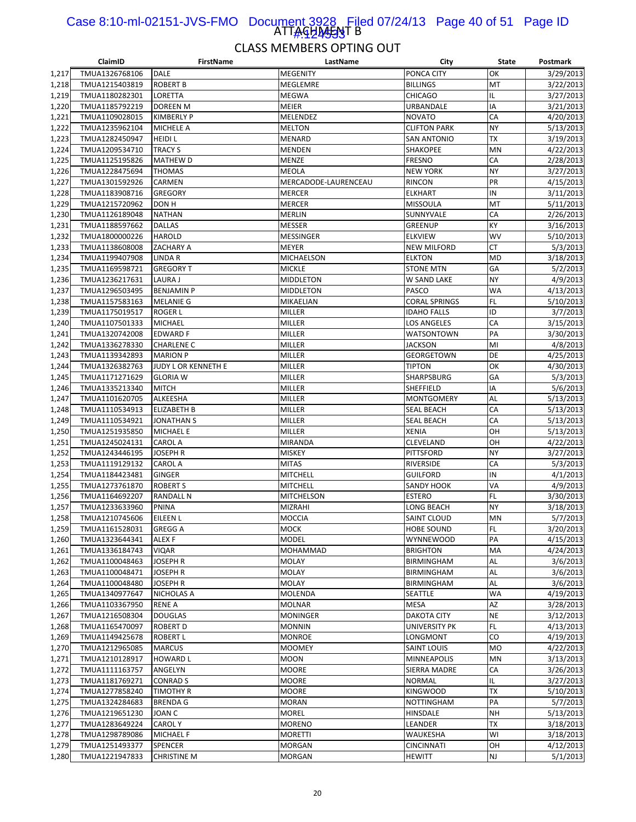#### ATTAGHA<del>JA</del>JT B Case 8:10-ml-02151-JVS-FMO Document 3928 Filed 07/24/13 Page 40 of 51 Page ID #:124533

|       | ClaimID        | <b>FirstName</b>    | LastName             | City                 | State     | Postmark  |
|-------|----------------|---------------------|----------------------|----------------------|-----------|-----------|
| 1,217 | TMUA1326768106 | DALE                | <b>MEGENITY</b>      | PONCA CITY           | OK        | 3/29/2013 |
| 1,218 | TMUA1215403819 | <b>ROBERT B</b>     | MEGLEMRE             | <b>BILLINGS</b>      | MT        | 3/22/2013 |
| 1,219 | TMUA1180282301 | LORETTA             | <b>MEGWA</b>         | <b>CHICAGO</b>       | IL        | 3/27/2013 |
| 1,220 | TMUA1185792219 | DOREEN M            | <b>MEIER</b>         | URBANDALE            | IA        | 3/21/2013 |
| 1,221 | TMUA1109028015 | <b>KIMBERLY P</b>   | <b>MELENDEZ</b>      | <b>NOVATO</b>        | CA        | 4/20/2013 |
| 1,222 | TMUA1235962104 | MICHELE A           | <b>MELTON</b>        | <b>CLIFTON PARK</b>  | <b>NY</b> | 5/13/2013 |
| 1,223 | TMUA1282450947 | <b>HEIDI L</b>      | MENARD               | <b>SAN ANTONIO</b>   | ТX        | 3/19/2013 |
| 1,224 | TMUA1209534710 | <b>TRACY S</b>      | <b>MENDEN</b>        | SHAKOPEE             | MN        | 4/22/2013 |
| 1,225 | TMUA1125195826 | MATHEW D            | <b>MENZE</b>         | <b>FRESNO</b>        | CA        | 2/28/2013 |
| 1,226 | TMUA1228475694 | THOMAS              | MEOLA                | <b>NEW YORK</b>      | <b>NY</b> | 3/27/2013 |
| 1,227 | TMUA1301592926 | CARMEN              | MERCADODE-LAURENCEAU | RINCON               | PR        | 4/15/2013 |
| 1,228 | TMUA1183908716 | <b>GREGORY</b>      | <b>MERCER</b>        | <b>ELKHART</b>       | IN        | 3/11/2013 |
| 1,229 | TMUA1215720962 | DON H               | <b>MERCER</b>        | <b>MISSOULA</b>      | MT        | 5/11/2013 |
| 1,230 | TMUA1126189048 | <b>NATHAN</b>       | <b>MERLIN</b>        | SUNNYVALE            | CA        | 2/26/2013 |
| 1,231 | TMUA1188597662 | <b>DALLAS</b>       | <b>MESSER</b>        | GREENUP              | KY        | 3/16/2013 |
| 1,232 | TMUA1800000226 | <b>HAROLD</b>       | MESSINGER            | <b>ELKVIEW</b>       | <b>WV</b> | 5/10/2013 |
| 1,233 | TMUA1138608008 | ZACHARY A           | <b>MEYER</b>         | <b>NEW MILFORD</b>   | <b>CT</b> | 5/3/2013  |
| 1,234 | TMUA1199407908 | LINDA R             | MICHAELSON           | <b>ELKTON</b>        | <b>MD</b> | 3/18/2013 |
| 1,235 | TMUA1169598721 | <b>GREGORY T</b>    | <b>MICKLE</b>        | <b>STONE MTN</b>     | GA        | 5/2/2013  |
| 1,236 | TMUA1236217631 | LAURA J             | <b>MIDDLETON</b>     | W SAND LAKE          | <b>NY</b> | 4/9/2013  |
| 1,237 | TMUA1296503495 | <b>BENJAMIN P</b>   | <b>MIDDLETON</b>     | PASCO                | <b>WA</b> | 4/13/2013 |
| 1,238 | TMUA1157583163 | <b>MELANIE G</b>    | MIKAELIAN            | <b>CORAL SPRINGS</b> | <b>FL</b> | 5/10/2013 |
| 1,239 | TMUA1175019517 | <b>ROGER L</b>      | MILLER               | <b>IDAHO FALLS</b>   | ID        | 3/7/2013  |
| 1,240 | TMUA1107501333 | <b>MICHAEL</b>      | <b>MILLER</b>        | LOS ANGELES          | CA        | 3/15/2013 |
| 1,241 | TMUA1320742008 | <b>EDWARD F</b>     | <b>MILLER</b>        | WATSONTOWN           | PA        | 3/30/2013 |
| 1,242 | TMUA1336278330 | <b>CHARLENE C</b>   | MILLER               | JACKSON              | MI        | 4/8/2013  |
| 1,243 | TMUA1139342893 | <b>MARION P</b>     | MILLER               | <b>GEORGETOWN</b>    | DE        | 4/25/2013 |
| 1,244 | TMUA1326382763 | JUDY L OR KENNETH E | <b>MILLER</b>        | <b>TIPTON</b>        | OK        | 4/30/2013 |
| 1,245 | TMUA1171271629 | <b>GLORIA W</b>     | <b>MILLER</b>        | SHARPSBURG           | GA        | 5/3/2013  |
|       |                | <b>MITCH</b>        |                      |                      |           |           |
| 1,246 | TMUA1335213340 |                     | <b>MILLER</b>        | SHEFFIELD            | ΙA<br>AL  | 5/6/2013  |
| 1,247 | TMUA1101620705 | ALKEESHA            | <b>MILLER</b>        | <b>MONTGOMERY</b>    |           | 5/13/2013 |
| 1,248 | TMUA1110534913 | <b>ELIZABETH B</b>  | <b>MILLER</b>        | <b>SEAL BEACH</b>    | CA        | 5/13/2013 |
| 1,249 | TMUA1110534921 | JONATHAN S          | <b>MILLER</b>        | <b>SEAL BEACH</b>    | CA        | 5/13/2013 |
| 1,250 | TMUA1251935850 | MICHAEL E           | <b>MILLER</b>        | <b>XENIA</b>         | OH<br>OH  | 5/13/2013 |
| 1,251 | TMUA1245024131 | <b>CAROL A</b>      | <b>MIRANDA</b>       | CLEVELAND            |           | 4/22/2013 |
| 1,252 | TMUA1243446195 | JOSEPH R            | <b>MISKEY</b>        | <b>PITTSFORD</b>     | <b>NY</b> | 3/27/2013 |
| 1,253 | TMUA1119129132 | <b>CAROL A</b>      | <b>MITAS</b>         | RIVERSIDE            | CA        | 5/3/2013  |
| 1,254 | TMUA1184423481 | GINGER              | MITCHELL             | <b>GUILFORD</b>      | IN        | 4/1/2013  |
| 1,255 | TMUA1273761870 | <b>ROBERT S</b>     | <b>MITCHELL</b>      | SANDY HOOK           | VA        | 4/9/2013  |
| 1,256 | TMUA1164692207 | RANDALL N           | <b>MITCHELSON</b>    | <b>ESTERO</b>        | FL.       | 3/30/2013 |
| 1,257 | TMUA1233633960 | PNINA               | MIZRAHI              | LONG BEACH           | <b>NY</b> | 3/18/2013 |
| 1,258 | TMUA1210745606 | EILEEN L            | <b>MOCCIA</b>        | <b>SAINT CLOUD</b>   | MN        | 5/7/2013  |
| 1,259 | TMUA1161528031 | <b>GREGG A</b>      | <b>MOCK</b>          | <b>HOBE SOUND</b>    | <b>FL</b> | 3/20/2013 |
| 1,260 | TMUA1323644341 | ALEX F              | <b>MODEL</b>         | <b>WYNNEWOOD</b>     | PA        | 4/15/2013 |
| 1,261 | TMUA1336184743 | VIQAR               | MOHAMMAD             | <b>BRIGHTON</b>      | MA        | 4/24/2013 |
| 1,262 | TMUA1100048463 | JOSEPH R            | MOLAY                | BIRMINGHAM           | AL        | 3/6/2013  |
| 1,263 | TMUA1100048471 | JOSEPH R            | <b>MOLAY</b>         | BIRMINGHAM           | <b>AL</b> | 3/6/2013  |
| 1,264 | TMUA1100048480 | JOSEPH R            | MOLAY                | BIRMINGHAM           | AL        | 3/6/2013  |
| 1,265 | TMUA1340977647 | NICHOLAS A          | MOLENDA              | SEATTLE              | WA        | 4/19/2013 |
| 1,266 | TMUA1103367950 | <b>RENE A</b>       | MOLNAR               | MESA                 | AZ        | 3/28/2013 |
| 1,267 | TMUA1216508304 | <b>DOUGLAS</b>      | <b>MONINGER</b>      | <b>DAKOTA CITY</b>   | <b>NE</b> | 3/12/2013 |
| 1,268 | TMUA1165470097 | <b>ROBERT D</b>     | <b>MONNIN</b>        | UNIVERSITY PK        | FL.       | 4/13/2013 |
| 1,269 | TMUA1149425678 | <b>ROBERT L</b>     | <b>MONROE</b>        | LONGMONT             | CO        | 4/19/2013 |
| 1,270 | TMUA1212965085 | <b>MARCUS</b>       | <b>MOOMEY</b>        | SAINT LOUIS          | <b>MO</b> | 4/22/2013 |
| 1,271 | TMUA1210128917 | <b>HOWARD L</b>     | <b>MOON</b>          | <b>MINNEAPOLIS</b>   | MN        | 3/13/2013 |
| 1,272 | TMUA1111163757 | ANGELYN             | <b>MOORE</b>         | SIERRA MADRE         | CA        | 3/26/2013 |
| 1,273 | TMUA1181769271 | CONRAD S            | <b>MOORE</b>         | <b>NORMAL</b>        | IL        | 3/27/2013 |
| 1,274 | TMUA1277858240 | <b>TIMOTHY R</b>    | <b>MOORE</b>         | <b>KINGWOOD</b>      | <b>TX</b> | 5/10/2013 |
| 1,275 | TMUA1324284683 | <b>BRENDA G</b>     | <b>MORAN</b>         | <b>NOTTINGHAM</b>    | PA        | 5/7/2013  |
| 1,276 | TMUA1219651230 | JOAN C              | <b>MOREL</b>         | HINSDALE             | <b>NH</b> | 5/13/2013 |
| 1,277 | TMUA1283649224 | CAROL Y             | <b>MORENO</b>        | LEANDER              | TХ        | 3/18/2013 |
| 1,278 | TMUA1298789086 | <b>MICHAEL F</b>    | <b>MORETTI</b>       | WAUKESHA             | WI        | 3/18/2013 |
| 1,279 | TMUA1251493377 | SPENCER             | MORGAN               | <b>CINCINNATI</b>    | OH        | 4/12/2013 |
| 1,280 | TMUA1221947833 | CHRISTINE M         | MORGAN               | <b>HEWITT</b>        | NJ        | 5/1/2013  |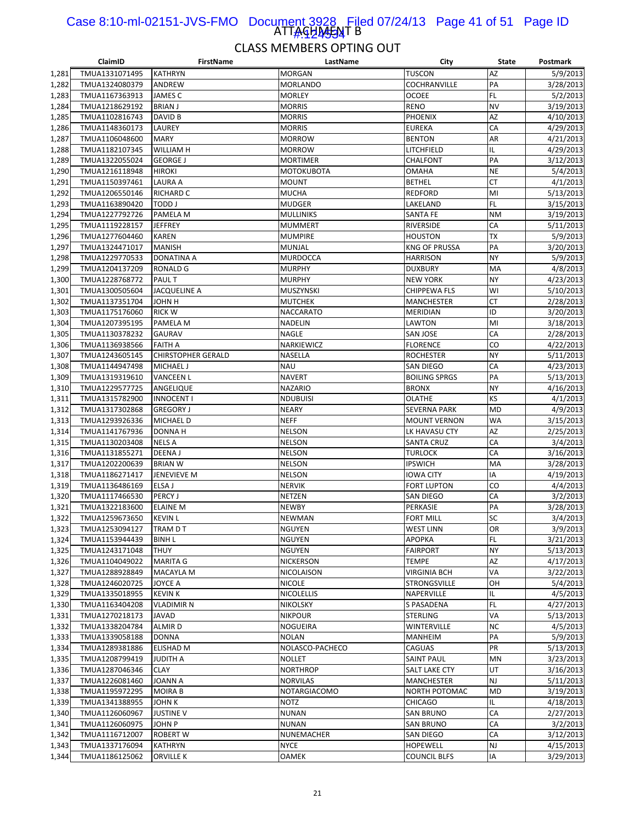#### ATTAGHA<del>JA</del>T B Case 8:10-ml-02151-JVS-FMO Document 3928 Filed 07/24/13 Page 41 of 51 Page ID 1#:424534

|       | ClaimID        | <b>FirstName</b>          | LastName         | City                 | <b>State</b> | Postmark  |
|-------|----------------|---------------------------|------------------|----------------------|--------------|-----------|
| 1,281 | TMUA1331071495 | <b>KATHRYN</b>            | <b>MORGAN</b>    | <b>TUSCON</b>        | AZ           | 5/9/2013  |
| 1,282 | TMUA1324080379 | ANDREW                    | <b>MORLANDO</b>  | COCHRANVILLE         | PA           | 3/28/2013 |
| 1,283 | TMUA1167363913 | JAMES C                   | <b>MORLEY</b>    | OCOEE                | <b>FL</b>    | 5/2/2013  |
| 1,284 | TMUA1218629192 | <b>BRIAN J</b>            | <b>MORRIS</b>    | <b>RENO</b>          | <b>NV</b>    | 3/19/2013 |
| 1,285 | TMUA1102816743 | <b>DAVID B</b>            | <b>MORRIS</b>    | PHOENIX              | AZ           | 4/10/2013 |
| 1,286 | TMUA1148360173 | LAUREY                    | <b>MORRIS</b>    | EUREKA               | CA           | 4/29/2013 |
| 1,287 | TMUA1106048600 | <b>MARY</b>               | <b>MORROW</b>    | <b>BENTON</b>        | AR           | 4/21/2013 |
| 1,288 | TMUA1182107345 | WILLIAM H                 | <b>MORROW</b>    | LITCHFIELD           | IL           | 4/29/2013 |
| 1,289 | TMUA1322055024 | <b>GEORGE J</b>           | <b>MORTIMER</b>  | CHALFONT             | PA           | 3/12/2013 |
| 1,290 | TMUA1216118948 | <b>HIROKI</b>             | MOTOKUBOTA       | OMAHA                | <b>NE</b>    | 5/4/2013  |
| 1,291 |                |                           |                  |                      | <b>CT</b>    |           |
|       | TMUA1150397461 | LAURA A                   | MOUNT            | <b>BETHEL</b>        |              | 4/1/2013  |
| 1,292 | TMUA1206550146 | <b>RICHARD C</b>          | <b>MUCHA</b>     | <b>REDFORD</b>       | MI           | 5/13/2013 |
| 1,293 | TMUA1163890420 | TODD J                    | <b>MUDGER</b>    | LAKELAND             | <b>FL</b>    | 3/15/2013 |
| 1,294 | TMUA1227792726 | PAMELA M                  | MULLINIKS        | SANTA FE             | <b>NM</b>    | 3/19/2013 |
| 1,295 | TMUA1119228157 | <b>JEFFREY</b>            | <b>MUMMERT</b>   | RIVERSIDE            | CA           | 5/11/2013 |
| 1,296 | TMUA1277604460 | <b>KAREN</b>              | <b>MUMPIRE</b>   | <b>HOUSTON</b>       | <b>TX</b>    | 5/9/2013  |
| 1,297 | TMUA1324471017 | <b>MANISH</b>             | MUNJAL           | <b>KNG OF PRUSSA</b> | PA           | 3/20/2013 |
| 1,298 | TMUA1229770533 | DONATINA A                | MURDOCCA         | HARRISON             | <b>NY</b>    | 5/9/2013  |
| 1,299 | TMUA1204137209 | <b>RONALD G</b>           | <b>MURPHY</b>    | <b>DUXBURY</b>       | MA           | 4/8/2013  |
| 1,300 | TMUA1228768772 | PAUL T                    | <b>MURPHY</b>    | <b>NEW YORK</b>      | <b>NY</b>    | 4/23/2013 |
| 1,301 | TMUA1300505604 | <b>JACQUELINE A</b>       | MUSZYNSKI        | CHIPPEWA FLS         | WI           | 5/10/2013 |
| 1,302 | TMUA1137351704 | <b>H NHOL</b>             | <b>MUTCHEK</b>   | MANCHESTER           | CT           | 2/28/2013 |
| 1,303 | TMUA1175176060 | <b>RICK W</b>             | <b>NACCARATO</b> | <b>MERIDIAN</b>      | ID           | 3/20/2013 |
| 1,304 | TMUA1207395195 | PAMELA M                  | <b>NADELIN</b>   | LAWTON               | MI           | 3/18/2013 |
| 1,305 | TMUA1130378232 | <b>GAURAV</b>             | NAGLE            | SAN JOSE             | CA           | 2/28/2013 |
| 1,306 | TMUA1136938566 | <b>FAITH A</b>            | NARKIEWICZ       | <b>FLORENCE</b>      | CO           | 4/22/2013 |
| 1,307 | TMUA1243605145 | <b>CHIRSTOPHER GERALD</b> | NASELLA          | <b>ROCHESTER</b>     | <b>NY</b>    | 5/11/2013 |
| 1,308 | TMUA1144947498 | <b>MICHAEL J</b>          | <b>NAU</b>       | SAN DIEGO            | CA           | 4/23/2013 |
| 1,309 | TMUA1319319610 | <b>VANCEEN L</b>          | <b>NAVERT</b>    | <b>BOILING SPRGS</b> | PA           | 5/13/2013 |
| 1,310 | TMUA1229577725 | ANGELIQUE                 | <b>NAZARIO</b>   | <b>BRONX</b>         | <b>NY</b>    | 4/16/2013 |
|       |                |                           | <b>NDUBUISI</b>  |                      | KS           |           |
| 1,311 | TMUA1315782900 | <b>INNOCENT I</b>         |                  | <b>OLATHE</b>        |              | 4/1/2013  |
| 1,312 | TMUA1317302868 | <b>GREGORY J</b>          | <b>NEARY</b>     | <b>SEVERNA PARK</b>  | <b>MD</b>    | 4/9/2013  |
| 1,313 | TMUA1293926336 | <b>MICHAEL D</b>          | <b>NEFF</b>      | <b>MOUNT VERNON</b>  | <b>WA</b>    | 3/15/2013 |
| 1,314 | TMUA1141767936 | DONNA H                   | <b>NELSON</b>    | LK HAVASU CTY        | AZ           | 2/25/2013 |
| 1,315 | TMUA1130203408 | NELS A                    | <b>NELSON</b>    | <b>SANTA CRUZ</b>    | CA           | 3/4/2013  |
| 1,316 | TMUA1131855271 | DEENA J                   | <b>NELSON</b>    | <b>TURLOCK</b>       | CA           | 3/16/2013 |
| 1,317 | TMUA1202200639 | <b>BRIAN W</b>            | <b>NELSON</b>    | <b>IPSWICH</b>       | MA           | 3/28/2013 |
| 1,318 | TMUA1186271417 | <b>JENEVIEVE M</b>        | <b>NELSON</b>    | <b>IOWA CITY</b>     | IA           | 4/19/2013 |
| 1,319 | TMUA1136486169 | ELSA J                    | <b>NERVIK</b>    | FORT LUPTON          | CO           | 4/4/2013  |
| 1,320 | TMUA1117466530 | <b>PERCY J</b>            | NETZEN           | SAN DIEGO            | CA           | 3/2/2013  |
| 1,321 | TMUA1322183600 | <b>ELAINE M</b>           | <b>NEWBY</b>     | PERKASIE             | PA           | 3/28/2013 |
| 1,322 | TMUA1259673650 | <b>KEVIN L</b>            | <b>NEWMAN</b>    | FORT MILL            | SC           | 3/4/2013  |
| 1,323 | TMUA1253094127 | TRAM D T                  | <b>NGUYEN</b>    | <b>WEST LINN</b>     | OR           | 3/9/2013  |
| 1,324 | TMUA1153944439 | <b>BINH L</b>             | NGUYEN           | АРОРКА               | FL           | 3/21/2013 |
| 1,325 | TMUA1243171048 | THUY                      | <b>NGUYEN</b>    | <b>FAIRPORT</b>      | <b>NY</b>    | 5/13/2013 |
| 1,326 | TMUA1104049022 | <b>MARITA G</b>           | NICKERSON        | TEMPE                | AZ           | 4/17/2013 |
| 1,327 | TMUA1288928849 | <b>MACAYLA M</b>          | NICOLAISON       | <b>VIRGINIA BCH</b>  | VA           | 3/22/2013 |
| 1,328 | TMUA1246020725 | JOYCE A                   | NICOLE           | STRONGSVILLE         | OH           | 5/4/2013  |
| 1,329 | TMUA1335018955 | <b>KEVIN K</b>            | NICOLELLIS       | NAPERVILLE           | IL           | 4/5/2013  |
| 1,330 | TMUA1163404208 | <b>VLADIMIR N</b>         | <b>NIKOLSKY</b>  | S PASADENA           | FL           | 4/27/2013 |
| 1,331 | TMUA1270218173 | <b>JAVAD</b>              | <b>NIKPOUR</b>   | <b>STERLING</b>      | VA           | 5/13/2013 |
| 1,332 | TMUA1338204784 | ALMIR D                   | NOGUEIRA         | WINTERVILLE          | <b>NC</b>    | 4/5/2013  |
| 1,333 | TMUA1339058188 | <b>DONNA</b>              | NOLAN            | MANHEIM              | PA           | 5/9/2013  |
| 1,334 |                | <b>ELISHAD M</b>          |                  |                      | PR           | 5/13/2013 |
|       | TMUA1289381886 |                           | NOLASCO-PACHECO  | CAGUAS               |              |           |
| 1,335 | TMUA1208799419 | <b>JUDITH A</b>           | <b>NOLLET</b>    | SAINT PAUL           | <b>MN</b>    | 3/23/2013 |
| 1,336 | TMUA1287046346 | <b>CLAY</b>               | NORTHROP         | SALT LAKE CTY        | UT           | 3/16/2013 |
| 1,337 | TMUA1226081460 | <b>JOANN A</b>            | <b>NORVILAS</b>  | MANCHESTER           | NJ           | 5/11/2013 |
| 1,338 | TMUA1195972295 | <b>MOIRA B</b>            | NOTARGIACOMO     | NORTH POTOMAC        | <b>MD</b>    | 3/19/2013 |
| 1,339 | TMUA1341388955 | JOHN K                    | <b>NOTZ</b>      | <b>CHICAGO</b>       | IL.          | 4/18/2013 |
| 1,340 | TMUA1126060967 | <b>JUSTINE V</b>          | <b>NUNAN</b>     | <b>SAN BRUNO</b>     | CA           | 2/27/2013 |
| 1,341 | TMUA1126060975 | <b>JOHN P</b>             | <b>NUNAN</b>     | <b>SAN BRUNO</b>     | CA           | 3/2/2013  |
| 1,342 | TMUA1116712007 | <b>ROBERT W</b>           | NUNEMACHER       | SAN DIEGO            | CA           | 3/12/2013 |
| 1,343 | TMUA1337176094 | KATHRYN                   | <b>NYCE</b>      | <b>HOPEWELL</b>      | <b>NJ</b>    | 4/15/2013 |
| 1,344 | TMUA1186125062 | ORVILLE K                 | OAMEK            | COUNCIL BLFS         | IA           | 3/29/2013 |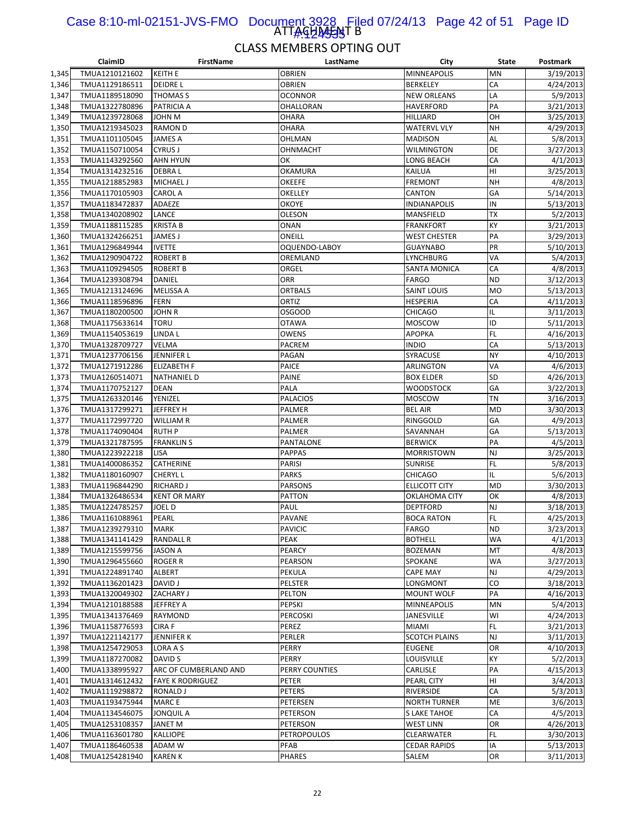#### ATTAGHA<del>JAJ</del>T B Case 8:10-ml-02151-JVS-FMO Document 3928 Filed 07/24/13 Page 42 of 51 Page ID 1#:424535

|                | ClaimID                          | <b>FirstName</b>        | LastName         | City                       | State           | Postmark              |
|----------------|----------------------------------|-------------------------|------------------|----------------------------|-----------------|-----------------------|
| 1,345          | TMUA1210121602                   | <b>KEITH E</b>          | <b>OBRIEN</b>    | <b>MINNEAPOLIS</b>         | <b>MN</b>       | 3/19/2013             |
| 1,346          | TMUA1129186511                   | <b>DEIDREL</b>          | <b>OBRIEN</b>    | <b>BERKELEY</b>            | CA              | 4/24/2013             |
| 1,347          | TMUA1189518090                   | THOMAS S                | <b>OCONNOR</b>   | <b>NEW ORLEANS</b>         | LA              | 5/9/2013              |
| 1,348          | TMUA1322780896                   | PATRICIA A              | <b>OHALLORAN</b> | <b>HAVERFORD</b>           | PA              | 3/21/2013             |
| 1,349          | TMUA1239728068                   | JOHN M                  | <b>OHARA</b>     | HILLIARD                   | OH              | 3/25/2013             |
| 1,350          | TMUA1219345023                   | RAMON D                 | <b>OHARA</b>     | <b>WATERVL VLY</b>         | <b>NH</b>       | 4/29/2013             |
| 1,351          | TMUA1101105045                   | JAMES A                 | OHLMAN           | <b>MADISON</b>             | AL              | 5/8/2013              |
| 1,352          | TMUA1150710054                   | <b>CYRUS J</b>          | OHNMACHT         | WILMINGTON                 | <b>DE</b>       | 3/27/2013             |
| 1,353          | TMUA1143292560                   | <b>AHN HYUN</b>         | OK               | LONG BEACH                 | CA              | 4/1/2013              |
| 1,354          | TMUA1314232516                   | <b>DEBRAL</b>           | OKAMURA          | KAILUA                     | HI              | 3/25/2013             |
| 1,355          | TMUA1218852983                   | MICHAEL J               | <b>OKEEFE</b>    | FREMONT                    | <b>NH</b>       | 4/8/2013              |
| 1,356          | TMUA1170105903                   | <b>CAROL A</b>          | OKELLEY          | CANTON                     | GA              | 5/14/2013             |
| 1,357          | TMUA1183472837                   | ADAEZE                  | <b>OKOYE</b>     | <b>INDIANAPOLIS</b>        | IN              | 5/13/2013             |
| 1,358          | TMUA1340208902                   | LANCE                   | <b>OLESON</b>    | MANSFIELD                  | TX              | 5/2/2013              |
| 1,359          | TMUA1188115285                   | <b>KRISTA B</b>         | <b>ONAN</b>      | FRANKFORT                  | KY              | 3/21/2013             |
| 1,360          | TMUA1324266251                   | JAMES J                 | ONEILL           | <b>WEST CHESTER</b>        | PA              | 3/29/2013             |
| 1,361          | TMUA1296849944                   | <b>IVETTE</b>           | OQUENDO-LABOY    | <b>GUAYNABO</b>            | PR              | 5/10/2013             |
| 1,362          | TMUA1290904722                   | <b>ROBERT B</b>         | OREMLAND         | LYNCHBURG                  | VA              | 5/4/2013              |
| 1,363          | TMUA1109294505                   | <b>ROBERT B</b>         | ORGEL            | SANTA MONICA               | CA              | 4/8/2013              |
| 1,364          | TMUA1239308794                   | DANIEL                  | <b>ORR</b>       | <b>FARGO</b>               | <b>ND</b>       | 3/12/2013             |
| 1,365          | TMUA1213124696                   | <b>MELISSA A</b>        | <b>ORTBALS</b>   | <b>SAINT LOUIS</b>         | <b>MO</b>       | 5/13/2013             |
| 1,366          | TMUA1118596896                   | FERN                    | ORTIZ            | <b>HESPERIA</b>            | CA              | 4/11/2013             |
| 1,367          | TMUA1180200500                   | JOHN R                  | <b>OSGOOD</b>    | <b>CHICAGO</b>             | IL              | 3/11/2013             |
| 1,368          | TMUA1175633614                   | TORU                    | <b>OTAWA</b>     | MOSCOW                     | ID              | 5/11/2013             |
| 1,369          | TMUA1154053619                   | LINDA L                 | <b>OWENS</b>     | <b>APOPKA</b>              | <b>FL</b>       | 4/16/2013             |
| 1,370          | TMUA1328709727                   | VELMA                   | PACREM           | <b>INDIO</b>               | CA              | 5/13/2013             |
| 1,371          | TMUA1237706156                   | JENNIFER L              | PAGAN            | SYRACUSE                   | <b>NY</b>       | 4/10/2013             |
| 1,372          | TMUA1271912286                   | <b>ELIZABETH F</b>      | PAICE            | ARLINGTON                  | VA              | 4/6/2013              |
| 1,373          | TMUA1260514071                   | <b>NATHANIEL D</b>      | PAINE            | <b>BOX ELDER</b>           | <b>SD</b>       | 4/26/2013             |
| 1,374          | TMUA1170752127                   | DEAN                    | PALA             | <b>WOODSTOCK</b>           | GA              | 3/22/2013             |
| 1,375          | TMUA1263320146                   | YENIZEL                 | <b>PALACIOS</b>  | MOSCOW                     | <b>TN</b>       | 3/16/2013             |
| 1,376<br>1,377 | TMUA1317299271<br>TMUA1172997720 | JEFFREY H<br>WILLIAM R  | PALMER<br>PALMER | <b>BEL AIR</b><br>RINGGOLD | <b>MD</b><br>GA | 3/30/2013<br>4/9/2013 |
| 1,378          | TMUA1174090404                   | <b>RUTH P</b>           | PALMER           | SAVANNAH                   | GA              | 5/13/2013             |
| 1,379          | TMUA1321787595                   | <b>FRANKLIN S</b>       | PANTALONE        | <b>BERWICK</b>             | PA              | 4/5/2013              |
| 1,380          | TMUA1223922218                   | LISA                    | <b>PAPPAS</b>    | <b>MORRISTOWN</b>          | <b>NJ</b>       | 3/25/2013             |
| 1,381          | TMUA1400086352                   | CATHERINE               | PARISI           | <b>SUNRISE</b>             | <b>FL</b>       | 5/8/2013              |
| 1,382          | TMUA1180160907                   | CHERYL L                | <b>PARKS</b>     | <b>CHICAGO</b>             | IL              | 5/6/2013              |
| 1,383          | TMUA1196844290                   | RICHARD J               | PARSONS          | <b>ELLICOTT CITY</b>       | <b>MD</b>       | 3/30/2013             |
| 1,384          | TMUA1326486534                   | <b>KENT OR MARY</b>     | <b>PATTON</b>    | OKLAHOMA CITY              | OK              | 4/8/2013              |
| 1,385          | TMUA1224785257                   | JOEL D                  | PAUL             | <b>DEPTFORD</b>            | <b>NJ</b>       | 3/18/2013             |
| 1,386          | TMUA1161088961                   | PEARL                   | PAVANE           | <b>BOCA RATON</b>          | <b>FL</b>       | 4/25/2013             |
| 1,387          | TMUA1239279310                   | <b>MARK</b>             | <b>PAVICIC</b>   | <b>FARGO</b>               | <b>ND</b>       | 3/23/2013             |
| 1,388          | TMUA1341141429                   | RANDALL R               | PEAK             | <b>BOTHELL</b>             | WA              | 4/1/2013              |
| 1,389          | TMUA1215599756                   | JASON A                 | PEARCY           | <b>BOZEMAN</b>             | MT              | 4/8/2013              |
| 1,390          | TMUA1296455660                   | ROGER R                 | PEARSON          | SPOKANE                    | <b>WA</b>       | 3/27/2013             |
| 1,391          | TMUA1224891740                   | ALBERT                  | PEKULA           | <b>CAPE MAY</b>            | <b>NJ</b>       | 4/29/2013             |
| 1,392          | TMUA1136201423                   | DAVID J                 | PELSTER          | LONGMONT                   | CO              | 3/18/2013             |
| 1,393          | TMUA1320049302                   | ZACHARY J               | <b>PELTON</b>    | MOUNT WOLF                 | PA              | 4/16/2013             |
| 1,394          | TMUA1210188588                   | JEFFREY A               | PEPSKI           | <b>MINNEAPOLIS</b>         | <b>MN</b>       | 5/4/2013              |
| 1,395          | TMUA1341376469                   | RAYMOND                 | PERCOSKI         | JANESVILLE                 | WI              | 4/24/2013             |
| 1,396          | TMUA1158776593                   | CIRA F                  | PEREZ            | <b>MIAMI</b>               | FL.             | 3/21/2013             |
| 1,397          | TMUA1221142177                   | JENNIFER K              | PERLER           | <b>SCOTCH PLAINS</b>       | <b>NJ</b>       | 3/11/2013             |
| 1,398          | TMUA1254729053                   | LORA A S                | PERRY            | <b>EUGENE</b>              | OR              | 4/10/2013             |
| 1,399          | TMUA1187270082                   | DAVID S                 | PERRY            | LOUISVILLE                 | KY              | 5/2/2013              |
| 1,400          | TMUA1338995927                   | ARC OF CUMBERLAND AND   | PERRY COUNTIES   | CARLISLE                   | PA              | 4/15/2013             |
| 1,401          | TMUA1314612432                   | <b>FAYE K RODRIGUEZ</b> | PETER            | PEARL CITY                 | HI              | 3/4/2013              |
| 1,402          | TMUA1119298872                   | RONALD J                | PETERS           | RIVERSIDE                  | CA              | 5/3/2013              |
| 1,403          | TMUA1193475944                   | <b>MARCE</b>            | PETERSEN         | <b>NORTH TURNER</b>        | ME              | 3/6/2013              |
| 1,404          | TMUA1134546075                   | JONQUIL A               | PETERSON         | S LAKE TAHOE               | CA              | 4/5/2013              |
| 1,405          | TMUA1253108357                   | JANET M                 | PETERSON         | <b>WEST LINN</b>           | OR              | 4/26/2013             |
| 1,406          | TMUA1163601780                   | <b>KALLIOPE</b>         | PETROPOULOS      | CLEARWATER                 | FL.             | 3/30/2013             |
| 1,407          | TMUA1186460538                   | ADAM W                  | PFAB             | <b>CEDAR RAPIDS</b>        | IA              | 5/13/2013             |
| 1,408          | TMUA1254281940                   | <b>KAREN K</b>          | <b>PHARES</b>    | SALEM                      | OR              | 3/11/2013             |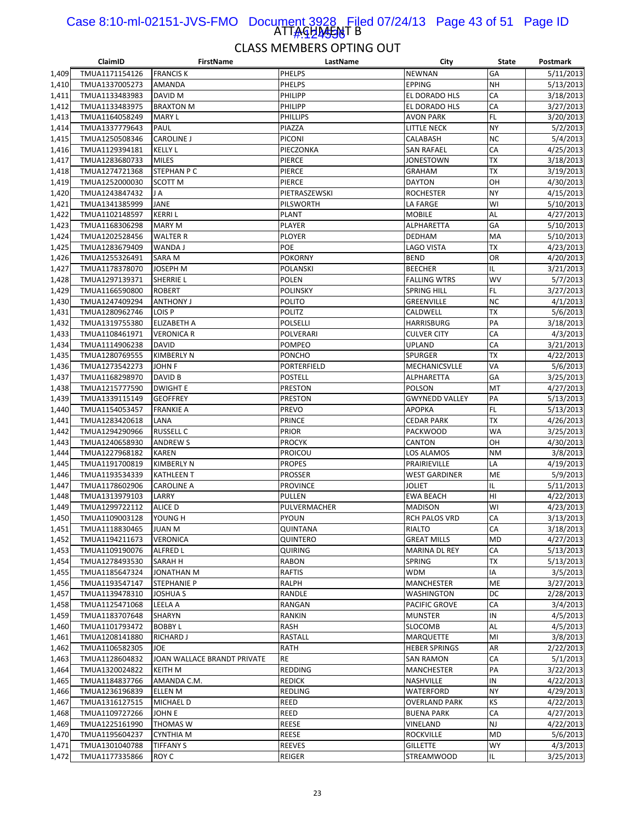#### ATTAGHA<del>JAJ</del> B Case 8:10-ml-02151-JVS-FMO Document 3928 Filed 07/24/13 Page 43 of 51 Page ID 1#:424536

|       | ClaimID        | <b>FirstName</b>            | LastName        | City                  | <b>State</b> | Postmark  |
|-------|----------------|-----------------------------|-----------------|-----------------------|--------------|-----------|
| 1,409 | TMUA1171154126 | <b>FRANCIS K</b>            | <b>PHELPS</b>   | <b>NEWNAN</b>         | GA           | 5/11/2013 |
| 1,410 | TMUA1337005273 | AMANDA                      | PHELPS          | <b>EPPING</b>         | <b>NH</b>    | 5/13/2013 |
| 1,411 | TMUA1133483983 | DAVID M                     | PHILIPP         | EL DORADO HLS         | CA           | 3/18/2013 |
| 1,412 | TMUA1133483975 | <b>BRAXTON M</b>            | PHILIPP         | EL DORADO HLS         | CA           | 3/27/2013 |
| 1,413 | TMUA1164058249 | <b>MARY L</b>               | <b>PHILLIPS</b> | <b>AVON PARK</b>      | FL           | 3/20/2013 |
| 1,414 | TMUA1337779643 | PAUL                        | PIAZZA          | LITTLE NECK           | <b>NY</b>    | 5/2/2013  |
| 1,415 | TMUA1250508346 | <b>CAROLINE J</b>           | <b>PICONI</b>   | CALABASH              | <b>NC</b>    | 5/4/2013  |
| 1,416 | TMUA1129394181 | <b>KELLY L</b>              | PIECZONKA       | <b>SAN RAFAEL</b>     | CA           | 4/25/2013 |
| 1,417 | TMUA1283680733 | <b>MILES</b>                | PIERCE          | JONESTOWN             | TХ           | 3/18/2013 |
| 1,418 | TMUA1274721368 | STEPHAN P C                 | PIERCE          | <b>GRAHAM</b>         | TХ           | 3/19/2013 |
|       |                |                             | PIERCE          |                       | OH           | 4/30/2013 |
| 1,419 | TMUA1252000030 | SCOTT M                     |                 | <b>DAYTON</b>         |              |           |
| 1,420 | TMUA1243847432 | JA                          | PIETRASZEWSKI   | <b>ROCHESTER</b>      | <b>NY</b>    | 4/15/2013 |
| 1,421 | TMUA1341385999 | JANE                        | PILSWORTH       | LA FARGE              | WI           | 5/10/2013 |
| 1,422 | TMUA1102148597 | <b>KERRIL</b>               | <b>PLANT</b>    | <b>MOBILE</b>         | AL           | 4/27/2013 |
| 1,423 | TMUA1168306298 | <b>MARY M</b>               | PLAYER          | ALPHARETTA            | GA           | 5/10/2013 |
| 1,424 | TMUA1202528456 | <b>WALTER R</b>             | <b>PLOYER</b>   | DEDHAM                | MA           | 5/10/2013 |
| 1,425 | TMUA1283679409 | WANDA J                     | POE             | LAGO VISTA            | ТX           | 4/23/2013 |
| 1,426 | TMUA1255326491 | SARA M                      | POKORNY         | <b>BEND</b>           | OR           | 4/20/2013 |
| 1,427 | TMUA1178378070 | JOSEPH M                    | POLANSKI        | <b>BEECHER</b>        | IL           | 3/21/2013 |
| 1,428 | TMUA1297139371 | SHERRIE L                   | <b>POLEN</b>    | <b>FALLING WTRS</b>   | WV           | 5/7/2013  |
| 1,429 | TMUA1166590800 | <b>ROBERT</b>               | <b>POLINSKY</b> | <b>SPRING HILL</b>    | <b>FL</b>    | 3/27/2013 |
| 1,430 | TMUA1247409294 | <b>ANTHONY J</b>            | <b>POLITO</b>   | GREENVILLE            | <b>NC</b>    | 4/1/2013  |
| 1,431 | TMUA1280962746 | LOIS P                      | POLITZ          | CALDWELL              | <b>TX</b>    | 5/6/2013  |
| 1,432 | TMUA1319755380 | <b>ELIZABETH A</b>          | <b>POLSELLI</b> | <b>HARRISBURG</b>     | PA           | 3/18/2013 |
| 1,433 | TMUA1108461971 | <b>VERONICA R</b>           | POLVERARI       | <b>CULVER CITY</b>    | CA           | 4/3/2013  |
| 1,434 | TMUA1114906238 | <b>DAVID</b>                | <b>POMPEO</b>   | <b>UPLAND</b>         | CA           | 3/21/2013 |
| 1,435 | TMUA1280769555 | <b>KIMBERLY N</b>           | <b>PONCHO</b>   | <b>SPURGER</b>        | <b>TX</b>    | 4/22/2013 |
| 1,436 | TMUA1273542273 | JOHN F                      | PORTERFIELD     | MECHANICSVLLE         | VA           | 5/6/2013  |
| 1,437 | TMUA1168298970 | DAVID B                     | <b>POSTELL</b>  | ALPHARETTA            | GA           | 3/25/2013 |
| 1,438 | TMUA1215777590 | <b>DWIGHT E</b>             | PRESTON         | POLSON                | МT           | 4/27/2013 |
|       |                |                             | <b>PRESTON</b>  |                       | PA           |           |
| 1,439 | TMUA1339115149 | <b>GEOFFREY</b>             |                 | <b>GWYNEDD VALLEY</b> |              | 5/13/2013 |
| 1,440 | TMUA1154053457 | <b>FRANKIE A</b>            | PREVO           | <b>APOPKA</b>         | FL           | 5/13/2013 |
| 1,441 | TMUA1283420618 | LANA                        | <b>PRINCE</b>   | <b>CEDAR PARK</b>     | ТX           | 4/26/2013 |
| 1,442 | TMUA1294290966 | <b>RUSSELL C</b>            | <b>PRIOR</b>    | <b>PACKWOOD</b>       | WA           | 3/25/2013 |
| 1,443 | TMUA1240658930 | <b>ANDREW S</b>             | <b>PROCYK</b>   | CANTON                | OH           | 4/30/2013 |
| 1,444 | TMUA1227968182 | KAREN                       | <b>PROICOU</b>  | LOS ALAMOS            | <b>NM</b>    | 3/8/2013  |
| 1,445 | TMUA1191700819 | <b>KIMBERLY N</b>           | <b>PROPES</b>   | PRAIRIEVILLE          | LA           | 4/19/2013 |
| 1,446 | TMUA1193534339 | <b>KATHLEEN T</b>           | PROSSER         | <b>WEST GARDINER</b>  | ME           | 5/9/2013  |
| 1,447 | TMUA1178602906 | <b>CAROLINE A</b>           | <b>PROVINCE</b> | <b>JOLIET</b>         | IL           | 5/11/2013 |
| 1,448 | TMUA1313979103 | LARRY                       | PULLEN          | <b>EWA BEACH</b>      | HI           | 4/22/2013 |
| 1,449 | TMUA1299722112 | ALICE D                     | PULVERMACHER    | <b>MADISON</b>        | WI           | 4/23/2013 |
| 1,450 | TMUA1109003128 | YOUNG H                     | PYOUN           | RCH PALOS VRD         | CA           | 3/13/2013 |
| 1,451 | TMUA1118830465 | <b>JUAN M</b>               | <b>QUINTANA</b> | RIALTO                | CA           | 3/18/2013 |
| 1,452 | TMUA1194211673 | <b>VERONICA</b>             | QUINTERO        | <b>GREAT MILLS</b>    | ${\sf MD}$   | 4/27/2013 |
| 1,453 | TMUA1109190076 | <b>ALFRED L</b>             | <b>QUIRING</b>  | MARINA DL REY         | СA           | 5/13/2013 |
| 1,454 | TMUA1278493530 | SARAH H                     | <b>RABON</b>    | <b>SPRING</b>         | ТX           | 5/13/2013 |
| 1,455 | TMUA1185647324 | JONATHAN M                  | RAFTIS          | <b>WDM</b>            | IA           | 3/5/2013  |
| 1,456 | TMUA1193547147 | STEPHANIE P                 | RALPH           | MANCHESTER            | ME           | 3/27/2013 |
| 1,457 | TMUA1139478310 | JOSHUA S                    | RANDLE          | WASHINGTON            | DC           | 2/28/2013 |
| 1,458 | TMUA1125471068 | LEELA A                     | RANGAN          | PACIFIC GROVE         | CA           | 3/4/2013  |
| 1,459 | TMUA1183707648 | SHARYN                      | <b>RANKIN</b>   | <b>MUNSTER</b>        | IN           | 4/5/2013  |
| 1,460 | TMUA1101793472 | <b>BOBBY L</b>              | RASH            | SLOCOMB               | AL           | 4/5/2013  |
| 1,461 | TMUA1208141880 | RICHARD J                   | RASTALL         | <b>MARQUETTE</b>      | MI           | 3/8/2013  |
| 1,462 | TMUA1106582305 | JOE                         | <b>RATH</b>     | <b>HEBER SPRINGS</b>  | AR           | 2/22/2013 |
|       |                |                             | <b>RE</b>       |                       | CA           |           |
| 1,463 | TMUA1128604832 | JOAN WALLACE BRANDT PRIVATE |                 | <b>SAN RAMON</b>      |              | 5/1/2013  |
| 1,464 | TMUA1320024822 | KEITH M                     | <b>REDDING</b>  | MANCHESTER            | PA           | 3/22/2013 |
| 1,465 | TMUA1184837766 | AMANDA C.M.                 | <b>REDICK</b>   | NASHVILLE             | IN           | 4/22/2013 |
| 1,466 | TMUA1236196839 | ELLEN M                     | <b>REDLING</b>  | WATERFORD             | <b>NY</b>    | 4/29/2013 |
| 1,467 | TMUA1316127515 | MICHAEL D                   | REED            | <b>OVERLAND PARK</b>  | ΚS           | 4/22/2013 |
| 1,468 | TMUA1109727266 | JOHN E                      | REED            | <b>BUENA PARK</b>     | СA           | 4/27/2013 |
| 1,469 | TMUA1225161990 | THOMAS W                    | <b>REESE</b>    | VINELAND              | <b>NJ</b>    | 4/22/2013 |
| 1,470 | TMUA1195604237 | <b>CYNTHIA M</b>            | <b>REESE</b>    | <b>ROCKVILLE</b>      | <b>MD</b>    | 5/6/2013  |
| 1,471 | TMUA1301040788 | <b>TIFFANY S</b>            | <b>REEVES</b>   | <b>GILLETTE</b>       | WY           | 4/3/2013  |
| 1,472 | TMUA1177335866 | ROY C                       | REIGER          | STREAMWOOD            | IL           | 3/25/2013 |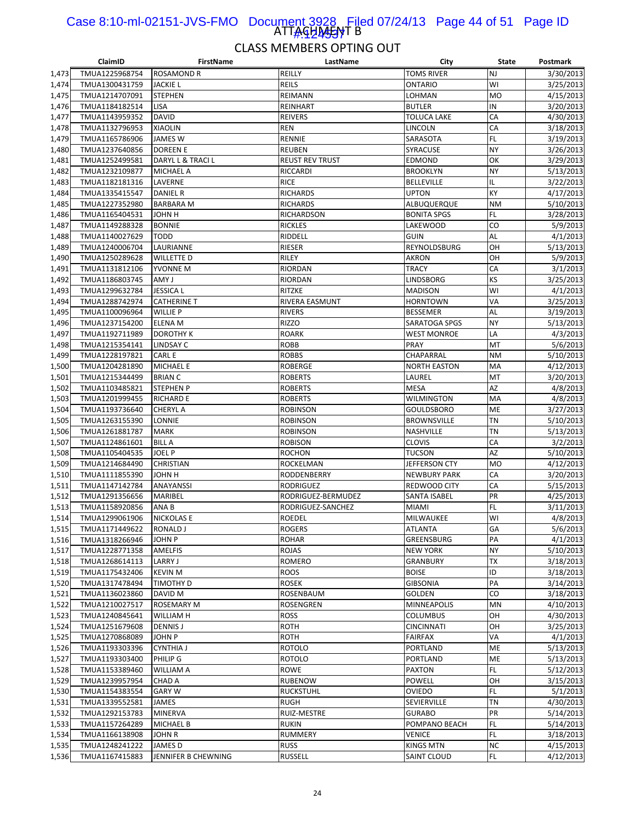#### ATTAGHA<del>JS</del>YT B Case 8:10-ml-02151-JVS-FMO Document 3928 Filed 07/24/13 Page 44 of 51 Page ID **I WATARA**

|                | ClaimID                          | <b>FirstName</b>            | LastName                    | City                            | <b>State</b> | Postmark               |
|----------------|----------------------------------|-----------------------------|-----------------------------|---------------------------------|--------------|------------------------|
| 1,473          | TMUA1225968754                   | <b>ROSAMOND R</b>           | REILLY                      | <b>TOMS RIVER</b>               | <b>NJ</b>    | 3/30/2013              |
| 1,474          | TMUA1300431759                   | <b>JACKIE L</b>             | <b>REILS</b>                | ONTARIO                         | WI           | 3/25/2013              |
| 1,475          | TMUA1214707091                   | <b>STEPHEN</b>              | REIMANN                     | LOHMAN                          | <b>MO</b>    | 4/15/2013              |
| 1,476          | TMUA1184182514                   | LISA                        | REINHART                    | <b>BUTLER</b>                   | IN           | 3/20/2013              |
| 1,477          | TMUA1143959352                   | DAVID                       | <b>REIVERS</b>              | TOLUCA LAKE                     | CA           | 4/30/2013              |
| 1,478          | TMUA1132796953                   | <b>XIAOLIN</b>              | <b>REN</b>                  | LINCOLN                         | CA           | 3/18/2013              |
| 1,479          | TMUA1165786906                   | JAMES W                     | RENNIE                      | SARASOTA                        | <b>FL</b>    | 3/19/2013              |
| 1,480          | TMUA1237640856                   | <b>DOREEN E</b>             | <b>REUBEN</b>               | SYRACUSE                        | <b>NY</b>    | 3/26/2013              |
| 1,481          | TMUA1252499581                   | DARYL L & TRACI L           | <b>REUST REV TRUST</b>      | <b>EDMOND</b>                   | OK           | 3/29/2013              |
| 1,482          | TMUA1232109877                   | MICHAEL A                   | <b>RICCARDI</b>             | <b>BROOKLYN</b>                 | <b>NY</b>    | 5/13/2013              |
| 1,483          | TMUA1182181316                   | LAVERNE                     | <b>RICE</b>                 | <b>BELLEVILLE</b>               | IL           | 3/22/2013              |
| 1,484          | TMUA1335415547                   | <b>DANIEL R</b>             | <b>RICHARDS</b>             | <b>UPTON</b>                    | KY           | 4/17/2013              |
| 1,485          | TMUA1227352980                   | <b>BARBARA M</b>            | <b>RICHARDS</b>             | ALBUQUERQUE                     | <b>NM</b>    | 5/10/2013              |
| 1,486          | TMUA1165404531                   | H ИНОL                      | <b>RICHARDSON</b>           | <b>BONITA SPGS</b>              | FL.          | 3/28/2013              |
| 1,487          | TMUA1149288328                   | <b>BONNIE</b>               | <b>RICKLES</b>              | LAKEWOOD                        | CO           | 5/9/2013               |
| 1,488          | TMUA1140027629                   | <b>TODD</b>                 | RIDDELL                     | <b>GUIN</b>                     | AL           | 4/1/2013               |
| 1,489          | TMUA1240006704                   | LAURIANNE                   | RIESER                      | REYNOLDSBURG                    | OH           | 5/13/2013              |
| 1,490          | TMUA1250289628                   | WILLETTE D                  | RILEY                       | <b>AKRON</b>                    | OH           | 5/9/2013               |
| 1,491          | TMUA1131812106                   | YVONNE M                    | RIORDAN                     | <b>TRACY</b>                    | CA           | 3/1/2013               |
| 1,492          | TMUA1186803745                   | AMY J                       | RIORDAN                     | LINDSBORG                       | <b>KS</b>    | 3/25/2013              |
| 1,493          | TMUA1299632784                   | JESSICA L                   | RITZKE                      | <b>MADISON</b>                  | WI           | 4/1/2013               |
| 1,494          | TMUA1288742974                   | <b>CATHERINE T</b>          | RIVERA EASMUNT              | <b>HORNTOWN</b>                 | VA           | 3/25/2013              |
| 1,495          | TMUA1100096964                   | <b>WILLIE P</b>             | <b>RIVERS</b>               | <b>BESSEMER</b>                 | <b>AL</b>    | 3/19/2013              |
| 1,496          | TMUA1237154200                   | <b>ELENA M</b>              | <b>RIZZO</b>                | SARATOGA SPGS                   | <b>NY</b>    | 5/13/2013              |
| 1,497          | TMUA1192711989                   | <b>DOROTHY K</b>            | <b>ROARK</b>                | <b>WEST MONROE</b>              | LA           | 4/3/2013               |
| 1,498          | TMUA1215354141                   | LINDSAY C                   | <b>ROBB</b>                 | PRAY                            | MT           | 5/6/2013               |
| 1,499          | TMUA1228197821                   | CARL E                      | <b>ROBBS</b>                | CHAPARRAL                       | <b>NM</b>    | 5/10/2013              |
| 1,500          | TMUA1204281890                   | <b>MICHAEL E</b>            | <b>ROBERGE</b>              | <b>NORTH EASTON</b>             | MA           | 4/12/2013              |
| 1,501          | TMUA1215344499                   | <b>BRIAN C</b>              | <b>ROBERTS</b>              | LAUREL                          | MT           | 3/20/2013              |
| 1,502          | TMUA1103485821                   | STEPHEN P                   | <b>ROBERTS</b>              | <b>MESA</b>                     | AZ           | 4/8/2013               |
| 1,503          | TMUA1201999455                   | <b>RICHARD E</b>            | <b>ROBERTS</b>              | WILMINGTON                      | MA           | 4/8/2013               |
| 1,504          | TMUA1193736640                   | <b>CHERYL A</b>             | <b>ROBINSON</b>             | GOULDSBORO                      | ME           | 3/27/2013              |
| 1,505          | TMUA1263155390                   | LONNIE                      | <b>ROBINSON</b>             | <b>BROWNSVILLE</b>              | <b>TN</b>    | 5/10/2013              |
| 1,506          | TMUA1261881787                   | MARK                        | <b>ROBINSON</b>             | NASHVILLE                       | <b>TN</b>    | 5/13/2013              |
| 1,507          | TMUA1124861601                   | <b>BILL A</b>               | <b>ROBISON</b>              | <b>CLOVIS</b>                   | CA           | 3/2/2013               |
| 1,508          | TMUA1105404535                   | JOEL P                      | <b>ROCHON</b>               | <b>TUCSON</b>                   | <b>AZ</b>    | 5/10/2013              |
| 1,509          | TMUA1214684490                   | <b>CHRISTIAN</b>            | <b>ROCKELMAN</b>            | JEFFERSON CTY                   | <b>MO</b>    | 4/12/2013              |
| 1,510          | TMUA1111855390                   | JOHN H                      | RODDENBERRY                 | <b>NEWBURY PARK</b>             | CA           | 3/20/2013              |
| 1,511          | TMUA1147142784                   | ANAYANSSI                   | <b>RODRIGUEZ</b>            | REDWOOD CITY                    | CA           | 5/15/2013              |
| 1,512          | TMUA1291356656                   | MARIBEL                     | RODRIGUEZ-BERMUDEZ          | <b>SANTA ISABEL</b>             | PR           | 4/25/2013              |
| 1,513          | TMUA1158920856                   | ANA B                       | RODRIGUEZ-SANCHEZ           | <b>MIAMI</b>                    | FL.          | 3/11/2013              |
| 1,514          | TMUA1299061906                   | <b>NICKOLAS E</b>           | <b>ROEDEL</b>               | MILWAUKEE                       | WI           | 4/8/2013               |
| 1,515          | TMUA1171449622                   | RONALD J                    | <b>ROGERS</b>               | <b>ATLANTA</b>                  | GA           | 5/6/2013               |
| 1,516          | TMUA1318266946                   | JOHN P                      | ROHAR                       | GREENSBURG                      | PA           | 4/1/2013               |
| 1,517          | TMUA1228771358                   | AMELFIS                     | <b>ROJAS</b>                | <b>NEW YORK</b>                 | <b>NY</b>    | 5/10/2013              |
| 1,518<br>1,519 | TMUA1268614113                   | LARRY J                     | ROMERO                      | <b>GRANBURY</b>                 | TX<br>ID     | 3/18/2013              |
| 1,520          | TMUA1175432406<br>TMUA1317478494 | <b>KEVIN M</b><br>TIMOTHY D | <b>ROOS</b><br><b>ROSEK</b> | <b>BOISE</b><br><b>GIBSONIA</b> | PA           | 3/18/2013              |
|                | TMUA1136023860                   | DAVID M                     | ROSENBAUM                   | GOLDEN                          | CO           | 3/14/2013              |
| 1,521<br>1,522 | TMUA1210027517                   | ROSEMARY M                  | ROSENGREN                   | MINNEAPOLIS                     | MN           | 3/18/2013<br>4/10/2013 |
| 1,523          | TMUA1240845641                   | WILLIAM H                   | <b>ROSS</b>                 | <b>COLUMBUS</b>                 | OH           | 4/30/2013              |
| 1,524          | TMUA1251679608                   | DENNIS J                    | <b>ROTH</b>                 | <b>CINCINNATI</b>               | OH           | 3/25/2013              |
| 1,525          | TMUA1270868089                   | JOHN P                      | ROTH                        | <b>FAIRFAX</b>                  | VA           | 4/1/2013               |
| 1,526          | TMUA1193303396                   | <b>CYNTHIA J</b>            | <b>ROTOLO</b>               | PORTLAND                        | ME           | 5/13/2013              |
| 1,527          | TMUA1193303400                   | PHILIP G                    | <b>ROTOLO</b>               | PORTLAND                        | ME           | 5/13/2013              |
| 1,528          | TMUA1153389460                   | WILLIAM A                   | <b>ROWE</b>                 | PAXTON                          | FL.          | 5/12/2013              |
| 1,529          | TMUA1239957954                   | CHAD A                      | <b>RUBENOW</b>              | POWELL                          | OH           | 3/15/2013              |
| 1,530          | TMUA1154383554                   | GARY W                      | RUCKSTUHL                   | OVIEDO                          | FL.          | 5/1/2013               |
| 1,531          | TMUA1339552581                   | JAMES                       | <b>RUGH</b>                 | SEVIERVILLE                     | <b>TN</b>    | 4/30/2013              |
| 1,532          | TMUA1292153783                   | <b>MINERVA</b>              | RUIZ-MESTRE                 | <b>GURABO</b>                   | PR           | 5/14/2013              |
| 1,533          | TMUA1157264289                   | MICHAEL B                   | <b>RUKIN</b>                | POMPANO BEACH                   | FL.          | 5/14/2013              |
| 1,534          | TMUA1166138908                   | JOHN R                      | RUMMERY                     | <b>VENICE</b>                   | <b>FL</b>    | 3/18/2013              |
| 1,535          | TMUA1248241222                   | JAMES D                     | <b>RUSS</b>                 | <b>KINGS MTN</b>                | <b>NC</b>    | 4/15/2013              |
| 1,536          | TMUA1167415883                   | JENNIFER B CHEWNING         | <b>RUSSELL</b>              | SAINT CLOUD                     | FL.          | 4/12/2013              |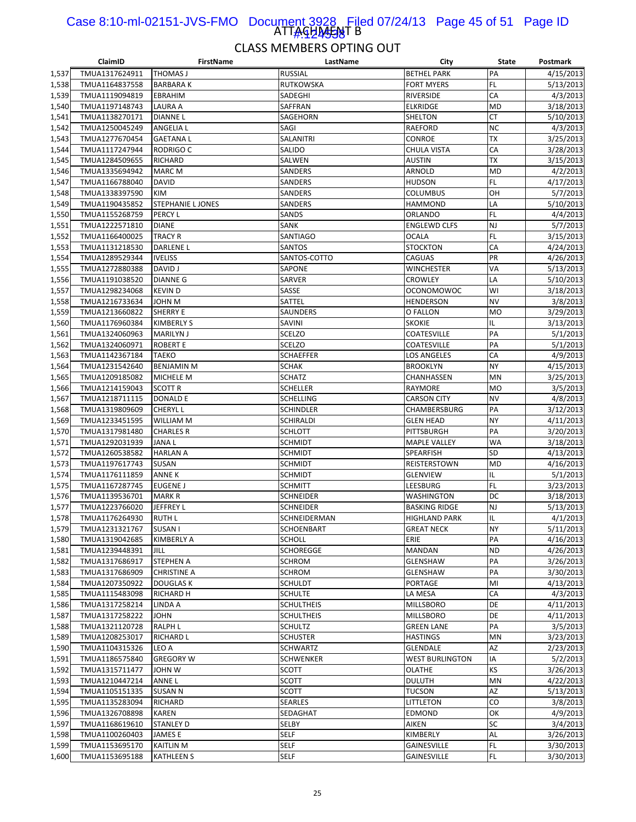#### ATTAGHA<del>JAJ</del>I B Case 8:10-ml-02151-JVS-FMO Document 3928 Filed 07/24/13 Page 45 of 51 Page ID 1#:424538

|                | ClaimID                          | FirstName                        | LastName                         | City                              | State           | Postmark               |
|----------------|----------------------------------|----------------------------------|----------------------------------|-----------------------------------|-----------------|------------------------|
| 1,537          | TMUA1317624911                   | <b>THOMAS J</b>                  | <b>RUSSIAL</b>                   | <b>BETHEL PARK</b>                | PA              | 4/15/2013              |
| 1,538          | TMUA1164837558                   | <b>BARBARAK</b>                  | RUTKOWSKA                        | <b>FORT MYERS</b>                 | FL.             | 5/13/2013              |
| 1,539          | TMUA1119094819                   | EBRAHIM                          | SADEGHI                          | <b>RIVERSIDE</b>                  | CA              | 4/3/2013               |
| 1,540          | TMUA1197148743                   | <b>LAURA A</b>                   | SAFFRAN                          | <b>ELKRIDGE</b>                   | <b>MD</b>       | 3/18/2013              |
| 1,541          | TMUA1138270171                   | <b>DIANNEL</b>                   | SAGEHORN                         | <b>SHELTON</b>                    | <b>CT</b>       | 5/10/2013              |
| 1,542          | TMUA1250045249                   | <b>ANGELIA L</b>                 | SAGI                             | RAEFORD                           | <b>NC</b>       | 4/3/2013               |
| 1,543          | TMUA1277670454                   | <b>GAETANAL</b>                  | SALANITRI                        | <b>CONROE</b>                     | <b>TX</b>       | 3/25/2013              |
| 1,544          | TMUA1117247944                   | <b>RODRIGO C</b>                 | SALIDO                           | CHULA VISTA                       | CA              | 3/28/2013              |
| 1,545          | TMUA1284509655                   | RICHARD                          | SALWEN                           | AUSTIN                            | <b>TX</b>       | 3/15/2013              |
| 1,546          | TMUA1335694942                   | <b>MARC M</b>                    | SANDERS                          | ARNOLD                            | <b>MD</b>       | 4/2/2013               |
| 1,547          | TMUA1166788040                   | DAVID                            | SANDERS                          | HUDSON                            | FL              | 4/17/2013              |
| 1,548          | TMUA1338397590                   | KIM                              | <b>SANDERS</b>                   | COLUMBUS                          | OH              | 5/7/2013               |
| 1,549          | TMUA1190435852                   | <b>STEPHANIE L JONES</b>         | SANDERS                          | <b>HAMMOND</b>                    | LA              | 5/10/2013              |
| 1,550          | TMUA1155268759                   | PERCY L                          | SANDS                            | ORLANDO                           | FL              | 4/4/2013               |
| 1,551          | TMUA1222571810                   | <b>DIANE</b>                     | SANK                             | ENGLEWD CLFS                      | <b>NJ</b>       | 5/7/2013               |
| 1,552          | TMUA1166400025                   | <b>TRACY R</b>                   | SANTIAGO                         | <b>OCALA</b>                      | FL              | 3/15/2013              |
| 1,553          | TMUA1131218530                   | <b>DARLENE L</b>                 | SANTOS                           | <b>STOCKTON</b>                   | CA              | 4/24/2013              |
| 1,554          | TMUA1289529344                   | <b>IVELISS</b>                   | SANTOS-COTTO                     | CAGUAS                            | PR              | 4/26/2013              |
| 1,555          | TMUA1272880388                   | <b>DAVID J</b>                   | SAPONE                           | WINCHESTER                        | VA              | 5/13/2013              |
| 1,556          | TMUA1191038520                   | <b>DIANNE G</b>                  | SARVER                           | <b>CROWLEY</b>                    | LA              | 5/10/2013              |
| 1,557          | TMUA1298234068                   | <b>KEVIND</b>                    | SASSE                            | <b>OCONOMOWOC</b>                 | WI              | 3/18/2013              |
| 1,558          | TMUA1216733634                   | JOHN M                           | SATTEL                           | HENDERSON                         | <b>NV</b>       | 3/8/2013               |
| 1,559          | TMUA1213660822                   | <b>SHERRY E</b>                  | SAUNDERS                         | O FALLON                          | <b>MO</b>       | 3/29/2013              |
| 1,560          | TMUA1176960384                   | <b>KIMBERLY S</b>                | <b>SAVINI</b>                    | <b>SKOKIE</b>                     | IL              | 3/13/2013              |
| 1,561          | TMUA1324060963                   | <b>MARILYN J</b>                 | <b>SCELZO</b>                    | COATESVILLE                       | PA              | 5/1/2013               |
| 1,562          | TMUA1324060971                   | <b>ROBERT E</b>                  | SCELZO                           | COATESVILLE                       | PA              | 5/1/2013               |
| 1,563          | TMUA1142367184                   | <b>TAEKO</b>                     | <b>SCHAEFFER</b>                 | LOS ANGELES                       | CA              | 4/9/2013               |
| 1,564          | TMUA1231542640                   | <b>BENJAMIN M</b>                | <b>SCHAK</b>                     | <b>BROOKLYN</b>                   | <b>NY</b>       | 4/15/2013              |
| 1,565          | TMUA1209185082                   | MICHELE M                        | <b>SCHATZ</b>                    | CHANHASSEN                        | MN              | 3/25/2013              |
| 1,566          | TMUA1214159043                   | <b>SCOTT R</b>                   | SCHELLER                         | RAYMORE                           | <b>MO</b>       | 3/5/2013               |
| 1,567          | TMUA1218711115                   | <b>DONALD E</b>                  | <b>SCHELLING</b>                 | <b>CARSON CITY</b>                | <b>NV</b>       | 4/8/2013               |
| 1,568          | TMUA1319809609                   | <b>CHERYL L</b>                  | <b>SCHINDLER</b>                 | CHAMBERSBURG                      | PA              | 3/12/2013              |
| 1,569          | TMUA1233451595                   | <b>WILLIAM M</b>                 | SCHIRALDI                        | <b>GLEN HEAD</b>                  | <b>NY</b>       | 4/11/2013              |
| 1,570          | TMUA1317981480<br>TMUA1292031939 | <b>CHARLES R</b><br><b>JANAL</b> | <b>SCHLOTT</b><br><b>SCHMIDT</b> | PITTSBURGH<br><b>MAPLE VALLEY</b> | PA<br><b>WA</b> | 3/20/2013<br>3/18/2013 |
| 1,571<br>1,572 |                                  | <b>HARLAN A</b>                  | <b>SCHMIDT</b>                   |                                   | <b>SD</b>       | 4/13/2013              |
| 1,573          | TMUA1260538582<br>TMUA1197617743 | SUSAN                            | SCHMIDT                          | SPEARFISH<br>REISTERSTOWN         | <b>MD</b>       | 4/16/2013              |
| 1,574          | TMUA1176111859                   | <b>ANNE K</b>                    | SCHMIDT                          | GLENVIEW                          | IL              | 5/1/2013               |
| 1,575          | TMUA1167287745                   | <b>EUGENE J</b>                  | <b>SCHMITT</b>                   | LEESBURG                          | FL.             | 3/23/2013              |
| 1,576          | TMUA1139536701                   | <b>MARK R</b>                    | SCHNEIDER                        | <b>WASHINGTON</b>                 | DC              | 3/18/2013              |
| 1,577          | TMUA1223766020                   | JEFFREY L                        | SCHNEIDER                        | <b>BASKING RIDGE</b>              | <b>NJ</b>       | 5/13/2013              |
| 1,578          | TMUA1176264930                   | <b>RUTH L</b>                    | SCHNEIDERMAN                     | HIGHLAND PARK                     | IL              | 4/1/2013               |
| 1,579          | TMUA1231321767                   | SUSAN I                          | SCHOENBART                       | <b>GREAT NECK</b>                 | <b>NY</b>       | 5/11/2013              |
| 1,580          | TMUA1319042685                   | <b>KIMBERLY A</b>                | <b>SCHOLL</b>                    | ERIE                              | PA              | 4/16/2013              |
| 1,581          | TMUA1239448391                   | <b>JILL</b>                      | <b>SCHOREGGE</b>                 | MANDAN                            | <b>ND</b>       | 4/26/2013              |
| 1,582          | TMUA1317686917                   | <b>STEPHEN A</b>                 | <b>SCHROM</b>                    | GLENSHAW                          | PA              | 3/26/2013              |
| 1,583          | TMUA1317686909                   | <b>CHRISTINE A</b>               | <b>SCHROM</b>                    | <b>GLENSHAW</b>                   | PA              | 3/30/2013              |
| 1,584          | TMUA1207350922                   | <b>DOUGLAS K</b>                 | <b>SCHULDT</b>                   | PORTAGE                           | MI              | 4/13/2013              |
| 1,585          | TMUA1115483098                   | RICHARD H                        | <b>SCHULTE</b>                   | LA MESA                           | CA              | 4/3/2013               |
| 1,586          | TMUA1317258214                   | LINDA A                          | <b>SCHULTHEIS</b>                | MILLSBORO                         | DE              | 4/11/2013              |
| 1,587          | TMUA1317258222                   | <b>JOHN</b>                      | <b>SCHULTHEIS</b>                | MILLSBORO                         | DE              | 4/11/2013              |
| 1,588          | TMUA1321120728                   | <b>RALPH L</b>                   | <b>SCHULTZ</b>                   | <b>GREEN LANE</b>                 | PA              | 3/5/2013               |
| 1,589          | TMUA1208253017                   | <b>RICHARD L</b>                 | <b>SCHUSTER</b>                  | <b>HASTINGS</b>                   | MN              | 3/23/2013              |
| 1,590          | TMUA1104315326                   | LEO A                            | <b>SCHWARTZ</b>                  | GLENDALE                          | AZ              | 2/23/2013              |
| 1,591          | TMUA1186575840                   | <b>GREGORY W</b>                 | <b>SCHWENKER</b>                 | <b>WEST BURLINGTON</b>            | IA              | 5/2/2013               |
| 1,592          | TMUA1315711477                   | JOHN W                           | SCOTT                            | OLATHE                            | KS              | 3/26/2013              |
| 1,593          | TMUA1210447214                   | ANNE L                           | <b>SCOTT</b>                     | <b>DULUTH</b>                     | MN              | 4/22/2013              |
| 1,594          | TMUA1105151335                   | <b>SUSAN N</b>                   | <b>SCOTT</b>                     | <b>TUCSON</b>                     | AZ              | 5/13/2013              |
| 1,595          | TMUA1135283094                   | <b>RICHARD</b>                   | <b>SEARLES</b>                   | LITTLETON                         | CO              | 3/8/2013               |
| 1,596          | TMUA1326708898                   | KAREN                            | SEDAGHAT                         | EDMOND                            | OK              | 4/9/2013               |
| 1,597          | TMUA1168619610                   | <b>STANLEY D</b>                 | SELBY                            | AIKEN                             | SC              | 3/4/2013               |
| 1,598          | TMUA1100260403                   | JAMES E                          | <b>SELF</b>                      | KIMBERLY                          | <b>AL</b>       | 3/26/2013              |
| 1,599          | TMUA1153695170                   | <b>KAITLIN M</b>                 | <b>SELF</b>                      | GAINESVILLE                       | FL.             | 3/30/2013              |
| 1,600          | TMUA1153695188                   | <b>KATHLEEN S</b>                | <b>SELF</b>                      | GAINESVILLE                       | <b>FL</b>       | 3/30/2013              |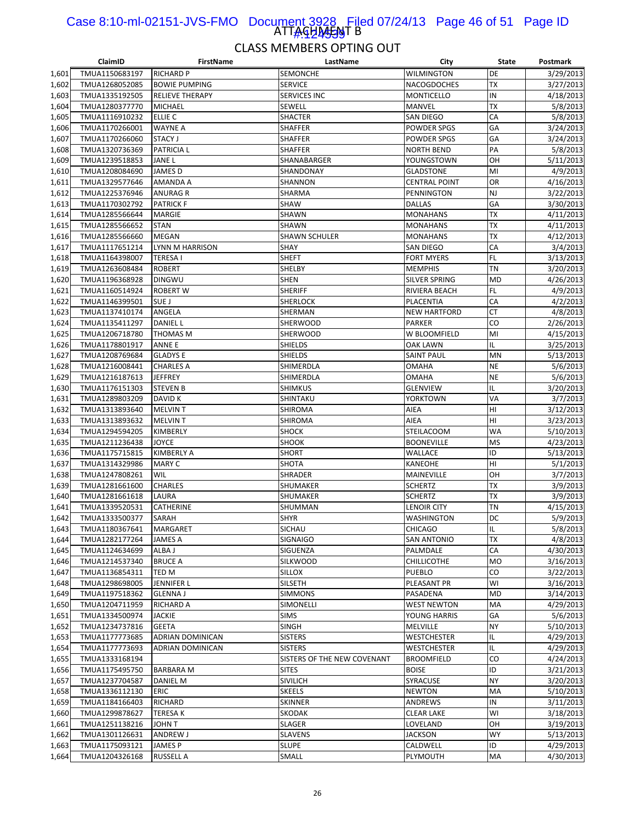#### ATTAGHA<del>JAJ</del>I B Case 8:10-ml-02151-JVS-FMO Document 3928 Filed 07/24/13 Page 46 of 51 Page ID 1#:454439

|                | ClaimID                          | <b>FirstName</b>        | LastName                    | City                          | State                  | Postmark              |
|----------------|----------------------------------|-------------------------|-----------------------------|-------------------------------|------------------------|-----------------------|
| 1,601          | TMUA1150683197                   | <b>RICHARD P</b>        | SEMONCHE                    | WILMINGTON                    | DE                     | 3/29/2013             |
| 1,602          | TMUA1268052085                   | <b>BOWIE PUMPING</b>    | <b>SERVICE</b>              | <b>NACOGDOCHES</b>            | <b>TX</b>              | 3/27/2013             |
| 1,603          | TMUA1335192505                   | <b>RELIEVE THERAPY</b>  | SERVICES INC                | MONTICELLO                    | IN                     | 4/18/2013             |
| 1,604          | TMUA1280377770                   | <b>MICHAEL</b>          | SEWELL                      | <b>MANVEL</b>                 | TX                     | 5/8/2013              |
| 1,605          | TMUA1116910232                   | ELLIE C                 | <b>SHACTER</b>              | <b>SAN DIEGO</b>              | CA                     | 5/8/2013              |
| 1,606          | TMUA1170266001                   | <b>WAYNE A</b>          | SHAFFER                     | POWDER SPGS                   | GA                     | 3/24/2013             |
| 1,607          | TMUA1170266060                   | <b>STACY J</b>          | SHAFFER                     | <b>POWDER SPGS</b>            | GA                     | 3/24/2013             |
| 1,608          | TMUA1320736369                   | <b>PATRICIA L</b>       | <b>SHAFFER</b>              | <b>NORTH BEND</b>             | PA                     | 5/8/2013              |
| 1,609          | TMUA1239518853                   | <b>JANEL</b>            | SHANABARGER                 | YOUNGSTOWN                    | OH                     | 5/11/2013             |
| 1,610          | TMUA1208084690                   | <b>JAMES D</b>          | SHANDONAY                   | GLADSTONE                     | MI                     | 4/9/2013              |
| 1,611          | TMUA1329577646                   | AMANDA A                | SHANNON                     | <b>CENTRAL POINT</b>          | OR                     | 4/16/2013             |
| 1,612          | TMUA1225376946                   | <b>ANURAG R</b>         | SHARMA                      | <b>PENNINGTON</b>             | <b>NJ</b>              | 3/22/2013             |
| 1,613          | TMUA1170302792                   | <b>PATRICK F</b>        | SHAW                        | <b>DALLAS</b>                 | GA                     | 3/30/2013             |
| 1,614          | TMUA1285566644                   | <b>MARGIE</b>           | SHAWN                       | <b>MONAHANS</b>               | <b>TX</b>              | 4/11/2013             |
| 1,615          | TMUA1285566652                   | <b>STAN</b>             | SHAWN                       | MONAHANS                      | TX                     | 4/11/2013             |
| 1,616          | TMUA1285566660                   | <b>MEGAN</b>            | SHAWN SCHULER               | <b>MONAHANS</b>               | <b>TX</b>              | 4/12/2013             |
| 1,617          | TMUA1117651214                   | LYNN M HARRISON         | SHAY                        | SAN DIEGO                     | CA                     | 3/4/2013              |
| 1,618          | TMUA1164398007                   | <b>TERESAI</b>          | <b>SHEFT</b>                | <b>FORT MYERS</b>             | <b>FL</b>              | 3/13/2013             |
| 1,619          | TMUA1263608484                   | <b>ROBERT</b>           | SHELBY                      | <b>MEMPHIS</b>                | <b>TN</b>              | 3/20/2013             |
| 1,620          | TMUA1196368928                   | <b>DINGWU</b>           | <b>SHEN</b>                 | SILVER SPRING                 | <b>MD</b>              | 4/26/2013             |
| 1,621          | TMUA1160514924                   | <b>ROBERT W</b>         | <b>SHERIFF</b>              | RIVIERA BEACH                 | <b>FL</b>              | 4/9/2013              |
| 1,622          | TMUA1146399501                   | SUE J                   | SHERLOCK                    | PLACENTIA                     | CA                     | 4/2/2013              |
| 1,623          | TMUA1137410174                   | ANGELA                  | SHERMAN                     | <b>NEW HARTFORD</b>           | <b>CT</b>              | 4/8/2013              |
| 1,624          | TMUA1135411297                   | <b>DANIEL L</b>         | SHERWOOD                    | <b>PARKER</b>                 | CO                     | 2/26/2013             |
| 1,625          | TMUA1206718780                   | THOMAS M                | <b>SHERWOOD</b>             | W BLOOMFIELD                  | MI                     | 4/15/2013             |
| 1,626          | TMUA1178801917                   | ANNE E                  | SHIELDS                     | OAK LAWN                      | IL                     | 3/25/2013             |
| 1,627          | TMUA1208769684                   | <b>GLADYS E</b>         | <b>SHIELDS</b>              | <b>SAINT PAUL</b>             | MN                     | 5/13/2013             |
| 1,628          | TMUA1216008441                   | <b>CHARLES A</b>        | SHIMERDLA                   | <b>OMAHA</b>                  | <b>NE</b>              | 5/6/2013              |
| 1,629          | TMUA1216187613                   | <b>JEFFREY</b>          | SHIMERDLA                   | OMAHA                         | <b>NE</b>              | 5/6/2013              |
| 1,630          | TMUA1176151303                   | <b>STEVEN B</b>         | SHIMKUS                     | GLENVIEW                      | IL                     | 3/20/2013             |
| 1,631          | TMUA1289803209                   | <b>DAVID K</b>          | SHINTAKU                    | YORKTOWN                      | VA                     | 3/7/2013              |
| 1,632          | TMUA1313893640                   | <b>MELVINT</b>          | SHIROMA                     | AIEA                          | HI                     | 3/12/2013             |
| 1,633          | TMUA1313893632                   | <b>MELVINT</b>          | SHIROMA                     | AIEA                          | HI                     | 3/23/2013             |
| 1,634          | TMUA1294594205                   | KIMBERLY                | SHOCK                       | <b>STEILACOOM</b>             | <b>WA</b>              | 5/10/2013             |
| 1,635          | TMUA1211236438                   | <b>JOYCE</b>            | SHOOK                       | <b>BOONEVILLE</b>             | <b>MS</b>              | 4/23/2013             |
| 1,636          | TMUA1175715815                   | <b>KIMBERLY A</b>       | SHORT                       | WALLACE                       | ID                     | 5/13/2013             |
| 1,637          | TMUA1314329986                   | <b>MARY C</b>           | SHOTA                       | KANEOHE                       | HI                     | 5/1/2013              |
| 1,638          | TMUA1247808261                   | WIL                     | SHRADER                     | MAINEVILLE                    | OH                     | 3/7/2013              |
| 1,639          | TMUA1281661600<br>TMUA1281661618 | <b>CHARLES</b><br>LAURA | SHUMAKER                    | <b>SCHERTZ</b>                | <b>TX</b><br><b>TX</b> | 3/9/2013              |
| 1,640<br>1,641 | TMUA1339520531                   | <b>CATHERINE</b>        | SHUMAKER<br>SHUMMAN         | <b>SCHERTZ</b><br>LENOIR CITY | <b>TN</b>              | 3/9/2013<br>4/15/2013 |
| 1,642          | TMUA1333500377                   | SARAH                   | <b>SHYR</b>                 | WASHINGTON                    | DC                     | 5/9/2013              |
| 1,643          | TMUA1180367641                   | <b>MARGARET</b>         | SICHAU                      | <b>CHICAGO</b>                | IL                     | 5/8/2013              |
| 1,644          | TMUA1282177264                   | JAMES A                 | <b>SIGNAIGO</b>             | <b>SAN ANTONIO</b>            | <b>TX</b>              | 4/8/2013              |
| 1,645          | TMUA1124634699                   | ALBA J                  | SIGUENZA                    | PALMDALE                      | CA                     | 4/30/2013             |
| 1,646          | TMUA1214537340                   | <b>BRUCE A</b>          | SILKWOOD                    | CHILLICOTHE                   | <b>MO</b>              | 3/16/2013             |
| 1,647          | TMUA1136854311                   | TED M                   | SILLOX                      | PUEBLO                        | CO                     | 3/22/2013             |
| 1,648          | TMUA1298698005                   | JENNIFER L              | SILSETH                     | PLEASANT PR                   | WI                     | 3/16/2013             |
| 1,649          | TMUA1197518362                   | <b>GLENNA J</b>         | SIMMONS                     | PASADENA                      | <b>MD</b>              | 3/14/2013             |
| 1,650          | TMUA1204711959                   | <b>RICHARD A</b>        | SIMONELLI                   | WEST NEWTON                   | MA                     | 4/29/2013             |
| 1,651          | TMUA1334500974                   | <b>JACKIE</b>           | <b>SIMS</b>                 | YOUNG HARRIS                  | GA                     | 5/6/2013              |
| 1,652          | TMUA1234737816                   | <b>GEETA</b>            | <b>SINGH</b>                | MELVILLE                      | <b>NY</b>              | 5/10/2013             |
| 1,653          | TMUA1177773685                   | ADRIAN DOMINICAN        | <b>SISTERS</b>              | WESTCHESTER                   | IL                     | 4/29/2013             |
| 1,654          | TMUA1177773693                   | ADRIAN DOMINICAN        | <b>SISTERS</b>              | WESTCHESTER                   | IL                     | 4/29/2013             |
| 1,655          | TMUA1333168194                   |                         | SISTERS OF THE NEW COVENANT | <b>BROOMFIELD</b>             | CO                     | 4/24/2013             |
| 1,656          | TMUA1175495750                   | <b>BARBARA M</b>        | <b>SITES</b>                | <b>BOISE</b>                  | ID                     | 3/21/2013             |
| 1,657          | TMUA1237704587                   | DANIEL M                | SIVILICH                    | SYRACUSE                      | NY                     | 3/20/2013             |
| 1,658          | TMUA1336112130                   | <b>ERIC</b>             | <b>SKEELS</b>               | <b>NEWTON</b>                 | MA                     | 5/10/2013             |
| 1,659          | TMUA1184166403                   | RICHARD                 | <b>SKINNER</b>              | ANDREWS                       | IN                     | 3/11/2013             |
| 1,660          | TMUA1299878627                   | <b>TERESAK</b>          | SKODAK                      | CLEAR LAKE                    | WI                     | 3/18/2013             |
| 1,661          | TMUA1251138216                   | JOHN T                  | <b>SLAGER</b>               | LOVELAND                      | OH                     | 3/19/2013             |
| 1,662          | TMUA1301126631                   | ANDREW J                | <b>SLAVENS</b>              | JACKSON                       | <b>WY</b>              | 5/13/2013             |
| 1,663          | TMUA1175093121                   | JAMES P                 | <b>SLUPE</b>                | CALDWELL                      | ID                     | 4/29/2013             |
| 1,664          | TMUA1204326168                   | <b>RUSSELL A</b>        | SMALL                       | PLYMOUTH                      | MA                     | 4/30/2013             |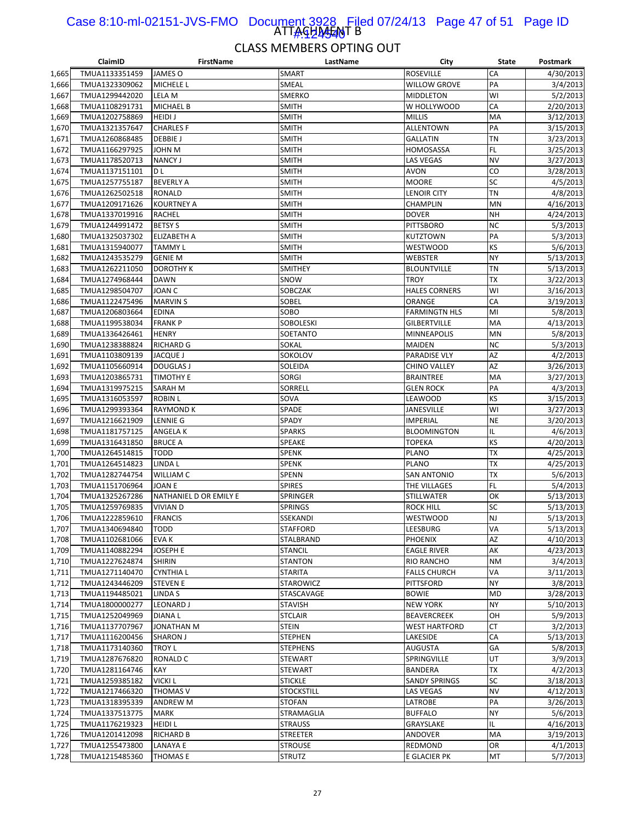#### ATTAGHASANT B Case 8:10-ml-02151-JVS-FMO Document 3928 Filed 07/24/13 Page 47 of 51 Page ID 1#:424540

|                | ClaimID                          | FirstName                                 | LastName            | City                         | State     | Postmark               |
|----------------|----------------------------------|-------------------------------------------|---------------------|------------------------------|-----------|------------------------|
| 1,665          | TMUA1133351459                   | JAMES O                                   | SMART               | <b>ROSEVILLE</b>             | CA        | 4/30/2013              |
| 1,666          | TMUA1323309062                   | MICHELE L                                 | SMEAL               | WILLOW GROVE                 | PA        | 3/4/2013               |
| 1,667          | TMUA1299442020                   | LELA M                                    | SMERKO              | MIDDLETON                    | WI        | 5/2/2013               |
| 1,668          | TMUA1108291731                   | <b>MICHAEL B</b>                          | <b>SMITH</b>        | W HOLLYWOOD                  | CA        | 2/20/2013              |
| 1,669          | TMUA1202758869                   | <b>HEIDIJ</b>                             | <b>SMITH</b>        | <b>MILLIS</b>                | MA        | 3/12/2013              |
| 1,670          | TMUA1321357647                   | <b>CHARLES F</b>                          | <b>SMITH</b>        | ALLENTOWN                    | PA        | 3/15/2013              |
| 1,671          | TMUA1260868485                   | <b>DEBBIEJ</b>                            | SMITH               | <b>GALLATIN</b>              | <b>TN</b> | 3/23/2013              |
| 1,672          | TMUA1166297925                   | JOHN M                                    | <b>SMITH</b>        | HOMOSASSA                    | FL        | 3/25/2013              |
| 1,673          | TMUA1178520713                   | <b>NANCY J</b>                            | <b>SMITH</b>        | <b>LAS VEGAS</b>             | <b>NV</b> | 3/27/2013              |
| 1,674          | TMUA1137151101                   | D L                                       | <b>SMITH</b>        | <b>AVON</b>                  | CO        | 3/28/2013              |
| 1,675          | TMUA1257755187                   | <b>BEVERLY A</b>                          | SMITH               | <b>MOORE</b>                 | SC        | 4/5/2013               |
| 1,676          | TMUA1262502518                   | <b>RONALD</b>                             | SMITH               | LENOIR CITY                  | <b>TN</b> | 4/8/2013               |
| 1,677          | TMUA1209171626                   | <b>KOURTNEY A</b>                         | SMITH               | CHAMPLIN                     | MN        | 4/16/2013              |
| 1,678          | TMUA1337019916                   | RACHEL                                    | SMITH               | <b>DOVER</b>                 | <b>NH</b> | 4/24/2013              |
| 1,679          | TMUA1244991472                   | <b>BETSY S</b>                            | SMITH               | <b>PITTSBORO</b>             | <b>NC</b> | 5/3/2013               |
| 1,680          | TMUA1325037302                   | <b>ELIZABETH A</b>                        | SMITH               | KUTZTOWN                     | PA        | 5/3/2013               |
| 1,681          | TMUA1315940077                   | <b>TAMMY L</b>                            | <b>SMITH</b>        | WESTWOOD                     | <b>KS</b> | 5/6/2013               |
| 1,682          | TMUA1243535279                   | <b>GENIE M</b>                            | SMITH               | WEBSTER                      | <b>NY</b> | 5/13/2013              |
| 1,683          | TMUA1262211050                   | <b>DOROTHY K</b>                          | <b>SMITHEY</b>      | <b>BLOUNTVILLE</b>           | <b>TN</b> | 5/13/2013              |
| 1,684          | TMUA1274968444                   | <b>DAWN</b>                               | SNOW                | TROY                         | <b>TX</b> | 3/22/2013              |
| 1,685          | TMUA1298504707                   | <b>JOAN C</b>                             | SOBCZAK             | <b>HALES CORNERS</b>         | WI        | 3/16/2013              |
| 1,686          | TMUA1122475496                   | <b>MARVIN S</b>                           | SOBEL               | ORANGE                       | CA        | 3/19/2013              |
| 1,687          | TMUA1206803664                   | <b>EDINA</b>                              | SOBO                | <b>FARMINGTN HLS</b>         | MI        | 5/8/2013               |
| 1,688          | TMUA1199538034                   | <b>FRANK P</b>                            | <b>SOBOLESKI</b>    | <b>GILBERTVILLE</b>          | MA        | 4/13/2013              |
| 1,689          | TMUA1336426461                   | <b>HENRY</b>                              | SOETANTO            | MINNEAPOLIS                  | MN        | 5/8/2013               |
| 1,690          | TMUA1238388824                   | RICHARD G                                 | SOKAL               | MAIDEN                       | <b>NC</b> | 5/3/2013               |
| 1,691          | TMUA1103809139                   | JACQUE J                                  | SOKOLOV             | <b>PARADISE VLY</b>          | AZ        | 4/2/2013               |
| 1,692          | TMUA1105660914                   | <b>DOUGLAS J</b>                          | SOLEIDA             | <b>CHINO VALLEY</b>          | AZ        | 3/26/2013              |
| 1,693          | TMUA1203865731                   | <b>TIMOTHY E</b>                          | <b>SORGI</b>        | <b>BRAINTREE</b>             | MA        | 3/27/2013              |
| 1,694          | TMUA1319975215                   | SARAH M                                   | SORRELL             | <b>GLEN ROCK</b>             | PA        | 4/3/2013               |
| 1,695          | TMUA1316053597                   | <b>ROBIN L</b>                            | SOVA                | LEAWOOD                      | KS        | 3/15/2013              |
| 1,696          | TMUA1299393364                   | <b>RAYMOND K</b>                          | SPADE               | <b>JANESVILLE</b>            | WI        | 3/27/2013              |
| 1,697          | TMUA1216621909                   | <b>LENNIE G</b>                           | SPADY               | <b>IMPERIAL</b>              | <b>NE</b> | 3/20/2013              |
| 1,698          | TMUA1181757125                   | ANGELA K                                  | <b>SPARKS</b>       | <b>BLOOMINGTON</b>           | IL        | 4/6/2013               |
| 1,699          | TMUA1316431850                   | <b>BRUCE A</b>                            | <b>SPEAKE</b>       | <b>TOPEKA</b>                | KS        | 4/20/2013              |
| 1,700          | TMUA1264514815                   | <b>TODD</b>                               | <b>SPENK</b>        | <b>PLANO</b>                 | <b>TX</b> | 4/25/2013              |
| 1,701          | TMUA1264514823                   | LINDA L                                   | <b>SPENK</b>        | PLANO                        | TX        | 4/25/2013              |
| 1,702          | TMUA1282744754                   | WILLIAM C                                 | SPENN               | SAN ANTONIO                  | <b>TX</b> | 5/6/2013               |
| 1,703          | TMUA1151706964                   | <b>JOAN E</b>                             | <b>SPIRES</b>       | THE VILLAGES                 | FL        | 5/4/2013               |
| 1,704          | TMUA1325267286                   | NATHANIEL D OR EMILY E<br><b>VIVIAN D</b> | SPRINGER<br>SPRINGS | <b>STILLWATER</b>            | OK<br>SC  | 5/13/2013              |
| 1,705<br>1,706 | TMUA1259769835<br>TMUA1222859610 | <b>FRANCIS</b>                            | SSEKANDI            | rock hill<br><b>WESTWOOD</b> | <b>NJ</b> | 5/13/2013<br>5/13/2013 |
| 1,707          | TMUA1340694840                   | <b>TODD</b>                               | <b>STAFFORD</b>     | LEESBURG                     | VA        | 5/13/2013              |
| 1,708          | TMUA1102681066                   | EVA K                                     | STALBRAND           | <b>PHOENIX</b>               | AZ        | 4/10/2013              |
| 1,709          | TMUA1140882294                   | JOSEPH E                                  | <b>STANCIL</b>      | <b>EAGLE RIVER</b>           | АK        | 4/23/2013              |
| 1,710          | TMUA1227624874                   | <b>SHIRIN</b>                             | STANTON             | RIO RANCHO                   | <b>NM</b> | 3/4/2013               |
| 1,711          | TMUA1271140470                   | <b>CYNTHIAL</b>                           | <b>STARITA</b>      | <b>FALLS CHURCH</b>          | VA        | 3/11/2013              |
| 1,712          | TMUA1243446209                   | <b>STEVEN E</b>                           | STAROWICZ           | PITTSFORD                    | <b>NY</b> | 3/8/2013               |
| 1,713          | TMUA1194485021                   | LINDA S                                   | STASCAVAGE          | BOWIE                        | <b>MD</b> | 3/28/2013              |
| 1,714          | TMUA1800000277                   | <b>LEONARD J</b>                          | STAVISH             | NEW YORK                     | <b>NY</b> | 5/10/2013              |
| 1,715          | TMUA1252049969                   | <b>DIANAL</b>                             | <b>STCLAIR</b>      | <b>BEAVERCREEK</b>           | OH        | 5/9/2013               |
| 1,716          | TMUA1137707967                   | JONATHAN M                                | <b>STEIN</b>        | WEST HARTFORD                | <b>CT</b> | 3/2/2013               |
| 1,717          | TMUA1116200456                   | <b>SHARON J</b>                           | STEPHEN             | LAKESIDE                     | CA        | 5/13/2013              |
| 1,718          | TMUA1173140360                   | <b>TROY L</b>                             | <b>STEPHENS</b>     | AUGUSTA                      | GA        | 5/8/2013               |
| 1,719          | TMUA1287676820                   | <b>RONALD C</b>                           | <b>STEWART</b>      | SPRINGVILLE                  | UT        | 3/9/2013               |
| 1,720          | TMUA1281164746                   | KAY                                       | STEWART             | <b>BANDERA</b>               | TX        | 4/2/2013               |
| 1,721          | TMUA1259385182                   | <b>VICKI L</b>                            | <b>STICKLE</b>      | SANDY SPRINGS                | SC        | 3/18/2013              |
| 1,722          | TMUA1217466320                   | <b>THOMAS V</b>                           | <b>STOCKSTILL</b>   | <b>LAS VEGAS</b>             | <b>NV</b> | 4/12/2013              |
| 1,723          | TMUA1318395339                   | <b>ANDREW M</b>                           | <b>STOFAN</b>       | LATROBE                      | PA        | 3/26/2013              |
| 1,724          | TMUA1337513775                   | <b>MARK</b>                               | STRAMAGLIA          | <b>BUFFALO</b>               | <b>NY</b> | 5/6/2013               |
| 1,725          | TMUA1176219323                   | <b>HEIDI L</b>                            | STRAUSS             | GRAYSLAKE                    | IL        | 4/16/2013              |
| 1,726          | TMUA1201412098                   | <b>RICHARD B</b>                          | STREETER            | ANDOVER                      | MA        | 3/19/2013              |
| 1,727          | TMUA1255473800                   | LANAYA E                                  | <b>STROUSE</b>      | REDMOND                      | OR        | 4/1/2013               |
| 1,728          | TMUA1215485360                   | THOMAS E                                  | STRUTZ              | E GLACIER PK                 | MT        | 5/7/2013               |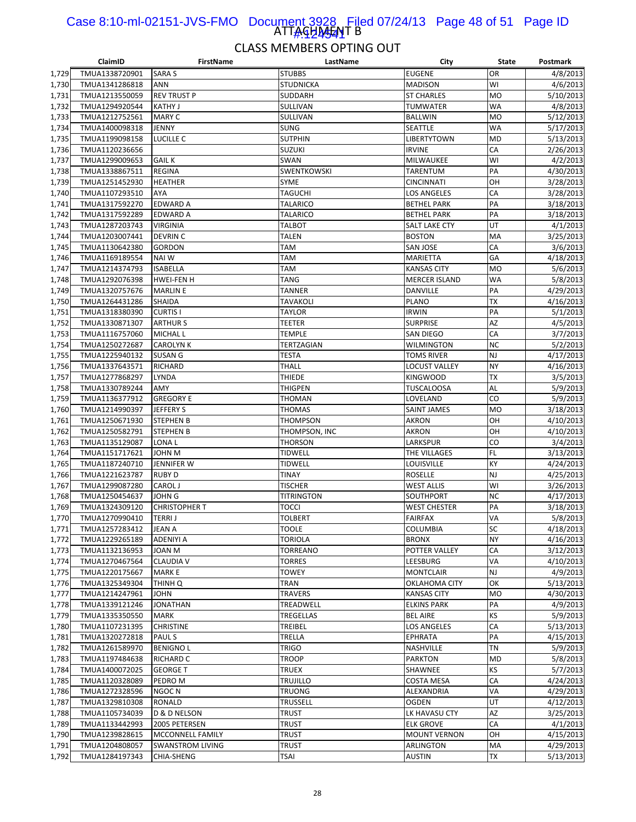#### ATTAGHA<del>JA</del>IT B Case 8:10-ml-02151-JVS-FMO Document 3928 Filed 07/24/13 Page 48 of 51 Page ID 1#:424541

|                | ClaimID                          | <b>FirstName</b>        | LastName                       | City                         | State     | Postmark  |
|----------------|----------------------------------|-------------------------|--------------------------------|------------------------------|-----------|-----------|
| 1,729          | TMUA1338720901                   | <b>SARA S</b>           | <b>STUBBS</b>                  | <b>EUGENE</b>                | OR        | 4/8/2013  |
| 1,730          | TMUA1341286818                   | <b>ANN</b>              | <b>STUDNICKA</b>               | <b>MADISON</b>               | WI        | 4/6/2013  |
| 1,731          | TMUA1213550059                   | <b>REV TRUST P</b>      | SUDDARH                        | <b>ST CHARLES</b>            | <b>MO</b> | 5/10/2013 |
| 1,732          | TMUA1294920544                   | <b>KATHY J</b>          | SULLIVAN                       | <b>TUMWATER</b>              | <b>WA</b> | 4/8/2013  |
| 1,733          | TMUA1212752561                   | MARY C                  | SULLIVAN                       | <b>BALLWIN</b>               | <b>MO</b> | 5/12/2013 |
| 1,734          | TMUA1400098318                   | JENNY                   | <b>SUNG</b>                    | SEATTLE                      | <b>WA</b> | 5/17/2013 |
| 1,735          | TMUA1199098158                   | LUCILLE C               | <b>SUTPHIN</b>                 | LIBERTYTOWN                  | MD        | 5/13/2013 |
| 1,736          | TMUA1120236656                   |                         | <b>SUZUKI</b>                  | <b>IRVINE</b>                | CA        | 2/26/2013 |
| 1,737          | TMUA1299009653                   | <b>GAIL K</b>           | SWAN                           | MILWAUKEE                    | WI        | 4/2/2013  |
|                |                                  | REGINA                  | <b>SWENTKOWSKI</b>             |                              | PA        |           |
| 1,738          | TMUA1338867511<br>TMUA1251452930 |                         |                                | TARENTUM                     | OH        | 4/30/2013 |
| 1,739          |                                  | <b>HEATHER</b>          | <b>SYME</b>                    | <b>CINCINNATI</b>            |           | 3/28/2013 |
| 1,740          | TMUA1107293510                   | AYA                     | <b>TAGUCHI</b>                 | LOS ANGELES                  | CA        | 3/28/2013 |
| 1,741          | TMUA1317592270                   | EDWARD A                | <b>TALARICO</b>                | <b>BETHEL PARK</b>           | PA        | 3/18/2013 |
| 1,742          | TMUA1317592289                   | EDWARD A                | TALARICO                       | <b>BETHEL PARK</b>           | PA        | 3/18/2013 |
| 1,743          | TMUA1287203743                   | VIRGINIA                | <b>TALBOT</b>                  | SALT LAKE CTY                | UT        | 4/1/2013  |
| 1,744          | TMUA1203007441                   | <b>DEVRIN C</b>         | <b>TALEN</b>                   | <b>BOSTON</b>                | MA        | 3/25/2013 |
| 1,745          | TMUA1130642380                   | GORDON                  | TAM                            | SAN JOSE                     | CA        | 3/6/2013  |
| 1,746          | TMUA1169189554                   | NAI W                   | TAM                            | MARIETTA                     | GA        | 4/18/2013 |
| 1,747          | TMUA1214374793                   | <b>ISABELLA</b>         | TAM                            | <b>KANSAS CITY</b>           | <b>MO</b> | 5/6/2013  |
| 1,748          | TMUA1292076398                   | <b>HWEI-FEN H</b>       | <b>TANG</b>                    | <b>MERCER ISLAND</b>         | <b>WA</b> | 5/8/2013  |
| 1,749          | TMUA1320757676                   | <b>MARLIN E</b>         | TANNER                         | DANVILLE                     | PA        | 4/29/2013 |
| 1,750          | TMUA1264431286                   | SHAIDA                  | TAVAKOLI                       | <b>PLANO</b>                 | TХ        | 4/16/2013 |
| 1,751          | TMUA1318380390                   | <b>CURTISI</b>          | <b>TAYLOR</b>                  | <b>IRWIN</b>                 | PA        | 5/1/2013  |
| 1,752          | TMUA1330871307                   | <b>ARTHUR S</b>         | <b>TEETER</b>                  | <b>SURPRISE</b>              | AZ        | 4/5/2013  |
| 1,753          | TMUA1116757060                   | MICHAL L                | <b>TEMPLE</b>                  | <b>SAN DIEGO</b>             | CA        | 3/7/2013  |
| 1,754          | TMUA1250272687                   | CAROLYN K               | TERTZAGIAN                     | WILMINGTON                   | <b>NC</b> | 5/2/2013  |
| 1,755          | TMUA1225940132                   | <b>SUSAN G</b>          | <b>TESTA</b>                   | <b>TOMS RIVER</b>            | <b>NJ</b> | 4/17/2013 |
| 1,756          | TMUA1337643571                   | RICHARD                 | <b>THALL</b>                   | <b>LOCUST VALLEY</b>         | <b>NY</b> | 4/16/2013 |
| 1,757          | TMUA1277868297                   | LYNDA                   | <b>THIEDE</b>                  | KINGWOOD                     | <b>TX</b> | 3/5/2013  |
| 1,758          | TMUA1330789244                   | AMY                     | <b>THIGPEN</b>                 | <b>TUSCALOOSA</b>            | AL        | 5/9/2013  |
| 1,759          | TMUA1136377912                   | <b>GREGORY E</b>        | <b>THOMAN</b>                  | LOVELAND                     | CO        | 5/9/2013  |
| 1,760          | TMUA1214990397                   | JEFFERY S               | <b>THOMAS</b>                  | <b>SAINT JAMES</b>           | <b>MO</b> | 3/18/2013 |
| 1,761          | TMUA1250671930                   | STEPHEN B               | <b>THOMPSON</b>                | AKRON                        | OH        | 4/10/2013 |
| 1,762          | TMUA1250582791                   | STEPHEN B               | THOMPSON, INC                  | AKRON                        | OH        | 4/10/2013 |
| 1,763          | TMUA1135129087                   | LONA L                  | <b>THORSON</b>                 | LARKSPUR                     | CO        | 3/4/2013  |
| 1,764          | TMUA1151717621                   | JOHN M                  | <b>TIDWELL</b>                 | THE VILLAGES                 | <b>FL</b> | 3/13/2013 |
|                | TMUA1187240710                   | JENNIFER W              |                                |                              | KY        | 4/24/2013 |
| 1,765<br>1,766 | TMUA1221623787                   | <b>RUBY D</b>           | <b>TIDWELL</b><br><b>TINAY</b> | LOUISVILLE<br><b>ROSELLE</b> | NJ        | 4/25/2013 |
|                |                                  |                         |                                |                              | WI        |           |
| 1,767          | TMUA1299087280                   | CAROL J                 | <b>TISCHER</b>                 | <b>WEST ALLIS</b>            |           | 3/26/2013 |
| 1,768          | TMUA1250454637                   | JOHN G                  | <b>TITRINGTON</b>              | SOUTHPORT                    | <b>NC</b> | 4/17/2013 |
| 1,769          | TMUA1324309120                   | <b>CHRISTOPHER T</b>    | tocci                          | <b>WEST CHESTER</b>          | PA        | 3/18/2013 |
| 1,770          | TMUA1270990410                   | <b>TERRIJ</b>           | <b>TOLBERT</b>                 | <b>FAIRFAX</b>               | VA        | 5/8/2013  |
| 1,771          | TMUA1257283412                   | JEAN A                  | <b>TOOLE</b>                   | <b>COLUMBIA</b>              | SC        | 4/18/2013 |
| 1,772          | TMUA1229265189                   | ADENIYI A               | TORIOLA                        | <b>BRONX</b>                 | <b>NY</b> | 4/16/2013 |
| 1,773          | TMUA1132136953                   | JOAN M                  | TORREANO                       | POTTER VALLEY                | CA        | 3/12/2013 |
| 1,774          | TMUA1270467564                   | <b>CLAUDIA V</b>        | <b>TORRES</b>                  | LEESBURG                     | VA        | 4/10/2013 |
| 1,775          | TMUA1220175667                   | <b>MARK E</b>           | <b>TOWEY</b>                   | <b>MONTCLAIR</b>             | NJ        | 4/9/2013  |
| 1,776          | TMUA1325349304                   | THINH Q                 | TRAN                           | OKLAHOMA CITY                | ОК        | 5/13/2013 |
| 1,777          | TMUA1214247961                   | JOHN                    | <b>TRAVERS</b>                 | <b>KANSAS CITY</b>           | <b>MO</b> | 4/30/2013 |
| 1,778          | TMUA1339121246                   | JONATHAN                | TREADWELL                      | <b>ELKINS PARK</b>           | PA        | 4/9/2013  |
| 1,779          | TMUA1335350550                   | <b>MARK</b>             | TREGELLAS                      | <b>BEL AIRE</b>              | KS        | 5/9/2013  |
| 1,780          | TMUA1107231395                   | <b>CHRISTINE</b>        | TREIBEL                        | LOS ANGELES                  | CA        | 5/13/2013 |
| 1,781          | TMUA1320272818                   | <b>PAULS</b>            | TRELLA                         | EPHRATA                      | PA        | 4/15/2013 |
| 1,782          | TMUA1261589970                   | <b>BENIGNO L</b>        | <b>TRIGO</b>                   | NASHVILLE                    | <b>TN</b> | 5/9/2013  |
| 1,783          | TMUA1197484638                   | RICHARD C               | <b>TROOP</b>                   | PARKTON                      | <b>MD</b> | 5/8/2013  |
| 1,784          | TMUA1400072025                   | <b>GEORGE T</b>         | <b>TRUEX</b>                   | SHAWNEE                      | KS        | 5/7/2013  |
| 1,785          | TMUA1120328089                   | PEDRO M                 | TRUJILLO                       | COSTA MESA                   | CA        | 4/24/2013 |
| 1,786          | TMUA1272328596                   | NGOC N                  | <b>TRUONG</b>                  | ALEXANDRIA                   | VA        | 4/29/2013 |
| 1,787          | TMUA1329810308                   | RONALD                  | TRUSSELL                       | <b>OGDEN</b>                 | UT        | 4/12/2013 |
| 1,788          | TMUA1105734039                   | D & D NELSON            | <b>TRUST</b>                   | LK HAVASU CTY                | AΖ        | 3/25/2013 |
| 1,789          | TMUA1133442993                   | 2005 PETERSEN           | <b>TRUST</b>                   | <b>ELK GROVE</b>             | CA        | 4/1/2013  |
| 1,790          | TMUA1239828615                   | MCCONNELL FAMILY        | <b>TRUST</b>                   | <b>MOUNT VERNON</b>          | OH        | 4/15/2013 |
| 1,791          | TMUA1204808057                   | <b>SWANSTROM LIVING</b> | <b>TRUST</b>                   | ARLINGTON                    | MA        | 4/29/2013 |
| 1,792          | TMUA1284197343                   | CHIA-SHENG              | TSAI                           | <b>AUSTIN</b>                | TX        | 5/13/2013 |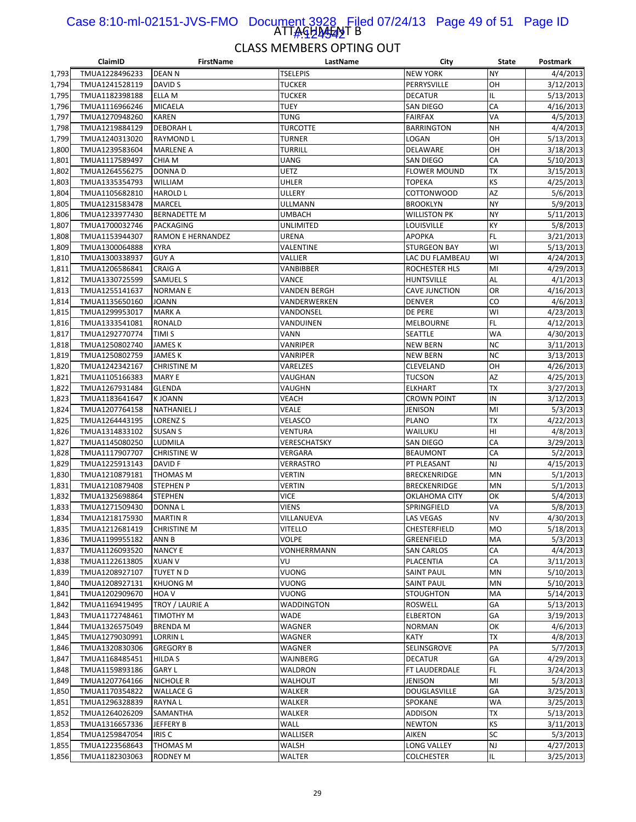#### ATTAGHA<del>JA</del>T B Case 8:10-ml-02151-JVS-FMO Document 3928 Filed 07/24/13 Page 49 of 51 Page ID 1#:424542

|       | ClaimID        | FirstName                | LastName            | City                 | State     | Postmark  |
|-------|----------------|--------------------------|---------------------|----------------------|-----------|-----------|
| 1,793 | TMUA1228496233 | <b>DEAN N</b>            | <b>TSELEPIS</b>     | <b>NEW YORK</b>      | <b>NY</b> | 4/4/2013  |
| 1,794 | TMUA1241528119 | DAVID S                  | <b>TUCKER</b>       | PERRYSVILLE          | OH        | 3/12/2013 |
| 1,795 | TMUA1182398188 | ELLA M                   | <b>TUCKER</b>       | <b>DECATUR</b>       | IL        | 5/13/2013 |
| 1,796 | TMUA1116966246 | <b>MICAELA</b>           | <b>TUEY</b>         | SAN DIEGO            | CA        | 4/16/2013 |
| 1,797 | TMUA1270948260 | <b>KAREN</b>             | <b>TUNG</b>         | <b>FAIRFAX</b>       | VA        | 4/5/2013  |
| 1,798 | TMUA1219884129 | <b>DEBORAH L</b>         | <b>TURCOTTE</b>     | <b>BARRINGTON</b>    | <b>NH</b> | 4/4/2013  |
| 1,799 | TMUA1240313020 | <b>RAYMOND L</b>         | <b>TURNER</b>       | LOGAN                | OH        | 5/13/2013 |
| 1,800 | TMUA1239583604 | <b>MARLENE A</b>         | <b>TURRILL</b>      | DELAWARE             | OH        | 3/18/2013 |
| 1,801 | TMUA1117589497 | CHIA M                   | UANG                | SAN DIEGO            | CA        | 5/10/2013 |
| 1,802 | TMUA1264556275 | <b>DONNAD</b>            | UETZ                | <b>FLOWER MOUND</b>  | <b>TX</b> | 3/15/2013 |
|       |                |                          |                     |                      |           |           |
| 1,803 | TMUA1335354793 | <b>WILLIAM</b>           | UHLER               | <b>TOPEKA</b>        | KS        | 4/25/2013 |
| 1,804 | TMUA1105682810 | <b>HAROLD L</b>          | ULLERY              | COTTONWOOD           | AZ        | 5/6/2013  |
| 1,805 | TMUA1231583478 | <b>MARCEL</b>            | ULLMANN             | <b>BROOKLYN</b>      | <b>NY</b> | 5/9/2013  |
| 1,806 | TMUA1233977430 | <b>BERNADETTE M</b>      | UMBACH              | WILLISTON PK         | <b>NY</b> | 5/11/2013 |
| 1,807 | TMUA1700032746 | PACKAGING                | UNLIMITED           | LOUISVILLE           | KY        | 5/8/2013  |
| 1,808 | TMUA1153944307 | <b>RAMON E HERNANDEZ</b> | URENA               | <b>APOPKA</b>        | FL        | 3/21/2013 |
| 1,809 | TMUA1300064888 | <b>KYRA</b>              | VALENTINE           | <b>STURGEON BAY</b>  | WI        | 5/13/2013 |
| 1,810 | TMUA1300338937 | <b>GUY A</b>             | VALLIER             | LAC DU FLAMBEAU      | WI        | 4/24/2013 |
| 1,811 | TMUA1206586841 | <b>CRAIG A</b>           | VANBIBBER           | <b>ROCHESTER HLS</b> | MI        | 4/29/2013 |
| 1,812 | TMUA1330725599 | <b>SAMUEL S</b>          | VANCE               | <b>HUNTSVILLE</b>    | AL        | 4/1/2013  |
| 1,813 | TMUA1255141637 | <b>NORMANE</b>           | <b>VANDEN BERGH</b> | <b>CAVE JUNCTION</b> | OR        | 4/16/2013 |
| 1,814 | TMUA1135650160 | <b>JOANN</b>             | VANDERWERKEN        | <b>DENVER</b>        | CO        | 4/6/2013  |
| 1,815 | TMUA1299953017 | <b>MARKA</b>             | VANDONSEL           | DE PERE              | WI        | 4/23/2013 |
| 1,816 | TMUA1333541081 | <b>RONALD</b>            | VANDUINEN           | <b>MELBOURNE</b>     | FL        | 4/12/2013 |
| 1,817 | TMUA1292770774 | TIMI S                   | VANN                | SEATTLE              | WA        | 4/30/2013 |
| 1,818 | TMUA1250802740 | JAMES K                  | VANRIPER            | NEW BERN             | <b>NC</b> | 3/11/2013 |
| 1,819 | TMUA1250802759 | <b>JAMES K</b>           | VANRIPER            | NEW BERN             | <b>NC</b> | 3/13/2013 |
| 1,820 | TMUA1242342167 | <b>CHRISTINE M</b>       | VARELZES            | CLEVELAND            | OH        | 4/26/2013 |
|       |                |                          |                     |                      |           |           |
| 1,821 | TMUA1105166383 | <b>MARY E</b>            | VAUGHAN             | <b>TUCSON</b>        | AZ        | 4/25/2013 |
| 1,822 | TMUA1267931484 | GLENDA                   | VAUGHN              | <b>ELKHART</b>       | <b>TX</b> | 3/27/2013 |
| 1,823 | TMUA1183641647 | <b>KJOANN</b>            | VEACH               | <b>CROWN POINT</b>   | IN        | 3/12/2013 |
| 1,824 | TMUA1207764158 | <b>NATHANIEL J</b>       | VEALE               | JENISON              | MI        | 5/3/2013  |
| 1,825 | TMUA1264443195 | <b>LORENZ S</b>          | VELASCO             | PLANO                | <b>TX</b> | 4/22/2013 |
| 1,826 | TMUA1314833102 | <b>SUSAN S</b>           | VENTURA             | WAILUKU              | HI        | 4/8/2013  |
| 1,827 | TMUA1145080250 | LUDMILA                  | VERESCHATSKY        | SAN DIEGO            | CA        | 3/29/2013 |
| 1,828 | TMUA1117907707 | <b>CHRISTINE W</b>       | VERGARA             | <b>BEAUMONT</b>      | CA        | 5/2/2013  |
| 1,829 | TMUA1225913143 | DAVID F                  | VERRASTRO           | PT PLEASANT          | <b>NJ</b> | 4/15/2013 |
| 1,830 | TMUA1210879181 | <b>THOMAS M</b>          | VERTIN              | <b>BRECKENRIDGE</b>  | MN        | 5/1/2013  |
| 1,831 | TMUA1210879408 | <b>STEPHEN P</b>         | <b>VERTIN</b>       | <b>BRECKENRIDGE</b>  | MN        | 5/1/2013  |
| 1,832 | TMUA1325698864 | <b>STEPHEN</b>           | <b>VICE</b>         | OKLAHOMA CITY        | OK        | 5/4/2013  |
| 1,833 | TMUA1271509430 | DONNA L                  | <b>VIENS</b>        | SPRINGFIELD          | VA        | 5/8/2013  |
| 1,834 | TMUA1218175930 | <b>MARTIN R</b>          | VILLANUEVA          | <b>LAS VEGAS</b>     | <b>NV</b> | 4/30/2013 |
| 1,835 | TMUA1212681419 | <b>CHRISTINE M</b>       | <b>VITELLO</b>      | <b>CHESTERFIELD</b>  | MO        | 5/18/2013 |
| 1,836 | TMUA1199955182 | ANN B                    | VOLPE               | GREENFIELD           | MA        | 5/3/2013  |
| 1,837 | TMUA1126093520 | <b>NANCY E</b>           | VONHERRMANN         | SAN CARLOS           | CA        | 4/4/2013  |
| 1,838 | TMUA1122613805 | <b>XUAN V</b>            | VU                  | PLACENTIA            | CA        |           |
|       | TMUA1208927107 |                          |                     |                      | MN        | 3/11/2013 |
| 1,839 |                | TUYET N D                | VUONG               | <b>SAINT PAUL</b>    |           | 5/10/2013 |
| 1,840 | TMUA1208927131 | <b>KHUONG M</b>          | VUONG               | SAINT PAUL           | MN        | 5/10/2013 |
| 1,841 | TMUA1202909670 | HOA V                    | VUONG               | <b>STOUGHTON</b>     | MA        | 5/14/2013 |
| 1,842 | TMUA1169419495 | TROY / LAURIE A          | WADDINGTON          | ROSWELL              | GA        | 5/13/2013 |
| 1,843 | TMUA1172748461 | <b>TIMOTHY M</b>         | <b>WADE</b>         | <b>ELBERTON</b>      | GA        | 3/19/2013 |
| 1,844 | TMUA1326575049 | <b>BRENDA M</b>          | WAGNER              | NORMAN               | OK        | 4/6/2013  |
| 1,845 | TMUA1279030991 | <b>LORRIN L</b>          | WAGNER              | KATY                 | TX        | 4/8/2013  |
| 1,846 | TMUA1320830306 | <b>GREGORY B</b>         | WAGNER              | SELINSGROVE          | PA        | 5/7/2013  |
| 1,847 | TMUA1168485451 | <b>HILDA S</b>           | WAJNBERG            | <b>DECATUR</b>       | GA        | 4/29/2013 |
| 1,848 | TMUA1159893186 | <b>GARY L</b>            | WALDRON             | FT LAUDERDALE        | FL.       | 3/24/2013 |
| 1,849 | TMUA1207764166 | NICHOLE R                | WALHOUT             | JENISON              | MI        | 5/3/2013  |
| 1,850 | TMUA1170354822 | <b>WALLACE G</b>         | WALKER              | DOUGLASVILLE         | GA        | 3/25/2013 |
| 1,851 | TMUA1296328839 | <b>RAYNAL</b>            | WALKER              | SPOKANE              | <b>WA</b> | 3/25/2013 |
| 1,852 | TMUA1264026209 | SAMANTHA                 | WALKER              | ADDISON              | TX        | 5/13/2013 |
| 1,853 | TMUA1316657336 | JEFFERY B                | WALL                | <b>NEWTON</b>        | KS        | 3/11/2013 |
| 1,854 | TMUA1259847054 | IRIS <sub>C</sub>        | WALLISER            | AIKEN                | SC        | 5/3/2013  |
| 1,855 | TMUA1223568643 | THOMAS M                 | WALSH               | LONG VALLEY          | <b>NJ</b> | 4/27/2013 |
| 1,856 | TMUA1182303063 | RODNEY M                 | WALTER              | COLCHESTER           | IL        | 3/25/2013 |
|       |                |                          |                     |                      |           |           |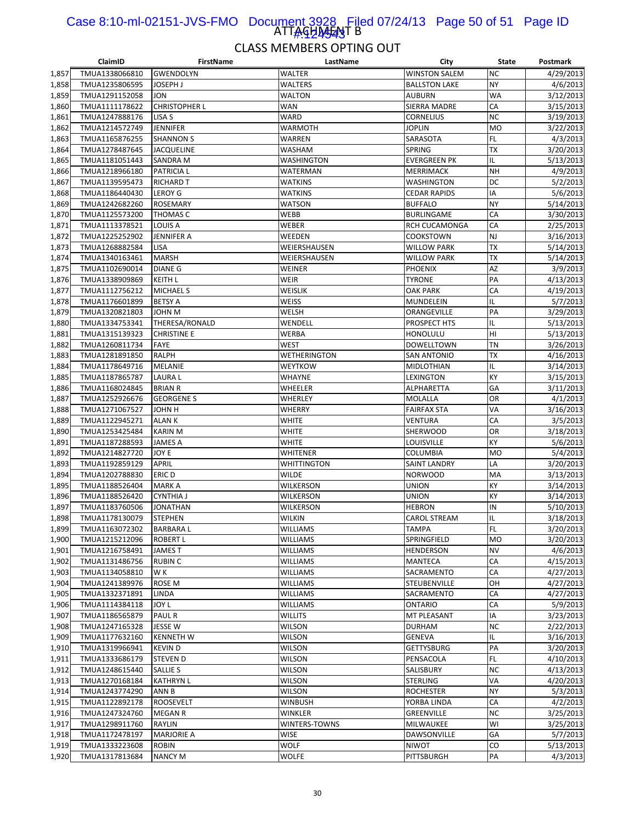#### ATTAGHAFANT B Case 8:10-ml-02151-JVS-FMO Document 3928 Filed 07/24/13 Page 50 of 51 Page ID 1#:424543

|                | ClaimID                          | <b>FirstName</b>                   | LastName                        | City                           | <b>State</b>     | Postmark               |
|----------------|----------------------------------|------------------------------------|---------------------------------|--------------------------------|------------------|------------------------|
| 1,857          | TMUA1338066810                   | <b>GWENDOLYN</b>                   | <b>WALTER</b>                   | <b>WINSTON SALEM</b>           | <b>NC</b>        | 4/29/2013              |
| 1,858          | TMUA1235806595                   | <b>JOSEPH J</b>                    | WALTERS                         | <b>BALLSTON LAKE</b>           | <b>NY</b>        | 4/6/2013               |
| 1,859          | TMUA1291152058                   | <b>JON</b>                         | <b>WALTON</b>                   | <b>AUBURN</b>                  | WA               | 3/12/2013              |
| 1,860          | TMUA1111178622                   | <b>CHRISTOPHER L</b>               | <b>WAN</b>                      | <b>SIERRA MADRE</b>            | CA               | 3/15/2013              |
| 1,861          | TMUA1247888176                   | LISA <sub>S</sub>                  | WARD                            | <b>CORNELIUS</b>               | <b>NC</b>        | 3/19/2013              |
| 1,862          | TMUA1214572749                   | <b>JENNIFER</b>                    | WARMOTH                         | <b>JOPLIN</b>                  | <b>MO</b>        | 3/22/2013              |
| 1,863          | TMUA1165876255                   | <b>SHANNON S</b>                   | WARREN                          | SARASOTA                       | FL.              | 4/3/2013               |
| 1,864          | TMUA1278487645                   | <b>JACQUELINE</b>                  | WASHAM                          | SPRING                         | TX               | 3/20/2013              |
| 1,865          | TMUA1181051443                   | <b>SANDRA M</b>                    | <b>WASHINGTON</b>               | <b>EVERGREEN PK</b>            | IL               | 5/13/2013              |
| 1,866          | TMUA1218966180                   | <b>PATRICIAL</b>                   | WATERMAN                        | <b>MERRIMACK</b>               | <b>NH</b>        | 4/9/2013               |
| 1,867          | TMUA1139595473                   | <b>RICHARD T</b>                   | WATKINS                         | WASHINGTON                     | DC               | 5/2/2013               |
| 1,868          | TMUA1186440430                   | <b>LEROY G</b>                     | <b>WATKINS</b>                  | <b>CEDAR RAPIDS</b>            | IA               | 5/6/2013               |
| 1,869          | TMUA1242682260                   | <b>ROSEMARY</b>                    | <b>WATSON</b>                   | <b>BUFFALO</b>                 | <b>NY</b>        | 5/14/2013              |
| 1,870          | TMUA1125573200                   | THOMAS C                           | WEBB                            | BURLINGAME                     | CA               | 3/30/2013              |
| 1,871          | TMUA1113378521                   | <b>LOUIS A</b>                     | WEBER                           | RCH CUCAMONGA                  | CA               | 2/25/2013              |
| 1,872          | TMUA1225252902                   | <b>JENNIFER A</b>                  | WEEDEN                          | COOKSTOWN                      | <b>NJ</b>        | 3/16/2013              |
| 1,873          | TMUA1268882584                   | LISA                               | WEIERSHAUSEN                    | <b>WILLOW PARK</b>             | ТX               | 5/14/2013              |
| 1,874          | TMUA1340163461                   | MARSH                              | WEIERSHAUSEN                    | <b>WILLOW PARK</b>             | ТX               | 5/14/2013              |
| 1,875          | TMUA1102690014                   | <b>DIANE G</b>                     | WEINER                          | <b>PHOENIX</b>                 | AZ               | 3/9/2013               |
| 1,876          | TMUA1338909869                   | <b>KEITH L</b>                     | <b>WEIR</b>                     | <b>TYRONE</b>                  | PA               | 4/13/2013              |
| 1,877          | TMUA1112756212                   | <b>MICHAEL S</b>                   | WEISLIK                         | <b>OAK PARK</b>                | CA               | 4/19/2013              |
| 1,878          | TMUA1176601899                   | <b>BETSY A</b>                     | WEISS                           | MUNDELEIN                      | IL               | 5/7/2013               |
| 1,879          | TMUA1320821803                   | <b>JOHN M</b>                      | <b>WELSH</b>                    | ORANGEVILLE                    | PA               | 3/29/2013              |
| 1,880          | TMUA1334753341                   | THERESA/RONALD                     | WENDELL                         | PROSPECT HTS                   | IL               | 5/13/2013              |
| 1,881          | TMUA1315139323                   | <b>CHRISTINE E</b>                 | WERBA                           | HONOLULU                       | HI               | 5/13/2013              |
| 1,882          | TMUA1260811734                   | <b>FAYE</b>                        | <b>WEST</b>                     | DOWELLTOWN                     | TN               | 3/26/2013              |
| 1,883          | TMUA1281891850                   | <b>RALPH</b>                       | <b>WETHERINGTON</b>             | <b>SAN ANTONIO</b>             | ТX               | 4/16/2013              |
| 1,884          | TMUA1178649716                   | <b>MELANIE</b>                     | <b>WEYTKOW</b>                  | MIDLOTHIAN                     | IL               | 3/14/2013              |
| 1,885          | TMUA1187865787                   | <b>LAURAL</b>                      | WHAYNE                          | LEXINGTON                      | KY               | 3/15/2013              |
| 1,886          | TMUA1168024845                   | <b>BRIAN R</b>                     | WHEELER                         | ALPHARETTA                     | GA               | 3/11/2013              |
| 1,887          | TMUA1252926676                   | <b>GEORGENE S</b>                  | WHERLEY                         | MOLALLA                        | OR               | 4/1/2013               |
| 1,888          | TMUA1271067527                   | H <i>N</i> HOL                     | <b>WHERRY</b>                   | <b>FAIRFAX STA</b>             | VA               | 3/16/2013              |
| 1,889          | TMUA1122945271                   | <b>ALANK</b>                       | WHITE                           | VENTURA                        | CA               | 3/5/2013               |
| 1,890          | TMUA1253425484                   | <b>KARIN M</b>                     | WHITE                           | SHERWOOD                       | OR               | 3/18/2013              |
| 1,891          | TMUA1187288593                   | JAMES A                            | WHITE                           | LOUISVILLE                     | KY               | 5/6/2013               |
| 1,892          | TMUA1214827720                   | JOY E                              | WHITENER                        | COLUMBIA                       | <b>MO</b>        | 5/4/2013               |
| 1,893          | TMUA1192859129                   | APRIL                              | WHITTINGTON                     | SAINT LANDRY                   | LA               | 3/20/2013              |
| 1,894          | TMUA1202788830                   | <b>ERICD</b>                       | WILDE                           | <b>NORWOOD</b>                 | MA               | 3/13/2013              |
| 1,895          | TMUA1188526404                   | <b>MARK A</b>                      | WILKERSON                       | <b>UNION</b>                   | KY               | 3/14/2013              |
| 1,896          | TMUA1188526420                   | <b>CYNTHIA J</b>                   | WILKERSON                       | <b>UNION</b>                   | KY               | 3/14/2013              |
| 1,897          | TMUA1183760506                   | JONATHAN                           | WILKERSON                       | <b>HEBRON</b>                  | IN               | 5/10/2013              |
| 1,898          | TMUA1178130079                   | <b>STEPHEN</b>                     | WILKIN                          | <b>CAROL STREAM</b>            | IL               | 3/18/2013              |
| 1,899          | TMUA1163072302                   | <b>BARBARAL</b>                    | <b>WILLIAMS</b>                 | <b>TAMPA</b>                   | FL.              | 3/20/2013              |
| 1,900          | TMUA1215212096                   | <b>ROBERT L</b>                    | <b>WILLIAMS</b>                 | SPRINGFIELD                    | <b>MO</b>        | 3/20/2013              |
| 1,901          | TMUA1216758491                   | <b>JAMES T</b>                     | <b>WILLIAMS</b>                 | HENDERSON                      | <b>NV</b>        | 4/6/2013               |
| 1,902          | TMUA1131486756                   | <b>RUBIN C</b>                     | WILLIAMS                        | MANTECA                        | СA               | 4/15/2013              |
| 1,903          | TMUA1134058810                   | W K                                | <b>WILLIAMS</b>                 | SACRAMENTO                     | CA               | 4/27/2013              |
| 1,904          | TMUA1241389976                   | ROSE M                             | WILLIAMS                        | STEUBENVILLE                   | OH               | 4/27/2013              |
| 1,905          | TMUA1332371891                   | LINDA                              | WILLIAMS                        | SACRAMENTO                     | СA               | 4/27/2013              |
| 1,906          | TMUA1114384118                   | JOY L                              | <b>WILLIAMS</b>                 | <b>ONTARIO</b>                 | CA               | 5/9/2013               |
| 1,907          | TMUA1186565879                   | <b>PAUL R</b>                      | <b>WILLITS</b>                  | MT PLEASANT                    | IA               | 3/23/2013              |
| 1,908          | TMUA1247165328                   | <b>JESSE W</b>                     | <b>WILSON</b>                   | <b>DURHAM</b>                  | <b>NC</b><br>IL. | 2/22/2013              |
| 1,909          | TMUA1177632160                   | <b>KENNETH W</b>                   | <b>WILSON</b>                   | GENEVA                         | PA               | 3/16/2013              |
| 1,910<br>1,911 | TMUA1319966941<br>TMUA1333686179 | <b>KEVIND</b>                      | <b>WILSON</b><br><b>WILSON</b>  | <b>GETTYSBURG</b><br>PENSACOLA | FL.              | 3/20/2013<br>4/10/2013 |
|                |                                  | <b>STEVEN D</b>                    |                                 |                                |                  |                        |
| 1,912<br>1,913 | TMUA1248615440                   | SALLIE S                           | <b>WILSON</b>                   | SALISBURY                      | <b>NC</b><br>VA  | 4/13/2013              |
|                | TMUA1270168184                   | <b>KATHRYN L</b>                   | WILSON                          | STERLING                       | <b>NY</b>        | 4/20/2013              |
| 1,914<br>1,915 | TMUA1243774290<br>TMUA1122892178 | ANN B                              | <b>WILSON</b><br><b>WINBUSH</b> | <b>ROCHESTER</b>               | CA               | 5/3/2013<br>4/2/2013   |
| 1,916          | TMUA1247324760                   | <b>ROOSEVELT</b><br><b>MEGAN R</b> | WINKLER                         | YORBA LINDA<br>GREENVILLE      | <b>NC</b>        | 3/25/2013              |
| 1,917          | TMUA1298911760                   | RAYLIN                             | WINTERS-TOWNS                   | MILWAUKEE                      | WI               | 3/25/2013              |
| 1,918          | TMUA1172478197                   | <b>MARJORIE A</b>                  | <b>WISE</b>                     | DAWSONVILLE                    | GA               | 5/7/2013               |
| 1,919          | TMUA1333223608                   | <b>ROBIN</b>                       | <b>WOLF</b>                     | NIWOT                          | CO               | 5/13/2013              |
| 1,920          | TMUA1317813684                   | <b>NANCY M</b>                     | WOLFE                           | PITTSBURGH                     | PA               | 4/3/2013               |
|                |                                  |                                    |                                 |                                |                  |                        |